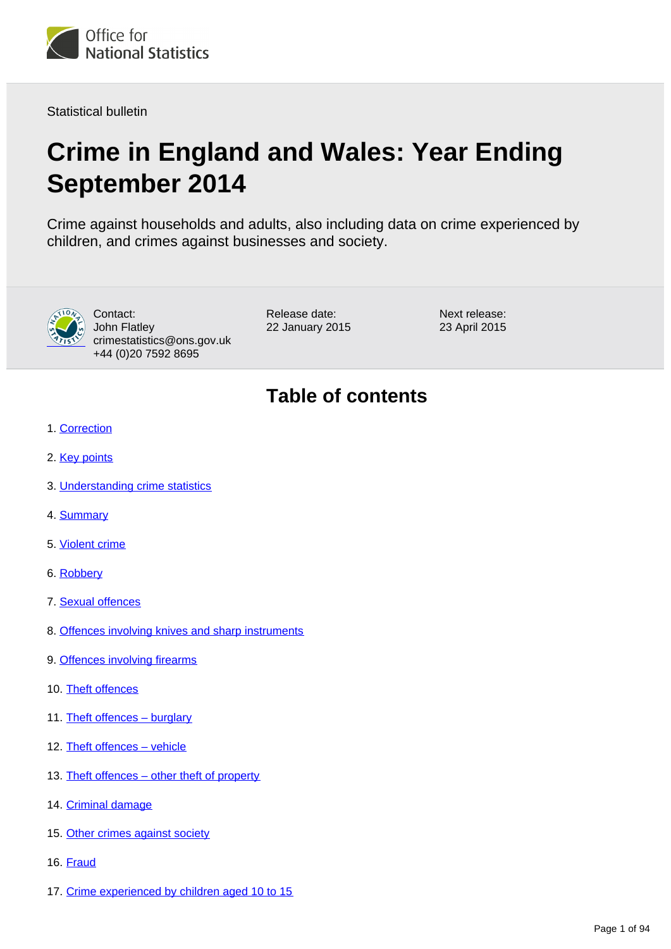

Statistical bulletin

# **Crime in England and Wales: Year Ending September 2014**

Crime against households and adults, also including data on crime experienced by children, and crimes against businesses and society.



Contact: John Flatley crimestatistics@ons.gov.uk +44 (0)20 7592 8695

Release date: 22 January 2015 Next release: 23 April 2015

# **Table of contents**

- 1. [Correction](#page-2-0)
- 2. [Key points](#page-2-1)
- 3. [Understanding crime statistics](#page-2-2)
- 4. [Summary](#page-5-0)
- 5. [Violent crime](#page-18-0)
- 6. [Robbery](#page-24-0)
- 7. [Sexual offences](#page-27-0)
- 8. [Offences involving knives and sharp instruments](#page-30-0)
- 9. [Offences involving firearms](#page-33-0)
- 10. [Theft offences](#page-35-0)
- 11. Theft offences burglary
- 12. [Theft offences vehicle](#page-41-0)
- 13. [Theft offences other theft of property](#page-44-0)
- 14. [Criminal damage](#page-52-0)
- 15. [Other crimes against society](#page-56-0)
- 16. [Fraud](#page-61-0)
- 17. [Crime experienced by children aged 10 to 15](#page-68-0)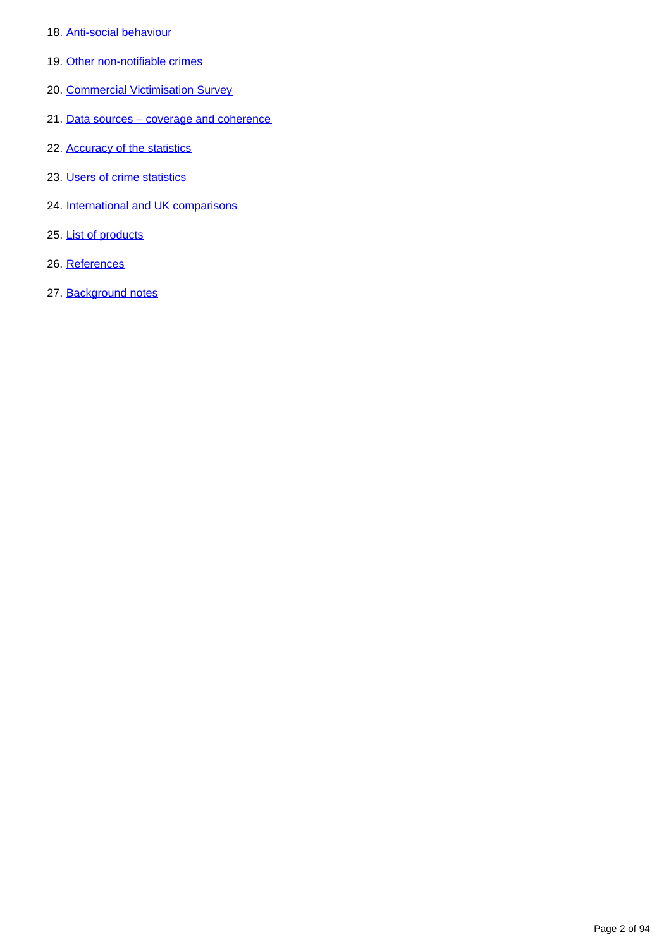- 18. [Anti-social behaviour](#page-73-0)
- 19. [Other non-notifiable crimes](#page-78-0)
- 20. [Commercial Victimisation Survey](#page-80-0)
- 21. Data sources coverage and coherence
- 22. [Accuracy of the statistics](#page-85-0)
- 23. [Users of crime statistics](#page-87-0)
- 24. [International and UK comparisons](#page-87-1)
- 25. [List of products](#page-89-0)
- 26. References
- 27. Background notes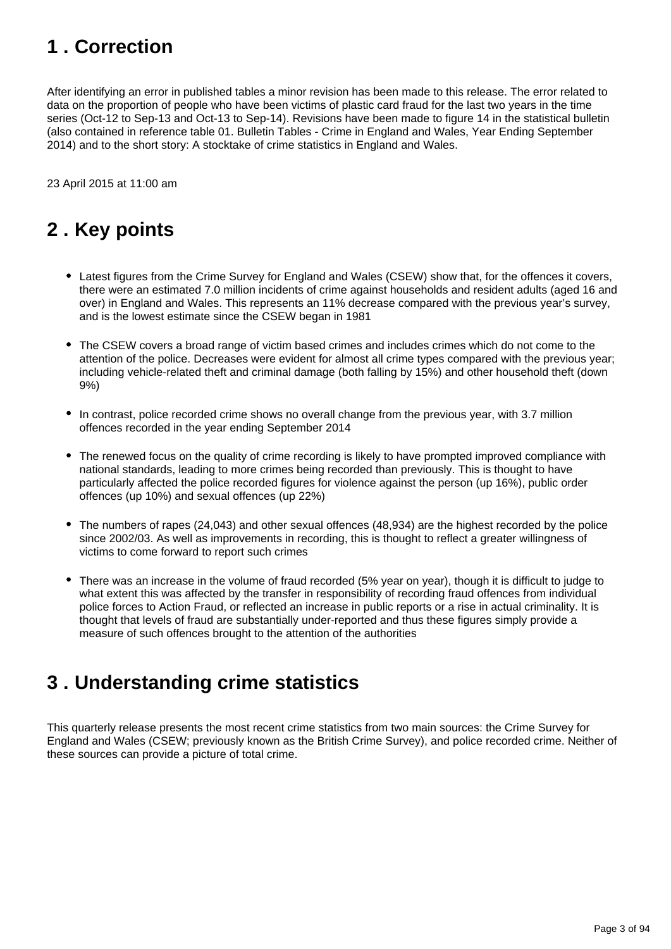# <span id="page-2-0"></span>**1 . Correction**

After identifying an error in published tables a minor revision has been made to this release. The error related to data on the proportion of people who have been victims of plastic card fraud for the last two years in the time series (Oct-12 to Sep-13 and Oct-13 to Sep-14). Revisions have been made to figure 14 in the statistical bulletin (also contained in reference table 01. Bulletin Tables - Crime in England and Wales, Year Ending September 2014) and to the short story: A stocktake of crime statistics in England and Wales.

23 April 2015 at 11:00 am

# <span id="page-2-1"></span>**2 . Key points**

- Latest figures from the Crime Survey for England and Wales (CSEW) show that, for the offences it covers, there were an estimated 7.0 million incidents of crime against households and resident adults (aged 16 and over) in England and Wales. This represents an 11% decrease compared with the previous year's survey, and is the lowest estimate since the CSEW began in 1981
- The CSEW covers a broad range of victim based crimes and includes crimes which do not come to the attention of the police. Decreases were evident for almost all crime types compared with the previous year; including vehicle-related theft and criminal damage (both falling by 15%) and other household theft (down 9%)
- In contrast, police recorded crime shows no overall change from the previous year, with 3.7 million offences recorded in the year ending September 2014
- The renewed focus on the quality of crime recording is likely to have prompted improved compliance with national standards, leading to more crimes being recorded than previously. This is thought to have particularly affected the police recorded figures for violence against the person (up 16%), public order offences (up 10%) and sexual offences (up 22%)
- The numbers of rapes (24,043) and other sexual offences (48,934) are the highest recorded by the police since 2002/03. As well as improvements in recording, this is thought to reflect a greater willingness of victims to come forward to report such crimes
- There was an increase in the volume of fraud recorded (5% year on year), though it is difficult to judge to what extent this was affected by the transfer in responsibility of recording fraud offences from individual police forces to Action Fraud, or reflected an increase in public reports or a rise in actual criminality. It is thought that levels of fraud are substantially under-reported and thus these figures simply provide a measure of such offences brought to the attention of the authorities

# <span id="page-2-2"></span>**3 . Understanding crime statistics**

This quarterly release presents the most recent crime statistics from two main sources: the Crime Survey for England and Wales (CSEW; previously known as the British Crime Survey), and police recorded crime. Neither of these sources can provide a picture of total crime.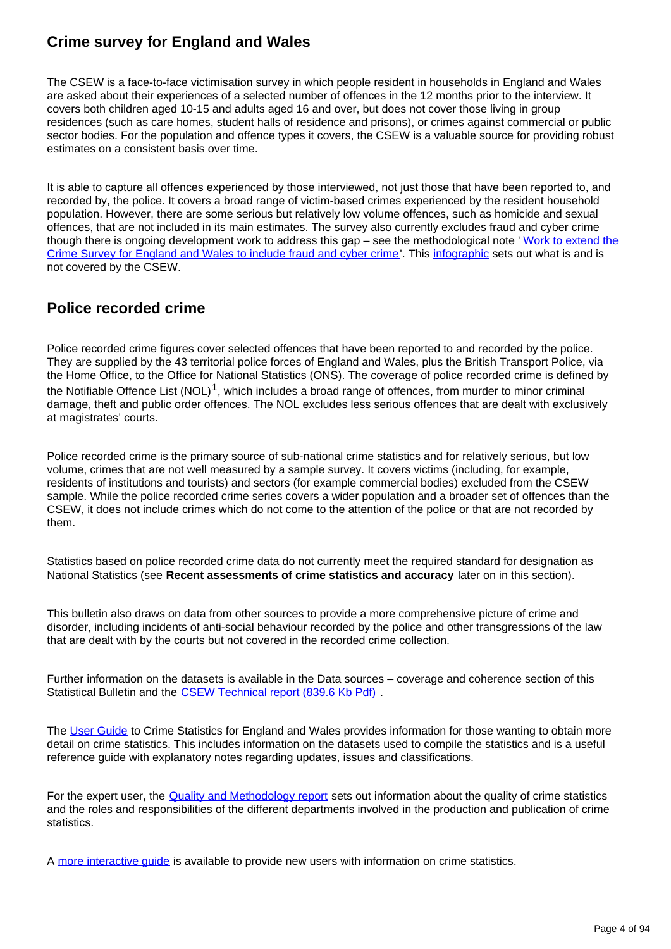## **Crime survey for England and Wales**

The CSEW is a face-to-face victimisation survey in which people resident in households in England and Wales are asked about their experiences of a selected number of offences in the 12 months prior to the interview. It covers both children aged 10-15 and adults aged 16 and over, but does not cover those living in group residences (such as care homes, student halls of residence and prisons), or crimes against commercial or public sector bodies. For the population and offence types it covers, the CSEW is a valuable source for providing robust estimates on a consistent basis over time.

It is able to capture all offences experienced by those interviewed, not just those that have been reported to, and recorded by, the police. It covers a broad range of victim-based crimes experienced by the resident household population. However, there are some serious but relatively low volume offences, such as homicide and sexual offences, that are not included in its main estimates. The survey also currently excludes fraud and cyber crime though there is ongoing development work to address this gap – see the methodological note ' Work to extend the [Crime Survey for England and Wales to include fraud and cyber crime](http://www.ons.gov.uk/ons/guide-method/method-quality/specific/crime-statistics-methodology/index.html)'. This [infographic](http://www.ons.gov.uk/ons/rel/crime-stats/crime-statistics/period-ending-june-2014/info-what-does-csew-cover.html) sets out what is and is not covered by the CSEW.

## **Police recorded crime**

Police recorded crime figures cover selected offences that have been reported to and recorded by the police. They are supplied by the 43 territorial police forces of England and Wales, plus the British Transport Police, via the Home Office, to the Office for National Statistics (ONS). The coverage of police recorded crime is defined by the Notifiable Offence List (NOL)<sup>1</sup>, which includes a broad range of offences, from murder to minor criminal damage, theft and public order offences. The NOL excludes less serious offences that are dealt with exclusively at magistrates' courts.

Police recorded crime is the primary source of sub-national crime statistics and for relatively serious, but low volume, crimes that are not well measured by a sample survey. It covers victims (including, for example, residents of institutions and tourists) and sectors (for example commercial bodies) excluded from the CSEW sample. While the police recorded crime series covers a wider population and a broader set of offences than the CSEW, it does not include crimes which do not come to the attention of the police or that are not recorded by them.

Statistics based on police recorded crime data do not currently meet the required standard for designation as National Statistics (see **Recent assessments of crime statistics and accuracy** later on in this section).

This bulletin also draws on data from other sources to provide a more comprehensive picture of crime and disorder, including incidents of anti-social behaviour recorded by the police and other transgressions of the law that are dealt with by the courts but not covered in the recorded crime collection.

Further information on the datasets is available in the Data sources – coverage and coherence section of this Statistical Bulletin and the CSEW Technical report (839.6 Kb Pdf).

The [User Guide](http://www.ons.gov.uk/ons/guide-method/method-quality/specific/crime-statistics-methodology/index.html) to Crime Statistics for England and Wales provides information for those wanting to obtain more detail on crime statistics. This includes information on the datasets used to compile the statistics and is a useful reference guide with explanatory notes regarding updates, issues and classifications.

For the expert user, the **[Quality and Methodology report](http://www.ons.gov.uk/ons/guide-method/method-quality/quality/quality-information/crime-and-justice/index.html)** sets out information about the quality of crime statistics and the roles and responsibilities of the different departments involved in the production and publication of crime **statistics** 

A [more interactive guide](http://www.ons.gov.uk/ons/guide-method/method-quality/specific/crime-statistics-methodology/guide-to-finding-crime-statistics/index.html) is available to provide new users with information on crime statistics.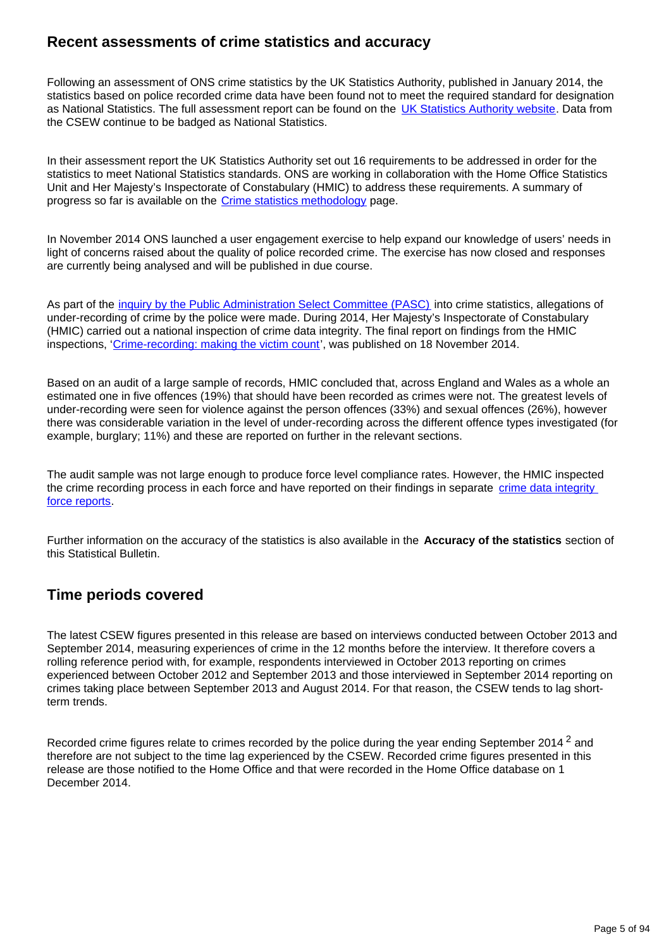## **Recent assessments of crime statistics and accuracy**

Following an assessment of ONS crime statistics by the UK Statistics Authority, published in January 2014, the statistics based on police recorded crime data have been found not to meet the required standard for designation as National Statistics. The full assessment report can be found on the [UK Statistics Authority website](http://www.ons.gov.uk/ons/external-links/stats-authority/uk-statistics-authority--assessment-report-268-crime.html). Data from the CSEW continue to be badged as National Statistics.

In their assessment report the UK Statistics Authority set out 16 requirements to be addressed in order for the statistics to meet National Statistics standards. ONS are working in collaboration with the Home Office Statistics Unit and Her Majesty's Inspectorate of Constabulary (HMIC) to address these requirements. A summary of progress so far is available on the [Crime statistics methodology](http://www.ons.gov.uk/ons/guide-method/method-quality/specific/crime-statistics-methodology/uk-statistics-authority-assessment/index.html) page.

In November 2014 ONS launched a user engagement exercise to help expand our knowledge of users' needs in light of concerns raised about the quality of police recorded crime. The exercise has now closed and responses are currently being analysed and will be published in due course.

As part of the [inquiry by the Public Administration Select Committee \(PASC\)](http://www.publications.parliament.uk/pa/cm201314/cmselect/cmpubadm/760/760.pdf) into crime statistics, allegations of under-recording of crime by the police were made. During 2014, Her Majesty's Inspectorate of Constabulary (HMIC) carried out a national inspection of crime data integrity. The final report on findings from the HMIC inspections, ['Crime-recording: making the victim count](https://www.justiceinspectorates.gov.uk/hmic/publication/crime-recording-making-the-victim-count/)', was published on 18 November 2014.

Based on an audit of a large sample of records, HMIC concluded that, across England and Wales as a whole an estimated one in five offences (19%) that should have been recorded as crimes were not. The greatest levels of under-recording were seen for violence against the person offences (33%) and sexual offences (26%), however there was considerable variation in the level of under-recording across the different offence types investigated (for example, burglary; 11%) and these are reported on further in the relevant sections.

The audit sample was not large enough to produce force level compliance rates. However, the HMIC inspected the crime recording process in each force and have reported on their findings in separate [crime data integrity](https://www.justiceinspectorates.gov.uk/hmic/publication/crime-data-integrity-force-reports/)  [force reports.](https://www.justiceinspectorates.gov.uk/hmic/publication/crime-data-integrity-force-reports/)

Further information on the accuracy of the statistics is also available in the **Accuracy of the statistics** section of this Statistical Bulletin.

### **Time periods covered**

The latest CSEW figures presented in this release are based on interviews conducted between October 2013 and September 2014, measuring experiences of crime in the 12 months before the interview. It therefore covers a rolling reference period with, for example, respondents interviewed in October 2013 reporting on crimes experienced between October 2012 and September 2013 and those interviewed in September 2014 reporting on crimes taking place between September 2013 and August 2014. For that reason, the CSEW tends to lag shortterm trends.

Recorded crime figures relate to crimes recorded by the police during the year ending September 2014<sup>2</sup> and therefore are not subject to the time lag experienced by the CSEW. Recorded crime figures presented in this release are those notified to the Home Office and that were recorded in the Home Office database on 1 December 2014.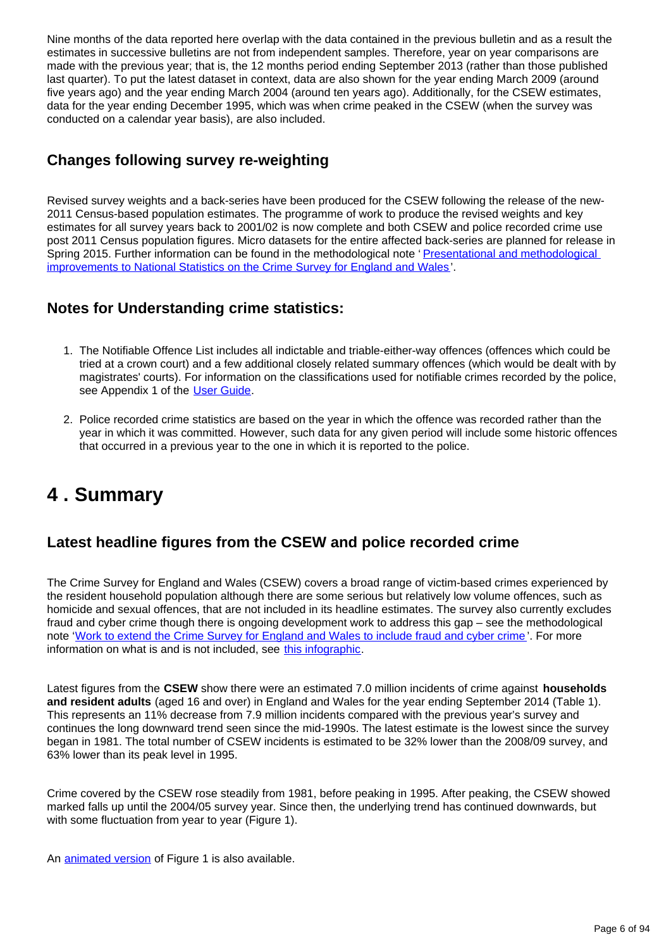Nine months of the data reported here overlap with the data contained in the previous bulletin and as a result the estimates in successive bulletins are not from independent samples. Therefore, year on year comparisons are made with the previous year; that is, the 12 months period ending September 2013 (rather than those published last quarter). To put the latest dataset in context, data are also shown for the year ending March 2009 (around five years ago) and the year ending March 2004 (around ten years ago). Additionally, for the CSEW estimates, data for the year ending December 1995, which was when crime peaked in the CSEW (when the survey was conducted on a calendar year basis), are also included.

## **Changes following survey re-weighting**

Revised survey weights and a back-series have been produced for the CSEW following the release of the new-2011 Census-based population estimates. The programme of work to produce the revised weights and key estimates for all survey years back to 2001/02 is now complete and both CSEW and police recorded crime use post 2011 Census population figures. Micro datasets for the entire affected back-series are planned for release in Spring 2015. Further information can be found in the methodological note 'Presentational and methodological [improvements to National Statistics on the Crime Survey for England and Wales'](http://www.ons.gov.uk/ons/guide-method/method-quality/specific/crime-statistics-methodology/index.html).

## **Notes for Understanding crime statistics:**

- 1. The Notifiable Offence List includes all indictable and triable-either-way offences (offences which could be tried at a crown court) and a few additional closely related summary offences (which would be dealt with by magistrates' courts). For information on the classifications used for notifiable crimes recorded by the police, see Appendix 1 of the [User Guide.](http://www.ons.gov.uk/ons/guide-method/method-quality/specific/crime-statistics-methodology/index.html)
- 2. Police recorded crime statistics are based on the year in which the offence was recorded rather than the year in which it was committed. However, such data for any given period will include some historic offences that occurred in a previous year to the one in which it is reported to the police.

# <span id="page-5-0"></span>**4 . Summary**

## **Latest headline figures from the CSEW and police recorded crime**

The Crime Survey for England and Wales (CSEW) covers a broad range of victim-based crimes experienced by the resident household population although there are some serious but relatively low volume offences, such as homicide and sexual offences, that are not included in its headline estimates. The survey also currently excludes fraud and cyber crime though there is ongoing development work to address this gap – see the methodological note '[Work to extend the Crime Survey for England and Wales to include fraud and cyber crime](http://www.ons.gov.uk/ons/guide-method/method-quality/specific/crime-statistics-methodology/index.html) '. For more information on what is and is not included, see [this infographic](http://www.ons.gov.uk/ons/rel/crime-stats/crime-statistics/period-ending-june-2014/info-what-does-csew-cover.html).

Latest figures from the **CSEW** show there were an estimated 7.0 million incidents of crime against **households and resident adults** (aged 16 and over) in England and Wales for the year ending September 2014 (Table 1). This represents an 11% decrease from 7.9 million incidents compared with the previous year's survey and continues the long downward trend seen since the mid-1990s. The latest estimate is the lowest since the survey began in 1981. The total number of CSEW incidents is estimated to be 32% lower than the 2008/09 survey, and 63% lower than its peak level in 1995.

Crime covered by the CSEW rose steadily from 1981, before peaking in 1995. After peaking, the CSEW showed marked falls up until the 2004/05 survey year. Since then, the underlying trend has continued downwards, but with some fluctuation from year to year (Figure 1).

An **[animated version](http://www.neighbourhood.statistics.gov.uk/HTMLDocs/dvc188/index.html)** of Figure 1 is also available.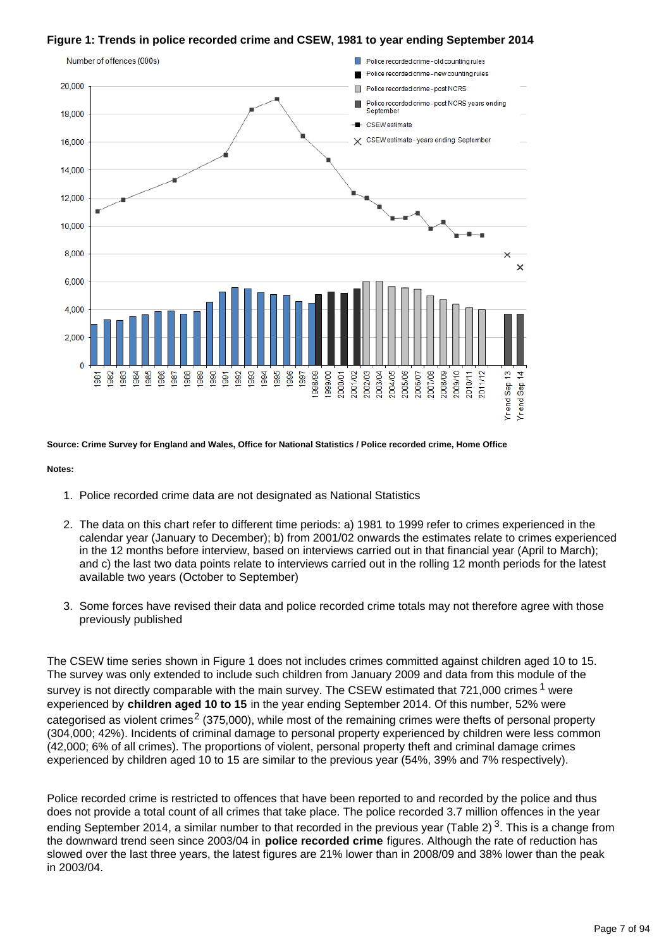#### **Figure 1: Trends in police recorded crime and CSEW, 1981 to year ending September 2014**



**Source: Crime Survey for England and Wales, Office for National Statistics / Police recorded crime, Home Office**

#### **Notes:**

- 1. Police recorded crime data are not designated as National Statistics
- 2. The data on this chart refer to different time periods: a) 1981 to 1999 refer to crimes experienced in the calendar year (January to December); b) from 2001/02 onwards the estimates relate to crimes experienced in the 12 months before interview, based on interviews carried out in that financial year (April to March); and c) the last two data points relate to interviews carried out in the rolling 12 month periods for the latest available two years (October to September)
- 3. Some forces have revised their data and police recorded crime totals may not therefore agree with those previously published

The CSEW time series shown in Figure 1 does not includes crimes committed against children aged 10 to 15. The survey was only extended to include such children from January 2009 and data from this module of the survey is not directly comparable with the main survey. The CSEW estimated that  $721,000$  crimes  $1$  were experienced by **children aged 10 to 15** in the year ending September 2014. Of this number, 52% were categorised as violent crimes<sup>2</sup> (375,000), while most of the remaining crimes were thefts of personal property (304,000; 42%). Incidents of criminal damage to personal property experienced by children were less common (42,000; 6% of all crimes). The proportions of violent, personal property theft and criminal damage crimes experienced by children aged 10 to 15 are similar to the previous year (54%, 39% and 7% respectively).

Police recorded crime is restricted to offences that have been reported to and recorded by the police and thus does not provide a total count of all crimes that take place. The police recorded 3.7 million offences in the year ending September 2014, a similar number to that recorded in the previous year (Table 2)<sup>3</sup>. This is a change from the downward trend seen since 2003/04 in **police recorded crime** figures. Although the rate of reduction has slowed over the last three years, the latest figures are 21% lower than in 2008/09 and 38% lower than the peak in 2003/04.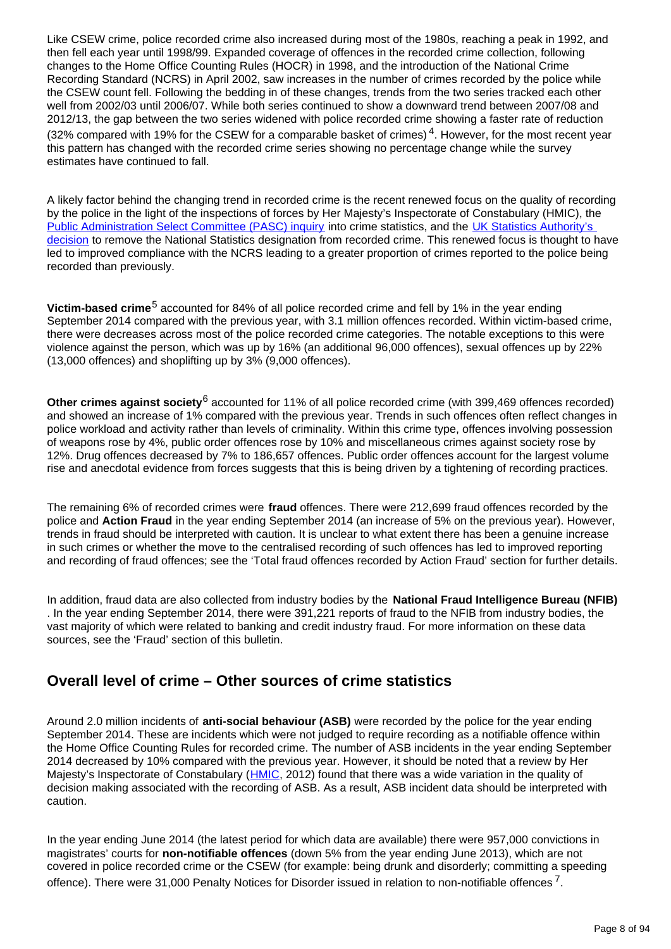Like CSEW crime, police recorded crime also increased during most of the 1980s, reaching a peak in 1992, and then fell each year until 1998/99. Expanded coverage of offences in the recorded crime collection, following changes to the Home Office Counting Rules (HOCR) in 1998, and the introduction of the National Crime Recording Standard (NCRS) in April 2002, saw increases in the number of crimes recorded by the police while the CSEW count fell. Following the bedding in of these changes, trends from the two series tracked each other well from 2002/03 until 2006/07. While both series continued to show a downward trend between 2007/08 and 2012/13, the gap between the two series widened with police recorded crime showing a faster rate of reduction (32% compared with 19% for the CSEW for a comparable basket of crimes)<sup>4</sup>. However, for the most recent year this pattern has changed with the recorded crime series showing no percentage change while the survey estimates have continued to fall.

A likely factor behind the changing trend in recorded crime is the recent renewed focus on the quality of recording by the police in the light of the inspections of forces by Her Majesty's Inspectorate of Constabulary (HMIC), the [Public Administration Select Committee \(PASC\) inquiry](http://www.publications.parliament.uk/pa/cm201314/cmselect/cmpubadm/760/760.pdf) into crime statistics, and the UK Statistics Authority's [decision](http://www.ons.gov.uk/ons/external-links/stats-authority/uk-statistics-authority--assessment-report-268-crime.html) to remove the National Statistics designation from recorded crime. This renewed focus is thought to have led to improved compliance with the NCRS leading to a greater proportion of crimes reported to the police being recorded than previously.

**Victim-based crime**<sup>5</sup> accounted for 84% of all police recorded crime and fell by 1% in the year ending September 2014 compared with the previous year, with 3.1 million offences recorded. Within victim-based crime, there were decreases across most of the police recorded crime categories. The notable exceptions to this were violence against the person, which was up by 16% (an additional 96,000 offences), sexual offences up by 22% (13,000 offences) and shoplifting up by 3% (9,000 offences).

Other crimes against society<sup>6</sup> accounted for 11% of all police recorded crime (with 399,469 offences recorded) and showed an increase of 1% compared with the previous year. Trends in such offences often reflect changes in police workload and activity rather than levels of criminality. Within this crime type, offences involving possession of weapons rose by 4%, public order offences rose by 10% and miscellaneous crimes against society rose by 12%. Drug offences decreased by 7% to 186,657 offences. Public order offences account for the largest volume rise and anecdotal evidence from forces suggests that this is being driven by a tightening of recording practices.

The remaining 6% of recorded crimes were **fraud** offences. There were 212,699 fraud offences recorded by the police and **Action Fraud** in the year ending September 2014 (an increase of 5% on the previous year). However, trends in fraud should be interpreted with caution. It is unclear to what extent there has been a genuine increase in such crimes or whether the move to the centralised recording of such offences has led to improved reporting and recording of fraud offences; see the 'Total fraud offences recorded by Action Fraud' section for further details.

In addition, fraud data are also collected from industry bodies by the **National Fraud Intelligence Bureau (NFIB)** . In the year ending September 2014, there were 391,221 reports of fraud to the NFIB from industry bodies, the vast majority of which were related to banking and credit industry fraud. For more information on these data sources, see the 'Fraud' section of this bulletin.

## **Overall level of crime – Other sources of crime statistics**

Around 2.0 million incidents of **anti-social behaviour (ASB)** were recorded by the police for the year ending September 2014. These are incidents which were not judged to require recording as a notifiable offence within the Home Office Counting Rules for recorded crime. The number of ASB incidents in the year ending September 2014 decreased by 10% compared with the previous year. However, it should be noted that a review by Her Majesty's Inspectorate of Constabulary ([HMIC](http://www.hmic.gov.uk/programmes/anti-social-behaviour/#2012-inspection-findings), 2012) found that there was a wide variation in the quality of decision making associated with the recording of ASB. As a result, ASB incident data should be interpreted with caution.

In the year ending June 2014 (the latest period for which data are available) there were 957,000 convictions in magistrates' courts for **non-notifiable offences** (down 5% from the year ending June 2013), which are not covered in police recorded crime or the CSEW (for example: being drunk and disorderly; committing a speeding offence). There were 31,000 Penalty Notices for Disorder issued in relation to non-notifiable offences  $^7$ .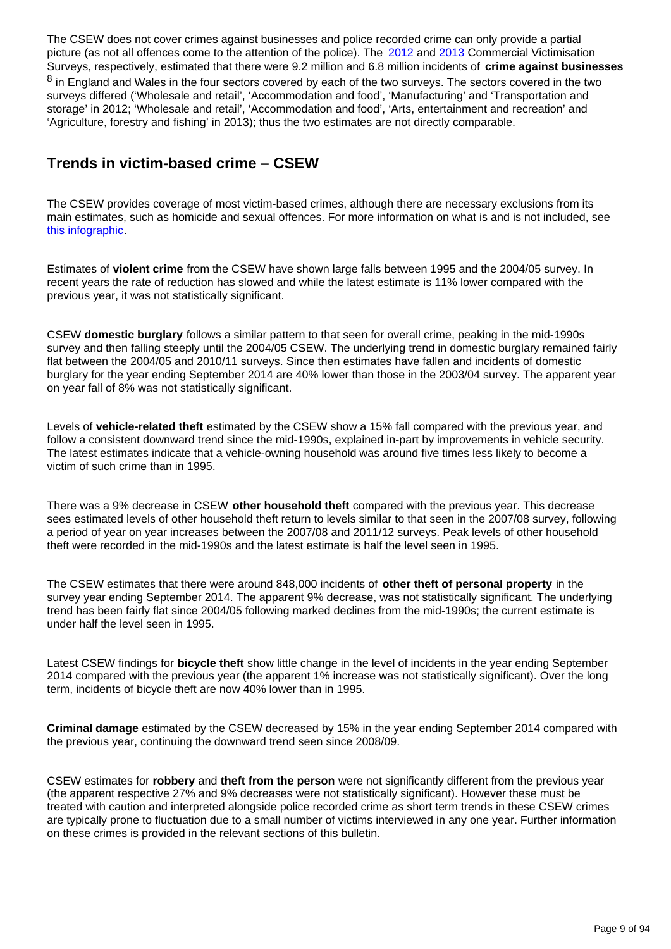The CSEW does not cover crimes against businesses and police recorded crime can only provide a partial picture (as not all offences come to the attention of the police). The [2012](https://www.gov.uk/government/publications/crime-against-businesses-detailed-findings-from-the-2012-commercial-victimisation-survey) and [2013](https://www.gov.uk/government/publications/crime-against-businesses-detailed-findings-from-the-2013-commercial-victimisation-survey) Commercial Victimisation Surveys, respectively, estimated that there were 9.2 million and 6.8 million incidents of **crime against businesses**  $8$  in England and Wales in the four sectors covered by each of the two surveys. The sectors covered in the two surveys differed ('Wholesale and retail', 'Accommodation and food', 'Manufacturing' and 'Transportation and storage' in 2012; 'Wholesale and retail', 'Accommodation and food', 'Arts, entertainment and recreation' and 'Agriculture, forestry and fishing' in 2013); thus the two estimates are not directly comparable.

## **Trends in victim-based crime – CSEW**

The CSEW provides coverage of most victim-based crimes, although there are necessary exclusions from its main estimates, such as homicide and sexual offences. For more information on what is and is not included, see [this infographic.](http://www.ons.gov.uk/ons/rel/crime-stats/crime-statistics/period-ending-june-2014/info-what-does-csew-cover.html)

Estimates of **violent crime** from the CSEW have shown large falls between 1995 and the 2004/05 survey. In recent years the rate of reduction has slowed and while the latest estimate is 11% lower compared with the previous year, it was not statistically significant.

CSEW **domestic burglary** follows a similar pattern to that seen for overall crime, peaking in the mid-1990s survey and then falling steeply until the 2004/05 CSEW. The underlying trend in domestic burglary remained fairly flat between the 2004/05 and 2010/11 surveys. Since then estimates have fallen and incidents of domestic burglary for the year ending September 2014 are 40% lower than those in the 2003/04 survey. The apparent year on year fall of 8% was not statistically significant.

Levels of **vehicle-related theft** estimated by the CSEW show a 15% fall compared with the previous year, and follow a consistent downward trend since the mid-1990s, explained in-part by improvements in vehicle security. The latest estimates indicate that a vehicle-owning household was around five times less likely to become a victim of such crime than in 1995.

There was a 9% decrease in CSEW **other household theft** compared with the previous year. This decrease sees estimated levels of other household theft return to levels similar to that seen in the 2007/08 survey, following a period of year on year increases between the 2007/08 and 2011/12 surveys. Peak levels of other household theft were recorded in the mid-1990s and the latest estimate is half the level seen in 1995.

The CSEW estimates that there were around 848,000 incidents of **other theft of personal property** in the survey year ending September 2014. The apparent 9% decrease, was not statistically significant. The underlying trend has been fairly flat since 2004/05 following marked declines from the mid-1990s; the current estimate is under half the level seen in 1995.

Latest CSEW findings for **bicycle theft** show little change in the level of incidents in the year ending September 2014 compared with the previous year (the apparent 1% increase was not statistically significant). Over the long term, incidents of bicycle theft are now 40% lower than in 1995.

**Criminal damage** estimated by the CSEW decreased by 15% in the year ending September 2014 compared with the previous year, continuing the downward trend seen since 2008/09.

CSEW estimates for **robbery** and **theft from the person** were not significantly different from the previous year (the apparent respective 27% and 9% decreases were not statistically significant). However these must be treated with caution and interpreted alongside police recorded crime as short term trends in these CSEW crimes are typically prone to fluctuation due to a small number of victims interviewed in any one year. Further information on these crimes is provided in the relevant sections of this bulletin.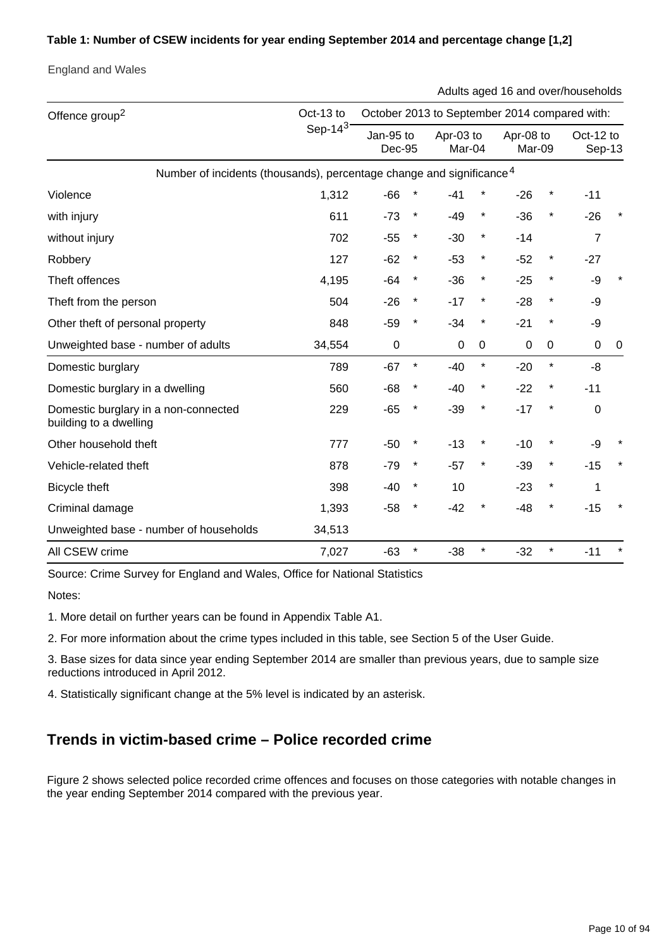#### **Table 1: Number of CSEW incidents for year ending September 2014 and percentage change [1,2]**

England and Wales

Adults aged 16 and over/households

| Offence group <sup>2</sup>                                                       | Oct-13 to  | October 2013 to September 2014 compared with: |          |                     |             |                     |          |                     |   |
|----------------------------------------------------------------------------------|------------|-----------------------------------------------|----------|---------------------|-------------|---------------------|----------|---------------------|---|
|                                                                                  | Sep-14 $3$ | Jan-95 to<br>Dec-95                           |          | Apr-03 to<br>Mar-04 |             | Apr-08 to<br>Mar-09 |          | Oct-12 to<br>Sep-13 |   |
| Number of incidents (thousands), percentage change and significance <sup>4</sup> |            |                                               |          |                     |             |                     |          |                     |   |
| Violence                                                                         | 1,312      | $-66$                                         |          | $-41$               | $^{\star}$  | $-26$               | $^\star$ | $-11$               |   |
| with injury                                                                      | 611        | $-73$                                         | $^\star$ | $-49$               | $\ast$      | $-36$               | $\star$  | $-26$               |   |
| without injury                                                                   | 702        | $-55$                                         | $^\star$ | $-30$               | $\ast$      | $-14$               |          | $\overline{7}$      |   |
| Robbery                                                                          | 127        | $-62$                                         | $^\star$ | $-53$               | $\ast$      | $-52$               | $\star$  | $-27$               |   |
| Theft offences                                                                   | 4,195      | -64                                           | $\ast$   | $-36$               | $\star$     | $-25$               | $\star$  | -9                  |   |
| Theft from the person                                                            | 504        | $-26$                                         | $^\star$ | $-17$               | $^{\star}$  | $-28$               | *        | -9                  |   |
| Other theft of personal property                                                 | 848        | $-59$                                         | $\ast$   | $-34$               | $^{\star}$  | $-21$               | *        | -9                  |   |
| Unweighted base - number of adults                                               | 34,554     | $\mathbf 0$                                   |          | 0                   | $\mathbf 0$ | $\pmb{0}$           | 0        | $\mathbf 0$         | 0 |
| Domestic burglary                                                                | 789        | $-67$                                         | $\star$  | $-40$               | $\star$     | $-20$               | $\star$  | $-8$                |   |
| Domestic burglary in a dwelling                                                  | 560        | $-68$                                         | *        | -40                 | *           | $-22$               | *        | $-11$               |   |
| Domestic burglary in a non-connected<br>building to a dwelling                   | 229        | $-65$                                         | $^\star$ | $-39$               | $^{\star}$  | $-17$               | *        | $\mathbf 0$         |   |
| Other household theft                                                            | 777        | $-50$                                         |          | $-13$               | *           | $-10$               |          | -9                  |   |
| Vehicle-related theft                                                            | 878        | $-79$                                         | $\ast$   | $-57$               | $\ast$      | $-39$               | $\star$  | $-15$               |   |
| Bicycle theft                                                                    | 398        | $-40$                                         | $^\star$ | 10                  |             | $-23$               | $\ast$   | 1                   |   |
| Criminal damage                                                                  | 1,393      | $-58$                                         | $\ast$   | $-42$               | *           | $-48$               | $^\star$ | $-15$               |   |
| Unweighted base - number of households                                           | 34,513     |                                               |          |                     |             |                     |          |                     |   |
| All CSEW crime                                                                   | 7,027      | $-63$                                         | $\star$  | $-38$               | $\star$     | $-32$               | $\star$  | $-11$               |   |

Source: Crime Survey for England and Wales, Office for National Statistics

Notes:

1. More detail on further years can be found in Appendix Table A1.

2. For more information about the crime types included in this table, see Section 5 of the User Guide.

3. Base sizes for data since year ending September 2014 are smaller than previous years, due to sample size reductions introduced in April 2012.

4. Statistically significant change at the 5% level is indicated by an asterisk.

## **Trends in victim-based crime – Police recorded crime**

Figure 2 shows selected police recorded crime offences and focuses on those categories with notable changes in the year ending September 2014 compared with the previous year.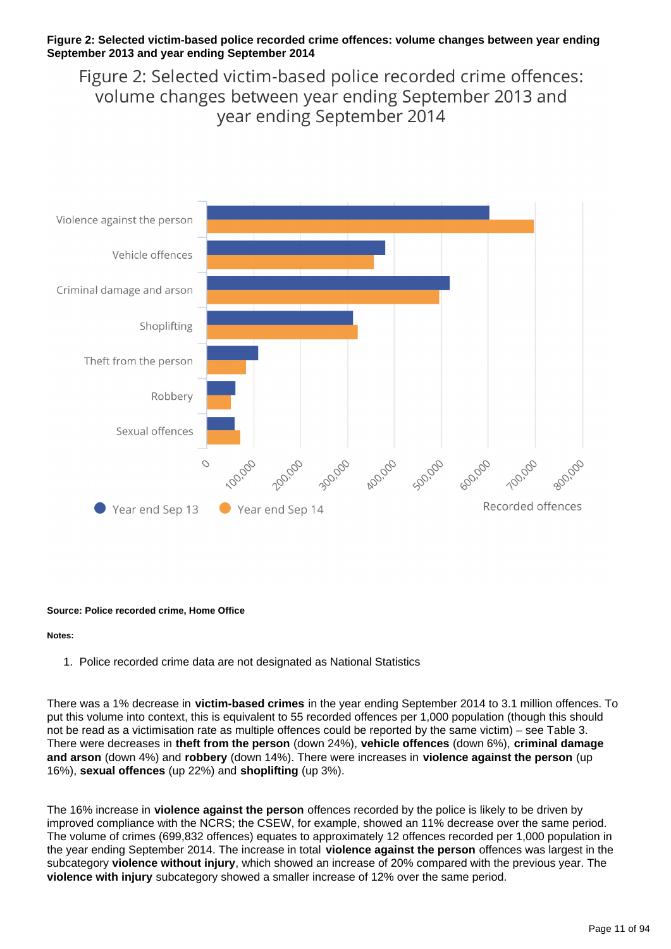#### **Figure 2: Selected victim-based police recorded crime offences: volume changes between year ending September 2013 and year ending September 2014**

Figure 2: Selected victim-based police recorded crime offences: volume changes between year ending September 2013 and vear ending September 2014



#### **Source: Police recorded crime, Home Office**

#### **Notes:**

1. Police recorded crime data are not designated as National Statistics

There was a 1% decrease in **victim-based crimes** in the year ending September 2014 to 3.1 million offences. To put this volume into context, this is equivalent to 55 recorded offences per 1,000 population (though this should not be read as a victimisation rate as multiple offences could be reported by the same victim) – see Table 3. There were decreases in **theft from the person** (down 24%), **vehicle offences** (down 6%), **criminal damage and arson** (down 4%) and **robbery** (down 14%). There were increases in **violence against the person** (up 16%), **sexual offences** (up 22%) and **shoplifting** (up 3%).

The 16% increase in **violence against the person** offences recorded by the police is likely to be driven by improved compliance with the NCRS; the CSEW, for example, showed an 11% decrease over the same period. The volume of crimes (699,832 offences) equates to approximately 12 offences recorded per 1,000 population in the year ending September 2014. The increase in total **violence against the person** offences was largest in the subcategory **violence without injury**, which showed an increase of 20% compared with the previous year. The **violence with injury** subcategory showed a smaller increase of 12% over the same period.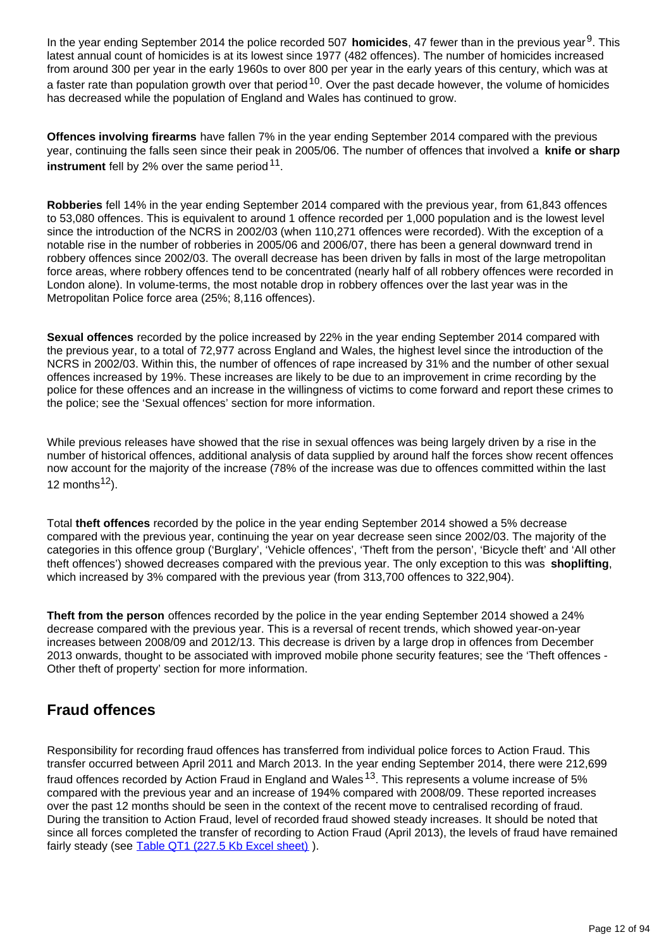In the year ending September 2014 the police recorded 507 **homicides**, 47 fewer than in the previous year<sup>9</sup>. This latest annual count of homicides is at its lowest since 1977 (482 offences). The number of homicides increased from around 300 per year in the early 1960s to over 800 per year in the early years of this century, which was at a faster rate than population growth over that period  $10$ . Over the past decade however, the volume of homicides has decreased while the population of England and Wales has continued to grow.

**Offences involving firearms** have fallen 7% in the year ending September 2014 compared with the previous year, continuing the falls seen since their peak in 2005/06. The number of offences that involved a **knife or sharp instrument** fell by 2% over the same period  $11$ .

**Robberies** fell 14% in the year ending September 2014 compared with the previous year, from 61,843 offences to 53,080 offences. This is equivalent to around 1 offence recorded per 1,000 population and is the lowest level since the introduction of the NCRS in 2002/03 (when 110,271 offences were recorded). With the exception of a notable rise in the number of robberies in 2005/06 and 2006/07, there has been a general downward trend in robbery offences since 2002/03. The overall decrease has been driven by falls in most of the large metropolitan force areas, where robbery offences tend to be concentrated (nearly half of all robbery offences were recorded in London alone). In volume-terms, the most notable drop in robbery offences over the last year was in the Metropolitan Police force area (25%; 8,116 offences).

**Sexual offences** recorded by the police increased by 22% in the year ending September 2014 compared with the previous year, to a total of 72,977 across England and Wales, the highest level since the introduction of the NCRS in 2002/03. Within this, the number of offences of rape increased by 31% and the number of other sexual offences increased by 19%. These increases are likely to be due to an improvement in crime recording by the police for these offences and an increase in the willingness of victims to come forward and report these crimes to the police; see the 'Sexual offences' section for more information.

While previous releases have showed that the rise in sexual offences was being largely driven by a rise in the number of historical offences, additional analysis of data supplied by around half the forces show recent offences now account for the majority of the increase (78% of the increase was due to offences committed within the last 12 months $^{12}$ ).

Total **theft offences** recorded by the police in the year ending September 2014 showed a 5% decrease compared with the previous year, continuing the year on year decrease seen since 2002/03. The majority of the categories in this offence group ('Burglary', 'Vehicle offences', 'Theft from the person', 'Bicycle theft' and 'All other theft offences') showed decreases compared with the previous year. The only exception to this was **shoplifting**, which increased by 3% compared with the previous year (from 313,700 offences to 322,904).

**Theft from the person** offences recorded by the police in the year ending September 2014 showed a 24% decrease compared with the previous year. This is a reversal of recent trends, which showed year-on-year increases between 2008/09 and 2012/13. This decrease is driven by a large drop in offences from December 2013 onwards, thought to be associated with improved mobile phone security features; see the 'Theft offences - Other theft of property' section for more information.

## **Fraud offences**

Responsibility for recording fraud offences has transferred from individual police forces to Action Fraud. This transfer occurred between April 2011 and March 2013. In the year ending September 2014, there were 212,699 fraud offences recorded by Action Fraud in England and Wales  $^{13}$ . This represents a volume increase of 5% compared with the previous year and an increase of 194% compared with 2008/09. These reported increases over the past 12 months should be seen in the context of the recent move to centralised recording of fraud. During the transition to Action Fraud, level of recorded fraud showed steady increases. It should be noted that since all forces completed the transfer of recording to Action Fraud (April 2013), the levels of fraud have remained fairly steady (see [Table QT1 \(227.5 Kb Excel sheet\)](http://www.ons.gov.uk/ons/rel/crime-stats/crime-statistics/year-ending-september-2014/rft-03.xls)).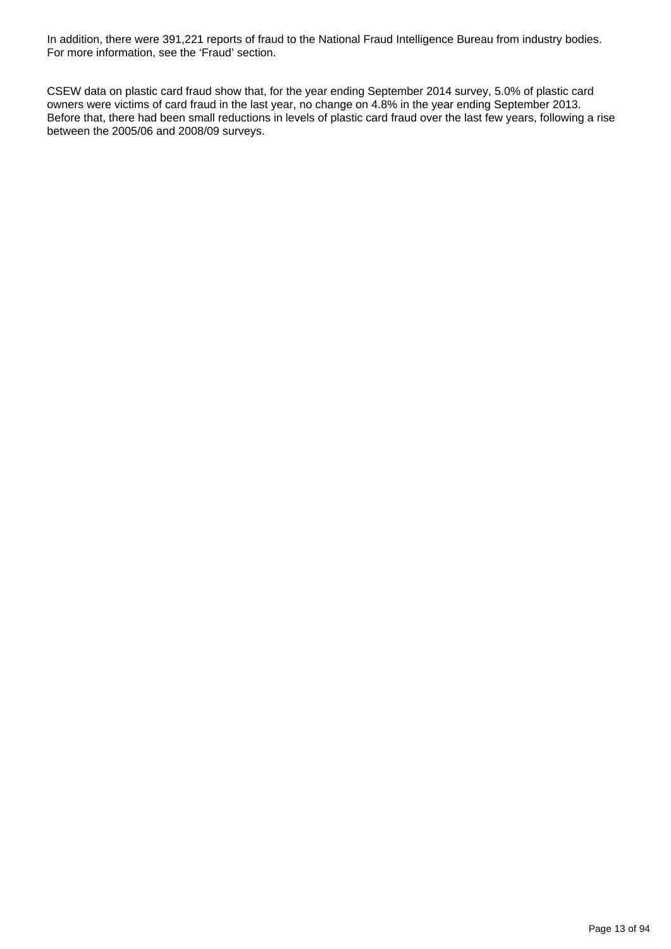In addition, there were 391,221 reports of fraud to the National Fraud Intelligence Bureau from industry bodies. For more information, see the 'Fraud' section.

CSEW data on plastic card fraud show that, for the year ending September 2014 survey, 5.0% of plastic card owners were victims of card fraud in the last year, no change on 4.8% in the year ending September 2013. Before that, there had been small reductions in levels of plastic card fraud over the last few years, following a rise between the 2005/06 and 2008/09 surveys.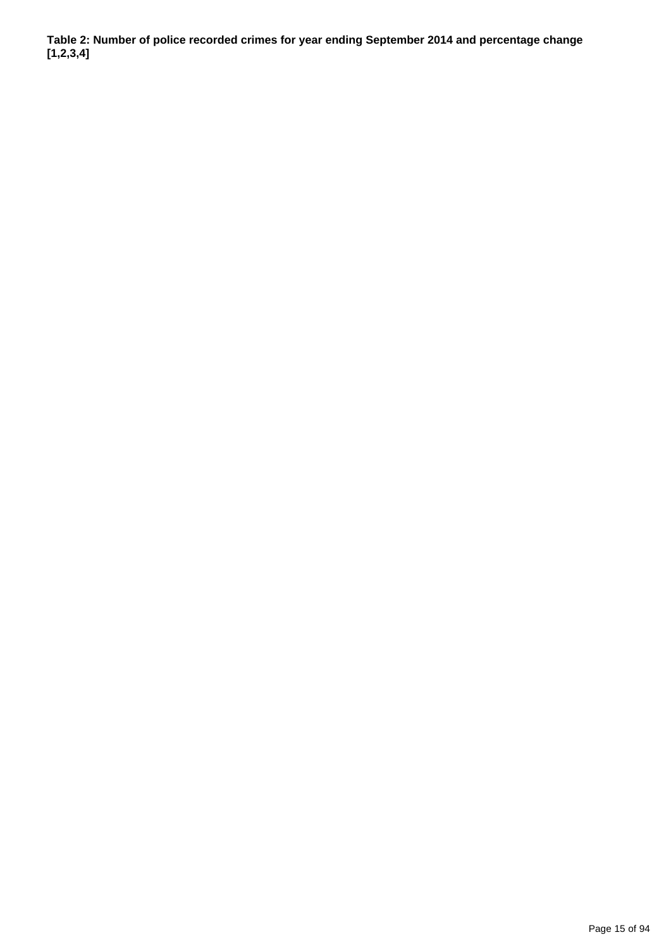**Table 2: Number of police recorded crimes for year ending September 2014 and percentage change [1,2,3,4]**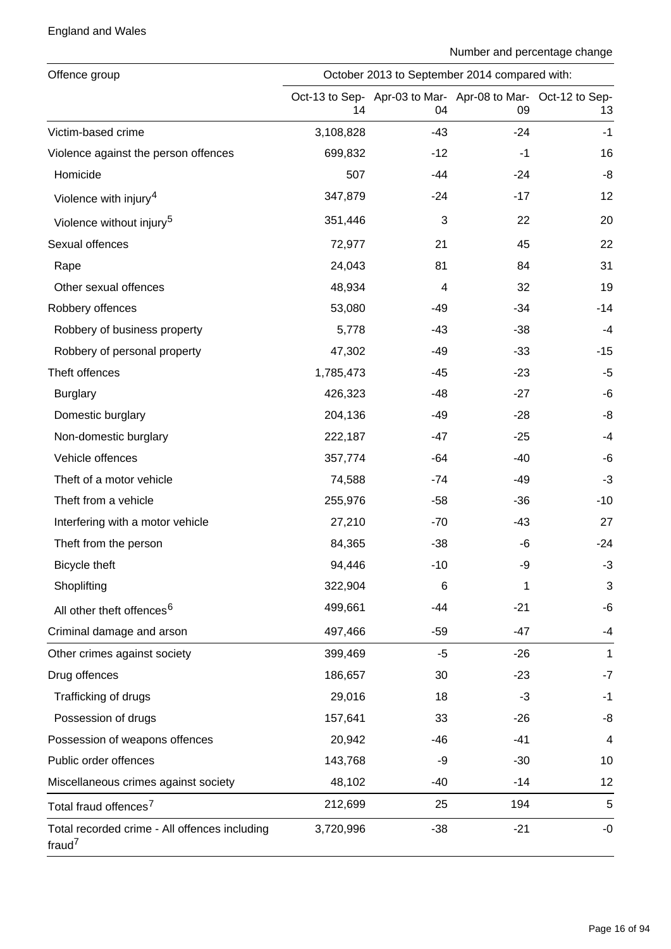### England and Wales

| Offence group                                              |           | October 2013 to September 2014 compared with: |       |                                                                   |  |  |  |  |  |  |
|------------------------------------------------------------|-----------|-----------------------------------------------|-------|-------------------------------------------------------------------|--|--|--|--|--|--|
|                                                            | 14        | 04                                            | 09    | Oct-13 to Sep- Apr-03 to Mar- Apr-08 to Mar- Oct-12 to Sep-<br>13 |  |  |  |  |  |  |
| Victim-based crime                                         | 3,108,828 | $-43$                                         | $-24$ | $-1$                                                              |  |  |  |  |  |  |
| Violence against the person offences                       | 699,832   | $-12$                                         | $-1$  | 16                                                                |  |  |  |  |  |  |
| Homicide                                                   | 507       | -44                                           | -24   | -8                                                                |  |  |  |  |  |  |
| Violence with injury <sup>4</sup>                          | 347,879   | $-24$                                         | $-17$ | 12                                                                |  |  |  |  |  |  |
| Violence without injury <sup>5</sup>                       | 351,446   | 3                                             | 22    | 20                                                                |  |  |  |  |  |  |
| Sexual offences                                            | 72,977    | 21                                            | 45    | 22                                                                |  |  |  |  |  |  |
| Rape                                                       | 24,043    | 81                                            | 84    | 31                                                                |  |  |  |  |  |  |
| Other sexual offences                                      | 48,934    | 4                                             | 32    | 19                                                                |  |  |  |  |  |  |
| Robbery offences                                           | 53,080    | $-49$                                         | $-34$ | $-14$                                                             |  |  |  |  |  |  |
| Robbery of business property                               | 5,778     | $-43$                                         | $-38$ | $-4$                                                              |  |  |  |  |  |  |
| Robbery of personal property                               | 47,302    | $-49$                                         | $-33$ | $-15$                                                             |  |  |  |  |  |  |
| Theft offences                                             | 1,785,473 | $-45$                                         | $-23$ | $-5$                                                              |  |  |  |  |  |  |
| <b>Burglary</b>                                            | 426,323   | $-48$                                         | $-27$ | -6                                                                |  |  |  |  |  |  |
| Domestic burglary                                          | 204,136   | $-49$                                         | $-28$ | -8                                                                |  |  |  |  |  |  |
| Non-domestic burglary                                      | 222,187   | $-47$                                         | $-25$ | $-4$                                                              |  |  |  |  |  |  |
| Vehicle offences                                           | 357,774   | $-64$                                         | $-40$ | -6                                                                |  |  |  |  |  |  |
| Theft of a motor vehicle                                   | 74,588    | -74                                           | -49   | $-3$                                                              |  |  |  |  |  |  |
| Theft from a vehicle                                       | 255,976   | $-58$                                         | $-36$ | $-10$                                                             |  |  |  |  |  |  |
| Interfering with a motor vehicle                           | 27,210    | $-70$                                         | $-43$ | 27                                                                |  |  |  |  |  |  |
| Theft from the person                                      | 84,365    | $-38$                                         | -6    | $-24$                                                             |  |  |  |  |  |  |
| <b>Bicycle theft</b>                                       | 94,446    | $-10$                                         | -9    | $-3$                                                              |  |  |  |  |  |  |
| Shoplifting                                                | 322,904   | 6                                             | 1     | 3                                                                 |  |  |  |  |  |  |
| All other theft offences <sup>6</sup>                      | 499,661   | -44                                           | $-21$ | $-6$                                                              |  |  |  |  |  |  |
| Criminal damage and arson                                  | 497,466   | $-59$                                         | $-47$ | -4                                                                |  |  |  |  |  |  |
| Other crimes against society                               | 399,469   | $-5$                                          | $-26$ | $\mathbf{1}$                                                      |  |  |  |  |  |  |
| Drug offences                                              | 186,657   | 30                                            | $-23$ | $-7$                                                              |  |  |  |  |  |  |
| Trafficking of drugs                                       | 29,016    | 18                                            | $-3$  | $-1$                                                              |  |  |  |  |  |  |
| Possession of drugs                                        | 157,641   | 33                                            | $-26$ | -8                                                                |  |  |  |  |  |  |
| Possession of weapons offences                             | 20,942    | $-46$                                         | $-41$ | 4                                                                 |  |  |  |  |  |  |
| Public order offences                                      | 143,768   | -9                                            | $-30$ | 10                                                                |  |  |  |  |  |  |
| Miscellaneous crimes against society                       | 48,102    | -40                                           | $-14$ | 12                                                                |  |  |  |  |  |  |
| Total fraud offences <sup>7</sup>                          | 212,699   | 25                                            | 194   | 5                                                                 |  |  |  |  |  |  |
| Total recorded crime - All offences including<br>fraud $7$ | 3,720,996 | $-38$                                         | $-21$ | -0                                                                |  |  |  |  |  |  |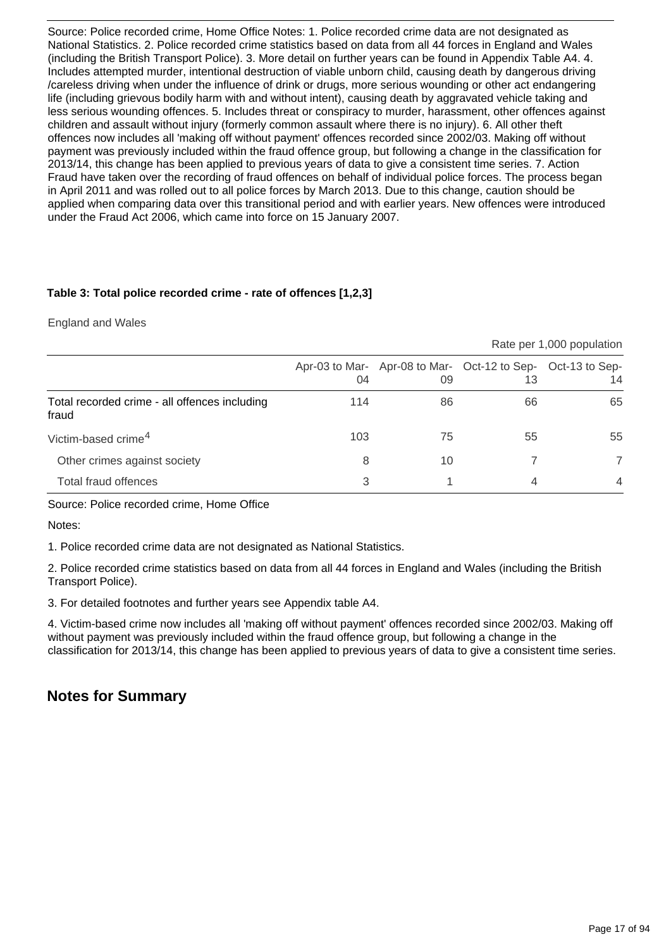Source: Police recorded crime, Home Office Notes: 1. Police recorded crime data are not designated as National Statistics. 2. Police recorded crime statistics based on data from all 44 forces in England and Wales (including the British Transport Police). 3. More detail on further years can be found in Appendix Table A4. 4. Includes attempted murder, intentional destruction of viable unborn child, causing death by dangerous driving /careless driving when under the influence of drink or drugs, more serious wounding or other act endangering life (including grievous bodily harm with and without intent), causing death by aggravated vehicle taking and less serious wounding offences. 5. Includes threat or conspiracy to murder, harassment, other offences against children and assault without injury (formerly common assault where there is no injury). 6. All other theft offences now includes all 'making off without payment' offences recorded since 2002/03. Making off without payment was previously included within the fraud offence group, but following a change in the classification for 2013/14, this change has been applied to previous years of data to give a consistent time series. 7. Action Fraud have taken over the recording of fraud offences on behalf of individual police forces. The process began in April 2011 and was rolled out to all police forces by March 2013. Due to this change, caution should be applied when comparing data over this transitional period and with earlier years. New offences were introduced under the Fraud Act 2006, which came into force on 15 January 2007.

### **Table 3: Total police recorded crime - rate of offences [1,2,3]**

England and Wales

|                                                        | Rate per 1,000 population |    |                                                                   |                |  |  |  |  |  |
|--------------------------------------------------------|---------------------------|----|-------------------------------------------------------------------|----------------|--|--|--|--|--|
|                                                        | 04                        | 09 | Apr-03 to Mar- Apr-08 to Mar- Oct-12 to Sep- Oct-13 to Sep-<br>13 | 14             |  |  |  |  |  |
| Total recorded crime - all offences including<br>fraud | 114                       | 86 | 66                                                                | 65             |  |  |  |  |  |
| Victim-based crime <sup>4</sup>                        | 103                       | 75 | 55                                                                | 55             |  |  |  |  |  |
| Other crimes against society                           | 8                         | 10 |                                                                   |                |  |  |  |  |  |
| Total fraud offences                                   | 3                         |    | 4                                                                 | $\overline{4}$ |  |  |  |  |  |

Source: Police recorded crime, Home Office

Notes:

1. Police recorded crime data are not designated as National Statistics.

2. Police recorded crime statistics based on data from all 44 forces in England and Wales (including the British Transport Police).

3. For detailed footnotes and further years see Appendix table A4.

4. Victim-based crime now includes all 'making off without payment' offences recorded since 2002/03. Making off without payment was previously included within the fraud offence group, but following a change in the classification for 2013/14, this change has been applied to previous years of data to give a consistent time series.

## **Notes for Summary**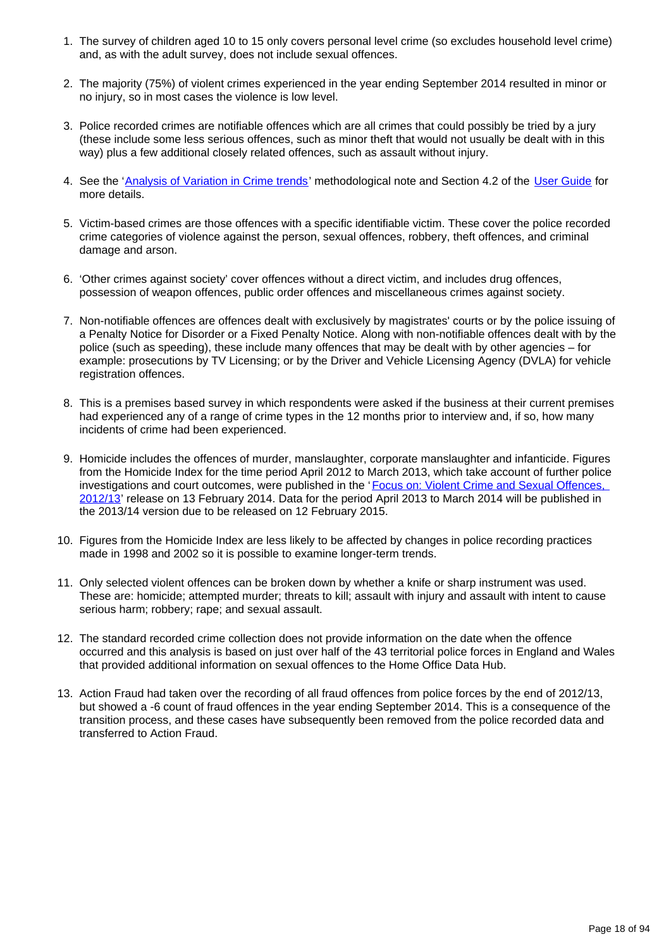- 1. The survey of children aged 10 to 15 only covers personal level crime (so excludes household level crime) and, as with the adult survey, does not include sexual offences.
- 2. The majority (75%) of violent crimes experienced in the year ending September 2014 resulted in minor or no injury, so in most cases the violence is low level.
- 3. Police recorded crimes are notifiable offences which are all crimes that could possibly be tried by a jury (these include some less serious offences, such as minor theft that would not usually be dealt with in this way) plus a few additional closely related offences, such as assault without injury.
- 4. See the '[Analysis of Variation in Crime trends](http://www.ons.gov.uk/ons/guide-method/method-quality/specific/crime-statistics-methodology/index.html)' methodological note and Section 4.2 of the [User Guide](http://www.ons.gov.uk/ons/guide-method/method-quality/specific/crime-statistics-methodology/index.html) for more details.
- 5. Victim-based crimes are those offences with a specific identifiable victim. These cover the police recorded crime categories of violence against the person, sexual offences, robbery, theft offences, and criminal damage and arson.
- 6. 'Other crimes against society' cover offences without a direct victim, and includes drug offences, possession of weapon offences, public order offences and miscellaneous crimes against society.
- 7. Non-notifiable offences are offences dealt with exclusively by magistrates' courts or by the police issuing of a Penalty Notice for Disorder or a Fixed Penalty Notice. Along with non-notifiable offences dealt with by the police (such as speeding), these include many offences that may be dealt with by other agencies – for example: prosecutions by TV Licensing; or by the Driver and Vehicle Licensing Agency (DVLA) for vehicle registration offences.
- 8. This is a premises based survey in which respondents were asked if the business at their current premises had experienced any of a range of crime types in the 12 months prior to interview and, if so, how many incidents of crime had been experienced.
- 9. Homicide includes the offences of murder, manslaughter, corporate manslaughter and infanticide. Figures from the Homicide Index for the time period April 2012 to March 2013, which take account of further police investigations and court outcomes, were published in the 'Focus on: Violent Crime and Sexual Offences, [2012/13](http://www.ons.gov.uk/ons/rel/crime-stats/crime-statistics/focus-on-violent-crime-and-sexual-offences--2012-13/index.html)' release on 13 February 2014. Data for the period April 2013 to March 2014 will be published in the 2013/14 version due to be released on 12 February 2015.
- 10. Figures from the Homicide Index are less likely to be affected by changes in police recording practices made in 1998 and 2002 so it is possible to examine longer-term trends.
- 11. Only selected violent offences can be broken down by whether a knife or sharp instrument was used. These are: homicide; attempted murder; threats to kill; assault with injury and assault with intent to cause serious harm; robbery; rape; and sexual assault.
- 12. The standard recorded crime collection does not provide information on the date when the offence occurred and this analysis is based on just over half of the 43 territorial police forces in England and Wales that provided additional information on sexual offences to the Home Office Data Hub.
- 13. Action Fraud had taken over the recording of all fraud offences from police forces by the end of 2012/13, but showed a -6 count of fraud offences in the year ending September 2014. This is a consequence of the transition process, and these cases have subsequently been removed from the police recorded data and transferred to Action Fraud.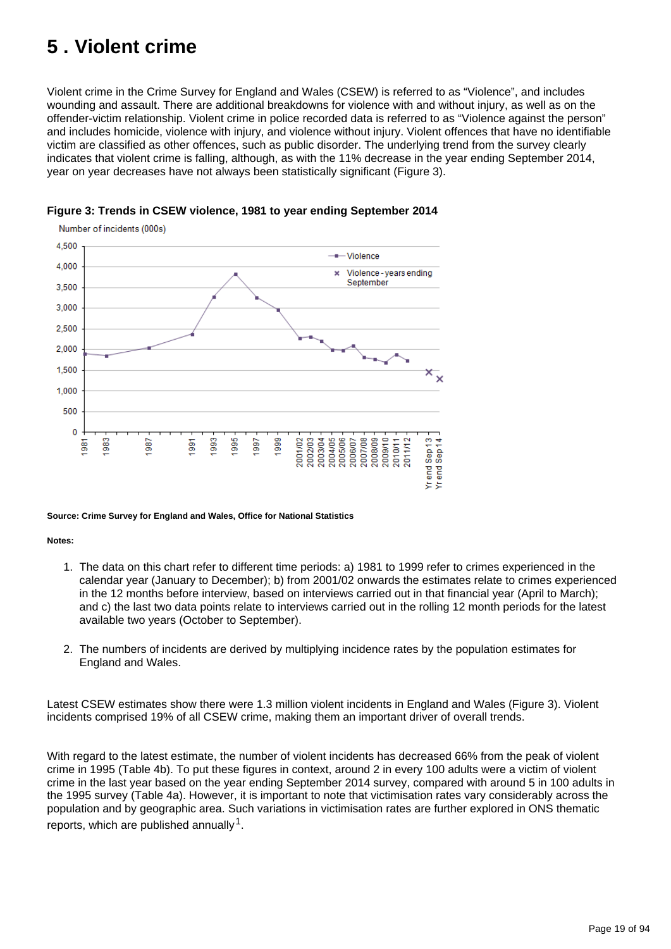# <span id="page-18-0"></span>**5 . Violent crime**

Violent crime in the Crime Survey for England and Wales (CSEW) is referred to as "Violence", and includes wounding and assault. There are additional breakdowns for violence with and without injury, as well as on the offender-victim relationship. Violent crime in police recorded data is referred to as "Violence against the person" and includes homicide, violence with injury, and violence without injury. Violent offences that have no identifiable victim are classified as other offences, such as public disorder. The underlying trend from the survey clearly indicates that violent crime is falling, although, as with the 11% decrease in the year ending September 2014, year on year decreases have not always been statistically significant (Figure 3).



### **Figure 3: Trends in CSEW violence, 1981 to year ending September 2014**

#### **Source: Crime Survey for England and Wales, Office for National Statistics**

#### **Notes:**

- 1. The data on this chart refer to different time periods: a) 1981 to 1999 refer to crimes experienced in the calendar year (January to December); b) from 2001/02 onwards the estimates relate to crimes experienced in the 12 months before interview, based on interviews carried out in that financial year (April to March); and c) the last two data points relate to interviews carried out in the rolling 12 month periods for the latest available two years (October to September).
- 2. The numbers of incidents are derived by multiplying incidence rates by the population estimates for England and Wales.

Latest CSEW estimates show there were 1.3 million violent incidents in England and Wales (Figure 3). Violent incidents comprised 19% of all CSEW crime, making them an important driver of overall trends.

With regard to the latest estimate, the number of violent incidents has decreased 66% from the peak of violent crime in 1995 (Table 4b). To put these figures in context, around 2 in every 100 adults were a victim of violent crime in the last year based on the year ending September 2014 survey, compared with around 5 in 100 adults in the 1995 survey (Table 4a). However, it is important to note that victimisation rates vary considerably across the population and by geographic area. Such variations in victimisation rates are further explored in ONS thematic reports, which are published annually  $1$ .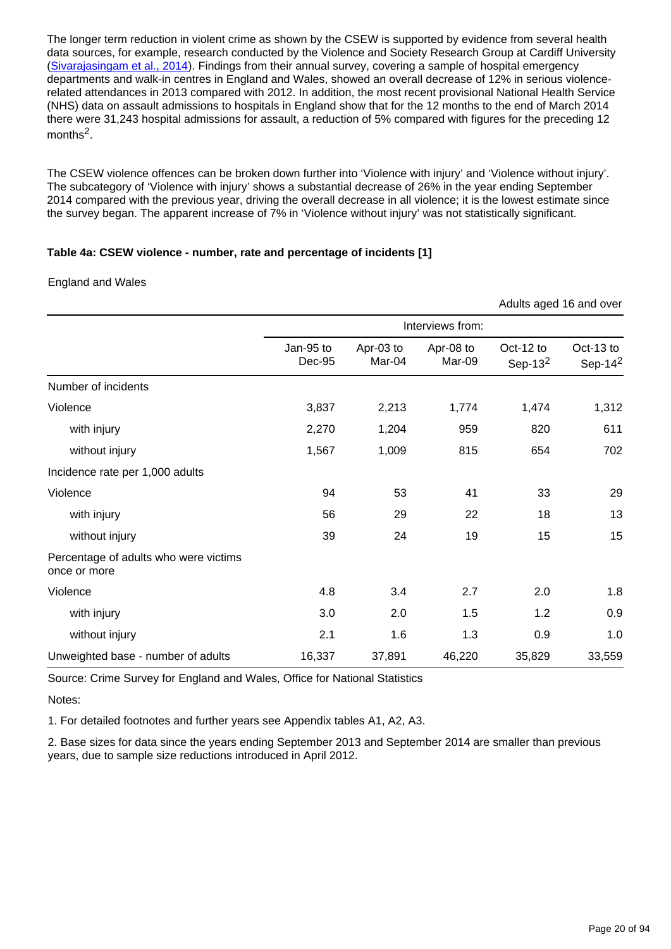The longer term reduction in violent crime as shown by the CSEW is supported by evidence from several health data sources, for example, research conducted by the Violence and Society Research Group at Cardiff University [\(Sivarajasingam et al., 2014](http://www.cardiff.ac.uk/news/resource/12846.35244.file.eng.pdf)). Findings from their annual survey, covering a sample of hospital emergency departments and walk-in centres in England and Wales, showed an overall decrease of 12% in serious violencerelated attendances in 2013 compared with 2012. In addition, the most recent provisional National Health Service (NHS) data on assault admissions to hospitals in England show that for the 12 months to the end of March 2014 there were 31,243 hospital admissions for assault, a reduction of 5% compared with figures for the preceding 12 months $2$ .

The CSEW violence offences can be broken down further into 'Violence with injury' and 'Violence without injury'. The subcategory of 'Violence with injury' shows a substantial decrease of 26% in the year ending September 2014 compared with the previous year, driving the overall decrease in all violence; it is the lowest estimate since the survey began. The apparent increase of 7% in 'Violence without injury' was not statistically significant.

#### **Table 4a: CSEW violence - number, rate and percentage of incidents [1]**

#### England and Wales

|                                                       |                     |                     |                     |                         | Adults aged 16 and over |  |
|-------------------------------------------------------|---------------------|---------------------|---------------------|-------------------------|-------------------------|--|
|                                                       | Interviews from:    |                     |                     |                         |                         |  |
|                                                       | Jan-95 to<br>Dec-95 | Apr-03 to<br>Mar-04 | Apr-08 to<br>Mar-09 | Oct-12 to<br>Sep-13 $2$ | Oct-13 to<br>Sep-14 $2$ |  |
| Number of incidents                                   |                     |                     |                     |                         |                         |  |
| Violence                                              | 3,837               | 2,213               | 1,774               | 1,474                   | 1,312                   |  |
| with injury                                           | 2,270               | 1,204               | 959                 | 820                     | 611                     |  |
| without injury                                        | 1,567               | 1,009               | 815                 | 654                     | 702                     |  |
| Incidence rate per 1,000 adults                       |                     |                     |                     |                         |                         |  |
| Violence                                              | 94                  | 53                  | 41                  | 33                      | 29                      |  |
| with injury                                           | 56                  | 29                  | 22                  | 18                      | 13                      |  |
| without injury                                        | 39                  | 24                  | 19                  | 15                      | 15                      |  |
| Percentage of adults who were victims<br>once or more |                     |                     |                     |                         |                         |  |
| Violence                                              | 4.8                 | 3.4                 | 2.7                 | 2.0                     | 1.8                     |  |
| with injury                                           | 3.0                 | 2.0                 | 1.5                 | 1.2                     | 0.9                     |  |
| without injury                                        | 2.1                 | 1.6                 | 1.3                 | 0.9                     | 1.0                     |  |
| Unweighted base - number of adults                    | 16,337              | 37,891              | 46,220              | 35,829                  | 33,559                  |  |

Source: Crime Survey for England and Wales, Office for National Statistics

Notes:

1. For detailed footnotes and further years see Appendix tables A1, A2, A3.

2. Base sizes for data since the years ending September 2013 and September 2014 are smaller than previous years, due to sample size reductions introduced in April 2012.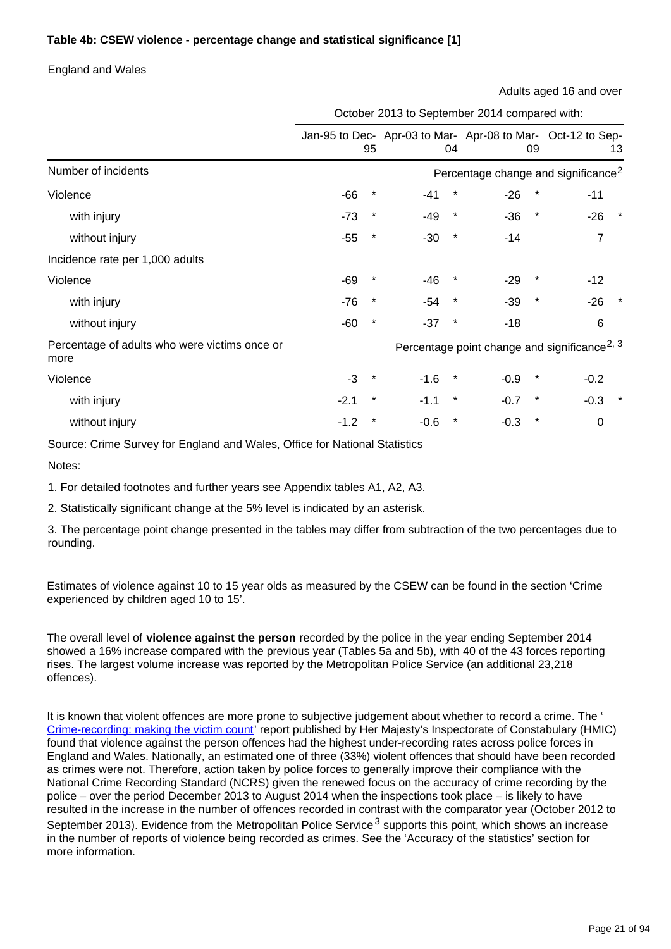### **Table 4b: CSEW violence - percentage change and statistical significance [1]**

#### England and Wales

Adults aged 16 and over

|                                                       | October 2013 to September 2014 compared with: |          |        |         |                    |                                                                   |  |  |
|-------------------------------------------------------|-----------------------------------------------|----------|--------|---------|--------------------|-------------------------------------------------------------------|--|--|
|                                                       |                                               | 95       |        | 04      | 09                 | Jan-95 to Dec- Apr-03 to Mar- Apr-08 to Mar- Oct-12 to Sep-<br>13 |  |  |
| Number of incidents                                   |                                               |          |        |         |                    | Percentage change and significance <sup>2</sup>                   |  |  |
| Violence                                              | $-66$                                         |          | -41    |         | $-26$              | $-11$                                                             |  |  |
| with injury                                           | $-73$                                         | $\ast$   | $-49$  | $\star$ | $\star$<br>$-36$   | $-26$<br>$\star$                                                  |  |  |
| without injury                                        | $-55$                                         | $^\star$ | $-30$  | $\star$ | $-14$              | 7                                                                 |  |  |
| Incidence rate per 1,000 adults                       |                                               |          |        |         |                    |                                                                   |  |  |
| Violence                                              | -69                                           | *        | $-46$  | $\ast$  | $-29$<br>$\star$   | $-12$                                                             |  |  |
| with injury                                           | $-76$                                         | $^\star$ | $-54$  | $\star$ | $-39$<br>$\star$   | $-26$                                                             |  |  |
| without injury                                        | -60                                           | $^\star$ | $-37$  | $\star$ | $-18$              | $6\phantom{1}6$                                                   |  |  |
| Percentage of adults who were victims once or<br>more |                                               |          |        |         |                    | Percentage point change and significance <sup>2, 3</sup>          |  |  |
| Violence                                              | $-3$                                          | *        | $-1.6$ | $\star$ | $-0.9$<br>$^\star$ | $-0.2$                                                            |  |  |
| with injury                                           | $-2.1$                                        | $^\star$ | $-1.1$ | $\star$ | $\star$<br>$-0.7$  | $\star$<br>$-0.3$                                                 |  |  |
| without injury                                        | -1.2                                          | $\ast$   | $-0.6$ | $\star$ | $\star$<br>$-0.3$  | $\mathbf 0$                                                       |  |  |

Source: Crime Survey for England and Wales, Office for National Statistics

Notes:

1. For detailed footnotes and further years see Appendix tables A1, A2, A3.

2. Statistically significant change at the 5% level is indicated by an asterisk.

3. The percentage point change presented in the tables may differ from subtraction of the two percentages due to rounding.

Estimates of violence against 10 to 15 year olds as measured by the CSEW can be found in the section 'Crime experienced by children aged 10 to 15'.

The overall level of **violence against the person** recorded by the police in the year ending September 2014 showed a 16% increase compared with the previous year (Tables 5a and 5b), with 40 of the 43 forces reporting rises. The largest volume increase was reported by the Metropolitan Police Service (an additional 23,218 offences).

It is known that violent offences are more prone to subjective judgement about whether to record a crime. The ' [Crime-recording: making the victim count'](https://www.justiceinspectorates.gov.uk/hmic/publication/crime-recording-making-the-victim-count/) report published by Her Majesty's Inspectorate of Constabulary (HMIC) found that violence against the person offences had the highest under-recording rates across police forces in England and Wales. Nationally, an estimated one of three (33%) violent offences that should have been recorded as crimes were not. Therefore, action taken by police forces to generally improve their compliance with the National Crime Recording Standard (NCRS) given the renewed focus on the accuracy of crime recording by the police – over the period December 2013 to August 2014 when the inspections took place – is likely to have resulted in the increase in the number of offences recorded in contrast with the comparator year (October 2012 to September 2013). Evidence from the Metropolitan Police Service<sup>3</sup> supports this point, which shows an increase in the number of reports of violence being recorded as crimes. See the 'Accuracy of the statistics' section for more information.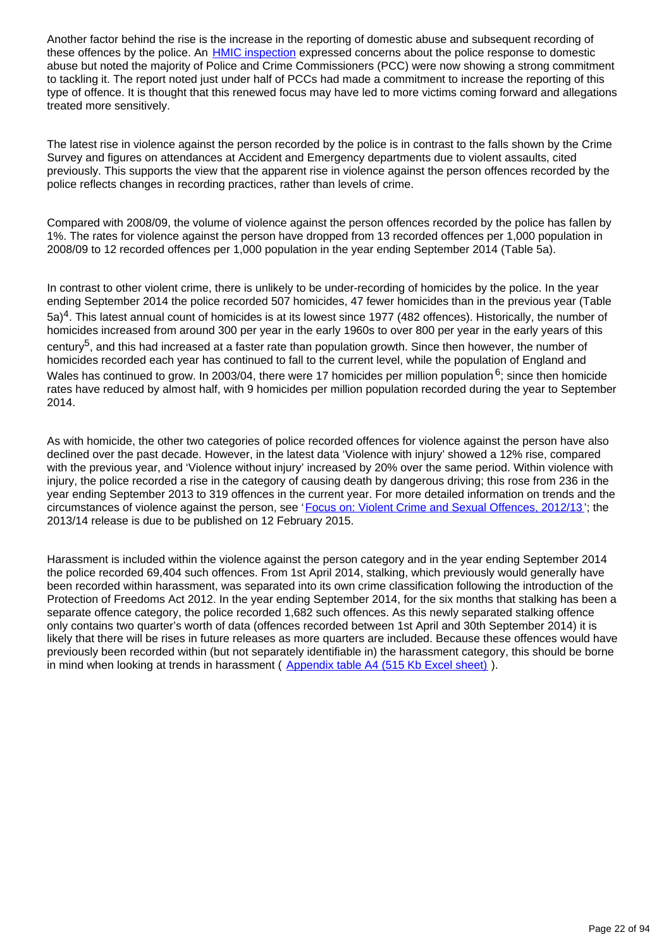Another factor behind the rise is the increase in the reporting of domestic abuse and subsequent recording of these offences by the police. An **HMIC** inspection expressed concerns about the police response to domestic abuse but noted the majority of Police and Crime Commissioners (PCC) were now showing a strong commitment to tackling it. The report noted just under half of PCCs had made a commitment to increase the reporting of this type of offence. It is thought that this renewed focus may have led to more victims coming forward and allegations treated more sensitively.

The latest rise in violence against the person recorded by the police is in contrast to the falls shown by the Crime Survey and figures on attendances at Accident and Emergency departments due to violent assaults, cited previously. This supports the view that the apparent rise in violence against the person offences recorded by the police reflects changes in recording practices, rather than levels of crime.

Compared with 2008/09, the volume of violence against the person offences recorded by the police has fallen by 1%. The rates for violence against the person have dropped from 13 recorded offences per 1,000 population in 2008/09 to 12 recorded offences per 1,000 population in the year ending September 2014 (Table 5a).

In contrast to other violent crime, there is unlikely to be under-recording of homicides by the police. In the year ending September 2014 the police recorded 507 homicides, 47 fewer homicides than in the previous year (Table  $5a$ <sup>4</sup>. This latest annual count of homicides is at its lowest since 1977 (482 offences). Historically, the number of homicides increased from around 300 per year in the early 1960s to over 800 per year in the early years of this century<sup>5</sup>, and this had increased at a faster rate than population growth. Since then however, the number of homicides recorded each year has continued to fall to the current level, while the population of England and Wales has continued to grow. In 2003/04, there were 17 homicides per million population  $6$ ; since then homicide rates have reduced by almost half, with 9 homicides per million population recorded during the year to September 2014.

As with homicide, the other two categories of police recorded offences for violence against the person have also declined over the past decade. However, in the latest data 'Violence with injury' showed a 12% rise, compared with the previous year, and 'Violence without injury' increased by 20% over the same period. Within violence with injury, the police recorded a rise in the category of causing death by dangerous driving; this rose from 236 in the year ending September 2013 to 319 offences in the current year. For more detailed information on trends and the circumstances of violence against the person, see '[Focus on: Violent Crime and Sexual Offences, 2012/13](http://www.ons.gov.uk/ons/rel/crime-stats/crime-statistics/focus-on-violent-crime-and-sexual-offences--2012-13/index.html) '; the 2013/14 release is due to be published on 12 February 2015.

Harassment is included within the violence against the person category and in the year ending September 2014 the police recorded 69,404 such offences. From 1st April 2014, stalking, which previously would generally have been recorded within harassment, was separated into its own crime classification following the introduction of the Protection of Freedoms Act 2012. In the year ending September 2014, for the six months that stalking has been a separate offence category, the police recorded 1,682 such offences. As this newly separated stalking offence only contains two quarter's worth of data (offences recorded between 1st April and 30th September 2014) it is likely that there will be rises in future releases as more quarters are included. Because these offences would have previously been recorded within (but not separately identifiable in) the harassment category, this should be borne in mind when looking at trends in harassment ([Appendix table A4 \(515 Kb Excel sheet\)](http://www.ons.gov.uk/ons/rel/crime-stats/crime-statistics/year-ending-september-2014/rft-02.xls)).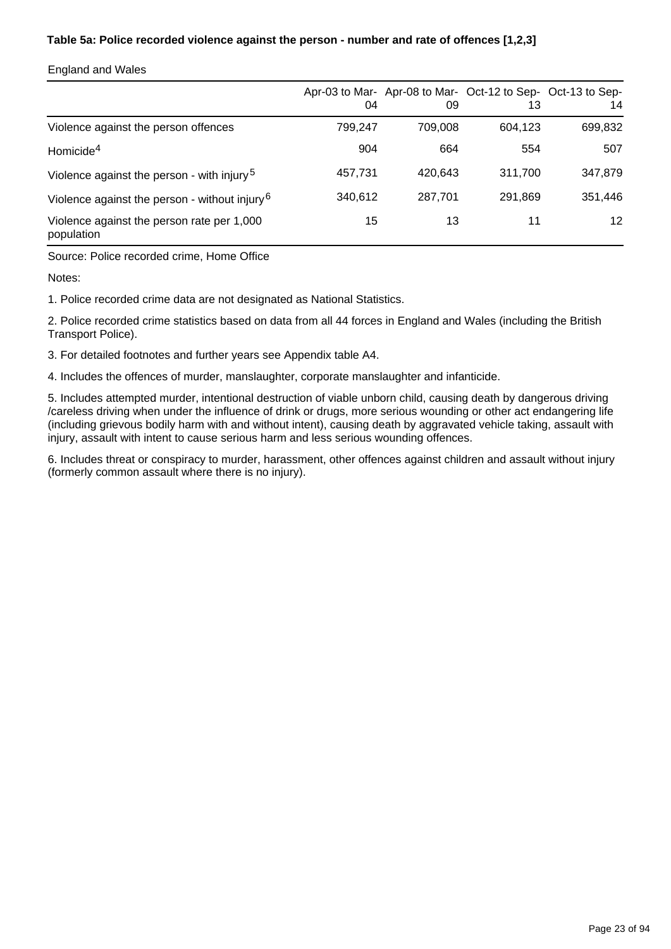### **Table 5a: Police recorded violence against the person - number and rate of offences [1,2,3]**

#### England and Wales

|                                                           | 04      | 09      | 13      | Apr-03 to Mar- Apr-08 to Mar- Oct-12 to Sep- Oct-13 to Sep-<br>14 |
|-----------------------------------------------------------|---------|---------|---------|-------------------------------------------------------------------|
| Violence against the person offences                      | 799.247 | 709.008 | 604.123 | 699,832                                                           |
| Homicide <sup>4</sup>                                     | 904     | 664     | 554     | 507                                                               |
| Violence against the person - with injury <sup>5</sup>    | 457,731 | 420.643 | 311.700 | 347,879                                                           |
| Violence against the person - without injury <sup>6</sup> | 340,612 | 287.701 | 291,869 | 351,446                                                           |
| Violence against the person rate per 1,000<br>population  | 15      | 13      | 11      | 12 <sup>°</sup>                                                   |

Source: Police recorded crime, Home Office

Notes:

1. Police recorded crime data are not designated as National Statistics.

2. Police recorded crime statistics based on data from all 44 forces in England and Wales (including the British Transport Police).

3. For detailed footnotes and further years see Appendix table A4.

4. Includes the offences of murder, manslaughter, corporate manslaughter and infanticide.

5. Includes attempted murder, intentional destruction of viable unborn child, causing death by dangerous driving /careless driving when under the influence of drink or drugs, more serious wounding or other act endangering life (including grievous bodily harm with and without intent), causing death by aggravated vehicle taking, assault with injury, assault with intent to cause serious harm and less serious wounding offences.

6. Includes threat or conspiracy to murder, harassment, other offences against children and assault without injury (formerly common assault where there is no injury).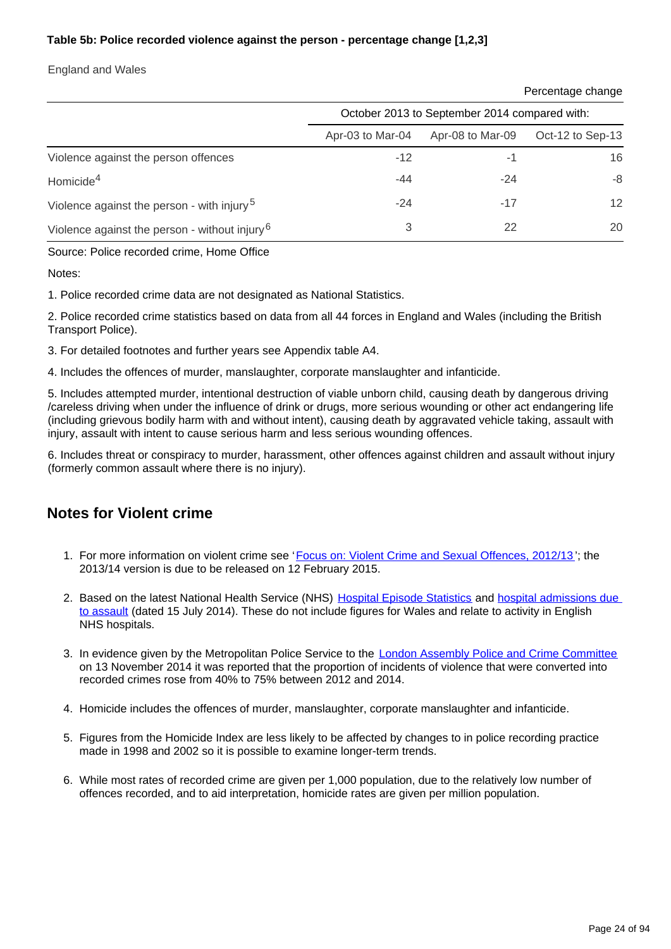### **Table 5b: Police recorded violence against the person - percentage change [1,2,3]**

England and Wales

Percentage change

|                                                           | October 2013 to September 2014 compared with: |                  |                  |  |  |  |  |
|-----------------------------------------------------------|-----------------------------------------------|------------------|------------------|--|--|--|--|
|                                                           | Apr-03 to Mar-04                              | Apr-08 to Mar-09 | Oct-12 to Sep-13 |  |  |  |  |
| Violence against the person offences                      | $-12$                                         | -1               | 16               |  |  |  |  |
| Homicide <sup>4</sup>                                     | $-44$                                         | $-24$            | -8               |  |  |  |  |
| Violence against the person - with injury <sup>5</sup>    | $-24$                                         | $-17$            | 12 <sup>2</sup>  |  |  |  |  |
| Violence against the person - without injury <sup>6</sup> | 3                                             | 22               | 20               |  |  |  |  |

Source: Police recorded crime, Home Office

Notes:

1. Police recorded crime data are not designated as National Statistics.

2. Police recorded crime statistics based on data from all 44 forces in England and Wales (including the British Transport Police).

- 3. For detailed footnotes and further years see Appendix table A4.
- 4. Includes the offences of murder, manslaughter, corporate manslaughter and infanticide.

5. Includes attempted murder, intentional destruction of viable unborn child, causing death by dangerous driving /careless driving when under the influence of drink or drugs, more serious wounding or other act endangering life (including grievous bodily harm with and without intent), causing death by aggravated vehicle taking, assault with injury, assault with intent to cause serious harm and less serious wounding offences.

6. Includes threat or conspiracy to murder, harassment, other offences against children and assault without injury (formerly common assault where there is no injury).

## **Notes for Violent crime**

- 1. For more information on violent crime see '[Focus on: Violent Crime and Sexual Offences, 2012/13](http://webarchive.nationalarchives.gov.uk/20160105160709/http://www.ons.gov.uk/ons/rel/crime-stats/crime-statistics/focus-on-violent-crime-and-sexual-offences--2012-13/index.html)'; the 2013/14 version is due to be released on 12 February 2015.
- 2. Based on the latest National Health Service (NHS) [Hospital Episode Statistics](http://www.hscic.gov.uk/article/2021/Website-Search?productid=14896&q=Provisional+Monthly+Hospital+Episode+Statistics+for+Admitted+Patient+Care%2c+Outpatients+and+Accident+and+Emergency+Data+&sort=Relevance&size=10&page=1&area=both#top) and hospital admissions due [to assault](http://www.hscic.gov.uk/article/5317/2014-Supplementary-information-files) (dated 15 July 2014). These do not include figures for Wales and relate to activity in English NHS hospitals.
- 3. In evidence given by the Metropolitan Police Service to the [London Assembly Police and Crime Committee](http://www.london.gov.uk/moderngov/ieListDocuments.aspx?CId=240&MId=5445) on 13 November 2014 it was reported that the proportion of incidents of violence that were converted into recorded crimes rose from 40% to 75% between 2012 and 2014.
- 4. Homicide includes the offences of murder, manslaughter, corporate manslaughter and infanticide.
- 5. Figures from the Homicide Index are less likely to be affected by changes to in police recording practice made in 1998 and 2002 so it is possible to examine longer-term trends.
- 6. While most rates of recorded crime are given per 1,000 population, due to the relatively low number of offences recorded, and to aid interpretation, homicide rates are given per million population.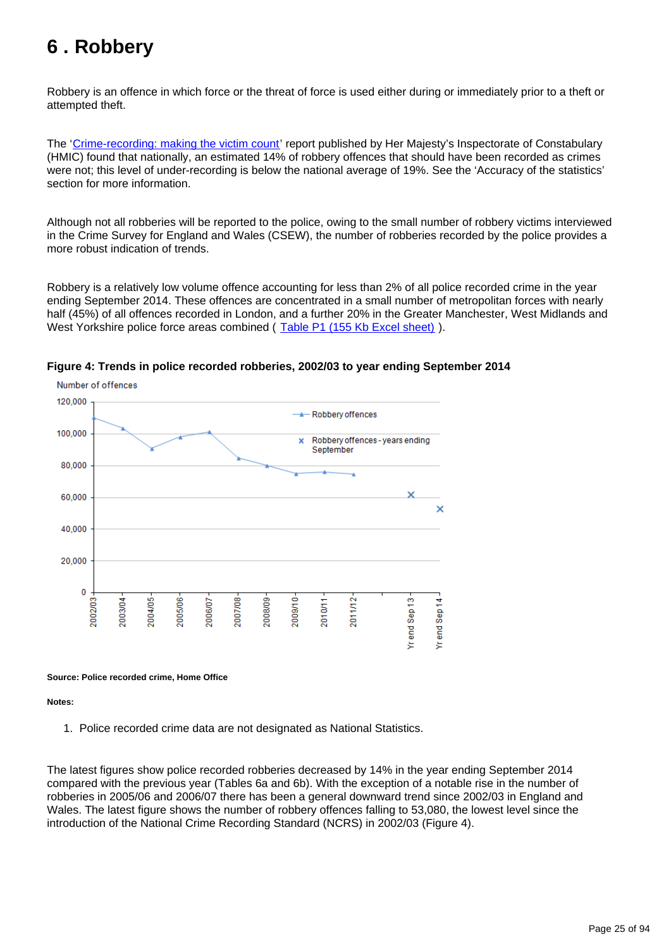# <span id="page-24-0"></span>**6 . Robbery**

Robbery is an offence in which force or the threat of force is used either during or immediately prior to a theft or attempted theft.

The '[Crime-recording: making the victim count](https://www.justiceinspectorates.gov.uk/hmic/publication/crime-recording-making-the-victim-count/)' report published by Her Majesty's Inspectorate of Constabulary (HMIC) found that nationally, an estimated 14% of robbery offences that should have been recorded as crimes were not; this level of under-recording is below the national average of 19%. See the 'Accuracy of the statistics' section for more information.

Although not all robberies will be reported to the police, owing to the small number of robbery victims interviewed in the Crime Survey for England and Wales (CSEW), the number of robberies recorded by the police provides a more robust indication of trends.

Robbery is a relatively low volume offence accounting for less than 2% of all police recorded crime in the year ending September 2014. These offences are concentrated in a small number of metropolitan forces with nearly half (45%) of all offences recorded in London, and a further 20% in the Greater Manchester, West Midlands and West Yorkshire police force areas combined ([Table P1 \(155 Kb Excel sheet\)](http://www.ons.gov.uk/ons/rel/crime-stats/crime-statistics/year-ending-september-2014/rft-04.xls)).



#### **Figure 4: Trends in police recorded robberies, 2002/03 to year ending September 2014**

**Source: Police recorded crime, Home Office**

**Notes:**

1. Police recorded crime data are not designated as National Statistics.

The latest figures show police recorded robberies decreased by 14% in the year ending September 2014 compared with the previous year (Tables 6a and 6b). With the exception of a notable rise in the number of robberies in 2005/06 and 2006/07 there has been a general downward trend since 2002/03 in England and Wales. The latest figure shows the number of robbery offences falling to 53,080, the lowest level since the introduction of the National Crime Recording Standard (NCRS) in 2002/03 (Figure 4).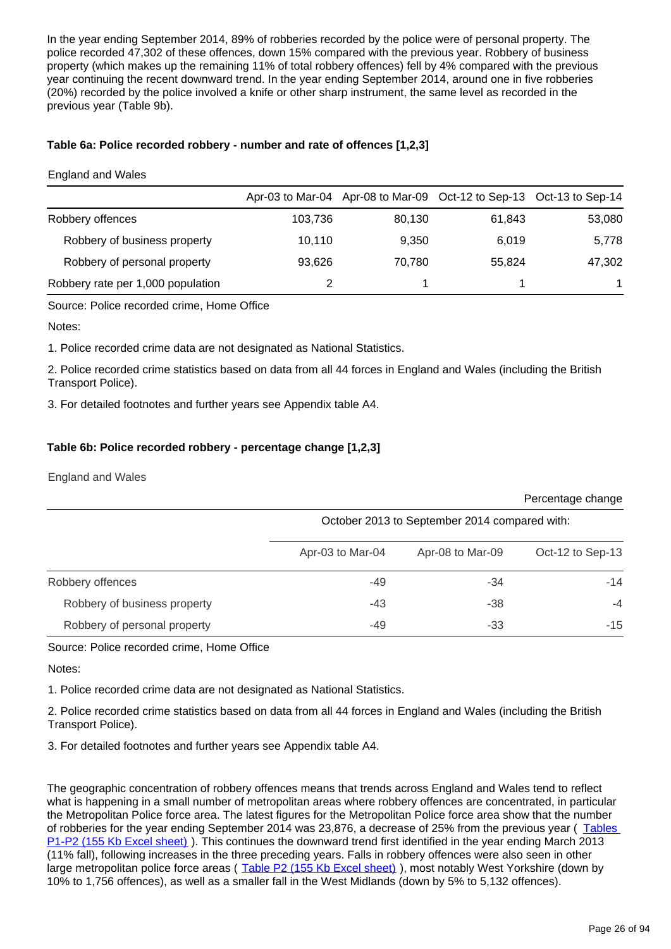In the year ending September 2014, 89% of robberies recorded by the police were of personal property. The police recorded 47,302 of these offences, down 15% compared with the previous year. Robbery of business property (which makes up the remaining 11% of total robbery offences) fell by 4% compared with the previous year continuing the recent downward trend. In the year ending September 2014, around one in five robberies (20%) recorded by the police involved a knife or other sharp instrument, the same level as recorded in the previous year (Table 9b).

#### **Table 6a: Police recorded robbery - number and rate of offences [1,2,3]**

#### England and Wales

|                                   |         |        | Apr-03 to Mar-04 Apr-08 to Mar-09 Oct-12 to Sep-13 Oct-13 to Sep-14 |        |
|-----------------------------------|---------|--------|---------------------------------------------------------------------|--------|
| Robbery offences                  | 103,736 | 80.130 | 61.843                                                              | 53,080 |
| Robbery of business property      | 10.110  | 9,350  | 6.019                                                               | 5,778  |
| Robbery of personal property      | 93.626  | 70.780 | 55.824                                                              | 47,302 |
| Robbery rate per 1,000 population |         |        |                                                                     |        |

Source: Police recorded crime, Home Office

#### Notes:

1. Police recorded crime data are not designated as National Statistics.

2. Police recorded crime statistics based on data from all 44 forces in England and Wales (including the British Transport Police).

3. For detailed footnotes and further years see Appendix table A4.

#### **Table 6b: Police recorded robbery - percentage change [1,2,3]**

England and Wales

|                              |                                               |                  | Percentage change |  |  |  |  |
|------------------------------|-----------------------------------------------|------------------|-------------------|--|--|--|--|
|                              | October 2013 to September 2014 compared with: |                  |                   |  |  |  |  |
|                              | Apr-03 to Mar-04                              | Apr-08 to Mar-09 | Oct-12 to Sep-13  |  |  |  |  |
| Robbery offences             | $-49$                                         | -34              | $-14$             |  |  |  |  |
| Robbery of business property | -43                                           | $-38$            | $-4$              |  |  |  |  |
| Robbery of personal property | -49                                           | $-33$            | $-15$             |  |  |  |  |

Source: Police recorded crime, Home Office

Notes:

1. Police recorded crime data are not designated as National Statistics.

2. Police recorded crime statistics based on data from all 44 forces in England and Wales (including the British Transport Police).

3. For detailed footnotes and further years see Appendix table A4.

The geographic concentration of robbery offences means that trends across England and Wales tend to reflect what is happening in a small number of metropolitan areas where robbery offences are concentrated, in particular the Metropolitan Police force area. The latest figures for the Metropolitan Police force area show that the number of robberies for the year ending September 2014 was 23,876, a decrease of 25% from the previous year ( [Tables](http://www.ons.gov.uk/ons/rel/crime-stats/crime-statistics/year-ending-september-2014/rft-04.xls)  [P1-P2 \(155 Kb Excel sheet\)](http://www.ons.gov.uk/ons/rel/crime-stats/crime-statistics/year-ending-september-2014/rft-04.xls) ). This continues the downward trend first identified in the year ending March 2013 (11% fall), following increases in the three preceding years. Falls in robbery offences were also seen in other large metropolitan police force areas ([Table P2 \(155 Kb Excel sheet\)](http://www.ons.gov.uk/ons/rel/crime-stats/crime-statistics/year-ending-september-2014/rft-04.xls) ), most notably West Yorkshire (down by 10% to 1,756 offences), as well as a smaller fall in the West Midlands (down by 5% to 5,132 offences).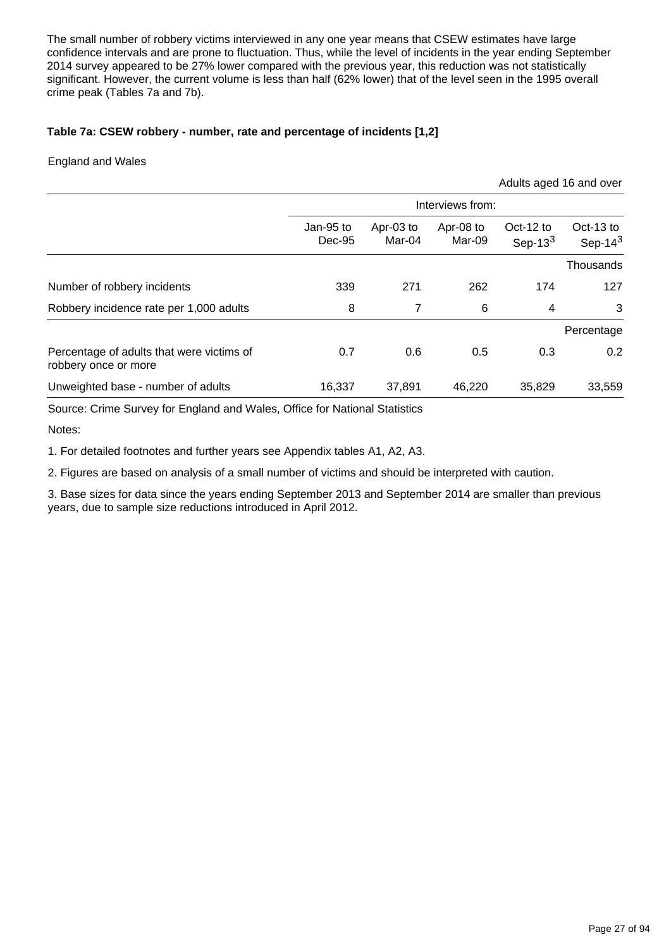The small number of robbery victims interviewed in any one year means that CSEW estimates have large confidence intervals and are prone to fluctuation. Thus, while the level of incidents in the year ending September 2014 survey appeared to be 27% lower compared with the previous year, this reduction was not statistically significant. However, the current volume is less than half (62% lower) that of the level seen in the 1995 overall crime peak (Tables 7a and 7b).

### **Table 7a: CSEW robbery - number, rate and percentage of incidents [1,2]**

#### England and Wales

|                                                                   |                       |                     |                     |                         | Adults aged 16 and over |  |  |
|-------------------------------------------------------------------|-----------------------|---------------------|---------------------|-------------------------|-------------------------|--|--|
|                                                                   | Interviews from:      |                     |                     |                         |                         |  |  |
|                                                                   | Jan-95 to<br>$Dec-95$ | Apr-03 to<br>Mar-04 | Apr-08 to<br>Mar-09 | Oct-12 to<br>Sep-13 $3$ | Oct-13 to<br>Sep-14 $3$ |  |  |
|                                                                   |                       |                     |                     |                         | Thousands               |  |  |
| Number of robbery incidents                                       | 339                   | 271                 | 262                 | 174                     | 127                     |  |  |
| Robbery incidence rate per 1,000 adults                           | 8                     | 7                   | 6                   | 4                       | 3                       |  |  |
|                                                                   |                       |                     |                     |                         | Percentage              |  |  |
| Percentage of adults that were victims of<br>robbery once or more | 0.7                   | 0.6                 | 0.5                 | 0.3                     | 0.2                     |  |  |
| Unweighted base - number of adults                                | 16,337                | 37,891              | 46,220              | 35,829                  | 33,559                  |  |  |

Source: Crime Survey for England and Wales, Office for National Statistics

Notes:

1. For detailed footnotes and further years see Appendix tables A1, A2, A3.

2. Figures are based on analysis of a small number of victims and should be interpreted with caution.

3. Base sizes for data since the years ending September 2013 and September 2014 are smaller than previous years, due to sample size reductions introduced in April 2012.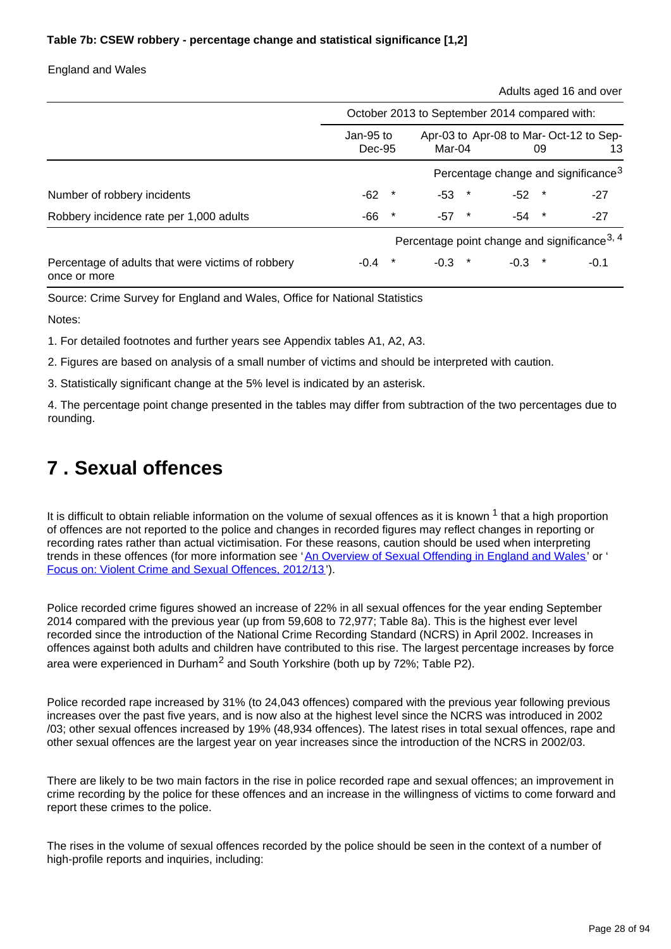### **Table 7b: CSEW robbery - percentage change and statistical significance [1,2]**

England and Wales

Adults aged 16 and over

|                                                                   | October 2013 to September 2014 compared with:            |         |          |         |                                              |         |        |  |
|-------------------------------------------------------------------|----------------------------------------------------------|---------|----------|---------|----------------------------------------------|---------|--------|--|
|                                                                   | Jan-95 to<br>Dec-95                                      |         | Mar-04   |         | Apr-03 to Apr-08 to Mar-Oct-12 to Sep-<br>09 |         | 13     |  |
|                                                                   | Percentage change and significance <sup>3</sup>          |         |          |         |                                              |         |        |  |
| Number of robbery incidents                                       | $-62$                                                    |         | -53      | $\star$ | $-52$                                        | $\ast$  | $-27$  |  |
| Robbery incidence rate per 1,000 adults                           | -66                                                      | $\star$ | $-57$ *  |         | -54                                          | $\star$ | $-27$  |  |
|                                                                   | Percentage point change and significance <sup>3, 4</sup> |         |          |         |                                              |         |        |  |
| Percentage of adults that were victims of robbery<br>once or more | $-0.4$                                                   |         | $-0.3$ * |         | $-0.3$                                       |         | $-0.1$ |  |

Source: Crime Survey for England and Wales, Office for National Statistics

Notes:

1. For detailed footnotes and further years see Appendix tables A1, A2, A3.

2. Figures are based on analysis of a small number of victims and should be interpreted with caution.

3. Statistically significant change at the 5% level is indicated by an asterisk.

4. The percentage point change presented in the tables may differ from subtraction of the two percentages due to rounding.

# <span id="page-27-0"></span>**7 . Sexual offences**

It is difficult to obtain reliable information on the volume of sexual offences as it is known  $1$  that a high proportion of offences are not reported to the police and changes in recorded figures may reflect changes in reporting or recording rates rather than actual victimisation. For these reasons, caution should be used when interpreting trends in these offences (for more information see '[An Overview of Sexual Offending in England and Wales'](http://www.ons.gov.uk/ons/external-links/other-government-departments/moj/moj--sexual-offending-in-e-w.html) or ' [Focus on: Violent Crime and Sexual Offences, 2012/13](http://www.ons.gov.uk/ons/rel/crime-stats/crime-statistics/focus-on-violent-crime-and-sexual-offences--2012-13/index.html) ').

Police recorded crime figures showed an increase of 22% in all sexual offences for the year ending September 2014 compared with the previous year (up from 59,608 to 72,977; Table 8a). This is the highest ever level recorded since the introduction of the National Crime Recording Standard (NCRS) in April 2002. Increases in offences against both adults and children have contributed to this rise. The largest percentage increases by force area were experienced in Durham<sup>2</sup> and South Yorkshire (both up by  $72\%$ ; Table P2).

Police recorded rape increased by 31% (to 24,043 offences) compared with the previous year following previous increases over the past five years, and is now also at the highest level since the NCRS was introduced in 2002 /03; other sexual offences increased by 19% (48,934 offences). The latest rises in total sexual offences, rape and other sexual offences are the largest year on year increases since the introduction of the NCRS in 2002/03.

There are likely to be two main factors in the rise in police recorded rape and sexual offences; an improvement in crime recording by the police for these offences and an increase in the willingness of victims to come forward and report these crimes to the police.

The rises in the volume of sexual offences recorded by the police should be seen in the context of a number of high-profile reports and inquiries, including: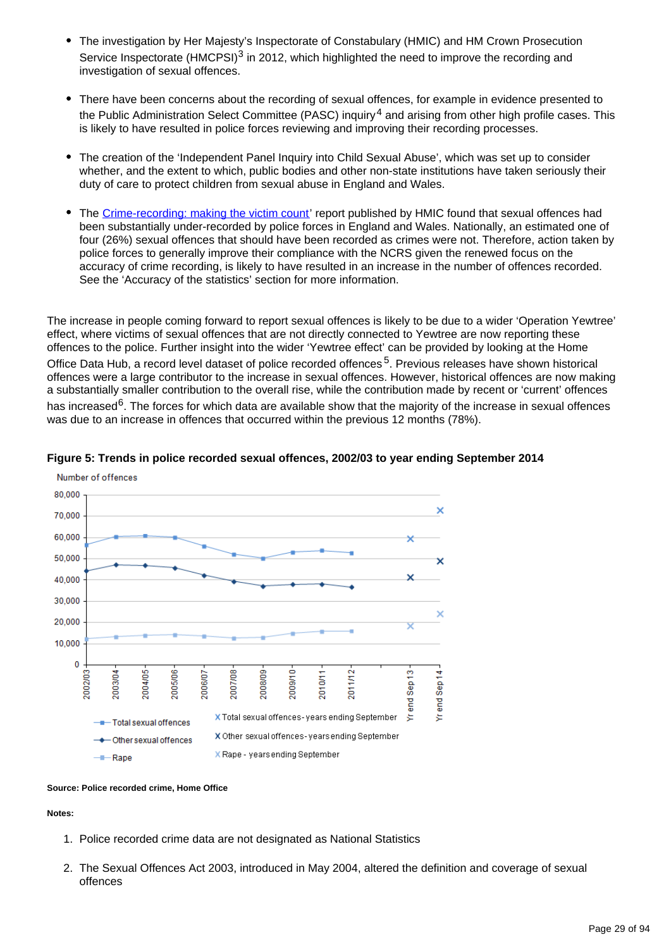- The investigation by Her Majesty's Inspectorate of Constabulary (HMIC) and HM Crown Prosecution Service Inspectorate (HMCPSI)<sup>3</sup> in 2012, which highlighted the need to improve the recording and investigation of sexual offences.
- There have been concerns about the recording of sexual offences, for example in evidence presented to the Public Administration Select Committee (PASC) inquiry<sup>4</sup> and arising from other high profile cases. This is likely to have resulted in police forces reviewing and improving their recording processes.
- The creation of the 'Independent Panel Inquiry into Child Sexual Abuse', which was set up to consider whether, and the extent to which, public bodies and other non-state institutions have taken seriously their duty of care to protect children from sexual abuse in England and Wales.
- The [Crime-recording: making the victim count'](https://www.justiceinspectorates.gov.uk/hmic/publication/crime-recording-making-the-victim-count/) report published by HMIC found that sexual offences had been substantially under-recorded by police forces in England and Wales. Nationally, an estimated one of four (26%) sexual offences that should have been recorded as crimes were not. Therefore, action taken by police forces to generally improve their compliance with the NCRS given the renewed focus on the accuracy of crime recording, is likely to have resulted in an increase in the number of offences recorded. See the 'Accuracy of the statistics' section for more information.

The increase in people coming forward to report sexual offences is likely to be due to a wider 'Operation Yewtree' effect, where victims of sexual offences that are not directly connected to Yewtree are now reporting these offences to the police. Further insight into the wider 'Yewtree effect' can be provided by looking at the Home Office Data Hub, a record level dataset of police recorded offences<sup>5</sup>. Previous releases have shown historical offences were a large contributor to the increase in sexual offences. However, historical offences are now making a substantially smaller contribution to the overall rise, while the contribution made by recent or 'current' offences has increased<sup>6</sup>. The forces for which data are available show that the majority of the increase in sexual offences was due to an increase in offences that occurred within the previous 12 months (78%).





#### **Source: Police recorded crime, Home Office**

**Notes:**

- 1. Police recorded crime data are not designated as National Statistics
- 2. The Sexual Offences Act 2003, introduced in May 2004, altered the definition and coverage of sexual offences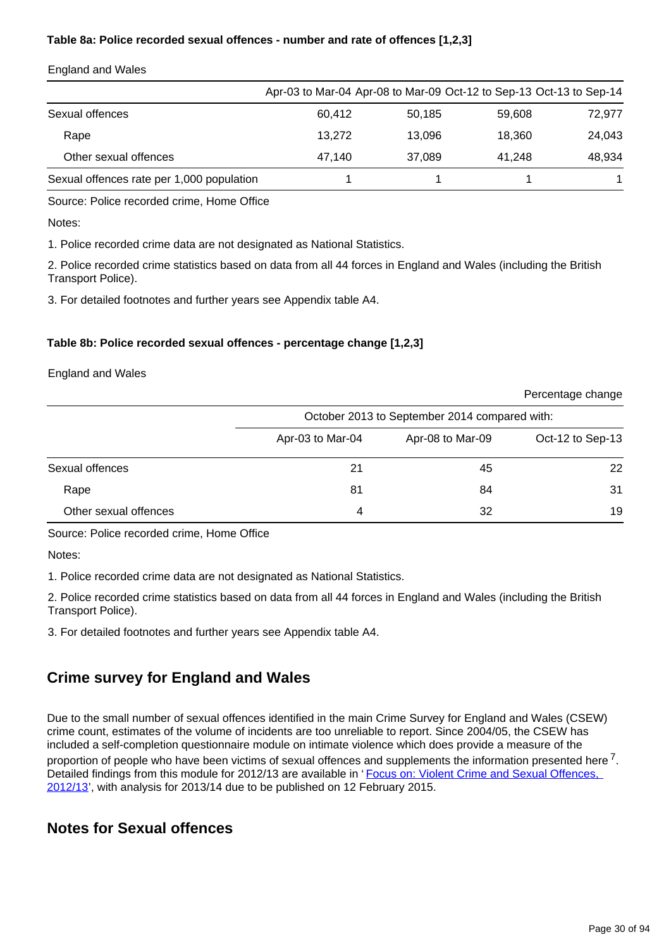### **Table 8a: Police recorded sexual offences - number and rate of offences [1,2,3]**

|                                           | Apr-03 to Mar-04 Apr-08 to Mar-09 Oct-12 to Sep-13 Oct-13 to Sep-14 |        |        |        |
|-------------------------------------------|---------------------------------------------------------------------|--------|--------|--------|
| Sexual offences                           | 60.412                                                              | 50.185 | 59.608 | 72,977 |
| Rape                                      | 13.272                                                              | 13.096 | 18.360 | 24.043 |
| Other sexual offences                     | 47.140                                                              | 37.089 | 41.248 | 48.934 |
| Sexual offences rate per 1,000 population |                                                                     |        |        |        |

#### England and Wales

Source: Police recorded crime, Home Office

Notes:

1. Police recorded crime data are not designated as National Statistics.

2. Police recorded crime statistics based on data from all 44 forces in England and Wales (including the British Transport Police).

3. For detailed footnotes and further years see Appendix table A4.

#### **Table 8b: Police recorded sexual offences - percentage change [1,2,3]**

England and Wales

|                       |                                               |                  | i oroomago omango |  |
|-----------------------|-----------------------------------------------|------------------|-------------------|--|
|                       | October 2013 to September 2014 compared with: |                  |                   |  |
|                       | Apr-03 to Mar-04                              | Apr-08 to Mar-09 | Oct-12 to Sep-13  |  |
| Sexual offences       | 21                                            | 45               | 22                |  |
| Rape                  | 81                                            | 84               | 31                |  |
| Other sexual offences | 4                                             | 32               | 19                |  |

Source: Police recorded crime, Home Office

Notes:

1. Police recorded crime data are not designated as National Statistics.

2. Police recorded crime statistics based on data from all 44 forces in England and Wales (including the British Transport Police).

3. For detailed footnotes and further years see Appendix table A4.

## **Crime survey for England and Wales**

Due to the small number of sexual offences identified in the main Crime Survey for England and Wales (CSEW) crime count, estimates of the volume of incidents are too unreliable to report. Since 2004/05, the CSEW has included a self-completion questionnaire module on intimate violence which does provide a measure of the proportion of people who have been victims of sexual offences and supplements the information presented here  $7$ . Detailed findings from this module for 2012/13 are available in 'Focus on: Violent Crime and Sexual Offences, [2012/13](http://www.ons.gov.uk/ons/rel/crime-stats/crime-statistics/focus-on-violent-crime-and-sexual-offences--2012-13/index.html)', with analysis for 2013/14 due to be published on 12 February 2015.

### **Notes for Sexual offences**

Percentage change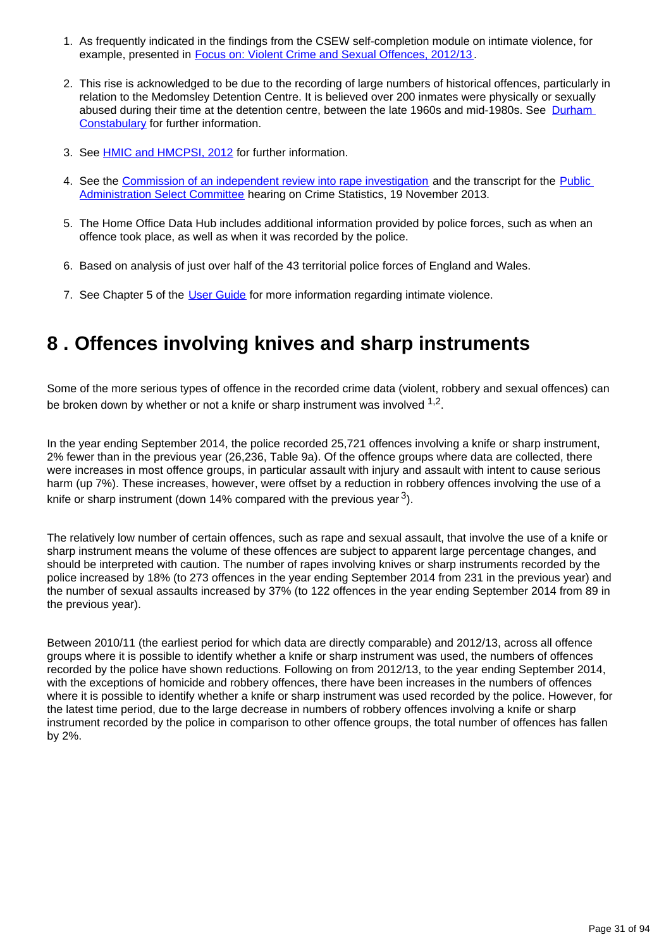- 1. As frequently indicated in the findings from the CSEW self-completion module on intimate violence, for example, presented in **Focus on: Violent Crime and Sexual Offences**, 2012/13.
- 2. This rise is acknowledged to be due to the recording of large numbers of historical offences, particularly in relation to the Medomsley Detention Centre. It is believed over 200 inmates were physically or sexually abused during their time at the detention centre, between the late 1960s and mid-1980s. See [Durham](https://www.durham.police.uk/news-and-events/Pages/News%20Articles/More-than-200-new-victims-contact-Medomsley-detectives.aspx)  [Constabulary](https://www.durham.police.uk/news-and-events/Pages/News%20Articles/More-than-200-new-victims-contact-Medomsley-detectives.aspx) for further information.
- 3. See **HMIC and HMCPSI, 2012** for further information.
- 4. See the [Commission of an independent review into rape investigation](http://content.met.police.uk/News/Commission-of-an-independent-review-into-rape-investigation/1400024447530/1257246745756) and the transcript for the Public [Administration Select Committee](http://data.parliament.uk/writtenevidence/WrittenEvidence.svc/EvidenceHtml/4041) hearing on Crime Statistics, 19 November 2013.
- 5. The Home Office Data Hub includes additional information provided by police forces, such as when an offence took place, as well as when it was recorded by the police.
- 6. Based on analysis of just over half of the 43 territorial police forces of England and Wales.
- 7. See Chapter 5 of the [User Guide](http://www.ons.gov.uk/ons/guide-method/method-quality/specific/crime-statistics-methodology/index.html) for more information regarding intimate violence.

## <span id="page-30-0"></span>**8 . Offences involving knives and sharp instruments**

Some of the more serious types of offence in the recorded crime data (violent, robbery and sexual offences) can be broken down by whether or not a knife or sharp instrument was involved  $^{1,2}$ .

In the year ending September 2014, the police recorded 25,721 offences involving a knife or sharp instrument, 2% fewer than in the previous year (26,236, Table 9a). Of the offence groups where data are collected, there were increases in most offence groups, in particular assault with injury and assault with intent to cause serious harm (up 7%). These increases, however, were offset by a reduction in robbery offences involving the use of a knife or sharp instrument (down 14% compared with the previous year  $3$ ).

The relatively low number of certain offences, such as rape and sexual assault, that involve the use of a knife or sharp instrument means the volume of these offences are subject to apparent large percentage changes, and should be interpreted with caution. The number of rapes involving knives or sharp instruments recorded by the police increased by 18% (to 273 offences in the year ending September 2014 from 231 in the previous year) and the number of sexual assaults increased by 37% (to 122 offences in the year ending September 2014 from 89 in the previous year).

Between 2010/11 (the earliest period for which data are directly comparable) and 2012/13, across all offence groups where it is possible to identify whether a knife or sharp instrument was used, the numbers of offences recorded by the police have shown reductions. Following on from 2012/13, to the year ending September 2014, with the exceptions of homicide and robbery offences, there have been increases in the numbers of offences where it is possible to identify whether a knife or sharp instrument was used recorded by the police. However, for the latest time period, due to the large decrease in numbers of robbery offences involving a knife or sharp instrument recorded by the police in comparison to other offence groups, the total number of offences has fallen by 2%.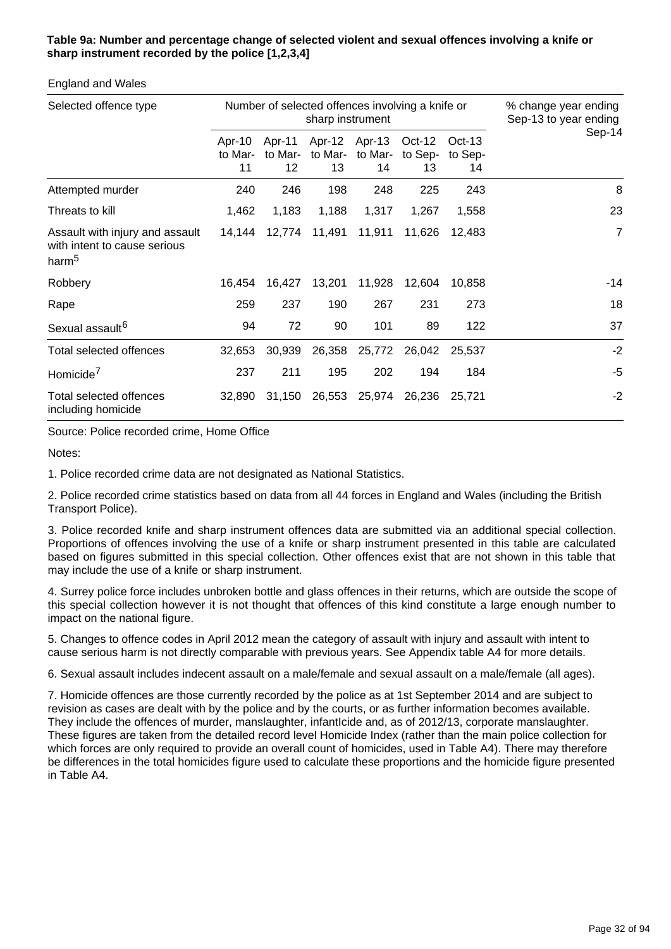### **Table 9a: Number and percentage change of selected violent and sexual offences involving a knife or sharp instrument recorded by the police [1,2,3,4]**

#### England and Wales

| Selected offence type                                                                | Number of selected offences involving a knife or<br>sharp instrument |                         |               |                                |                           |                           | % change year ending<br>Sep-13 to year ending |
|--------------------------------------------------------------------------------------|----------------------------------------------------------------------|-------------------------|---------------|--------------------------------|---------------------------|---------------------------|-----------------------------------------------|
|                                                                                      | Apr-10<br>to Mar-<br>11                                              | Apr-11<br>to Mar-<br>12 | to Mar-<br>13 | Apr-12 Apr-13<br>to Mar-<br>14 | $Oct-12$<br>to Sep-<br>13 | $Oct-13$<br>to Sep-<br>14 | Sep-14                                        |
| Attempted murder                                                                     | 240                                                                  | 246                     | 198           | 248                            | 225                       | 243                       | 8                                             |
| Threats to kill                                                                      | 1,462                                                                | 1,183                   | 1,188         | 1,317                          | 1,267                     | 1,558                     | 23                                            |
| Assault with injury and assault<br>with intent to cause serious<br>harm <sup>5</sup> | 14,144                                                               | 12,774                  | 11,491        | 11,911                         | 11,626                    | 12,483                    | $\overline{7}$                                |
| Robbery                                                                              | 16,454                                                               | 16,427                  | 13,201        | 11,928                         | 12,604                    | 10,858                    | $-14$                                         |
| Rape                                                                                 | 259                                                                  | 237                     | 190           | 267                            | 231                       | 273                       | 18                                            |
| Sexual assault <sup>6</sup>                                                          | 94                                                                   | 72                      | 90            | 101                            | 89                        | 122                       | 37                                            |
| Total selected offences                                                              | 32,653                                                               | 30,939                  | 26,358        | 25,772                         | 26,042                    | 25,537                    | $-2$                                          |
| Homicide <sup>7</sup>                                                                | 237                                                                  | 211                     | 195           | 202                            | 194                       | 184                       | $-5$                                          |
| Total selected offences<br>including homicide                                        | 32,890                                                               | 31,150                  | 26,553        | 25,974                         | 26,236                    | 25,721                    | $-2$                                          |

Source: Police recorded crime, Home Office

Notes:

1. Police recorded crime data are not designated as National Statistics.

2. Police recorded crime statistics based on data from all 44 forces in England and Wales (including the British Transport Police).

3. Police recorded knife and sharp instrument offences data are submitted via an additional special collection. Proportions of offences involving the use of a knife or sharp instrument presented in this table are calculated based on figures submitted in this special collection. Other offences exist that are not shown in this table that may include the use of a knife or sharp instrument.

4. Surrey police force includes unbroken bottle and glass offences in their returns, which are outside the scope of this special collection however it is not thought that offences of this kind constitute a large enough number to impact on the national figure.

5. Changes to offence codes in April 2012 mean the category of assault with injury and assault with intent to cause serious harm is not directly comparable with previous years. See Appendix table A4 for more details.

6. Sexual assault includes indecent assault on a male/female and sexual assault on a male/female (all ages).

7. Homicide offences are those currently recorded by the police as at 1st September 2014 and are subject to revision as cases are dealt with by the police and by the courts, or as further information becomes available. They include the offences of murder, manslaughter, infantIcide and, as of 2012/13, corporate manslaughter. These figures are taken from the detailed record level Homicide Index (rather than the main police collection for which forces are only required to provide an overall count of homicides, used in Table A4). There may therefore be differences in the total homicides figure used to calculate these proportions and the homicide figure presented in Table A4.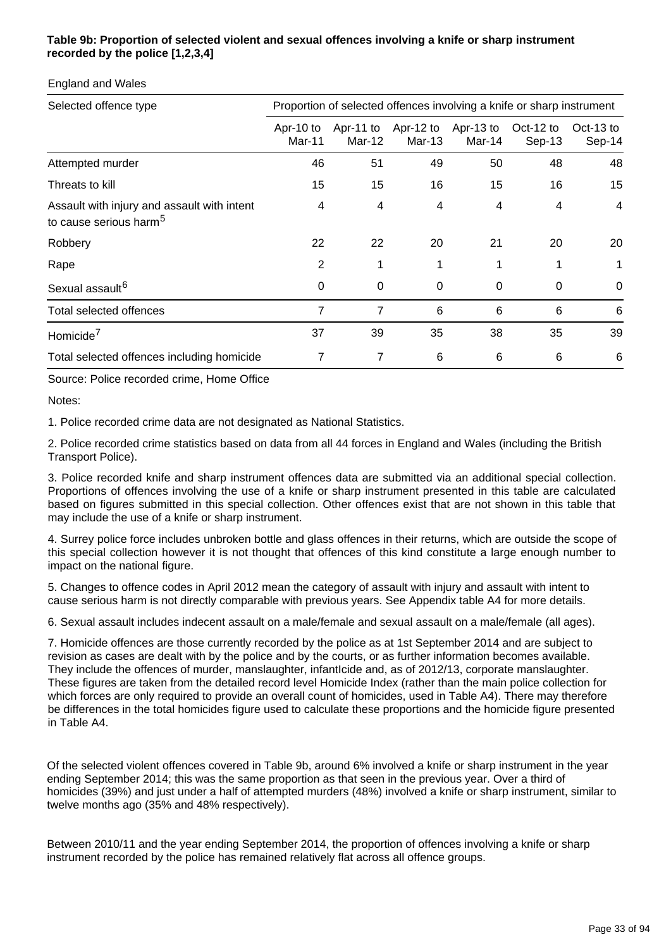### **Table 9b: Proportion of selected violent and sexual offences involving a knife or sharp instrument recorded by the police [1,2,3,4]**

| Selected offence type                                                             | Proportion of selected offences involving a knife or sharp instrument |        |                                         |        |                       |                     |  |
|-----------------------------------------------------------------------------------|-----------------------------------------------------------------------|--------|-----------------------------------------|--------|-----------------------|---------------------|--|
|                                                                                   | Apr-10 to<br>Mar-11                                                   | Mar-12 | Apr-11 to Apr-12 to Apr-13 to<br>Mar-13 | Mar-14 | Oct-12 to<br>$Sep-13$ | Oct-13 to<br>Sep-14 |  |
| Attempted murder                                                                  | 46                                                                    | 51     | 49                                      | 50     | 48                    | 48                  |  |
| Threats to kill                                                                   | 15                                                                    | 15     | 16                                      | 15     | 16                    | 15                  |  |
| Assault with injury and assault with intent<br>to cause serious harm <sup>5</sup> | 4                                                                     | 4      | 4                                       | 4      | 4                     | 4                   |  |
| Robbery                                                                           | 22                                                                    | 22     | 20                                      | 21     | 20                    | 20                  |  |
| Rape                                                                              | 2                                                                     |        | 1                                       | 1      |                       |                     |  |
| Sexual assault <sup>6</sup>                                                       | $\Omega$                                                              | 0      | 0                                       | 0      | 0                     | $\mathbf{0}$        |  |
| Total selected offences                                                           | 7                                                                     | 7      | 6                                       | 6      | 6                     | 6                   |  |
| Homicide <sup>7</sup>                                                             | 37                                                                    | 39     | 35                                      | 38     | 35                    | 39                  |  |
| Total selected offences including homicide                                        | 7                                                                     | 7      | 6                                       | 6      | 6                     | 6                   |  |

England and Wales

Source: Police recorded crime, Home Office

Notes:

1. Police recorded crime data are not designated as National Statistics.

2. Police recorded crime statistics based on data from all 44 forces in England and Wales (including the British Transport Police).

3. Police recorded knife and sharp instrument offences data are submitted via an additional special collection. Proportions of offences involving the use of a knife or sharp instrument presented in this table are calculated based on figures submitted in this special collection. Other offences exist that are not shown in this table that may include the use of a knife or sharp instrument.

4. Surrey police force includes unbroken bottle and glass offences in their returns, which are outside the scope of this special collection however it is not thought that offences of this kind constitute a large enough number to impact on the national figure.

5. Changes to offence codes in April 2012 mean the category of assault with injury and assault with intent to cause serious harm is not directly comparable with previous years. See Appendix table A4 for more details.

6. Sexual assault includes indecent assault on a male/female and sexual assault on a male/female (all ages).

7. Homicide offences are those currently recorded by the police as at 1st September 2014 and are subject to revision as cases are dealt with by the police and by the courts, or as further information becomes available. They include the offences of murder, manslaughter, infantIcide and, as of 2012/13, corporate manslaughter. These figures are taken from the detailed record level Homicide Index (rather than the main police collection for which forces are only required to provide an overall count of homicides, used in Table A4). There may therefore be differences in the total homicides figure used to calculate these proportions and the homicide figure presented in Table A4.

Of the selected violent offences covered in Table 9b, around 6% involved a knife or sharp instrument in the year ending September 2014; this was the same proportion as that seen in the previous year. Over a third of homicides (39%) and just under a half of attempted murders (48%) involved a knife or sharp instrument, similar to twelve months ago (35% and 48% respectively).

Between 2010/11 and the year ending September 2014, the proportion of offences involving a knife or sharp instrument recorded by the police has remained relatively flat across all offence groups.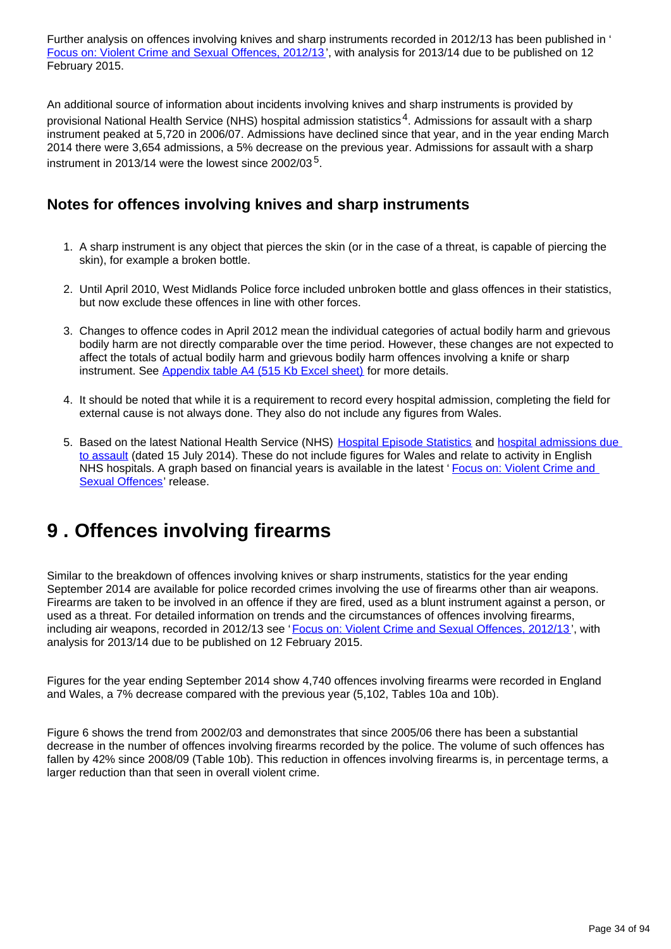Further analysis on offences involving knives and sharp instruments recorded in 2012/13 has been published in ' [Focus on: Violent Crime and Sexual Offences, 2012/13](http://www.ons.gov.uk/ons/rel/crime-stats/crime-statistics/focus-on-violent-crime-and-sexual-offences--2012-13/index.html) ', with analysis for 2013/14 due to be published on 12 February 2015.

An additional source of information about incidents involving knives and sharp instruments is provided by provisional National Health Service (NHS) hospital admission statistics<sup>4</sup>. Admissions for assault with a sharp instrument peaked at 5,720 in 2006/07. Admissions have declined since that year, and in the year ending March 2014 there were 3,654 admissions, a 5% decrease on the previous year. Admissions for assault with a sharp instrument in 2013/14 were the lowest since 2002/03 $^5$ .

### **Notes for offences involving knives and sharp instruments**

- 1. A sharp instrument is any object that pierces the skin (or in the case of a threat, is capable of piercing the skin), for example a broken bottle.
- 2. Until April 2010, West Midlands Police force included unbroken bottle and glass offences in their statistics, but now exclude these offences in line with other forces.
- 3. Changes to offence codes in April 2012 mean the individual categories of actual bodily harm and grievous bodily harm are not directly comparable over the time period. However, these changes are not expected to affect the totals of actual bodily harm and grievous bodily harm offences involving a knife or sharp instrument. See [Appendix table A4 \(515 Kb Excel sheet\)](http://www.ons.gov.uk/ons/rel/crime-stats/crime-statistics/year-ending-september-2014/rft-02.xls) for more details.
- 4. It should be noted that while it is a requirement to record every hospital admission, completing the field for external cause is not always done. They also do not include any figures from Wales.
- 5. Based on the latest National Health Service (NHS) [Hospital Episode Statistics](http://www.hscic.gov.uk/article/2021/Website-Search?productid=14896&q=Provisional+Monthly+Hospital+Episode+Statistics+for+Admitted+Patient+Care%2c+Outpatients+and+Accident+and+Emergency+Data+&sort=Relevance&size=10&page=1&area=both#top) and hospital admissions due [to assault](http://www.hscic.gov.uk/suppinfofiles) (dated 15 July 2014). These do not include figures for Wales and relate to activity in English NHS hospitals. A graph based on financial years is available in the latest 'Focus on: Violent Crime and [Sexual Offences'](http://www.ons.gov.uk/ons/rel/crime-stats/crime-statistics/focus-on-violent-crime-and-sexual-offences--2012-13/index.html) release.

# <span id="page-33-0"></span>**9 . Offences involving firearms**

Similar to the breakdown of offences involving knives or sharp instruments, statistics for the year ending September 2014 are available for police recorded crimes involving the use of firearms other than air weapons. Firearms are taken to be involved in an offence if they are fired, used as a blunt instrument against a person, or used as a threat. For detailed information on trends and the circumstances of offences involving firearms, including air weapons, recorded in 2012/13 see '[Focus on: Violent Crime and Sexual Offences, 2012/13](http://www.ons.gov.uk/ons/rel/crime-stats/crime-statistics/focus-on-violent-crime-and-sexual-offences--2012-13/index.html) ', with analysis for 2013/14 due to be published on 12 February 2015.

Figures for the year ending September 2014 show 4,740 offences involving firearms were recorded in England and Wales, a 7% decrease compared with the previous year (5,102, Tables 10a and 10b).

Figure 6 shows the trend from 2002/03 and demonstrates that since 2005/06 there has been a substantial decrease in the number of offences involving firearms recorded by the police. The volume of such offences has fallen by 42% since 2008/09 (Table 10b). This reduction in offences involving firearms is, in percentage terms, a larger reduction than that seen in overall violent crime.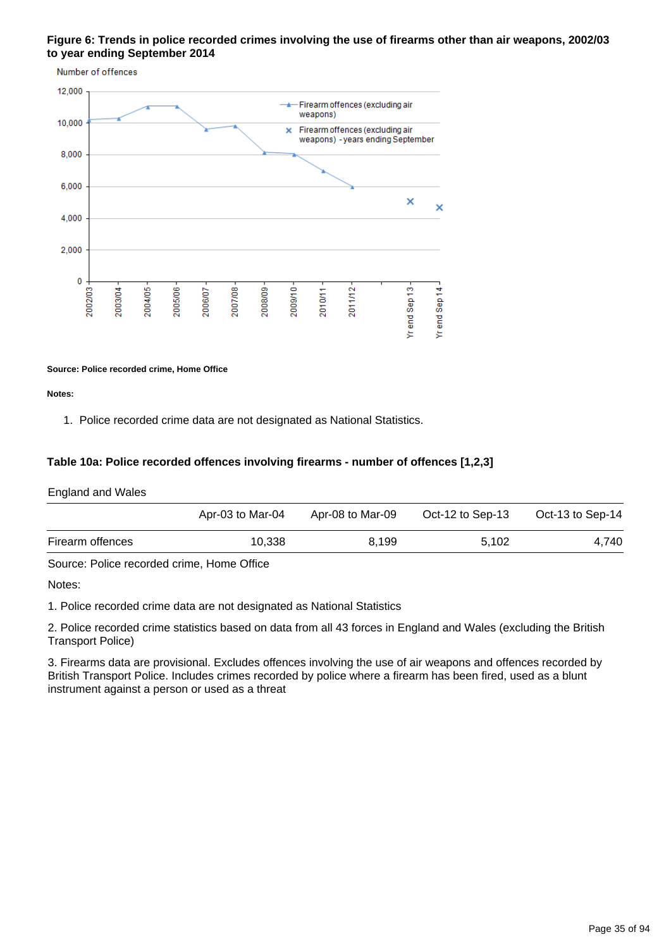### **Figure 6: Trends in police recorded crimes involving the use of firearms other than air weapons, 2002/03 to year ending September 2014**



#### **Source: Police recorded crime, Home Office**

**Notes:**

1. Police recorded crime data are not designated as National Statistics.

#### **Table 10a: Police recorded offences involving firearms - number of offences [1,2,3]**

England and Wales

|                  | Apr-03 to Mar-04 | Apr-08 to Mar-09 | Oct-12 to Sep-13 | Oct-13 to Sep-14 |
|------------------|------------------|------------------|------------------|------------------|
| Firearm offences | 10.338           | 8.199            | 5.102            | 4,740            |

Source: Police recorded crime, Home Office

Notes:

1. Police recorded crime data are not designated as National Statistics

2. Police recorded crime statistics based on data from all 43 forces in England and Wales (excluding the British Transport Police)

3. Firearms data are provisional. Excludes offences involving the use of air weapons and offences recorded by British Transport Police. Includes crimes recorded by police where a firearm has been fired, used as a blunt instrument against a person or used as a threat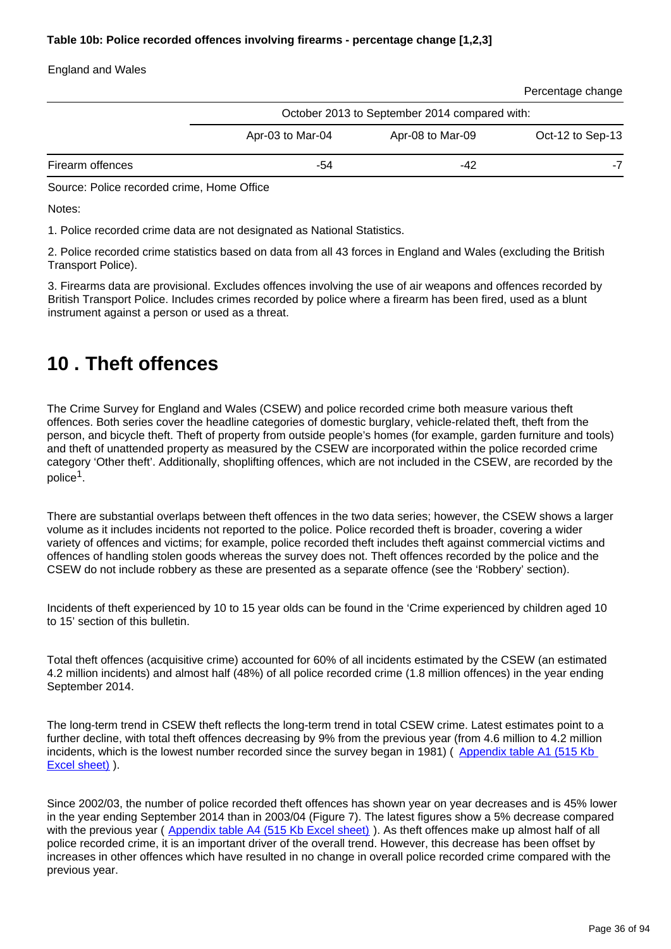### **Table 10b: Police recorded offences involving firearms - percentage change [1,2,3]**

### England and Wales

| Percentage change |  |
|-------------------|--|
|                   |  |

|                  | October 2013 to September 2014 compared with: |                  |                  |  |
|------------------|-----------------------------------------------|------------------|------------------|--|
|                  | Apr-03 to Mar-04                              | Apr-08 to Mar-09 | Oct-12 to Sep-13 |  |
| Firearm offences | -54                                           | -42              | -7               |  |

Source: Police recorded crime, Home Office

Notes:

1. Police recorded crime data are not designated as National Statistics.

2. Police recorded crime statistics based on data from all 43 forces in England and Wales (excluding the British Transport Police).

3. Firearms data are provisional. Excludes offences involving the use of air weapons and offences recorded by British Transport Police. Includes crimes recorded by police where a firearm has been fired, used as a blunt instrument against a person or used as a threat.

## <span id="page-35-0"></span>**10 . Theft offences**

The Crime Survey for England and Wales (CSEW) and police recorded crime both measure various theft offences. Both series cover the headline categories of domestic burglary, vehicle-related theft, theft from the person, and bicycle theft. Theft of property from outside people's homes (for example, garden furniture and tools) and theft of unattended property as measured by the CSEW are incorporated within the police recorded crime category 'Other theft'. Additionally, shoplifting offences, which are not included in the CSEW, are recorded by the police $^1$ .

There are substantial overlaps between theft offences in the two data series; however, the CSEW shows a larger volume as it includes incidents not reported to the police. Police recorded theft is broader, covering a wider variety of offences and victims; for example, police recorded theft includes theft against commercial victims and offences of handling stolen goods whereas the survey does not. Theft offences recorded by the police and the CSEW do not include robbery as these are presented as a separate offence (see the 'Robbery' section).

Incidents of theft experienced by 10 to 15 year olds can be found in the 'Crime experienced by children aged 10 to 15' section of this bulletin.

Total theft offences (acquisitive crime) accounted for 60% of all incidents estimated by the CSEW (an estimated 4.2 million incidents) and almost half (48%) of all police recorded crime (1.8 million offences) in the year ending September 2014.

The long-term trend in CSEW theft reflects the long-term trend in total CSEW crime. Latest estimates point to a further decline, with total theft offences decreasing by 9% from the previous year (from 4.6 million to 4.2 million incidents, which is the lowest number recorded since the survey began in 1981) (Appendix table A1 (515 Kb) [Excel sheet\)](http://www.ons.gov.uk/ons/rel/crime-stats/crime-statistics/year-ending-september-2014/rft-02.xls) ).

Since 2002/03, the number of police recorded theft offences has shown year on year decreases and is 45% lower in the year ending September 2014 than in 2003/04 (Figure 7). The latest figures show a 5% decrease compared with the previous year ( [Appendix table A4 \(515 Kb Excel sheet\)](http://www.ons.gov.uk/ons/rel/crime-stats/crime-statistics/year-ending-september-2014/rft-02.xls) ). As theft offences make up almost half of all police recorded crime, it is an important driver of the overall trend. However, this decrease has been offset by increases in other offences which have resulted in no change in overall police recorded crime compared with the previous year.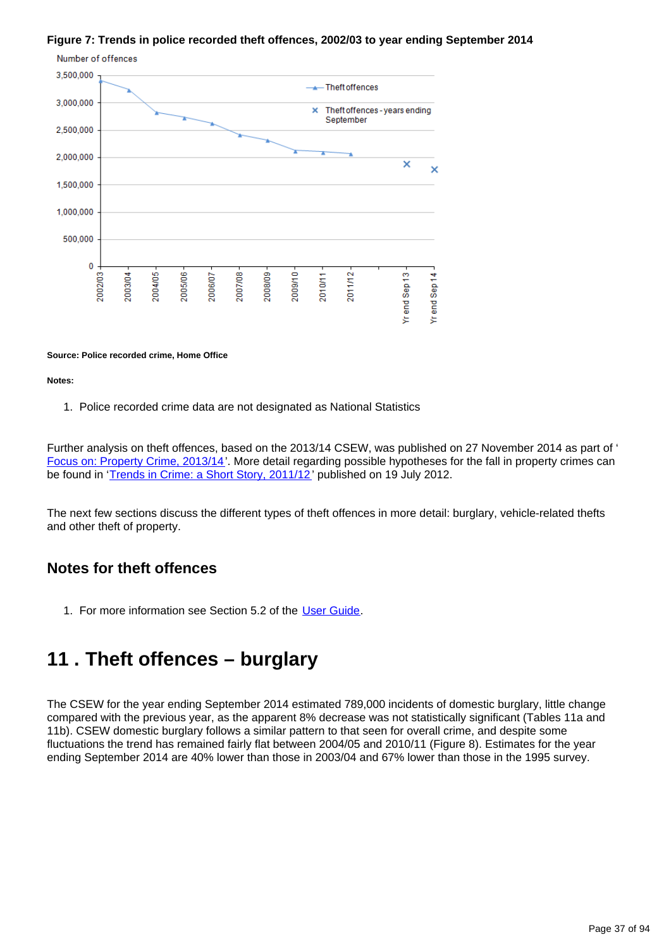### **Figure 7: Trends in police recorded theft offences, 2002/03 to year ending September 2014**



#### **Source: Police recorded crime, Home Office**

#### **Notes:**

1. Police recorded crime data are not designated as National Statistics

Further analysis on theft offences, based on the 2013/14 CSEW, was published on 27 November 2014 as part of ' [Focus on: Property Crime, 2013/14'](http://www.ons.gov.uk/ons/rel/crime-stats/crime-statistics/focus-on-property-crime--2013-14/index.html). More detail regarding possible hypotheses for the fall in property crimes can be found in '[Trends in Crime: a Short Story, 2011/12'](http://www.ons.gov.uk/ons/rel/crime-stats/crime-statistics/period-ending-march-2012/trends-in-crime--a-short-story.html) published on 19 July 2012.

The next few sections discuss the different types of theft offences in more detail: burglary, vehicle-related thefts and other theft of property.

## **Notes for theft offences**

1. For more information see Section 5.2 of the [User Guide.](http://www.ons.gov.uk/ons/guide-method/method-quality/specific/crime-statistics-methodology/index.html)

# **11 . Theft offences – burglary**

The CSEW for the year ending September 2014 estimated 789,000 incidents of domestic burglary, little change compared with the previous year, as the apparent 8% decrease was not statistically significant (Tables 11a and 11b). CSEW domestic burglary follows a similar pattern to that seen for overall crime, and despite some fluctuations the trend has remained fairly flat between 2004/05 and 2010/11 (Figure 8). Estimates for the year ending September 2014 are 40% lower than those in 2003/04 and 67% lower than those in the 1995 survey.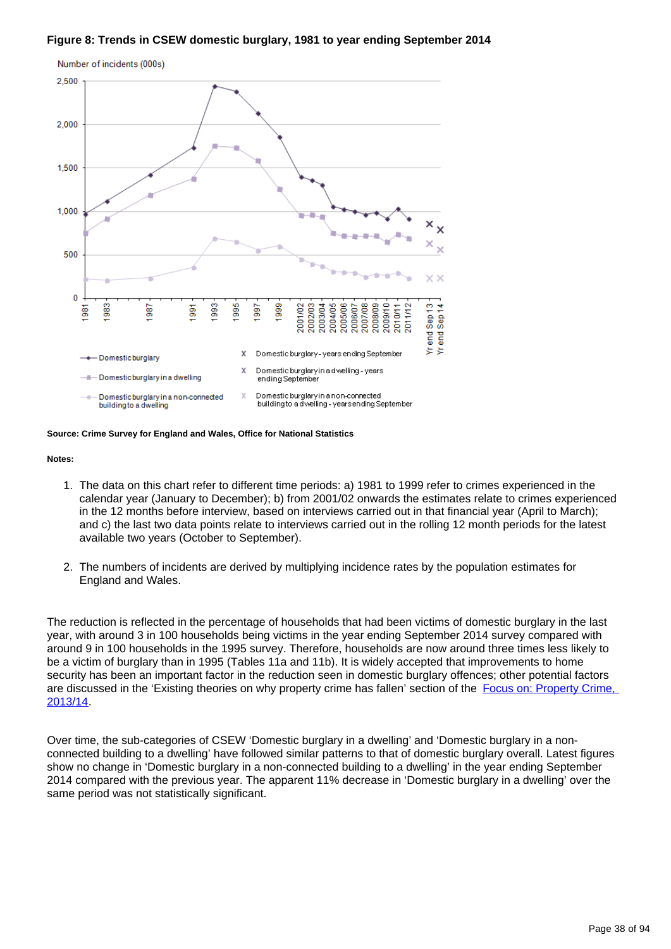### **Figure 8: Trends in CSEW domestic burglary, 1981 to year ending September 2014**



**Source: Crime Survey for England and Wales, Office for National Statistics**

#### **Notes:**

- 1. The data on this chart refer to different time periods: a) 1981 to 1999 refer to crimes experienced in the calendar year (January to December); b) from 2001/02 onwards the estimates relate to crimes experienced in the 12 months before interview, based on interviews carried out in that financial year (April to March); and c) the last two data points relate to interviews carried out in the rolling 12 month periods for the latest available two years (October to September).
- 2. The numbers of incidents are derived by multiplying incidence rates by the population estimates for England and Wales.

The reduction is reflected in the percentage of households that had been victims of domestic burglary in the last year, with around 3 in 100 households being victims in the year ending September 2014 survey compared with around 9 in 100 households in the 1995 survey. Therefore, households are now around three times less likely to be a victim of burglary than in 1995 (Tables 11a and 11b). It is widely accepted that improvements to home security has been an important factor in the reduction seen in domestic burglary offences; other potential factors are discussed in the 'Existing theories on why property crime has fallen' section of the Focus on: Property Crime. [2013/14](http://www.ons.gov.uk/ons/rel/crime-stats/crime-statistics/focus-on-property-crime--2013-14/index.html).

Over time, the sub-categories of CSEW 'Domestic burglary in a dwelling' and 'Domestic burglary in a nonconnected building to a dwelling' have followed similar patterns to that of domestic burglary overall. Latest figures show no change in 'Domestic burglary in a non-connected building to a dwelling' in the year ending September 2014 compared with the previous year. The apparent 11% decrease in 'Domestic burglary in a dwelling' over the same period was not statistically significant.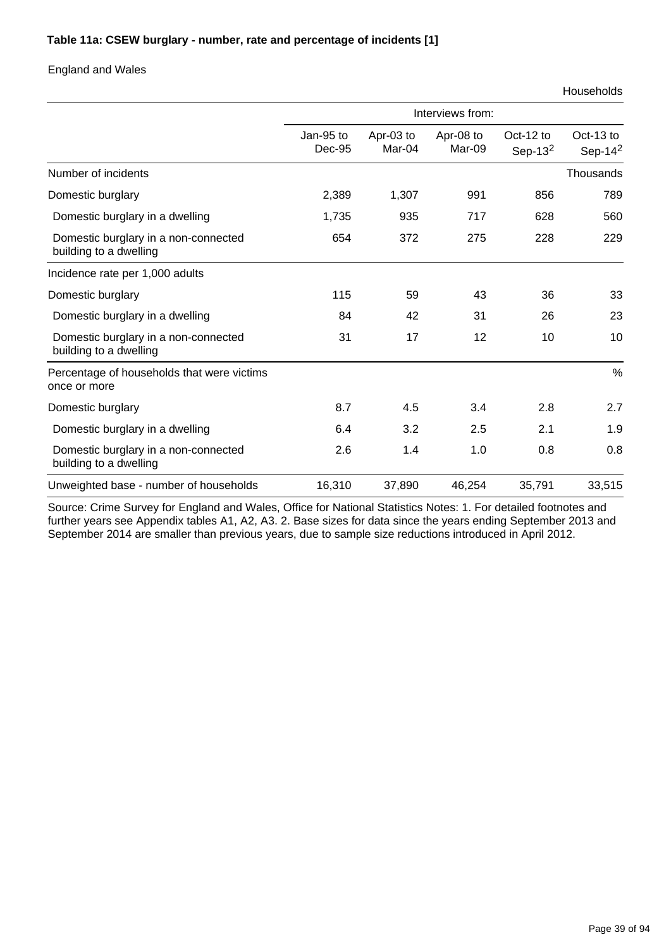### **Table 11a: CSEW burglary - number, rate and percentage of incidents [1]**

### England and Wales

|                                                                | Interviews from:    |                     |                     |                         |                         |  |
|----------------------------------------------------------------|---------------------|---------------------|---------------------|-------------------------|-------------------------|--|
|                                                                | Jan-95 to<br>Dec-95 | Apr-03 to<br>Mar-04 | Apr-08 to<br>Mar-09 | Oct-12 to<br>Sep-13 $2$ | Oct-13 to<br>Sep-14 $2$ |  |
| Number of incidents                                            |                     |                     |                     |                         | Thousands               |  |
| Domestic burglary                                              | 2,389               | 1,307               | 991                 | 856                     | 789                     |  |
| Domestic burglary in a dwelling                                | 1,735               | 935                 | 717                 | 628                     | 560                     |  |
| Domestic burglary in a non-connected<br>building to a dwelling | 654                 | 372                 | 275                 | 228                     | 229                     |  |
| Incidence rate per 1,000 adults                                |                     |                     |                     |                         |                         |  |
| Domestic burglary                                              | 115                 | 59                  | 43                  | 36                      | 33                      |  |
| Domestic burglary in a dwelling                                | 84                  | 42                  | 31                  | 26                      | 23                      |  |
| Domestic burglary in a non-connected<br>building to a dwelling | 31                  | 17                  | 12                  | 10                      | 10                      |  |
| Percentage of households that were victims<br>once or more     |                     |                     |                     |                         | $\%$                    |  |
| Domestic burglary                                              | 8.7                 | 4.5                 | 3.4                 | 2.8                     | 2.7                     |  |
| Domestic burglary in a dwelling                                | 6.4                 | 3.2                 | 2.5                 | 2.1                     | 1.9                     |  |
| Domestic burglary in a non-connected<br>building to a dwelling | 2.6                 | 1.4                 | 1.0                 | 0.8                     | 0.8                     |  |
| Unweighted base - number of households                         | 16,310              | 37,890              | 46,254              | 35,791                  | 33,515                  |  |

Source: Crime Survey for England and Wales, Office for National Statistics Notes: 1. For detailed footnotes and further years see Appendix tables A1, A2, A3. 2. Base sizes for data since the years ending September 2013 and September 2014 are smaller than previous years, due to sample size reductions introduced in April 2012.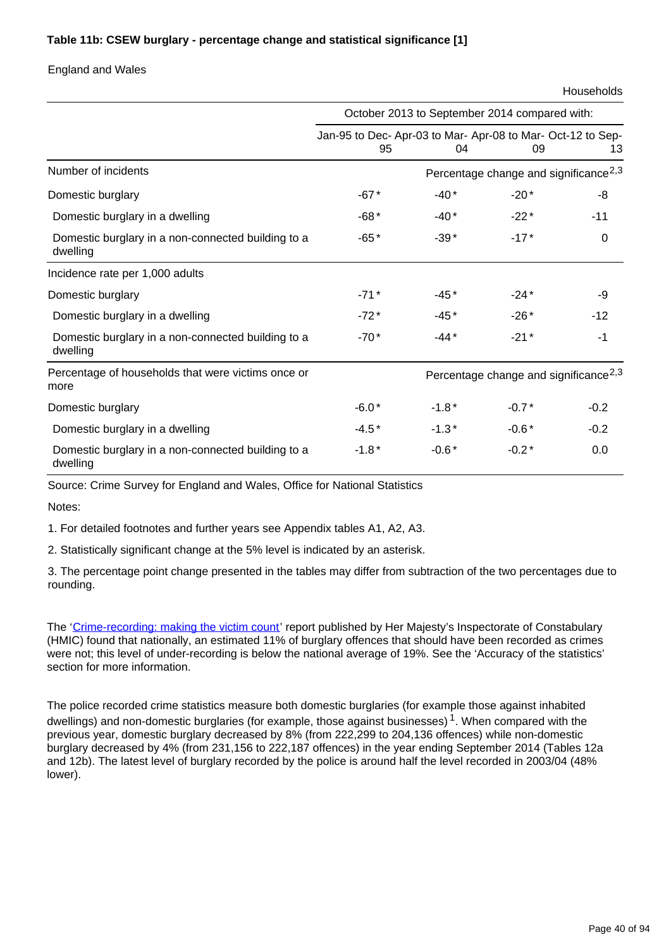## **Table 11b: CSEW burglary - percentage change and statistical significance [1]**

### England and Wales

Households

|                                                                | October 2013 to September 2014 compared with:                  |                                                   |                                                   |        |  |
|----------------------------------------------------------------|----------------------------------------------------------------|---------------------------------------------------|---------------------------------------------------|--------|--|
|                                                                | Jan-95 to Dec-Apr-03 to Mar-Apr-08 to Mar-Oct-12 to Sep-<br>95 | 04                                                | 09                                                | 13     |  |
| Number of incidents                                            |                                                                |                                                   | Percentage change and significance <sup>2,3</sup> |        |  |
| Domestic burglary                                              | $-67*$                                                         | $-40*$                                            | $-20*$                                            | -8     |  |
| Domestic burglary in a dwelling                                | $-68*$                                                         | $-40*$                                            | $-22*$                                            | $-11$  |  |
| Domestic burglary in a non-connected building to a<br>dwelling | $-65*$                                                         | $-39*$                                            | $-17*$                                            | 0      |  |
| Incidence rate per 1,000 adults                                |                                                                |                                                   |                                                   |        |  |
| Domestic burglary                                              | $-71*$                                                         | $-45*$                                            | $-24*$                                            | -9     |  |
| Domestic burglary in a dwelling                                | $-72*$                                                         | $-45*$                                            | $-26*$                                            | $-12$  |  |
| Domestic burglary in a non-connected building to a<br>dwelling | $-70*$                                                         | $-44*$                                            | $-21*$                                            | $-1$   |  |
| Percentage of households that were victims once or<br>more     |                                                                | Percentage change and significance <sup>2,3</sup> |                                                   |        |  |
| Domestic burglary                                              | $-6.0*$                                                        | $-1.8*$                                           | $-0.7*$                                           | $-0.2$ |  |
| Domestic burglary in a dwelling                                | $-4.5*$                                                        | $-1.3*$                                           | $-0.6*$                                           | $-0.2$ |  |
| Domestic burglary in a non-connected building to a<br>dwelling | $-1.8*$                                                        | $-0.6*$                                           | $-0.2*$                                           | 0.0    |  |

Source: Crime Survey for England and Wales, Office for National Statistics

Notes:

1. For detailed footnotes and further years see Appendix tables A1, A2, A3.

2. Statistically significant change at the 5% level is indicated by an asterisk.

3. The percentage point change presented in the tables may differ from subtraction of the two percentages due to rounding.

The '[Crime-recording: making the victim count](https://www.justiceinspectorates.gov.uk/hmic/publication/crime-recording-making-the-victim-count/)' report published by Her Majesty's Inspectorate of Constabulary (HMIC) found that nationally, an estimated 11% of burglary offences that should have been recorded as crimes were not; this level of under-recording is below the national average of 19%. See the 'Accuracy of the statistics' section for more information.

The police recorded crime statistics measure both domestic burglaries (for example those against inhabited dwellings) and non-domestic burglaries (for example, those against businesses)<sup>1</sup>. When compared with the previous year, domestic burglary decreased by 8% (from 222,299 to 204,136 offences) while non-domestic burglary decreased by 4% (from 231,156 to 222,187 offences) in the year ending September 2014 (Tables 12a and 12b). The latest level of burglary recorded by the police is around half the level recorded in 2003/04 (48% lower).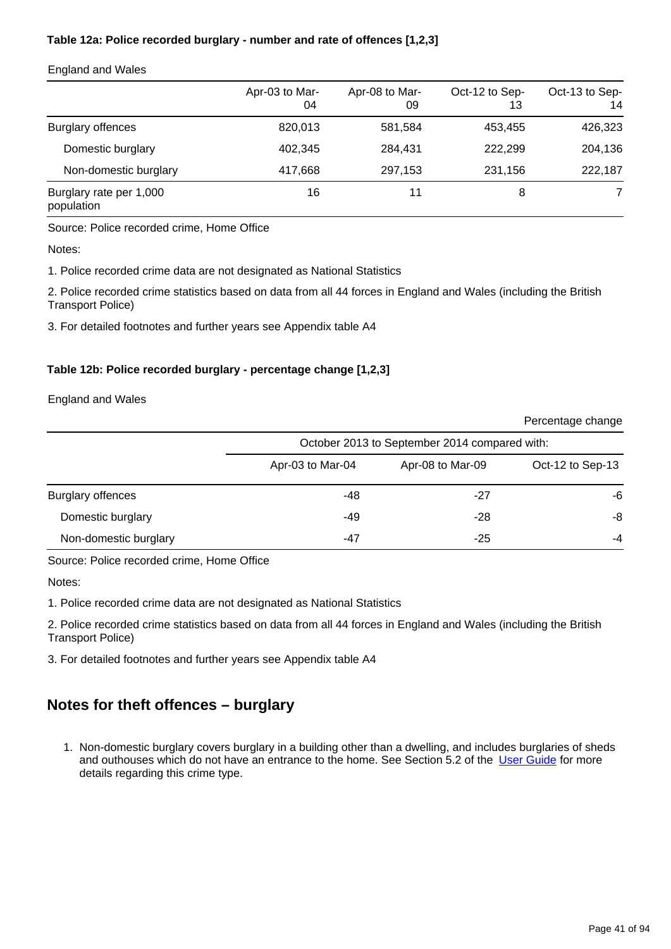## **Table 12a: Police recorded burglary - number and rate of offences [1,2,3]**

### England and Wales

|                                       | Apr-03 to Mar-<br>04 | Apr-08 to Mar-<br>09 | Oct-12 to Sep-<br>13 | Oct-13 to Sep-<br>14 |
|---------------------------------------|----------------------|----------------------|----------------------|----------------------|
| <b>Burglary offences</b>              | 820,013              | 581,584              | 453.455              | 426,323              |
| Domestic burglary                     | 402.345              | 284.431              | 222,299              | 204,136              |
| Non-domestic burglary                 | 417,668              | 297,153              | 231,156              | 222,187              |
| Burglary rate per 1,000<br>population | 16                   | 11                   | 8                    |                      |

### Source: Police recorded crime, Home Office

Notes:

1. Police recorded crime data are not designated as National Statistics

2. Police recorded crime statistics based on data from all 44 forces in England and Wales (including the British Transport Police)

3. For detailed footnotes and further years see Appendix table A4

## **Table 12b: Police recorded burglary - percentage change [1,2,3]**

England and Wales

|                          |                  |                                               | Percentage change |
|--------------------------|------------------|-----------------------------------------------|-------------------|
|                          |                  | October 2013 to September 2014 compared with: |                   |
|                          | Apr-03 to Mar-04 | Apr-08 to Mar-09                              | Oct-12 to Sep-13  |
| <b>Burglary offences</b> | -48              | -27                                           | -6                |
| Domestic burglary        | -49              | $-28$                                         | -8                |
| Non-domestic burglary    | -47              | $-25$                                         | -4                |

Source: Police recorded crime, Home Office

Notes:

1. Police recorded crime data are not designated as National Statistics

2. Police recorded crime statistics based on data from all 44 forces in England and Wales (including the British Transport Police)

3. For detailed footnotes and further years see Appendix table A4

# **Notes for theft offences – burglary**

1. Non-domestic burglary covers burglary in a building other than a dwelling, and includes burglaries of sheds and outhouses which do not have an entrance to the home. See Section 5.2 of the [User Guide](http://www.ons.gov.uk/ons/guide-method/method-quality/specific/crime-statistics-methodology/index.html) for more details regarding this crime type.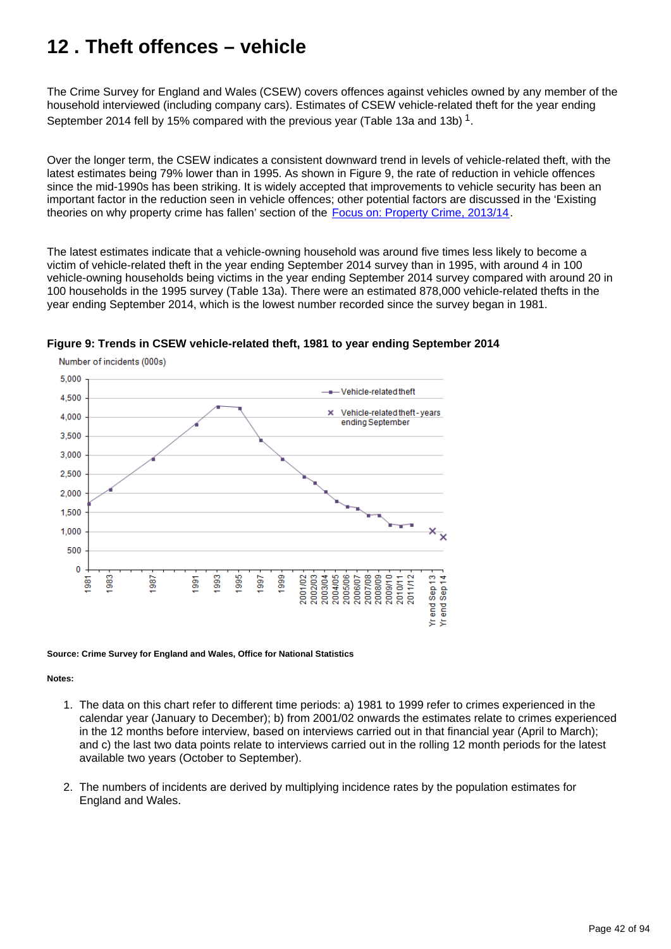# **12 . Theft offences – vehicle**

The Crime Survey for England and Wales (CSEW) covers offences against vehicles owned by any member of the household interviewed (including company cars). Estimates of CSEW vehicle-related theft for the year ending September 2014 fell by 15% compared with the previous year (Table 13a and 13b)  $^1$ .

Over the longer term, the CSEW indicates a consistent downward trend in levels of vehicle-related theft, with the latest estimates being 79% lower than in 1995. As shown in Figure 9, the rate of reduction in vehicle offences since the mid-1990s has been striking. It is widely accepted that improvements to vehicle security has been an important factor in the reduction seen in vehicle offences; other potential factors are discussed in the 'Existing theories on why property crime has fallen' section of the [Focus on: Property Crime, 2013/14.](http://www.ons.gov.uk/ons/rel/crime-stats/crime-statistics/focus-on-property-crime--2013-14/index.html)

The latest estimates indicate that a vehicle-owning household was around five times less likely to become a victim of vehicle-related theft in the year ending September 2014 survey than in 1995, with around 4 in 100 vehicle-owning households being victims in the year ending September 2014 survey compared with around 20 in 100 households in the 1995 survey (Table 13a). There were an estimated 878,000 vehicle-related thefts in the year ending September 2014, which is the lowest number recorded since the survey began in 1981.



**Figure 9: Trends in CSEW vehicle-related theft, 1981 to year ending September 2014**

#### **Source: Crime Survey for England and Wales, Office for National Statistics**

### **Notes:**

- 1. The data on this chart refer to different time periods: a) 1981 to 1999 refer to crimes experienced in the calendar year (January to December); b) from 2001/02 onwards the estimates relate to crimes experienced in the 12 months before interview, based on interviews carried out in that financial year (April to March); and c) the last two data points relate to interviews carried out in the rolling 12 month periods for the latest available two years (October to September).
- 2. The numbers of incidents are derived by multiplying incidence rates by the population estimates for England and Wales.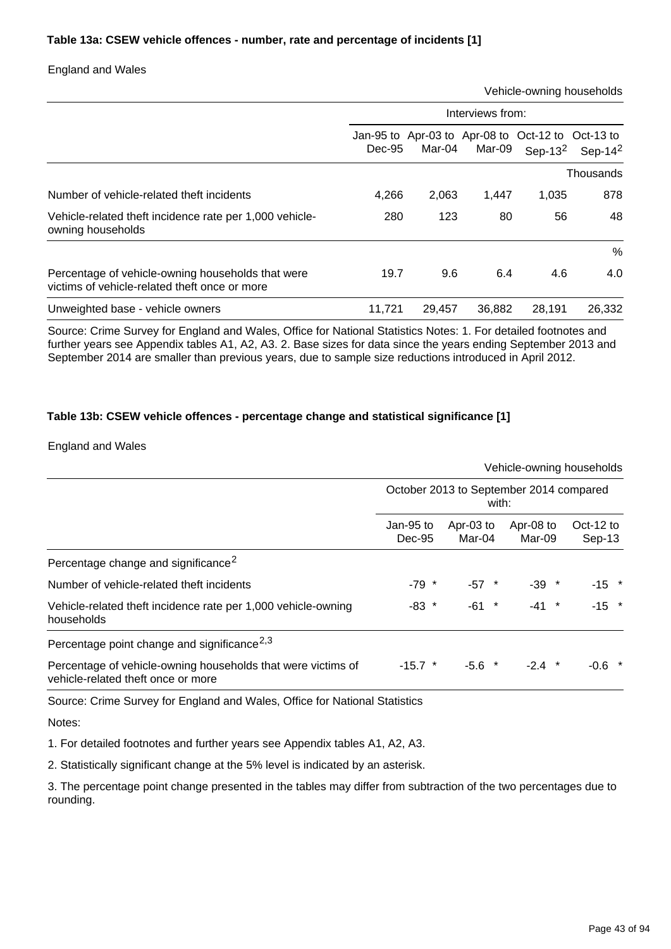### **Table 13a: CSEW vehicle offences - number, rate and percentage of incidents [1]**

## England and Wales

Vehicle-owning households

|                                                                                                    | Interviews from: |        |        |                                                                 |            |  |  |
|----------------------------------------------------------------------------------------------------|------------------|--------|--------|-----------------------------------------------------------------|------------|--|--|
|                                                                                                    | Dec-95           | Mar-04 | Mar-09 | Jan-95 to Apr-03 to Apr-08 to Oct-12 to Oct-13 to<br>Sep-13 $2$ | Sep-14 $2$ |  |  |
|                                                                                                    |                  |        |        |                                                                 | Thousands  |  |  |
| Number of vehicle-related theft incidents                                                          | 4.266            | 2,063  | 1,447  | 1,035                                                           | 878        |  |  |
| Vehicle-related theft incidence rate per 1,000 vehicle-<br>owning households                       | 280              | 123    | 80     | 56                                                              | 48         |  |  |
|                                                                                                    |                  |        |        |                                                                 | %          |  |  |
| Percentage of vehicle-owning households that were<br>victims of vehicle-related theft once or more | 19.7             | 9.6    | 6.4    | 4.6                                                             | 4.0        |  |  |
| Unweighted base - vehicle owners                                                                   | 11.721           | 29.457 | 36,882 | 28.191                                                          | 26,332     |  |  |

Source: Crime Survey for England and Wales, Office for National Statistics Notes: 1. For detailed footnotes and further years see Appendix tables A1, A2, A3. 2. Base sizes for data since the years ending September 2013 and September 2014 are smaller than previous years, due to sample size reductions introduced in April 2012.

### **Table 13b: CSEW vehicle offences - percentage change and statistical significance [1]**

### England and Wales

|                                                                                                    |                                                  |                     | Vehicle-owning households |                     |  |  |  |
|----------------------------------------------------------------------------------------------------|--------------------------------------------------|---------------------|---------------------------|---------------------|--|--|--|
|                                                                                                    | October 2013 to September 2014 compared<br>with: |                     |                           |                     |  |  |  |
|                                                                                                    | Jan-95 to<br>$Dec-95$                            | Apr-03 to<br>Mar-04 | Apr-08 to<br>Mar-09       | Oct-12 to<br>Sep-13 |  |  |  |
| Percentage change and significance <sup>2</sup>                                                    |                                                  |                     |                           |                     |  |  |  |
| Number of vehicle-related theft incidents                                                          | $-79$ *                                          | $-57$ *             | $-39$ *                   | $-15$ *             |  |  |  |
| Vehicle-related theft incidence rate per 1,000 vehicle-owning<br>households                        | $-83$ *                                          | $-61$ *             | $-41$ *                   | $-15$ *             |  |  |  |
| Percentage point change and significance <sup>2,3</sup>                                            |                                                  |                     |                           |                     |  |  |  |
| Percentage of vehicle-owning households that were victims of<br>vehicle-related theft once or more | $-15.7$ *                                        | $-5.6$ *            | $\ast$<br>-2.4            | $-0.6$ *            |  |  |  |

Source: Crime Survey for England and Wales, Office for National Statistics

Notes:

1. For detailed footnotes and further years see Appendix tables A1, A2, A3.

2. Statistically significant change at the 5% level is indicated by an asterisk.

3. The percentage point change presented in the tables may differ from subtraction of the two percentages due to rounding.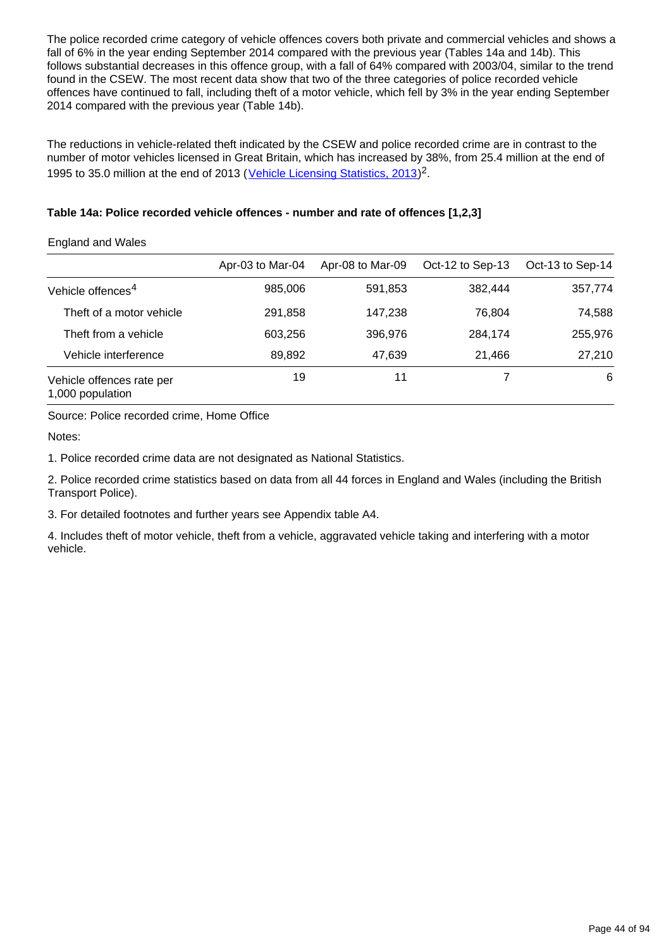The police recorded crime category of vehicle offences covers both private and commercial vehicles and shows a fall of 6% in the year ending September 2014 compared with the previous year (Tables 14a and 14b). This follows substantial decreases in this offence group, with a fall of 64% compared with 2003/04, similar to the trend found in the CSEW. The most recent data show that two of the three categories of police recorded vehicle offences have continued to fall, including theft of a motor vehicle, which fell by 3% in the year ending September 2014 compared with the previous year (Table 14b).

The reductions in vehicle-related theft indicated by the CSEW and police recorded crime are in contrast to the number of motor vehicles licensed in Great Britain, which has increased by 38%, from 25.4 million at the end of 1995 to 35.0 million at the end of 2013 ([Vehicle Licensing Statistics, 2013\)](https://www.gov.uk/government/publications/vehicle-licensing-statistics-2013)<sup>2</sup>.

### **Table 14a: Police recorded vehicle offences - number and rate of offences [1,2,3]**

### England and Wales

|                                               | Apr-03 to Mar-04 | Apr-08 to Mar-09 | Oct-12 to Sep-13 | Oct-13 to Sep-14 |
|-----------------------------------------------|------------------|------------------|------------------|------------------|
| Vehicle offences <sup>4</sup>                 | 985,006          | 591,853          | 382,444          | 357,774          |
| Theft of a motor vehicle                      | 291,858          | 147,238          | 76.804           | 74,588           |
| Theft from a vehicle                          | 603,256          | 396,976          | 284,174          | 255,976          |
| Vehicle interference                          | 89,892           | 47,639           | 21,466           | 27,210           |
| Vehicle offences rate per<br>1,000 population | 19               | 11               |                  | 6                |

Source: Police recorded crime, Home Office

Notes:

1. Police recorded crime data are not designated as National Statistics.

2. Police recorded crime statistics based on data from all 44 forces in England and Wales (including the British Transport Police).

3. For detailed footnotes and further years see Appendix table A4.

4. Includes theft of motor vehicle, theft from a vehicle, aggravated vehicle taking and interfering with a motor vehicle.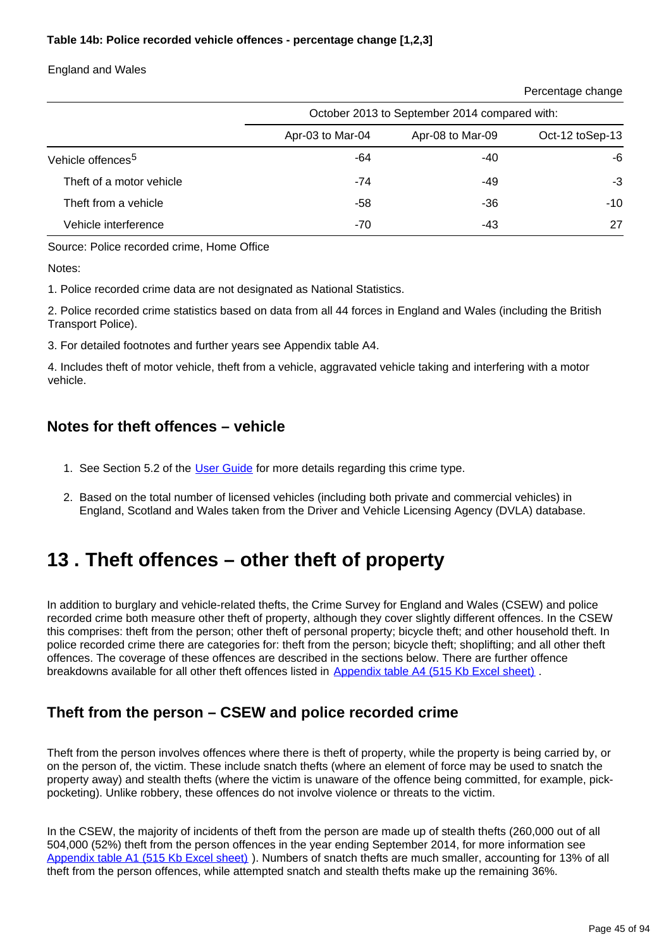### **Table 14b: Police recorded vehicle offences - percentage change [1,2,3]**

England and Wales

Percentage change

|                               | October 2013 to September 2014 compared with: |                  |                 |  |  |
|-------------------------------|-----------------------------------------------|------------------|-----------------|--|--|
|                               | Apr-03 to Mar-04                              | Apr-08 to Mar-09 | Oct-12 toSep-13 |  |  |
| Vehicle offences <sup>5</sup> | -64                                           | -40              | -6              |  |  |
| Theft of a motor vehicle      | $-74$                                         | -49              | -3              |  |  |
| Theft from a vehicle          | -58                                           | -36              | $-10$           |  |  |
| Vehicle interference          | $-70$                                         | -43              | 27              |  |  |

Source: Police recorded crime, Home Office

Notes:

1. Police recorded crime data are not designated as National Statistics.

2. Police recorded crime statistics based on data from all 44 forces in England and Wales (including the British Transport Police).

3. For detailed footnotes and further years see Appendix table A4.

4. Includes theft of motor vehicle, theft from a vehicle, aggravated vehicle taking and interfering with a motor vehicle.

## **Notes for theft offences – vehicle**

- 1. See Section 5.2 of the [User Guide](http://www.ons.gov.uk/ons/guide-method/method-quality/specific/crime-statistics-methodology/index.html) for more details regarding this crime type.
- 2. Based on the total number of licensed vehicles (including both private and commercial vehicles) in England, Scotland and Wales taken from the Driver and Vehicle Licensing Agency (DVLA) database.

# **13 . Theft offences – other theft of property**

In addition to burglary and vehicle-related thefts, the Crime Survey for England and Wales (CSEW) and police recorded crime both measure other theft of property, although they cover slightly different offences. In the CSEW this comprises: theft from the person; other theft of personal property; bicycle theft; and other household theft. In police recorded crime there are categories for: theft from the person; bicycle theft; shoplifting; and all other theft offences. The coverage of these offences are described in the sections below. There are further offence breakdowns available for all other theft offences listed in [Appendix table A4 \(515 Kb Excel sheet\)](http://www.ons.gov.uk/ons/rel/crime-stats/crime-statistics/year-ending-september-2014/rft-02.xls).

## **Theft from the person – CSEW and police recorded crime**

Theft from the person involves offences where there is theft of property, while the property is being carried by, or on the person of, the victim. These include snatch thefts (where an element of force may be used to snatch the property away) and stealth thefts (where the victim is unaware of the offence being committed, for example, pickpocketing). Unlike robbery, these offences do not involve violence or threats to the victim.

In the CSEW, the majority of incidents of theft from the person are made up of stealth thefts (260,000 out of all 504,000 (52%) theft from the person offences in the year ending September 2014, for more information see [Appendix table A1 \(515 Kb Excel sheet\)](http://www.ons.gov.uk/ons/rel/crime-stats/crime-statistics/year-ending-september-2014/rft-02.xls) ). Numbers of snatch thefts are much smaller, accounting for 13% of all theft from the person offences, while attempted snatch and stealth thefts make up the remaining 36%.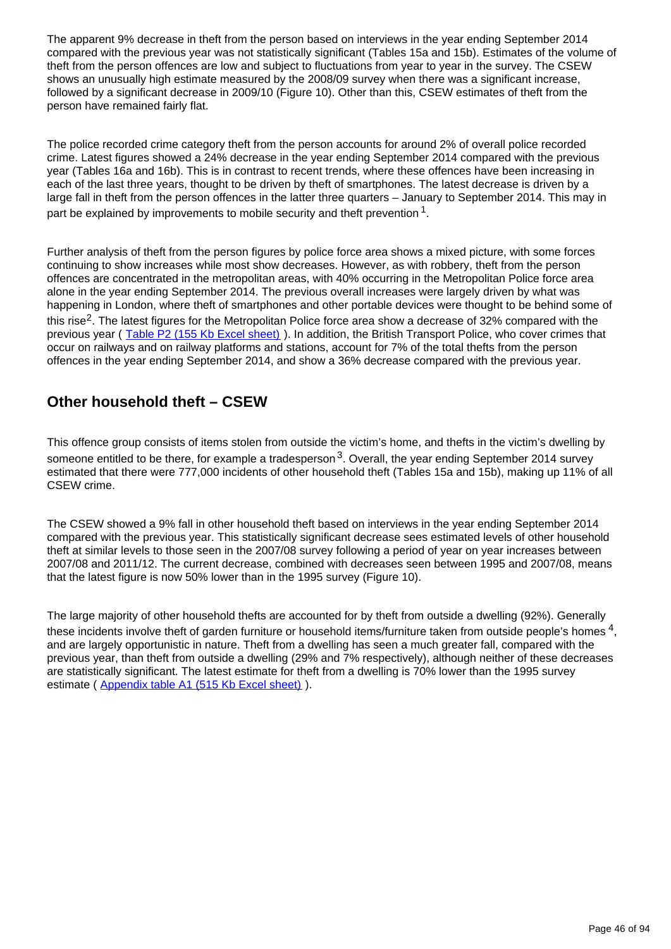The apparent 9% decrease in theft from the person based on interviews in the year ending September 2014 compared with the previous year was not statistically significant (Tables 15a and 15b). Estimates of the volume of theft from the person offences are low and subject to fluctuations from year to year in the survey. The CSEW shows an unusually high estimate measured by the 2008/09 survey when there was a significant increase, followed by a significant decrease in 2009/10 (Figure 10). Other than this, CSEW estimates of theft from the person have remained fairly flat.

The police recorded crime category theft from the person accounts for around 2% of overall police recorded crime. Latest figures showed a 24% decrease in the year ending September 2014 compared with the previous year (Tables 16a and 16b). This is in contrast to recent trends, where these offences have been increasing in each of the last three years, thought to be driven by theft of smartphones. The latest decrease is driven by a large fall in theft from the person offences in the latter three quarters – January to September 2014. This may in part be explained by improvements to mobile security and theft prevention  $^1$ .

Further analysis of theft from the person figures by police force area shows a mixed picture, with some forces continuing to show increases while most show decreases. However, as with robbery, theft from the person offences are concentrated in the metropolitan areas, with 40% occurring in the Metropolitan Police force area alone in the year ending September 2014. The previous overall increases were largely driven by what was happening in London, where theft of smartphones and other portable devices were thought to be behind some of this rise<sup>2</sup>. The latest figures for the Metropolitan Police force area show a decrease of 32% compared with the previous year ( [Table P2 \(155 Kb Excel sheet\)](http://www.ons.gov.uk/ons/rel/crime-stats/crime-statistics/year-ending-september-2014/rft-04.xls) ). In addition, the British Transport Police, who cover crimes that occur on railways and on railway platforms and stations, account for 7% of the total thefts from the person offences in the year ending September 2014, and show a 36% decrease compared with the previous year.

## **Other household theft – CSEW**

This offence group consists of items stolen from outside the victim's home, and thefts in the victim's dwelling by someone entitled to be there, for example a tradesperson  $3$ . Overall, the year ending September 2014 survey estimated that there were 777,000 incidents of other household theft (Tables 15a and 15b), making up 11% of all CSEW crime.

The CSEW showed a 9% fall in other household theft based on interviews in the year ending September 2014 compared with the previous year. This statistically significant decrease sees estimated levels of other household theft at similar levels to those seen in the 2007/08 survey following a period of year on year increases between 2007/08 and 2011/12. The current decrease, combined with decreases seen between 1995 and 2007/08, means that the latest figure is now 50% lower than in the 1995 survey (Figure 10).

The large majority of other household thefts are accounted for by theft from outside a dwelling (92%). Generally these incidents involve theft of garden furniture or household items/furniture taken from outside people's homes  $^4$ , and are largely opportunistic in nature. Theft from a dwelling has seen a much greater fall, compared with the previous year, than theft from outside a dwelling (29% and 7% respectively), although neither of these decreases are statistically significant. The latest estimate for theft from a dwelling is 70% lower than the 1995 survey estimate ([Appendix table A1 \(515 Kb Excel sheet\)](http://www.ons.gov.uk/ons/rel/crime-stats/crime-statistics/year-ending-september-2014/rft-02.xls)).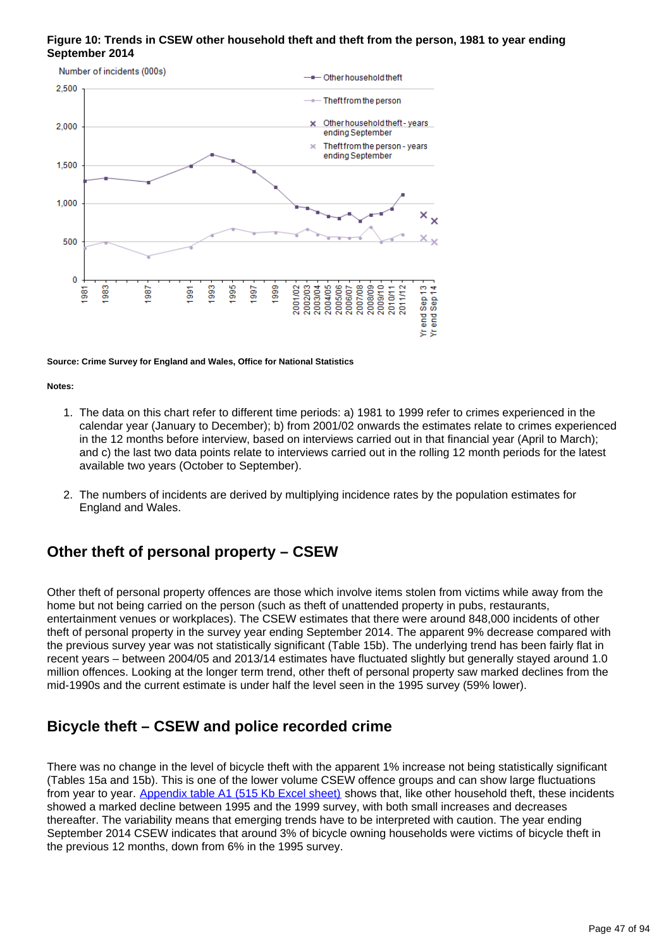### **Figure 10: Trends in CSEW other household theft and theft from the person, 1981 to year ending September 2014**



**Source: Crime Survey for England and Wales, Office for National Statistics**

**Notes:**

- 1. The data on this chart refer to different time periods: a) 1981 to 1999 refer to crimes experienced in the calendar year (January to December); b) from 2001/02 onwards the estimates relate to crimes experienced in the 12 months before interview, based on interviews carried out in that financial year (April to March); and c) the last two data points relate to interviews carried out in the rolling 12 month periods for the latest available two years (October to September).
- 2. The numbers of incidents are derived by multiplying incidence rates by the population estimates for England and Wales.

## **Other theft of personal property – CSEW**

Other theft of personal property offences are those which involve items stolen from victims while away from the home but not being carried on the person (such as theft of unattended property in pubs, restaurants, entertainment venues or workplaces). The CSEW estimates that there were around 848,000 incidents of other theft of personal property in the survey year ending September 2014. The apparent 9% decrease compared with the previous survey year was not statistically significant (Table 15b). The underlying trend has been fairly flat in recent years – between 2004/05 and 2013/14 estimates have fluctuated slightly but generally stayed around 1.0 million offences. Looking at the longer term trend, other theft of personal property saw marked declines from the mid-1990s and the current estimate is under half the level seen in the 1995 survey (59% lower).

## **Bicycle theft – CSEW and police recorded crime**

There was no change in the level of bicycle theft with the apparent 1% increase not being statistically significant (Tables 15a and 15b). This is one of the lower volume CSEW offence groups and can show large fluctuations from year to year. [Appendix table A1 \(515 Kb Excel sheet\)](http://www.ons.gov.uk/ons/rel/crime-stats/crime-statistics/year-ending-september-2014/rft-02.xls) shows that, like other household theft, these incidents showed a marked decline between 1995 and the 1999 survey, with both small increases and decreases thereafter. The variability means that emerging trends have to be interpreted with caution. The year ending September 2014 CSEW indicates that around 3% of bicycle owning households were victims of bicycle theft in the previous 12 months, down from 6% in the 1995 survey.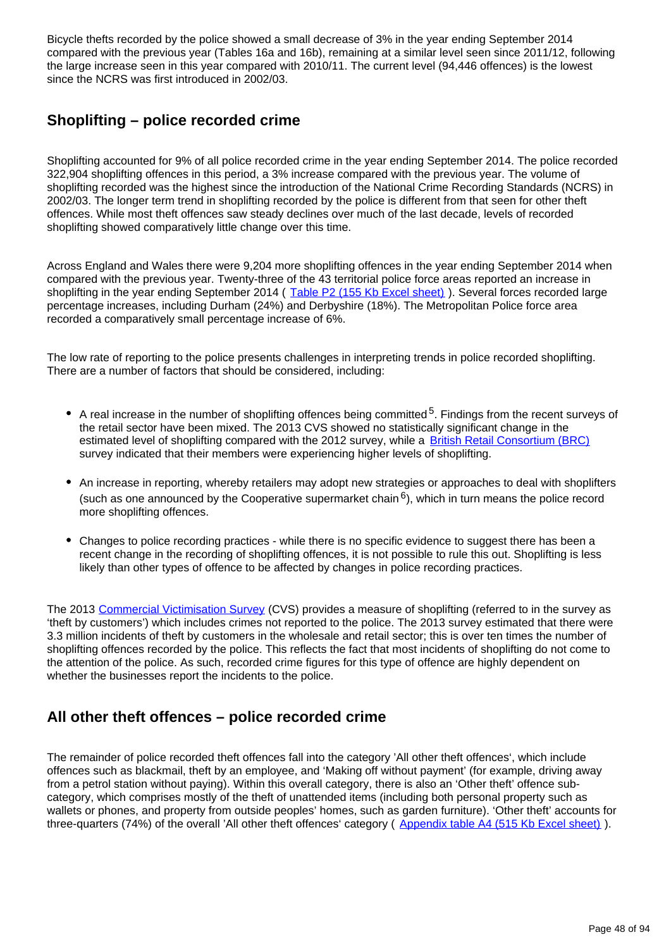Bicycle thefts recorded by the police showed a small decrease of 3% in the year ending September 2014 compared with the previous year (Tables 16a and 16b), remaining at a similar level seen since 2011/12, following the large increase seen in this year compared with 2010/11. The current level (94,446 offences) is the lowest since the NCRS was first introduced in 2002/03.

## **Shoplifting – police recorded crime**

Shoplifting accounted for 9% of all police recorded crime in the year ending September 2014. The police recorded 322,904 shoplifting offences in this period, a 3% increase compared with the previous year. The volume of shoplifting recorded was the highest since the introduction of the National Crime Recording Standards (NCRS) in 2002/03. The longer term trend in shoplifting recorded by the police is different from that seen for other theft offences. While most theft offences saw steady declines over much of the last decade, levels of recorded shoplifting showed comparatively little change over this time.

Across England and Wales there were 9,204 more shoplifting offences in the year ending September 2014 when compared with the previous year. Twenty-three of the 43 territorial police force areas reported an increase in shoplifting in the year ending September 2014 ([Table P2 \(155 Kb Excel sheet\)](http://www.ons.gov.uk/ons/rel/crime-stats/crime-statistics/year-ending-september-2014/rft-04.xls)). Several forces recorded large percentage increases, including Durham (24%) and Derbyshire (18%). The Metropolitan Police force area recorded a comparatively small percentage increase of 6%.

The low rate of reporting to the police presents challenges in interpreting trends in police recorded shoplifting. There are a number of factors that should be considered, including:

- A real increase in the number of shoplifting offences being committed  $5$ . Findings from the recent surveys of the retail sector have been mixed. The 2013 CVS showed no statistically significant change in the estimated level of shoplifting compared with the 2012 survey, while a [British Retail Consortium \(BRC\)](http://www.brc.org.uk/brc_policy_content.asp?id=263&iCat=48&iSubCat=646&sPolicy=Retail%20Crime&sSubPolicy=BRC%20Retail%20Crime%20Survey) survey indicated that their members were experiencing higher levels of shoplifting.
- An increase in reporting, whereby retailers may adopt new strategies or approaches to deal with shoplifters (such as one announced by the Cooperative supermarket chain  $6$ ), which in turn means the police record more shoplifting offences.
- Changes to police recording practices while there is no specific evidence to suggest there has been a recent change in the recording of shoplifting offences, it is not possible to rule this out. Shoplifting is less likely than other types of offence to be affected by changes in police recording practices.

The 2013 [Commercial Victimisation Survey](https://www.gov.uk/government/publications/crime-against-businesses-detailed-findings-from-the-2013-commercial-victimisation-survey) (CVS) provides a measure of shoplifting (referred to in the survey as 'theft by customers') which includes crimes not reported to the police. The 2013 survey estimated that there were 3.3 million incidents of theft by customers in the wholesale and retail sector; this is over ten times the number of shoplifting offences recorded by the police. This reflects the fact that most incidents of shoplifting do not come to the attention of the police. As such, recorded crime figures for this type of offence are highly dependent on whether the businesses report the incidents to the police.

## **All other theft offences – police recorded crime**

The remainder of police recorded theft offences fall into the category 'All other theft offences', which include offences such as blackmail, theft by an employee, and 'Making off without payment' (for example, driving away from a petrol station without paying). Within this overall category, there is also an 'Other theft' offence subcategory, which comprises mostly of the theft of unattended items (including both personal property such as wallets or phones, and property from outside peoples' homes, such as garden furniture). 'Other theft' accounts for three-quarters (74%) of the overall 'All other theft offences' category ([Appendix table A4 \(515 Kb Excel sheet\)](http://www.ons.gov.uk/ons/rel/crime-stats/crime-statistics/year-ending-september-2014/rft-02.xls) ).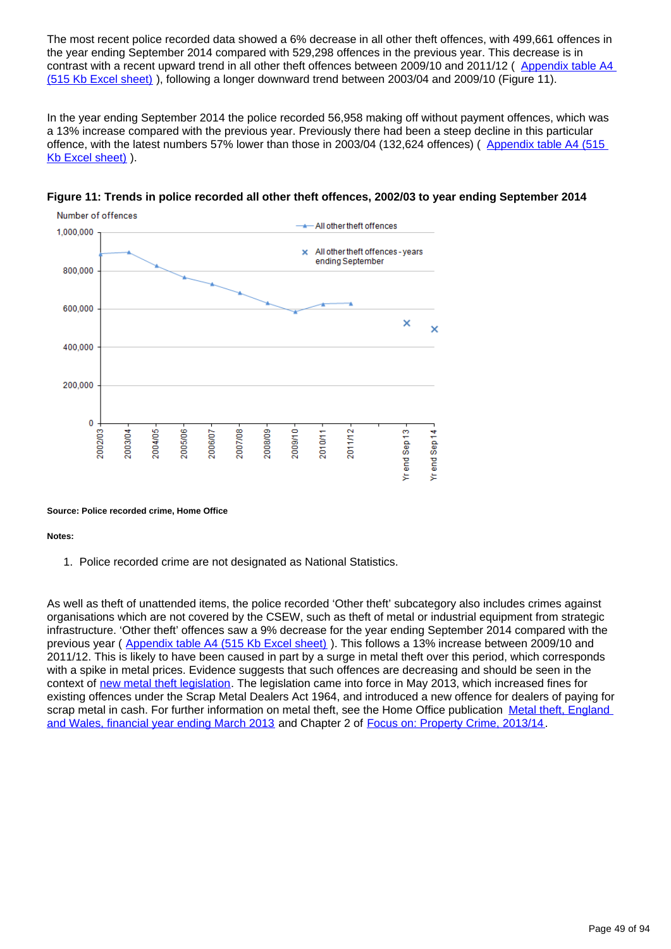The most recent police recorded data showed a 6% decrease in all other theft offences, with 499,661 offences in the year ending September 2014 compared with 529,298 offences in the previous year. This decrease is in contrast with a recent upward trend in all other theft offences between 2009/10 and 2011/12 ( [Appendix table A4](http://www.ons.gov.uk/ons/rel/crime-stats/crime-statistics/year-ending-september-2014/rft-02.xls)  [\(515 Kb Excel sheet\)](http://www.ons.gov.uk/ons/rel/crime-stats/crime-statistics/year-ending-september-2014/rft-02.xls) ), following a longer downward trend between 2003/04 and 2009/10 (Figure 11).

In the year ending September 2014 the police recorded 56,958 making off without payment offences, which was a 13% increase compared with the previous year. Previously there had been a steep decline in this particular offence, with the latest numbers 57% lower than those in 2003/04 (132,624 offences) (Appendix table A4 (515 [Kb Excel sheet\)](http://www.ons.gov.uk/ons/rel/crime-stats/crime-statistics/year-ending-september-2014/rft-02.xls) ).





### **Source: Police recorded crime, Home Office**

### **Notes:**

1. Police recorded crime are not designated as National Statistics.

As well as theft of unattended items, the police recorded 'Other theft' subcategory also includes crimes against organisations which are not covered by the CSEW, such as theft of metal or industrial equipment from strategic infrastructure. 'Other theft' offences saw a 9% decrease for the year ending September 2014 compared with the previous year ( [Appendix table A4 \(515 Kb Excel sheet\)](http://www.ons.gov.uk/ons/rel/crime-stats/crime-statistics/year-ending-september-2014/rft-02.xls) ). This follows a 13% increase between 2009/10 and 2011/12. This is likely to have been caused in part by a surge in metal theft over this period, which corresponds with a spike in metal prices. Evidence suggests that such offences are decreasing and should be seen in the context of [new metal theft legislation.](https://www.gov.uk/government/publications/guidance-on-the-offence-of-buying-scrap-metal-for-cash) The legislation came into force in May 2013, which increased fines for existing offences under the Scrap Metal Dealers Act 1964, and introduced a new offence for dealers of paying for scrap metal in cash. For further information on metal theft, see the Home Office publication [Metal theft, England](https://www.gov.uk/government/publications/metal-theft-england-and-wales-financial-year-ending-march-2013)  [and Wales, financial year ending March 2013](https://www.gov.uk/government/publications/metal-theft-england-and-wales-financial-year-ending-march-2013) and Chapter 2 of [Focus on: Property Crime, 2013/14.](http://www.ons.gov.uk/ons/rel/crime-stats/crime-statistics/focus-on-property-crime--2013-14/index.html)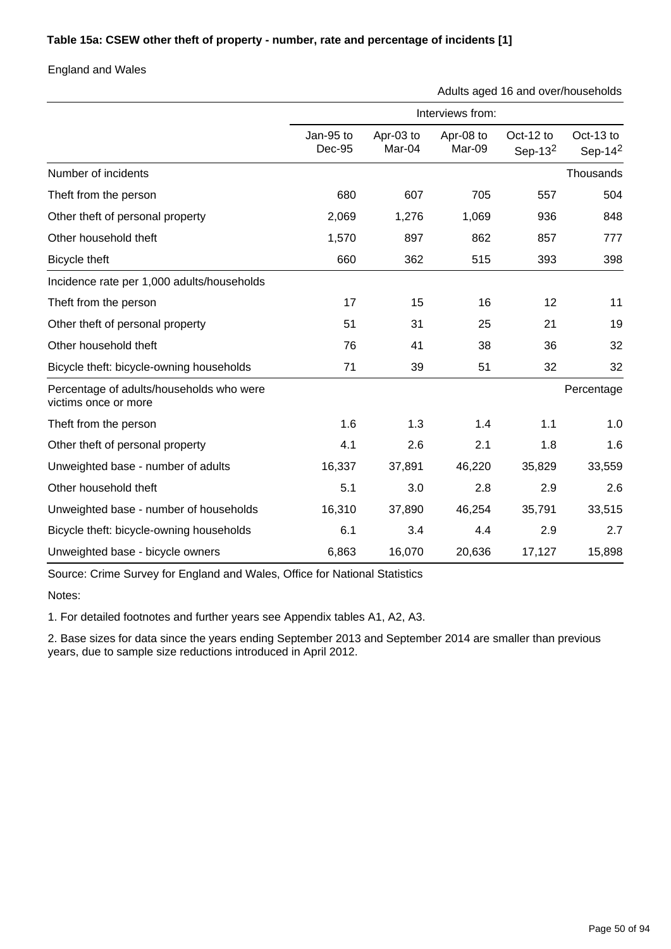## **Table 15a: CSEW other theft of property - number, rate and percentage of incidents [1]**

England and Wales

Adults aged 16 and over/households

|                                                                  | Interviews from:    |                     |                     |                         |                         |  |
|------------------------------------------------------------------|---------------------|---------------------|---------------------|-------------------------|-------------------------|--|
|                                                                  | Jan-95 to<br>Dec-95 | Apr-03 to<br>Mar-04 | Apr-08 to<br>Mar-09 | Oct-12 to<br>Sep- $132$ | Oct-13 to<br>Sep-14 $2$ |  |
| Number of incidents                                              |                     |                     |                     |                         | Thousands               |  |
| Theft from the person                                            | 680                 | 607                 | 705                 | 557                     | 504                     |  |
| Other theft of personal property                                 | 2,069               | 1,276               | 1,069               | 936                     | 848                     |  |
| Other household theft                                            | 1,570               | 897                 | 862                 | 857                     | 777                     |  |
| Bicycle theft                                                    | 660                 | 362                 | 515                 | 393                     | 398                     |  |
| Incidence rate per 1,000 adults/households                       |                     |                     |                     |                         |                         |  |
| Theft from the person                                            | 17                  | 15                  | 16                  | 12                      | 11                      |  |
| Other theft of personal property                                 | 51                  | 31                  | 25                  | 21                      | 19                      |  |
| Other household theft                                            | 76                  | 41                  | 38                  | 36                      | 32                      |  |
| Bicycle theft: bicycle-owning households                         | 71                  | 39                  | 51                  | 32                      | 32                      |  |
| Percentage of adults/households who were<br>victims once or more |                     |                     |                     |                         | Percentage              |  |
| Theft from the person                                            | 1.6                 | 1.3                 | 1.4                 | 1.1                     | 1.0                     |  |
| Other theft of personal property                                 | 4.1                 | 2.6                 | 2.1                 | 1.8                     | 1.6                     |  |
| Unweighted base - number of adults                               | 16,337              | 37,891              | 46,220              | 35,829                  | 33,559                  |  |
| Other household theft                                            | 5.1                 | 3.0                 | 2.8                 | 2.9                     | 2.6                     |  |
| Unweighted base - number of households                           | 16,310              | 37,890              | 46,254              | 35,791                  | 33,515                  |  |
| Bicycle theft: bicycle-owning households                         | 6.1                 | 3.4                 | 4.4                 | 2.9                     | 2.7                     |  |
| Unweighted base - bicycle owners                                 | 6,863               | 16,070              | 20,636              | 17,127                  | 15,898                  |  |

Source: Crime Survey for England and Wales, Office for National Statistics

Notes:

1. For detailed footnotes and further years see Appendix tables A1, A2, A3.

2. Base sizes for data since the years ending September 2013 and September 2014 are smaller than previous years, due to sample size reductions introduced in April 2012.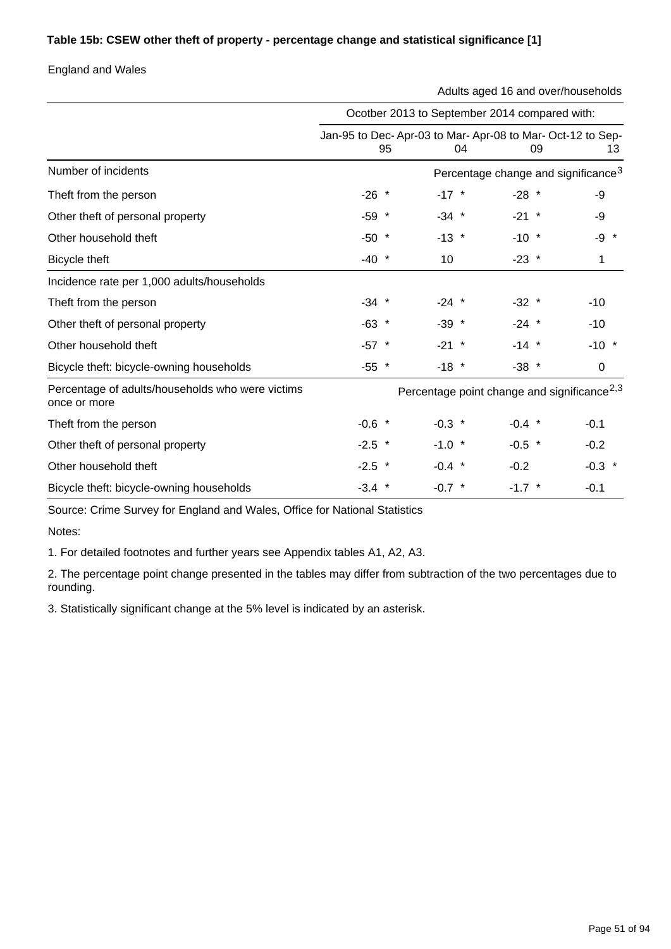### **Table 15b: CSEW other theft of property - percentage change and statistical significance [1]**

England and Wales

Adults aged 16 and over/households

|                                                                  | Ocotber 2013 to September 2014 compared with: |    |          |          |                                                                      |
|------------------------------------------------------------------|-----------------------------------------------|----|----------|----------|----------------------------------------------------------------------|
|                                                                  |                                               | 95 | 04       |          | Jan-95 to Dec-Apr-03 to Mar-Apr-08 to Mar-Oct-12 to Sep-<br>09<br>13 |
| Number of incidents                                              |                                               |    |          |          | Percentage change and significance <sup>3</sup>                      |
| Theft from the person                                            | $-26$ *                                       |    | $-17$ *  | $-28$ *  | -9                                                                   |
| Other theft of personal property                                 | $-59$ *                                       |    | $-34$ *  | $-21$ *  | -9                                                                   |
| Other household theft                                            | $-50$ *                                       |    | $-13$ *  | $-10$ *  | -9 *                                                                 |
| Bicycle theft                                                    | $-40$ *                                       |    | 10       | $-23$ *  | 1                                                                    |
| Incidence rate per 1,000 adults/households                       |                                               |    |          |          |                                                                      |
| Theft from the person                                            | $-34$ *                                       |    | $-24$ *  | $-32$ *  | $-10$                                                                |
| Other theft of personal property                                 | $-63$ *                                       |    | $-39$ *  | $-24$ *  | $-10$                                                                |
| Other household theft                                            | $-57$ *                                       |    | $-21$ *  | $-14$ *  | $-10$ *                                                              |
| Bicycle theft: bicycle-owning households                         | $-55$ *                                       |    | $-18$ *  | $-38$ *  | 0                                                                    |
| Percentage of adults/households who were victims<br>once or more |                                               |    |          |          | Percentage point change and significance <sup>2,3</sup>              |
| Theft from the person                                            | $-0.6$ *                                      |    | $-0.3$ * | $-0.4$ * | $-0.1$                                                               |
| Other theft of personal property                                 | $-2.5$ *                                      |    | $-1.0$ * | $-0.5$ * | $-0.2$                                                               |
| Other household theft                                            | $-2.5$ *                                      |    | $-0.4$ * | $-0.2$   | $-0.3$ *                                                             |
| Bicycle theft: bicycle-owning households                         | $-3.4$ *                                      |    | $-0.7$ * | $-1.7$ * | $-0.1$                                                               |

Source: Crime Survey for England and Wales, Office for National Statistics

Notes:

1. For detailed footnotes and further years see Appendix tables A1, A2, A3.

2. The percentage point change presented in the tables may differ from subtraction of the two percentages due to rounding.

3. Statistically significant change at the 5% level is indicated by an asterisk.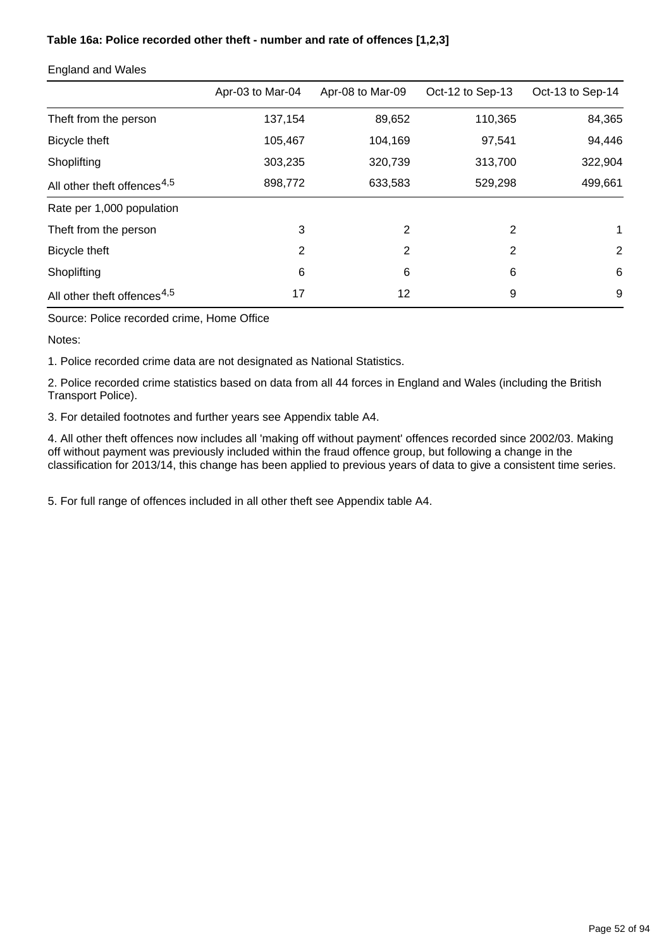### **Table 16a: Police recorded other theft - number and rate of offences [1,2,3]**

|                                         | Apr-03 to Mar-04 | Apr-08 to Mar-09 | Oct-12 to Sep-13 | Oct-13 to Sep-14 |
|-----------------------------------------|------------------|------------------|------------------|------------------|
| Theft from the person                   | 137,154          | 89,652           | 110,365          | 84,365           |
| Bicycle theft                           | 105,467          | 104,169          | 97,541           | 94,446           |
| Shoplifting                             | 303,235          | 320,739          | 313,700          | 322,904          |
| All other theft offences <sup>4,5</sup> | 898,772          | 633,583          | 529,298          | 499,661          |
| Rate per 1,000 population               |                  |                  |                  |                  |
| Theft from the person                   | 3                | 2                | 2                | 1                |
| Bicycle theft                           | 2                | 2                | $\overline{2}$   | 2                |
| Shoplifting                             | 6                | 6                | 6                | 6                |
| All other theft offences <sup>4,5</sup> | 17               | 12               | 9                | 9                |

### England and Wales

Source: Police recorded crime, Home Office

Notes:

1. Police recorded crime data are not designated as National Statistics.

2. Police recorded crime statistics based on data from all 44 forces in England and Wales (including the British Transport Police).

3. For detailed footnotes and further years see Appendix table A4.

4. All other theft offences now includes all 'making off without payment' offences recorded since 2002/03. Making off without payment was previously included within the fraud offence group, but following a change in the classification for 2013/14, this change has been applied to previous years of data to give a consistent time series.

5. For full range of offences included in all other theft see Appendix table A4.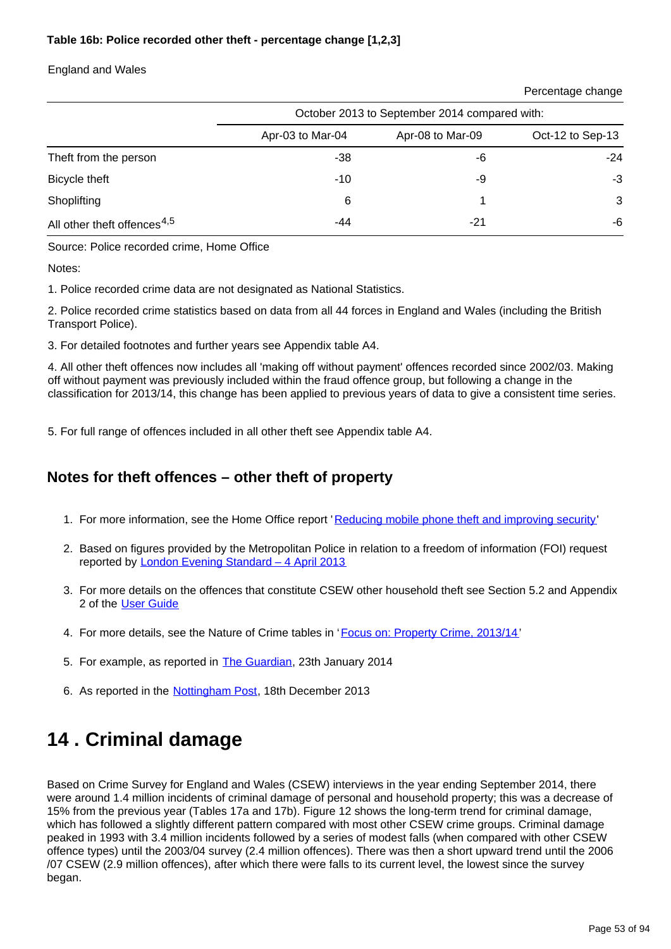## **Table 16b: Police recorded other theft - percentage change [1,2,3]**

### England and Wales

|                                         | October 2013 to September 2014 compared with: |                  |                  |  |
|-----------------------------------------|-----------------------------------------------|------------------|------------------|--|
|                                         | Apr-03 to Mar-04                              | Apr-08 to Mar-09 | Oct-12 to Sep-13 |  |
| Theft from the person                   | -38                                           | -6               | $-24$            |  |
| Bicycle theft                           | -10                                           | -9               | $-3$             |  |
| Shoplifting                             | 6                                             |                  | 3                |  |
| All other theft offences <sup>4,5</sup> | -44                                           | $-21$            | -6               |  |

Source: Police recorded crime, Home Office

Notes:

1. Police recorded crime data are not designated as National Statistics.

2. Police recorded crime statistics based on data from all 44 forces in England and Wales (including the British Transport Police).

3. For detailed footnotes and further years see Appendix table A4.

4. All other theft offences now includes all 'making off without payment' offences recorded since 2002/03. Making off without payment was previously included within the fraud offence group, but following a change in the classification for 2013/14, this change has been applied to previous years of data to give a consistent time series.

5. For full range of offences included in all other theft see Appendix table A4.

## **Notes for theft offences – other theft of property**

- 1. For more information, see the Home Office report '[Reducing mobile phone theft and improving security](https://www.gov.uk/government/publications/reducing-mobile-phone-theft-and-improving-security)'
- 2. Based on figures provided by the Metropolitan Police in relation to a freedom of information (FOI) request reported by [London Evening Standard – 4 April 2013](http://www.standard.co.uk/news/crime/bike-mugger-phone-thefts-in-london-soar-to-3754-in-a-year-8559784.html)
- 3. For more details on the offences that constitute CSEW other household theft see Section 5.2 and Appendix 2 of the [User Guide](http://www.ons.gov.uk/ons/guide-method/method-quality/specific/crime-statistics-methodology/index.html)
- 4. For more details, see the Nature of Crime tables in '*[Focus on: Property Crime, 2013/14'](http://www.ons.gov.uk/ons/rel/crime-stats/crime-statistics/focus-on-property-crime--2013-14/index.html)*
- 5. For example, as reported in **[The Guardian](http://www.theguardian.com/uk-news/2014/jan/23/rise-female-shoplifters-benefit-cuts-police)**, 23th January 2014
- 6. As reported in the **[Nottingham Post](http://www.nottinghampost.com/Nottingham-op-stores-tough-shoplifters/story-20335256-detail/story.html)**, 18th December 2013

# **14 . Criminal damage**

Based on Crime Survey for England and Wales (CSEW) interviews in the year ending September 2014, there were around 1.4 million incidents of criminal damage of personal and household property; this was a decrease of 15% from the previous year (Tables 17a and 17b). Figure 12 shows the long-term trend for criminal damage, which has followed a slightly different pattern compared with most other CSEW crime groups. Criminal damage peaked in 1993 with 3.4 million incidents followed by a series of modest falls (when compared with other CSEW offence types) until the 2003/04 survey (2.4 million offences). There was then a short upward trend until the 2006 /07 CSEW (2.9 million offences), after which there were falls to its current level, the lowest since the survey began.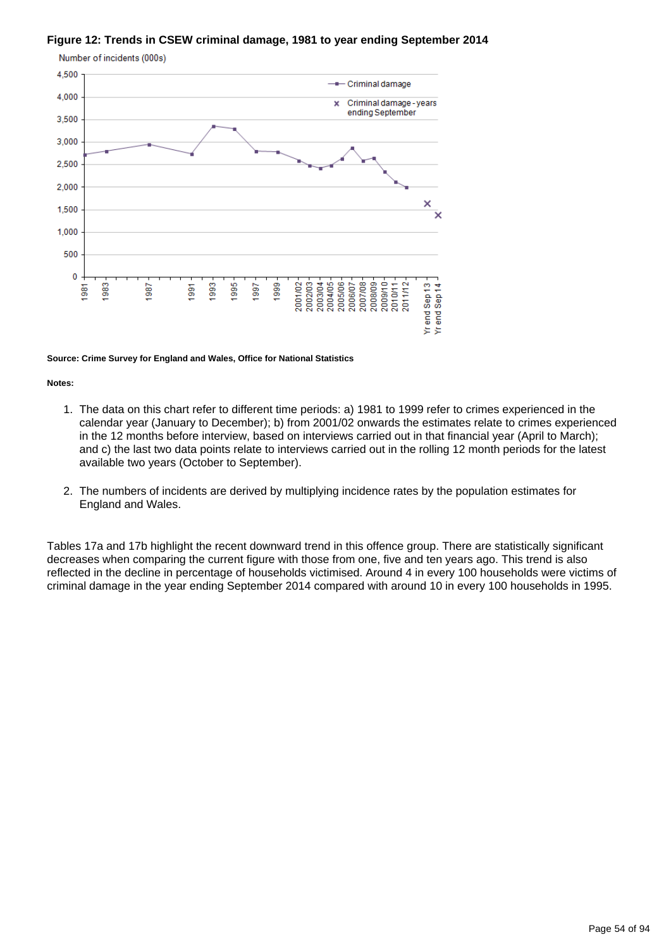### **Figure 12: Trends in CSEW criminal damage, 1981 to year ending September 2014**



#### **Source: Crime Survey for England and Wales, Office for National Statistics**

#### **Notes:**

- 1. The data on this chart refer to different time periods: a) 1981 to 1999 refer to crimes experienced in the calendar year (January to December); b) from 2001/02 onwards the estimates relate to crimes experienced in the 12 months before interview, based on interviews carried out in that financial year (April to March); and c) the last two data points relate to interviews carried out in the rolling 12 month periods for the latest available two years (October to September).
- 2. The numbers of incidents are derived by multiplying incidence rates by the population estimates for England and Wales.

Tables 17a and 17b highlight the recent downward trend in this offence group. There are statistically significant decreases when comparing the current figure with those from one, five and ten years ago. This trend is also reflected in the decline in percentage of households victimised. Around 4 in every 100 households were victims of criminal damage in the year ending September 2014 compared with around 10 in every 100 households in 1995.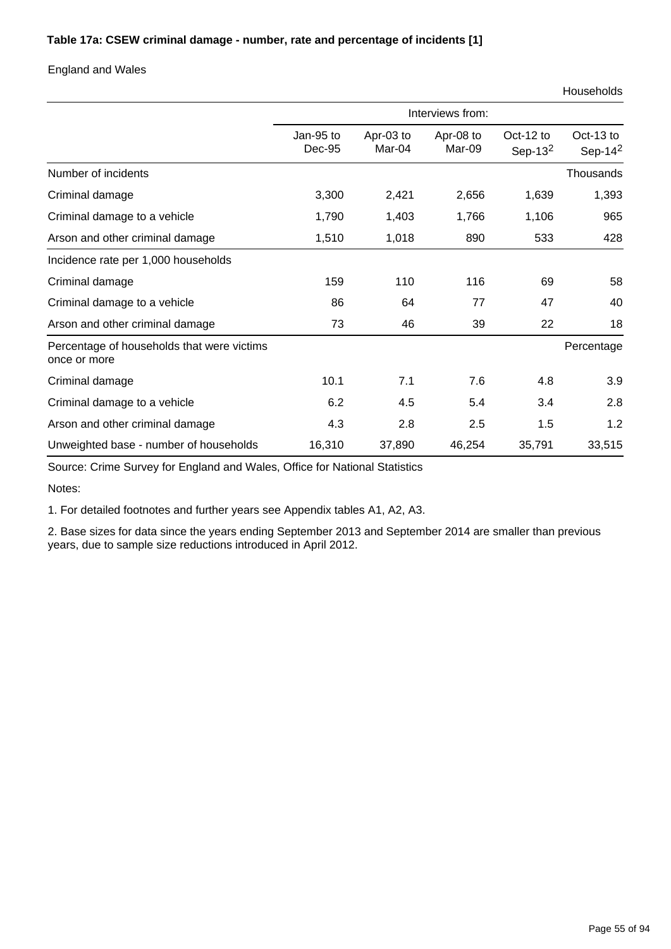### **Table 17a: CSEW criminal damage - number, rate and percentage of incidents [1]**

### England and Wales

|                                                            | Interviews from:    |                     |                     |                         |                         |
|------------------------------------------------------------|---------------------|---------------------|---------------------|-------------------------|-------------------------|
|                                                            | Jan-95 to<br>Dec-95 | Apr-03 to<br>Mar-04 | Apr-08 to<br>Mar-09 | Oct-12 to<br>Sep-13 $2$ | Oct-13 to<br>Sep-14 $2$ |
| Number of incidents                                        |                     |                     |                     |                         | Thousands               |
| Criminal damage                                            | 3,300               | 2,421               | 2,656               | 1,639                   | 1,393                   |
| Criminal damage to a vehicle                               | 1,790               | 1,403               | 1,766               | 1,106                   | 965                     |
| Arson and other criminal damage                            | 1,510               | 1,018               | 890                 | 533                     | 428                     |
| Incidence rate per 1,000 households                        |                     |                     |                     |                         |                         |
| Criminal damage                                            | 159                 | 110                 | 116                 | 69                      | 58                      |
| Criminal damage to a vehicle                               | 86                  | 64                  | 77                  | 47                      | 40                      |
| Arson and other criminal damage                            | 73                  | 46                  | 39                  | 22                      | 18                      |
| Percentage of households that were victims<br>once or more |                     |                     |                     |                         | Percentage              |
| Criminal damage                                            | 10.1                | 7.1                 | 7.6                 | 4.8                     | 3.9                     |
| Criminal damage to a vehicle                               | 6.2                 | 4.5                 | 5.4                 | 3.4                     | 2.8                     |
| Arson and other criminal damage                            | 4.3                 | 2.8                 | 2.5                 | 1.5                     | 1.2                     |
| Unweighted base - number of households                     | 16,310              | 37,890              | 46,254              | 35,791                  | 33,515                  |

Source: Crime Survey for England and Wales, Office for National Statistics

Notes:

1. For detailed footnotes and further years see Appendix tables A1, A2, A3.

2. Base sizes for data since the years ending September 2013 and September 2014 are smaller than previous years, due to sample size reductions introduced in April 2012.

Households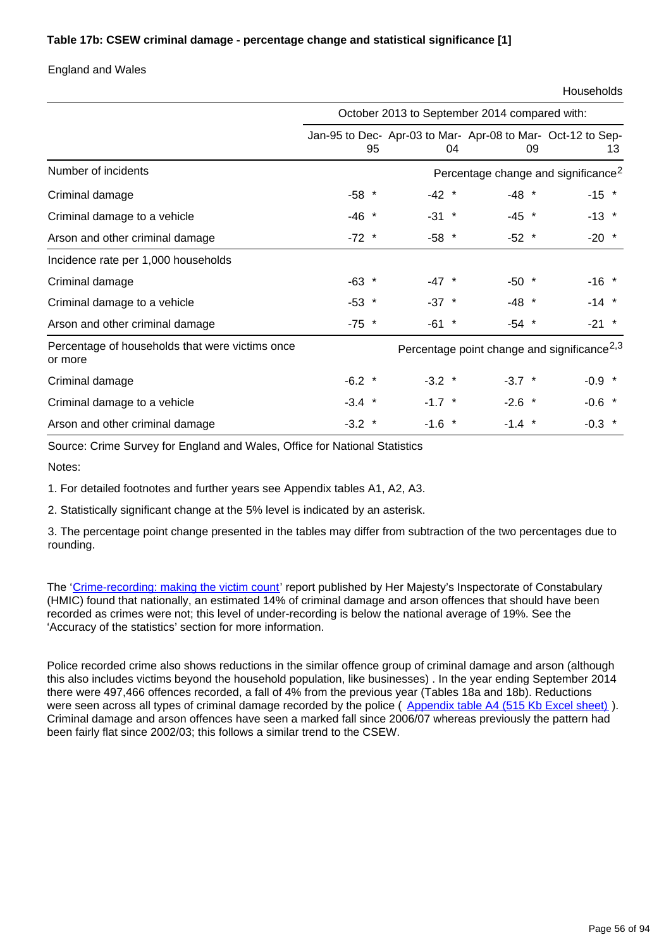### **Table 17b: CSEW criminal damage - percentage change and statistical significance [1]**

England and Wales

Households

|                                                            | October 2013 to September 2014 compared with: |          |                                                                   |          |  |
|------------------------------------------------------------|-----------------------------------------------|----------|-------------------------------------------------------------------|----------|--|
|                                                            | 95                                            | 04       | Jan-95 to Dec- Apr-03 to Mar- Apr-08 to Mar- Oct-12 to Sep-<br>09 | 13       |  |
| Number of incidents                                        |                                               |          | Percentage change and significance <sup>2</sup>                   |          |  |
| Criminal damage                                            | $-58$ *                                       | $-42$ *  | $-48$ *                                                           | $-15$ *  |  |
| Criminal damage to a vehicle                               | $-46$ *                                       | $-31$ *  | $-45$ *                                                           | $-13$ *  |  |
| Arson and other criminal damage                            | $-72$ *                                       | $-58$ *  | $-52$ *                                                           | $-20$ *  |  |
| Incidence rate per 1,000 households                        |                                               |          |                                                                   |          |  |
| Criminal damage                                            | $-63$ *                                       | $-47$ *  | $-50$ *                                                           | $-16$ *  |  |
| Criminal damage to a vehicle                               | $-53$ *                                       | $-37$ *  | $-48$ *                                                           | $-14$ *  |  |
| Arson and other criminal damage                            | $-75$ *                                       | $-61$ *  | $-54$ *                                                           | $-21$ *  |  |
| Percentage of households that were victims once<br>or more |                                               |          | Percentage point change and significance <sup>2,3</sup>           |          |  |
| Criminal damage                                            | $-6.2$ *                                      | $-3.2$ * | $-3.7$ *                                                          | $-0.9$ * |  |
| Criminal damage to a vehicle                               | $-3.4$ *                                      | $-1.7$ * | $-2.6$ *                                                          | $-0.6$ * |  |
| Arson and other criminal damage                            | $-3.2$ *                                      | $-1.6$ * | $-1.4$ *                                                          | $-0.3$ * |  |

Source: Crime Survey for England and Wales, Office for National Statistics

Notes:

1. For detailed footnotes and further years see Appendix tables A1, A2, A3.

2. Statistically significant change at the 5% level is indicated by an asterisk.

3. The percentage point change presented in the tables may differ from subtraction of the two percentages due to rounding.

The '[Crime-recording: making the victim count](https://www.justiceinspectorates.gov.uk/hmic/publication/crime-recording-making-the-victim-count/)' report published by Her Majesty's Inspectorate of Constabulary (HMIC) found that nationally, an estimated 14% of criminal damage and arson offences that should have been recorded as crimes were not; this level of under-recording is below the national average of 19%. See the 'Accuracy of the statistics' section for more information.

Police recorded crime also shows reductions in the similar offence group of criminal damage and arson (although this also includes victims beyond the household population, like businesses) . In the year ending September 2014 there were 497,466 offences recorded, a fall of 4% from the previous year (Tables 18a and 18b). Reductions were seen across all types of criminal damage recorded by the police ([Appendix table A4 \(515 Kb Excel sheet\)](http://www.ons.gov.uk/ons/rel/crime-stats/crime-statistics/year-ending-september-2014/rft-02.xls)). Criminal damage and arson offences have seen a marked fall since 2006/07 whereas previously the pattern had been fairly flat since 2002/03; this follows a similar trend to the CSEW.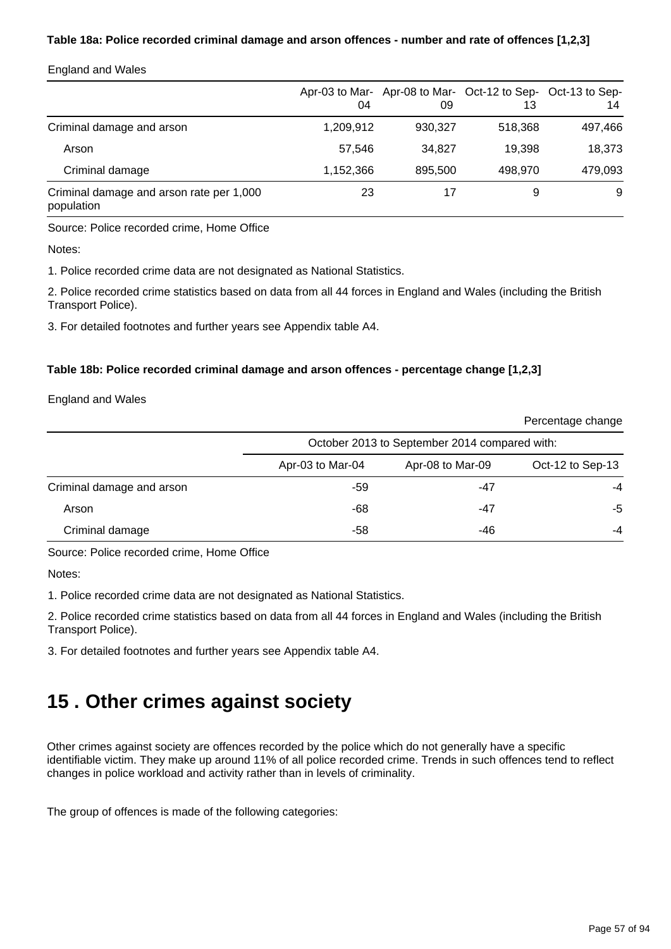### **Table 18a: Police recorded criminal damage and arson offences - number and rate of offences [1,2,3]**

| <b>England and Wales</b> |  |  |
|--------------------------|--|--|
|--------------------------|--|--|

|                                                        | 04        | 09      | Apr-03 to Mar- Apr-08 to Mar- Oct-12 to Sep- Oct-13 to Sep-<br>13 | 14      |
|--------------------------------------------------------|-----------|---------|-------------------------------------------------------------------|---------|
| Criminal damage and arson                              | 1,209,912 | 930,327 | 518.368                                                           | 497,466 |
| Arson                                                  | 57.546    | 34,827  | 19.398                                                            | 18,373  |
| Criminal damage                                        | 1,152,366 | 895,500 | 498.970                                                           | 479,093 |
| Criminal damage and arson rate per 1,000<br>population | 23        | 17      | 9                                                                 | 9       |

Source: Police recorded crime, Home Office

Notes:

1. Police recorded crime data are not designated as National Statistics.

2. Police recorded crime statistics based on data from all 44 forces in England and Wales (including the British Transport Police).

3. For detailed footnotes and further years see Appendix table A4.

### **Table 18b: Police recorded criminal damage and arson offences - percentage change [1,2,3]**

England and Wales

|                           |                  |                                               | Percentage change |
|---------------------------|------------------|-----------------------------------------------|-------------------|
|                           |                  | October 2013 to September 2014 compared with: |                   |
|                           | Apr-03 to Mar-04 | Apr-08 to Mar-09                              | Oct-12 to Sep-13  |
| Criminal damage and arson | -59              | -47                                           | -4                |
| Arson                     | -68              | -47                                           | -5                |
| Criminal damage           | -58              | -46                                           | -4                |

Source: Police recorded crime, Home Office

Notes:

1. Police recorded crime data are not designated as National Statistics.

2. Police recorded crime statistics based on data from all 44 forces in England and Wales (including the British Transport Police).

3. For detailed footnotes and further years see Appendix table A4.

# **15 . Other crimes against society**

Other crimes against society are offences recorded by the police which do not generally have a specific identifiable victim. They make up around 11% of all police recorded crime. Trends in such offences tend to reflect changes in police workload and activity rather than in levels of criminality.

The group of offences is made of the following categories: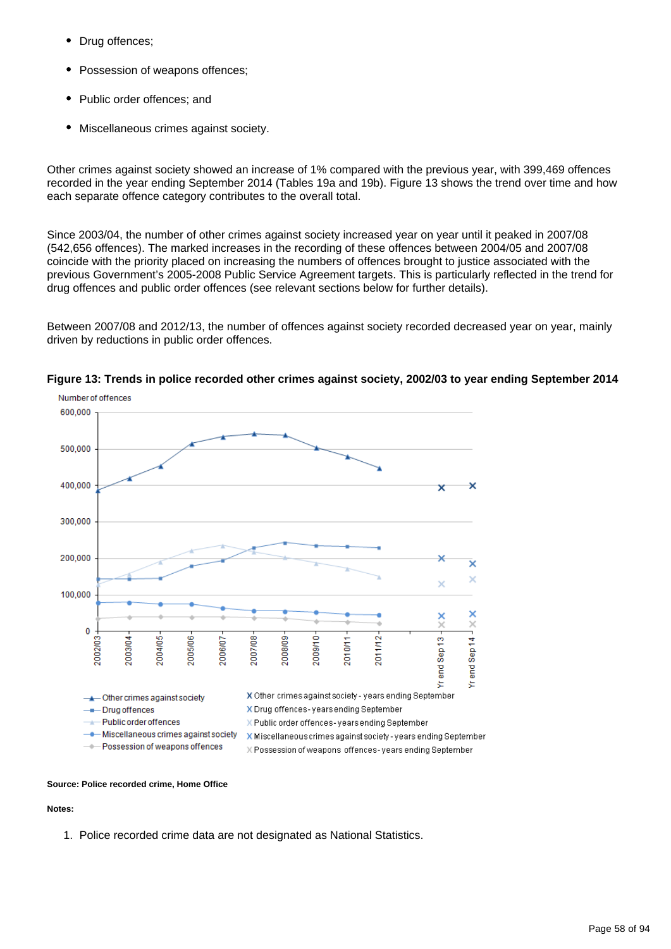- Drug offences;
- Possession of weapons offences;
- Public order offences; and
- Miscellaneous crimes against society.

Other crimes against society showed an increase of 1% compared with the previous year, with 399,469 offences recorded in the year ending September 2014 (Tables 19a and 19b). Figure 13 shows the trend over time and how each separate offence category contributes to the overall total.

Since 2003/04, the number of other crimes against society increased year on year until it peaked in 2007/08 (542,656 offences). The marked increases in the recording of these offences between 2004/05 and 2007/08 coincide with the priority placed on increasing the numbers of offences brought to justice associated with the previous Government's 2005-2008 Public Service Agreement targets. This is particularly reflected in the trend for drug offences and public order offences (see relevant sections below for further details).

Between 2007/08 and 2012/13, the number of offences against society recorded decreased year on year, mainly driven by reductions in public order offences.



**Figure 13: Trends in police recorded other crimes against society, 2002/03 to year ending September 2014**

### **Source: Police recorded crime, Home Office**

#### **Notes:**

1. Police recorded crime data are not designated as National Statistics.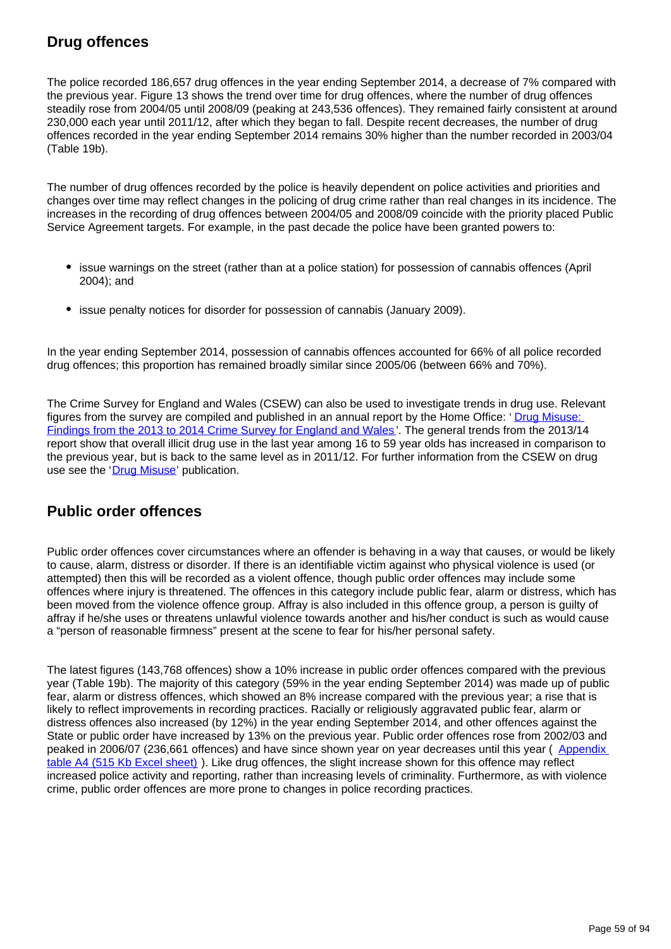# **Drug offences**

The police recorded 186,657 drug offences in the year ending September 2014, a decrease of 7% compared with the previous year. Figure 13 shows the trend over time for drug offences, where the number of drug offences steadily rose from 2004/05 until 2008/09 (peaking at 243,536 offences). They remained fairly consistent at around 230,000 each year until 2011/12, after which they began to fall. Despite recent decreases, the number of drug offences recorded in the year ending September 2014 remains 30% higher than the number recorded in 2003/04 (Table 19b).

The number of drug offences recorded by the police is heavily dependent on police activities and priorities and changes over time may reflect changes in the policing of drug crime rather than real changes in its incidence. The increases in the recording of drug offences between 2004/05 and 2008/09 coincide with the priority placed Public Service Agreement targets. For example, in the past decade the police have been granted powers to:

- issue warnings on the street (rather than at a police station) for possession of cannabis offences (April 2004); and
- issue penalty notices for disorder for possession of cannabis (January 2009).

In the year ending September 2014, possession of cannabis offences accounted for 66% of all police recorded drug offences; this proportion has remained broadly similar since 2005/06 (between 66% and 70%).

The Crime Survey for England and Wales (CSEW) can also be used to investigate trends in drug use. Relevant figures from the survey are compiled and published in an annual report by the Home Office: ' [Drug Misuse:](https://www.gov.uk/government/statistics/drug-misuse-findings-from-the-2013-to-2014-csew)  [Findings from the 2013 to 2014 Crime Survey for England and Wales](https://www.gov.uk/government/statistics/drug-misuse-findings-from-the-2013-to-2014-csew) '. The general trends from the 2013/14 report show that overall illicit drug use in the last year among 16 to 59 year olds has increased in comparison to the previous year, but is back to the same level as in 2011/12. For further information from the CSEW on drug use see the '[Drug Misuse](https://www.gov.uk/government/statistics/drug-misuse-findings-from-the-2013-to-2014-csew)' publication.

## **Public order offences**

Public order offences cover circumstances where an offender is behaving in a way that causes, or would be likely to cause, alarm, distress or disorder. If there is an identifiable victim against who physical violence is used (or attempted) then this will be recorded as a violent offence, though public order offences may include some offences where injury is threatened. The offences in this category include public fear, alarm or distress, which has been moved from the violence offence group. Affray is also included in this offence group, a person is guilty of affray if he/she uses or threatens unlawful violence towards another and his/her conduct is such as would cause a "person of reasonable firmness" present at the scene to fear for his/her personal safety.

The latest figures (143,768 offences) show a 10% increase in public order offences compared with the previous year (Table 19b). The majority of this category (59% in the year ending September 2014) was made up of public fear, alarm or distress offences, which showed an 8% increase compared with the previous year; a rise that is likely to reflect improvements in recording practices. Racially or religiously aggravated public fear, alarm or distress offences also increased (by 12%) in the year ending September 2014, and other offences against the State or public order have increased by 13% on the previous year. Public order offences rose from 2002/03 and peaked in 2006/07 (236,661 offences) and have since shown year on year decreases until this year ( [Appendix](http://www.ons.gov.uk/ons/rel/crime-stats/crime-statistics/year-ending-september-2014/rft-02.xls)  [table A4 \(515 Kb Excel sheet\)](http://www.ons.gov.uk/ons/rel/crime-stats/crime-statistics/year-ending-september-2014/rft-02.xls) ). Like drug offences, the slight increase shown for this offence may reflect increased police activity and reporting, rather than increasing levels of criminality. Furthermore, as with violence crime, public order offences are more prone to changes in police recording practices.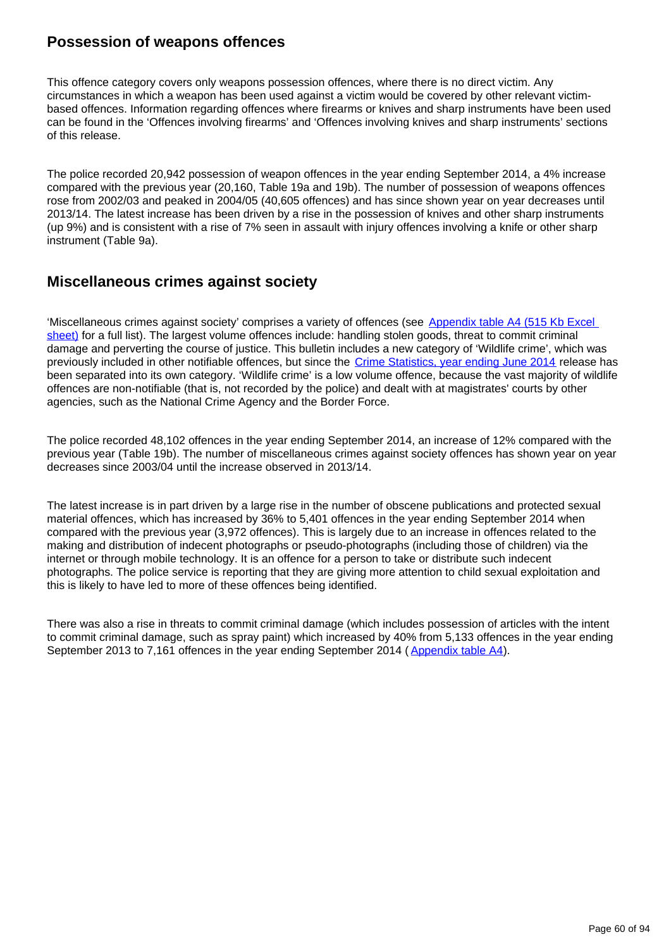## **Possession of weapons offences**

This offence category covers only weapons possession offences, where there is no direct victim. Any circumstances in which a weapon has been used against a victim would be covered by other relevant victimbased offences. Information regarding offences where firearms or knives and sharp instruments have been used can be found in the 'Offences involving firearms' and 'Offences involving knives and sharp instruments' sections of this release.

The police recorded 20,942 possession of weapon offences in the year ending September 2014, a 4% increase compared with the previous year (20,160, Table 19a and 19b). The number of possession of weapons offences rose from 2002/03 and peaked in 2004/05 (40,605 offences) and has since shown year on year decreases until 2013/14. The latest increase has been driven by a rise in the possession of knives and other sharp instruments (up 9%) and is consistent with a rise of 7% seen in assault with injury offences involving a knife or other sharp instrument (Table 9a).

## **Miscellaneous crimes against society**

'Miscellaneous crimes against society' comprises a variety of offences (see [Appendix table A4 \(515 Kb Excel](http://www.ons.gov.uk/ons/rel/crime-stats/crime-statistics/year-ending-september-2014/rft-02.xls)  [sheet\)](http://www.ons.gov.uk/ons/rel/crime-stats/crime-statistics/year-ending-september-2014/rft-02.xls) for a full list). The largest volume offences include: handling stolen goods, threat to commit criminal damage and perverting the course of justice. This bulletin includes a new category of 'Wildlife crime', which was previously included in other notifiable offences, but since the [Crime Statistics, year ending June 2014](http://www.ons.gov.uk/ons/rel/crime-stats/crime-statistics/period-ending-june-2014/index.html) release has been separated into its own category. 'Wildlife crime' is a low volume offence, because the vast majority of wildlife offences are non-notifiable (that is, not recorded by the police) and dealt with at magistrates' courts by other agencies, such as the National Crime Agency and the Border Force.

The police recorded 48,102 offences in the year ending September 2014, an increase of 12% compared with the previous year (Table 19b). The number of miscellaneous crimes against society offences has shown year on year decreases since 2003/04 until the increase observed in 2013/14.

The latest increase is in part driven by a large rise in the number of obscene publications and protected sexual material offences, which has increased by 36% to 5,401 offences in the year ending September 2014 when compared with the previous year (3,972 offences). This is largely due to an increase in offences related to the making and distribution of indecent photographs or pseudo-photographs (including those of children) via the internet or through mobile technology. It is an offence for a person to take or distribute such indecent photographs. The police service is reporting that they are giving more attention to child sexual exploitation and this is likely to have led to more of these offences being identified.

There was also a rise in threats to commit criminal damage (which includes possession of articles with the intent to commit criminal damage, such as spray paint) which increased by 40% from 5,133 offences in the year ending September 2013 to 7,161 offences in the year ending September 2014 ([Appendix table A4\)](http://www.ons.gov.uk/peoplepopulationandcommunity/crimeandjustice/datasets/crimeinenglandandwalesappendixtables).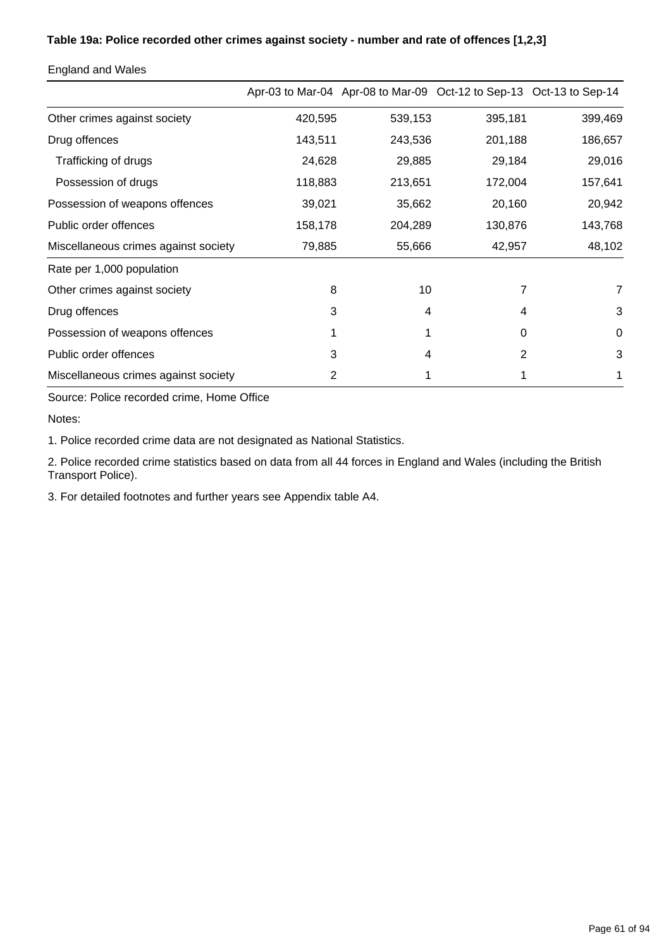### **Table 19a: Police recorded other crimes against society - number and rate of offences [1,2,3]**

|                                      |         |         | Apr-03 to Mar-04 Apr-08 to Mar-09 Oct-12 to Sep-13 Oct-13 to Sep-14 |         |
|--------------------------------------|---------|---------|---------------------------------------------------------------------|---------|
| Other crimes against society         | 420,595 | 539,153 | 395,181                                                             | 399,469 |
| Drug offences                        | 143,511 | 243,536 | 201,188                                                             | 186,657 |
| Trafficking of drugs                 | 24,628  | 29,885  | 29,184                                                              | 29,016  |
| Possession of drugs                  | 118,883 | 213,651 | 172,004                                                             | 157,641 |
| Possession of weapons offences       | 39,021  | 35,662  | 20,160                                                              | 20,942  |
| Public order offences                | 158,178 | 204,289 | 130,876                                                             | 143,768 |
| Miscellaneous crimes against society | 79,885  | 55,666  | 42,957                                                              | 48,102  |
| Rate per 1,000 population            |         |         |                                                                     |         |
| Other crimes against society         | 8       | 10      | 7                                                                   | 7       |
| Drug offences                        | 3       | 4       | 4                                                                   | 3       |
| Possession of weapons offences       |         |         | 0                                                                   | 0       |
| Public order offences                | 3       | 4       | 2                                                                   | 3       |
| Miscellaneous crimes against society | 2       |         |                                                                     |         |

England and Wales

Source: Police recorded crime, Home Office

Notes:

1. Police recorded crime data are not designated as National Statistics.

2. Police recorded crime statistics based on data from all 44 forces in England and Wales (including the British Transport Police).

3. For detailed footnotes and further years see Appendix table A4.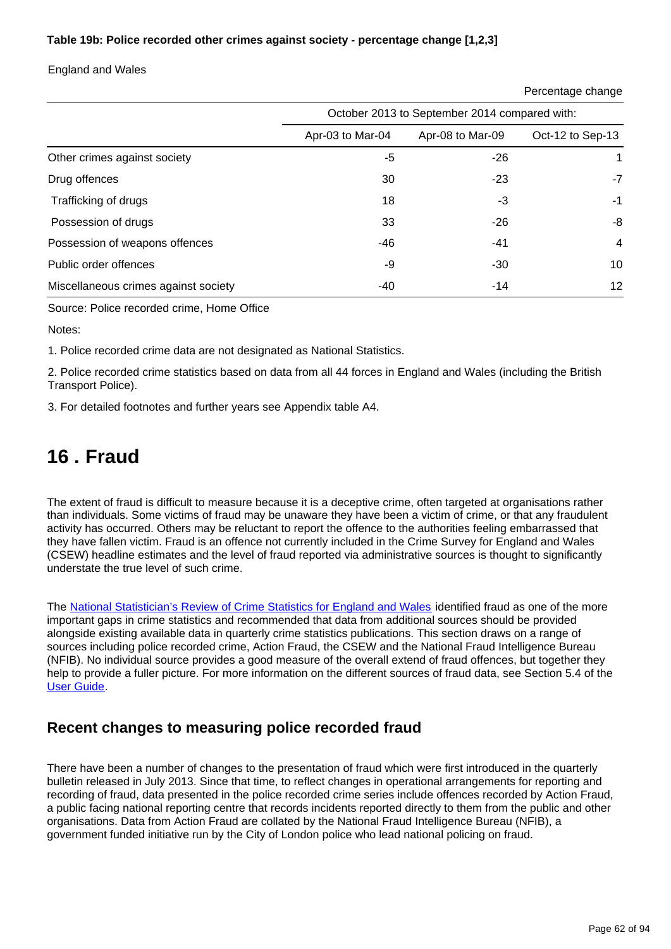### **Table 19b: Police recorded other crimes against society - percentage change [1,2,3]**

England and Wales

| Percentage change |
|-------------------|
|-------------------|

|                                      | October 2013 to September 2014 compared with: |                  |                   |  |
|--------------------------------------|-----------------------------------------------|------------------|-------------------|--|
|                                      | Apr-03 to Mar-04                              | Apr-08 to Mar-09 | Oct-12 to Sep-13  |  |
| Other crimes against society         | -5                                            | -26              |                   |  |
| Drug offences                        | 30                                            | -23              | -7                |  |
| Trafficking of drugs                 | 18                                            | -3               | -1                |  |
| Possession of drugs                  | 33                                            | -26              | -8                |  |
| Possession of weapons offences       | -46                                           | -41              | $\overline{4}$    |  |
| Public order offences                | -9                                            | $-30$            | 10                |  |
| Miscellaneous crimes against society | -40                                           | $-14$            | $12 \overline{ }$ |  |

Source: Police recorded crime, Home Office

Notes:

1. Police recorded crime data are not designated as National Statistics.

2. Police recorded crime statistics based on data from all 44 forces in England and Wales (including the British Transport Police).

3. For detailed footnotes and further years see Appendix table A4.

# **16 . Fraud**

The extent of fraud is difficult to measure because it is a deceptive crime, often targeted at organisations rather than individuals. Some victims of fraud may be unaware they have been a victim of crime, or that any fraudulent activity has occurred. Others may be reluctant to report the offence to the authorities feeling embarrassed that they have fallen victim. Fraud is an offence not currently included in the Crime Survey for England and Wales (CSEW) headline estimates and the level of fraud reported via administrative sources is thought to significantly understate the true level of such crime.

The [National Statistician's Review of Crime Statistics for England and Wales](http://www.ons.gov.uk/ons/external-links/stats-authority/national-statistician-s-review-of-crime-statistics.html) identified fraud as one of the more important gaps in crime statistics and recommended that data from additional sources should be provided alongside existing available data in quarterly crime statistics publications. This section draws on a range of sources including police recorded crime, Action Fraud, the CSEW and the National Fraud Intelligence Bureau (NFIB). No individual source provides a good measure of the overall extend of fraud offences, but together they help to provide a fuller picture. For more information on the different sources of fraud data, see Section 5.4 of the [User Guide](http://www.ons.gov.uk/ons/guide-method/method-quality/specific/crime-statistics-methodology/index.html).

## **Recent changes to measuring police recorded fraud**

There have been a number of changes to the presentation of fraud which were first introduced in the quarterly bulletin released in July 2013. Since that time, to reflect changes in operational arrangements for reporting and recording of fraud, data presented in the police recorded crime series include offences recorded by Action Fraud, a public facing national reporting centre that records incidents reported directly to them from the public and other organisations. Data from Action Fraud are collated by the National Fraud Intelligence Bureau (NFIB), a government funded initiative run by the City of London police who lead national policing on fraud.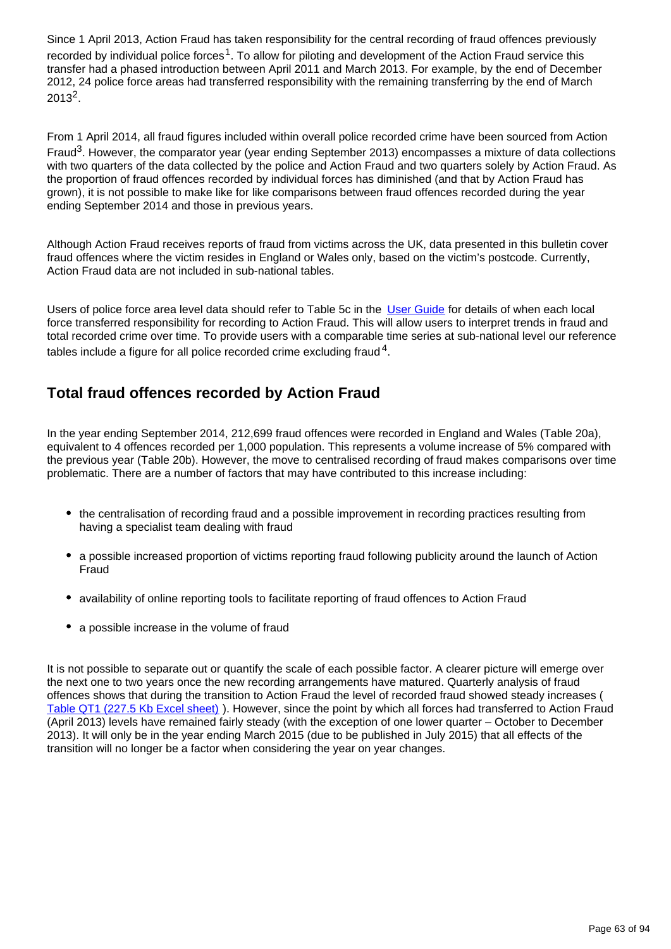Since 1 April 2013, Action Fraud has taken responsibility for the central recording of fraud offences previously recorded by individual police forces<sup>1</sup>. To allow for piloting and development of the Action Fraud service this transfer had a phased introduction between April 2011 and March 2013. For example, by the end of December 2012, 24 police force areas had transferred responsibility with the remaining transferring by the end of March  $2013^2.$ 

From 1 April 2014, all fraud figures included within overall police recorded crime have been sourced from Action Fraud<sup>3</sup>. However, the comparator year (year ending September 2013) encompasses a mixture of data collections with two quarters of the data collected by the police and Action Fraud and two quarters solely by Action Fraud. As the proportion of fraud offences recorded by individual forces has diminished (and that by Action Fraud has grown), it is not possible to make like for like comparisons between fraud offences recorded during the year ending September 2014 and those in previous years.

Although Action Fraud receives reports of fraud from victims across the UK, data presented in this bulletin cover fraud offences where the victim resides in England or Wales only, based on the victim's postcode. Currently, Action Fraud data are not included in sub-national tables.

Users of police force area level data should refer to Table 5c in the [User Guide](http://www.ons.gov.uk/ons/guide-method/method-quality/specific/crime-statistics-methodology/index.html) for details of when each local force transferred responsibility for recording to Action Fraud. This will allow users to interpret trends in fraud and total recorded crime over time. To provide users with a comparable time series at sub-national level our reference tables include a figure for all police recorded crime excluding fraud  $^4$ .

# **Total fraud offences recorded by Action Fraud**

In the year ending September 2014, 212,699 fraud offences were recorded in England and Wales (Table 20a), equivalent to 4 offences recorded per 1,000 population. This represents a volume increase of 5% compared with the previous year (Table 20b). However, the move to centralised recording of fraud makes comparisons over time problematic. There are a number of factors that may have contributed to this increase including:

- the centralisation of recording fraud and a possible improvement in recording practices resulting from having a specialist team dealing with fraud
- a possible increased proportion of victims reporting fraud following publicity around the launch of Action Fraud
- availability of online reporting tools to facilitate reporting of fraud offences to Action Fraud
- a possible increase in the volume of fraud

It is not possible to separate out or quantify the scale of each possible factor. A clearer picture will emerge over the next one to two years once the new recording arrangements have matured. Quarterly analysis of fraud offences shows that during the transition to Action Fraud the level of recorded fraud showed steady increases ( [Table QT1 \(227.5 Kb Excel sheet\)](http://www.ons.gov.uk/ons/rel/crime-stats/crime-statistics/year-ending-september-2014/rft-03.xls) ). However, since the point by which all forces had transferred to Action Fraud (April 2013) levels have remained fairly steady (with the exception of one lower quarter – October to December 2013). It will only be in the year ending March 2015 (due to be published in July 2015) that all effects of the transition will no longer be a factor when considering the year on year changes.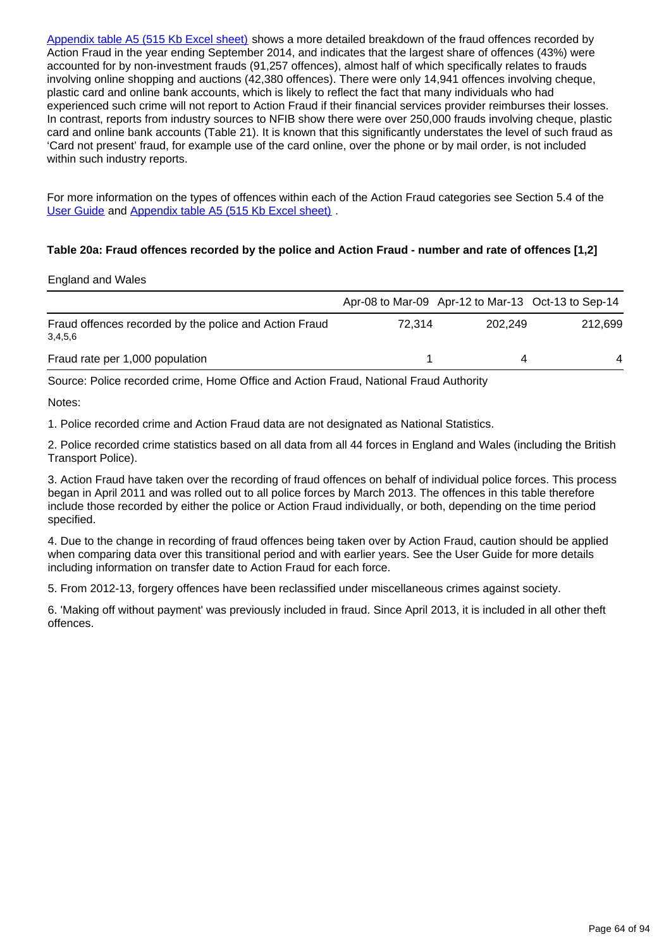[Appendix table A5 \(515 Kb Excel sheet\)](http://www.ons.gov.uk/ons/rel/crime-stats/crime-statistics/year-ending-september-2014/rft-02.xls) shows a more detailed breakdown of the fraud offences recorded by Action Fraud in the year ending September 2014, and indicates that the largest share of offences (43%) were accounted for by non-investment frauds (91,257 offences), almost half of which specifically relates to frauds involving online shopping and auctions (42,380 offences). There were only 14,941 offences involving cheque, plastic card and online bank accounts, which is likely to reflect the fact that many individuals who had experienced such crime will not report to Action Fraud if their financial services provider reimburses their losses. In contrast, reports from industry sources to NFIB show there were over 250,000 frauds involving cheque, plastic card and online bank accounts (Table 21). It is known that this significantly understates the level of such fraud as 'Card not present' fraud, for example use of the card online, over the phone or by mail order, is not included within such industry reports.

For more information on the types of offences within each of the Action Fraud categories see Section 5.4 of the [User Guide](http://www.ons.gov.uk/ons/guide-method/method-quality/specific/crime-statistics-methodology/index.html) and [Appendix table A5 \(515 Kb Excel sheet\)](http://www.ons.gov.uk/ons/rel/crime-stats/crime-statistics/year-ending-september-2014/rft-02.xls) .

### **Table 20a: Fraud offences recorded by the police and Action Fraud - number and rate of offences [1,2]**

### England and Wales

|                                                                   |        |         | Apr-08 to Mar-09 Apr-12 to Mar-13 Oct-13 to Sep-14 |
|-------------------------------------------------------------------|--------|---------|----------------------------------------------------|
| Fraud offences recorded by the police and Action Fraud<br>3,4,5,6 | 72.314 | 202.249 | 212.699                                            |
| Fraud rate per 1,000 population                                   |        | 4       | 4                                                  |

Source: Police recorded crime, Home Office and Action Fraud, National Fraud Authority

Notes:

1. Police recorded crime and Action Fraud data are not designated as National Statistics.

2. Police recorded crime statistics based on all data from all 44 forces in England and Wales (including the British Transport Police).

3. Action Fraud have taken over the recording of fraud offences on behalf of individual police forces. This process began in April 2011 and was rolled out to all police forces by March 2013. The offences in this table therefore include those recorded by either the police or Action Fraud individually, or both, depending on the time period specified.

4. Due to the change in recording of fraud offences being taken over by Action Fraud, caution should be applied when comparing data over this transitional period and with earlier years. See the User Guide for more details including information on transfer date to Action Fraud for each force.

5. From 2012-13, forgery offences have been reclassified under miscellaneous crimes against society.

6. 'Making off without payment' was previously included in fraud. Since April 2013, it is included in all other theft offences.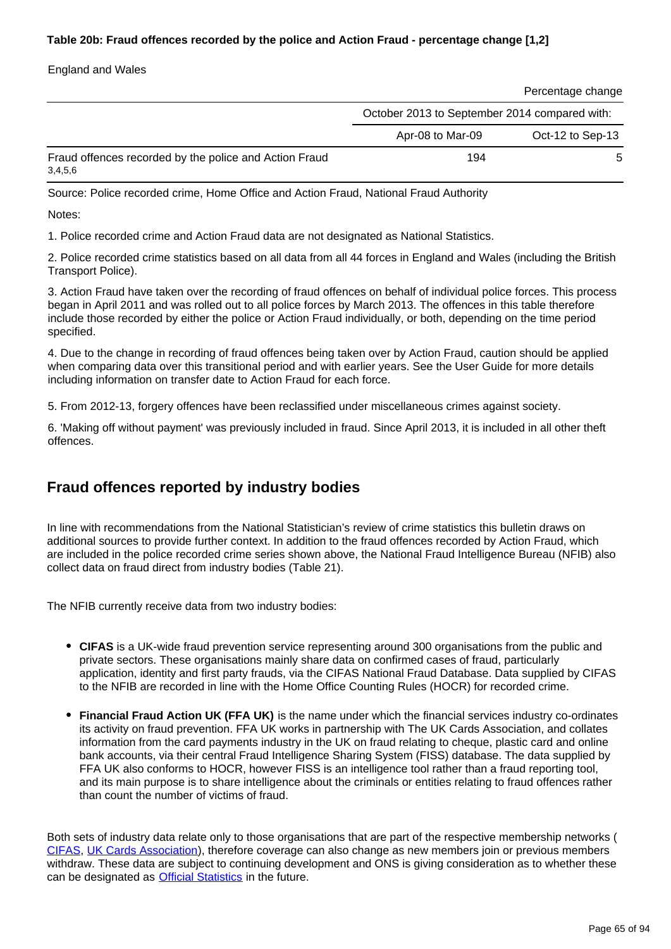### **Table 20b: Fraud offences recorded by the police and Action Fraud - percentage change [1,2]**

England and Wales

|                                                                   |                                               | Percentage change |  |
|-------------------------------------------------------------------|-----------------------------------------------|-------------------|--|
|                                                                   | October 2013 to September 2014 compared with: |                   |  |
|                                                                   | Apr-08 to Mar-09                              | Oct-12 to Sep-13  |  |
| Fraud offences recorded by the police and Action Fraud<br>3,4,5,6 | 194                                           | 5                 |  |

Source: Police recorded crime, Home Office and Action Fraud, National Fraud Authority

Notes:

1. Police recorded crime and Action Fraud data are not designated as National Statistics.

2. Police recorded crime statistics based on all data from all 44 forces in England and Wales (including the British Transport Police).

3. Action Fraud have taken over the recording of fraud offences on behalf of individual police forces. This process began in April 2011 and was rolled out to all police forces by March 2013. The offences in this table therefore include those recorded by either the police or Action Fraud individually, or both, depending on the time period specified.

4. Due to the change in recording of fraud offences being taken over by Action Fraud, caution should be applied when comparing data over this transitional period and with earlier years. See the User Guide for more details including information on transfer date to Action Fraud for each force.

5. From 2012-13, forgery offences have been reclassified under miscellaneous crimes against society.

6. 'Making off without payment' was previously included in fraud. Since April 2013, it is included in all other theft offences.

## **Fraud offences reported by industry bodies**

In line with recommendations from the National Statistician's review of crime statistics this bulletin draws on additional sources to provide further context. In addition to the fraud offences recorded by Action Fraud, which are included in the police recorded crime series shown above, the National Fraud Intelligence Bureau (NFIB) also collect data on fraud direct from industry bodies (Table 21).

The NFIB currently receive data from two industry bodies:

- **CIFAS** is a UK-wide fraud prevention service representing around 300 organisations from the public and private sectors. These organisations mainly share data on confirmed cases of fraud, particularly application, identity and first party frauds, via the CIFAS National Fraud Database. Data supplied by CIFAS to the NFIB are recorded in line with the Home Office Counting Rules (HOCR) for recorded crime.
- **Financial Fraud Action UK (FFA UK)** is the name under which the financial services industry co-ordinates its activity on fraud prevention. FFA UK works in partnership with The UK Cards Association, and collates information from the card payments industry in the UK on fraud relating to cheque, plastic card and online bank accounts, via their central Fraud Intelligence Sharing System (FISS) database. The data supplied by FFA UK also conforms to HOCR, however FISS is an intelligence tool rather than a fraud reporting tool, and its main purpose is to share intelligence about the criminals or entities relating to fraud offences rather than count the number of victims of fraud.

Both sets of industry data relate only to those organisations that are part of the respective membership networks ( [CIFAS,](http://www.cifas.org.uk/cifas_members) [UK Cards Association\)](http://www.theukcardsassociation.org.uk/board_members/our_membership_list.asp), therefore coverage can also change as new members join or previous members withdraw. These data are subject to continuing development and ONS is giving consideration as to whether these can be designated as **Official Statistics** in the future.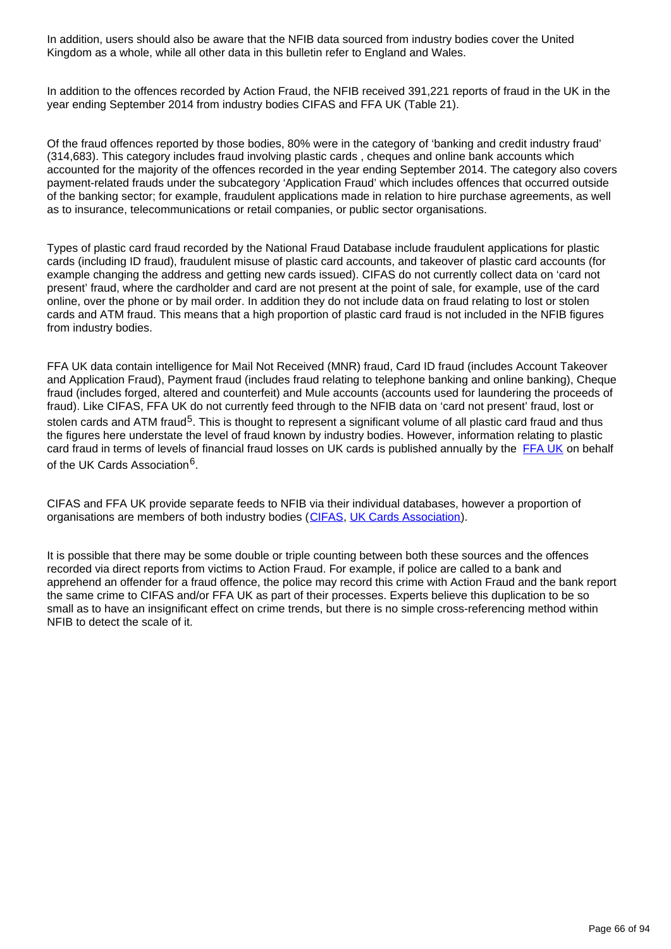In addition, users should also be aware that the NFIB data sourced from industry bodies cover the United Kingdom as a whole, while all other data in this bulletin refer to England and Wales.

In addition to the offences recorded by Action Fraud, the NFIB received 391,221 reports of fraud in the UK in the year ending September 2014 from industry bodies CIFAS and FFA UK (Table 21).

Of the fraud offences reported by those bodies, 80% were in the category of 'banking and credit industry fraud' (314,683). This category includes fraud involving plastic cards , cheques and online bank accounts which accounted for the majority of the offences recorded in the year ending September 2014. The category also covers payment-related frauds under the subcategory 'Application Fraud' which includes offences that occurred outside of the banking sector; for example, fraudulent applications made in relation to hire purchase agreements, as well as to insurance, telecommunications or retail companies, or public sector organisations.

Types of plastic card fraud recorded by the National Fraud Database include fraudulent applications for plastic cards (including ID fraud), fraudulent misuse of plastic card accounts, and takeover of plastic card accounts (for example changing the address and getting new cards issued). CIFAS do not currently collect data on 'card not present' fraud, where the cardholder and card are not present at the point of sale, for example, use of the card online, over the phone or by mail order. In addition they do not include data on fraud relating to lost or stolen cards and ATM fraud. This means that a high proportion of plastic card fraud is not included in the NFIB figures from industry bodies.

FFA UK data contain intelligence for Mail Not Received (MNR) fraud, Card ID fraud (includes Account Takeover and Application Fraud), Payment fraud (includes fraud relating to telephone banking and online banking), Cheque fraud (includes forged, altered and counterfeit) and Mule accounts (accounts used for laundering the proceeds of fraud). Like CIFAS, FFA UK do not currently feed through to the NFIB data on 'card not present' fraud, lost or stolen cards and ATM fraud<sup>5</sup>. This is thought to represent a significant volume of all plastic card fraud and thus the figures here understate the level of fraud known by industry bodies. However, information relating to plastic card fraud in terms of levels of financial fraud losses on UK cards is published annually by the [FFA UK](http://www.financialfraudaction.org.uk/downloads.asp?genre=consumer) on behalf of the UK Cards Association<sup>6</sup>.

CIFAS and FFA UK provide separate feeds to NFIB via their individual databases, however a proportion of organisations are members of both industry bodies ([CIFAS,](http://www.cifas.org.uk/cifas_members) [UK Cards Association\)](http://www.theukcardsassociation.org.uk/board_members/our_membership_list.asp).

It is possible that there may be some double or triple counting between both these sources and the offences recorded via direct reports from victims to Action Fraud. For example, if police are called to a bank and apprehend an offender for a fraud offence, the police may record this crime with Action Fraud and the bank report the same crime to CIFAS and/or FFA UK as part of their processes. Experts believe this duplication to be so small as to have an insignificant effect on crime trends, but there is no simple cross-referencing method within NFIB to detect the scale of it.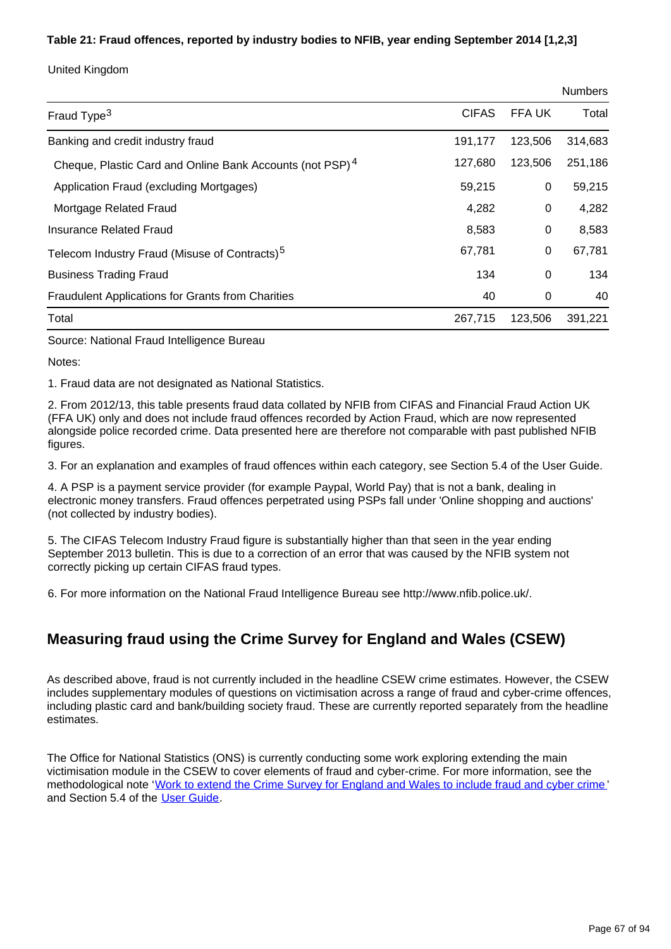## **Table 21: Fraud offences, reported by industry bodies to NFIB, year ending September 2014 [1,2,3]**

United Kingdom

|                                                                      |              |         | <b>Numbers</b> |
|----------------------------------------------------------------------|--------------|---------|----------------|
| Fraud Type <sup>3</sup>                                              | <b>CIFAS</b> | FFA UK  | Total          |
| Banking and credit industry fraud                                    | 191,177      | 123,506 | 314,683        |
| Cheque, Plastic Card and Online Bank Accounts (not PSP) <sup>4</sup> | 127,680      | 123,506 | 251,186        |
| Application Fraud (excluding Mortgages)                              | 59,215       | 0       | 59,215         |
| Mortgage Related Fraud                                               | 4,282        | 0       | 4,282          |
| Insurance Related Fraud                                              | 8,583        | 0       | 8,583          |
| Telecom Industry Fraud (Misuse of Contracts) <sup>5</sup>            | 67,781       | 0       | 67,781         |
| <b>Business Trading Fraud</b>                                        | 134          | 0       | 134            |
| <b>Fraudulent Applications for Grants from Charities</b>             | 40           | 0       | 40             |
| Total                                                                | 267,715      | 123,506 | 391,221        |

Source: National Fraud Intelligence Bureau

Notes:

1. Fraud data are not designated as National Statistics.

2. From 2012/13, this table presents fraud data collated by NFIB from CIFAS and Financial Fraud Action UK (FFA UK) only and does not include fraud offences recorded by Action Fraud, which are now represented alongside police recorded crime. Data presented here are therefore not comparable with past published NFIB figures.

3. For an explanation and examples of fraud offences within each category, see Section 5.4 of the User Guide.

4. A PSP is a payment service provider (for example Paypal, World Pay) that is not a bank, dealing in electronic money transfers. Fraud offences perpetrated using PSPs fall under 'Online shopping and auctions' (not collected by industry bodies).

5. The CIFAS Telecom Industry Fraud figure is substantially higher than that seen in the year ending September 2013 bulletin. This is due to a correction of an error that was caused by the NFIB system not correctly picking up certain CIFAS fraud types.

6. For more information on the National Fraud Intelligence Bureau see http://www.nfib.police.uk/.

# **Measuring fraud using the Crime Survey for England and Wales (CSEW)**

As described above, fraud is not currently included in the headline CSEW crime estimates. However, the CSEW includes supplementary modules of questions on victimisation across a range of fraud and cyber-crime offences, including plastic card and bank/building society fraud. These are currently reported separately from the headline estimates.

The Office for National Statistics (ONS) is currently conducting some work exploring extending the main victimisation module in the CSEW to cover elements of fraud and cyber-crime. For more information, see the methodological note '[Work to extend the Crime Survey for England and Wales to include fraud and cyber crime](http://www.ons.gov.uk/ons/guide-method/method-quality/specific/crime-statistics-methodology/index.html) ' and Section 5.4 of the [User Guide.](http://www.ons.gov.uk/ons/guide-method/method-quality/specific/crime-statistics-methodology/index.html)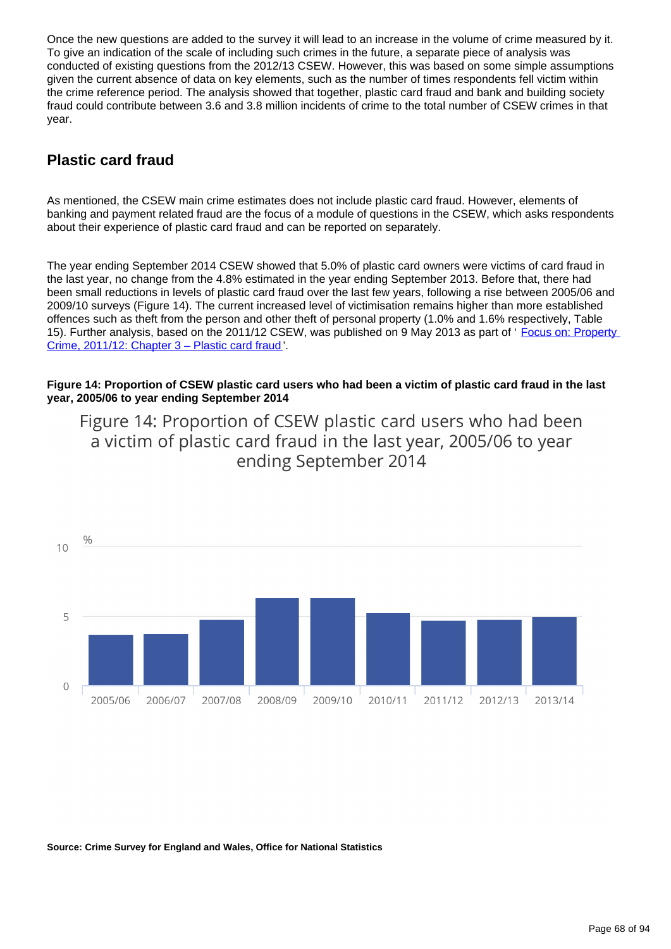Once the new questions are added to the survey it will lead to an increase in the volume of crime measured by it. To give an indication of the scale of including such crimes in the future, a separate piece of analysis was conducted of existing questions from the 2012/13 CSEW. However, this was based on some simple assumptions given the current absence of data on key elements, such as the number of times respondents fell victim within the crime reference period. The analysis showed that together, plastic card fraud and bank and building society fraud could contribute between 3.6 and 3.8 million incidents of crime to the total number of CSEW crimes in that year.

# **Plastic card fraud**

As mentioned, the CSEW main crime estimates does not include plastic card fraud. However, elements of banking and payment related fraud are the focus of a module of questions in the CSEW, which asks respondents about their experience of plastic card fraud and can be reported on separately.

The year ending September 2014 CSEW showed that 5.0% of plastic card owners were victims of card fraud in the last year, no change from the 4.8% estimated in the year ending September 2013. Before that, there had been small reductions in levels of plastic card fraud over the last few years, following a rise between 2005/06 and 2009/10 surveys (Figure 14). The current increased level of victimisation remains higher than more established offences such as theft from the person and other theft of personal property (1.0% and 1.6% respectively, Table 15). Further analysis, based on the 2011/12 CSEW, was published on 9 May 2013 as part of ' Focus on: Property [Crime, 2011/12: Chapter 3 – Plastic card fraud](http://www.ons.gov.uk/ons/rel/crime-stats/crime-statistics/focus-on-property-crime--2011-12/rpt-chapter-3---plastic-card-fraud.html) '.

### **Figure 14: Proportion of CSEW plastic card users who had been a victim of plastic card fraud in the last year, 2005/06 to year ending September 2014**



Figure 14: Proportion of CSEW plastic card users who had been a victim of plastic card fraud in the last year, 2005/06 to year ending September 2014

**Source: Crime Survey for England and Wales, Office for National Statistics**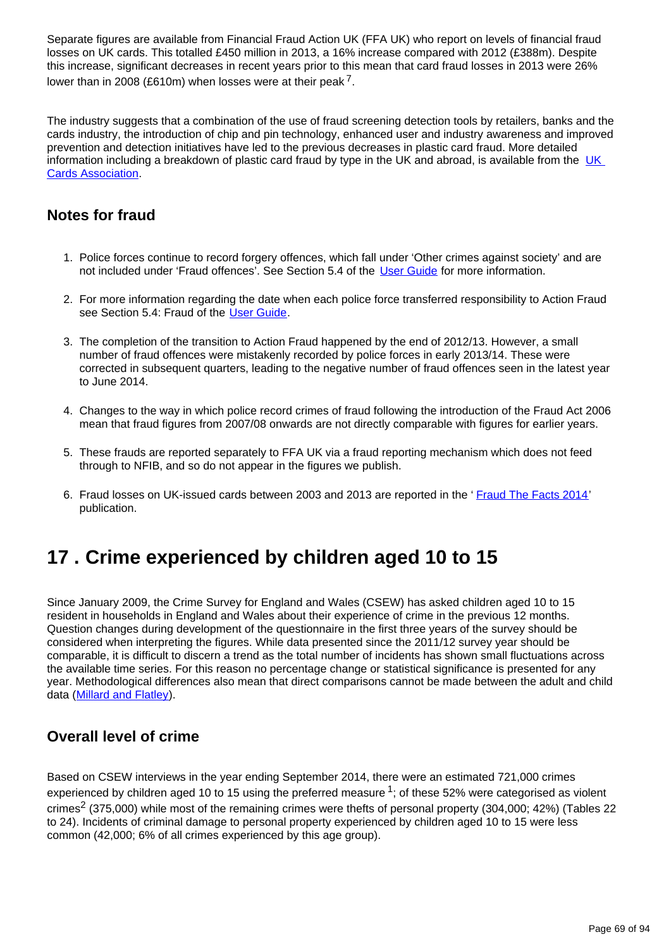Separate figures are available from Financial Fraud Action UK (FFA UK) who report on levels of financial fraud losses on UK cards. This totalled £450 million in 2013, a 16% increase compared with 2012 (£388m). Despite this increase, significant decreases in recent years prior to this mean that card fraud losses in 2013 were 26% lower than in 2008 (£610m) when losses were at their peak  $^7$ .

The industry suggests that a combination of the use of fraud screening detection tools by retailers, banks and the cards industry, the introduction of chip and pin technology, enhanced user and industry awareness and improved prevention and detection initiatives have led to the previous decreases in plastic card fraud. More detailed information including a breakdown of plastic card fraud by type in the [UK](http://www.theukcardsassociation.org.uk/plastic_fraud_figures/index.asp) and abroad, is available from the UK [Cards Association](http://www.theukcardsassociation.org.uk/plastic_fraud_figures/index.asp).

## **Notes for fraud**

- 1. Police forces continue to record forgery offences, which fall under 'Other crimes against society' and are not included under 'Fraud offences'. See Section 5.4 of the [User Guide](http://www.ons.gov.uk/ons/guide-method/method-quality/specific/crime-statistics-methodology/index.html) for more information.
- 2. For more information regarding the date when each police force transferred responsibility to Action Fraud see Section 5.4: Fraud of the [User Guide.](http://www.ons.gov.uk/ons/guide-method/method-quality/specific/crime-statistics-methodology/index.html)
- 3. The completion of the transition to Action Fraud happened by the end of 2012/13. However, a small number of fraud offences were mistakenly recorded by police forces in early 2013/14. These were corrected in subsequent quarters, leading to the negative number of fraud offences seen in the latest year to June 2014.
- 4. Changes to the way in which police record crimes of fraud following the introduction of the Fraud Act 2006 mean that fraud figures from 2007/08 onwards are not directly comparable with figures for earlier years.
- 5. These frauds are reported separately to FFA UK via a fraud reporting mechanism which does not feed through to NFIB, and so do not appear in the figures we publish.
- 6. Fraud losses on UK-issued cards between 2003 and 2013 are reported in the '[Fraud The Facts 2014](http://www.financialfraudaction.org.uk/downloads.asp?genre=consumer)' publication.

# **17 . Crime experienced by children aged 10 to 15**

Since January 2009, the Crime Survey for England and Wales (CSEW) has asked children aged 10 to 15 resident in households in England and Wales about their experience of crime in the previous 12 months. Question changes during development of the questionnaire in the first three years of the survey should be considered when interpreting the figures. While data presented since the 2011/12 survey year should be comparable, it is difficult to discern a trend as the total number of incidents has shown small fluctuations across the available time series. For this reason no percentage change or statistical significance is presented for any year. Methodological differences also mean that direct comparisons cannot be made between the adult and child data ([Millard and Flatley\)](http://www.homeoffice.gov.uk/publications/science-research-statistics/research-statistics/crime-research/hosb1110).

# **Overall level of crime**

Based on CSEW interviews in the year ending September 2014, there were an estimated 721,000 crimes experienced by children aged 10 to 15 using the preferred measure  $1$ ; of these 52% were categorised as violent crimes<sup>2</sup> (375,000) while most of the remaining crimes were thefts of personal property (304,000; 42%) (Tables 22 to 24). Incidents of criminal damage to personal property experienced by children aged 10 to 15 were less common (42,000; 6% of all crimes experienced by this age group).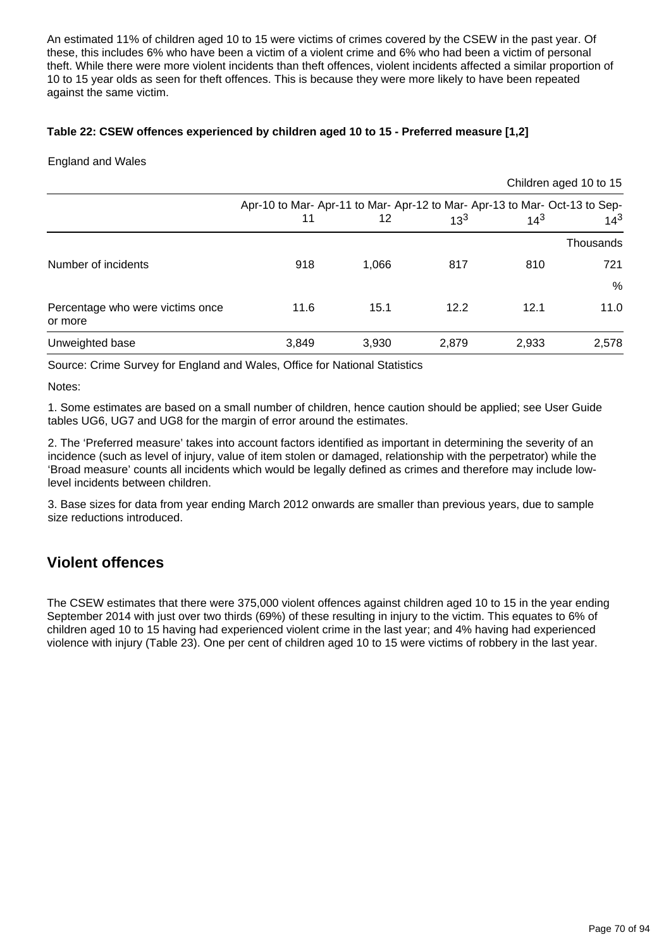An estimated 11% of children aged 10 to 15 were victims of crimes covered by the CSEW in the past year. Of these, this includes 6% who have been a victim of a violent crime and 6% who had been a victim of personal theft. While there were more violent incidents than theft offences, violent incidents affected a similar proportion of 10 to 15 year olds as seen for theft offences. This is because they were more likely to have been repeated against the same victim.

### **Table 22: CSEW offences experienced by children aged 10 to 15 - Preferred measure [1,2]**

### England and Wales

|                                             |                                                                            |       |          |          | Children aged 10 to 15 |
|---------------------------------------------|----------------------------------------------------------------------------|-------|----------|----------|------------------------|
|                                             | Apr-10 to Mar- Apr-11 to Mar- Apr-12 to Mar- Apr-13 to Mar- Oct-13 to Sep- | 12    | $13^{3}$ | $14^{3}$ | $14^{3}$               |
|                                             |                                                                            |       |          |          | Thousands              |
| Number of incidents                         | 918                                                                        | 1,066 | 817      | 810      | 721                    |
|                                             |                                                                            |       |          |          | %                      |
| Percentage who were victims once<br>or more | 11.6                                                                       | 15.1  | 12.2     | 12.1     | 11.0                   |
| Unweighted base                             | 3,849                                                                      | 3,930 | 2,879    | 2,933    | 2,578                  |

Source: Crime Survey for England and Wales, Office for National Statistics

Notes:

1. Some estimates are based on a small number of children, hence caution should be applied; see User Guide tables UG6, UG7 and UG8 for the margin of error around the estimates.

2. The 'Preferred measure' takes into account factors identified as important in determining the severity of an incidence (such as level of injury, value of item stolen or damaged, relationship with the perpetrator) while the 'Broad measure' counts all incidents which would be legally defined as crimes and therefore may include lowlevel incidents between children.

3. Base sizes for data from year ending March 2012 onwards are smaller than previous years, due to sample size reductions introduced.

## **Violent offences**

The CSEW estimates that there were 375,000 violent offences against children aged 10 to 15 in the year ending September 2014 with just over two thirds (69%) of these resulting in injury to the victim. This equates to 6% of children aged 10 to 15 having had experienced violent crime in the last year; and 4% having had experienced violence with injury (Table 23). One per cent of children aged 10 to 15 were victims of robbery in the last year.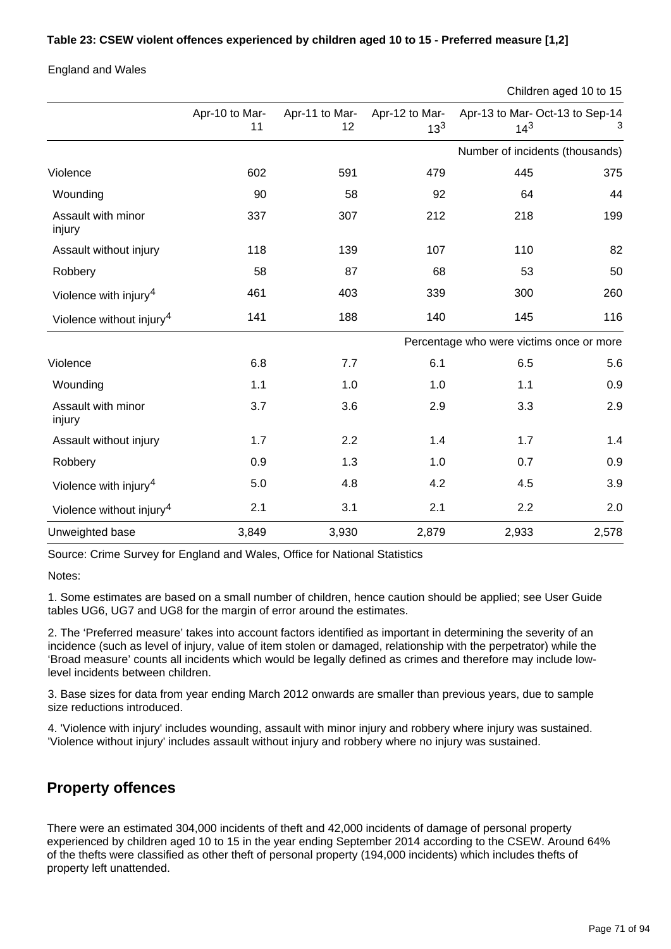### **Table 23: CSEW violent offences experienced by children aged 10 to 15 - Preferred measure [1,2]**

England and Wales

```
Children aged 10 to 15
```

|                                      | Apr-10 to Mar-<br>11                     | Apr-11 to Mar-<br>12 | Apr-12 to Mar-<br>$13^{3}$ | Apr-13 to Mar- Oct-13 to Sep-14<br>$14^{3}$ |       |  |
|--------------------------------------|------------------------------------------|----------------------|----------------------------|---------------------------------------------|-------|--|
|                                      |                                          |                      |                            | Number of incidents (thousands)             |       |  |
| Violence                             | 602                                      | 591                  | 479                        | 445                                         | 375   |  |
| Wounding                             | 90                                       | 58                   | 92                         | 64                                          | 44    |  |
| Assault with minor<br>injury         | 337                                      | 307                  | 212                        | 218                                         | 199   |  |
| Assault without injury               | 118                                      | 139                  | 107                        | 110                                         | 82    |  |
| Robbery                              | 58                                       | 87                   | 68                         | 53                                          | 50    |  |
| Violence with injury <sup>4</sup>    | 461                                      | 403                  | 339                        | 300                                         | 260   |  |
| Violence without injury <sup>4</sup> | 141                                      | 188                  | 140                        | 145                                         | 116   |  |
|                                      | Percentage who were victims once or more |                      |                            |                                             |       |  |
| Violence                             | 6.8                                      | 7.7                  | 6.1                        | 6.5                                         | 5.6   |  |
| Wounding                             | 1.1                                      | 1.0                  | 1.0                        | 1.1                                         | 0.9   |  |
| Assault with minor<br>injury         | 3.7                                      | 3.6                  | 2.9                        | 3.3                                         | 2.9   |  |
| Assault without injury               | 1.7                                      | 2.2                  | 1.4                        | 1.7                                         | 1.4   |  |
| Robbery                              | 0.9                                      | 1.3                  | 1.0                        | 0.7                                         | 0.9   |  |
| Violence with injury <sup>4</sup>    | 5.0                                      | 4.8                  | 4.2                        | 4.5                                         | 3.9   |  |
| Violence without injury <sup>4</sup> | 2.1                                      | 3.1                  | 2.1                        | 2.2                                         | 2.0   |  |
| Unweighted base                      | 3,849                                    | 3,930                | 2,879                      | 2,933                                       | 2,578 |  |

Source: Crime Survey for England and Wales, Office for National Statistics

Notes:

1. Some estimates are based on a small number of children, hence caution should be applied; see User Guide tables UG6, UG7 and UG8 for the margin of error around the estimates.

2. The 'Preferred measure' takes into account factors identified as important in determining the severity of an incidence (such as level of injury, value of item stolen or damaged, relationship with the perpetrator) while the 'Broad measure' counts all incidents which would be legally defined as crimes and therefore may include lowlevel incidents between children.

3. Base sizes for data from year ending March 2012 onwards are smaller than previous years, due to sample size reductions introduced.

4. 'Violence with injury' includes wounding, assault with minor injury and robbery where injury was sustained. 'Violence without injury' includes assault without injury and robbery where no injury was sustained.

## **Property offences**

There were an estimated 304,000 incidents of theft and 42,000 incidents of damage of personal property experienced by children aged 10 to 15 in the year ending September 2014 according to the CSEW. Around 64% of the thefts were classified as other theft of personal property (194,000 incidents) which includes thefts of property left unattended.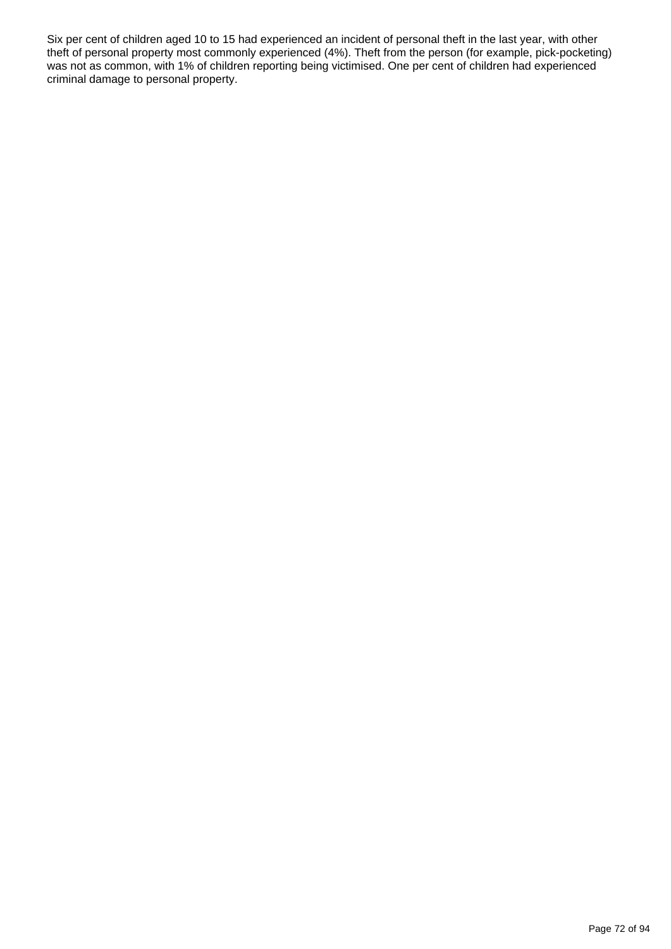Six per cent of children aged 10 to 15 had experienced an incident of personal theft in the last year, with other theft of personal property most commonly experienced (4%). Theft from the person (for example, pick-pocketing) was not as common, with 1% of children reporting being victimised. One per cent of children had experienced criminal damage to personal property.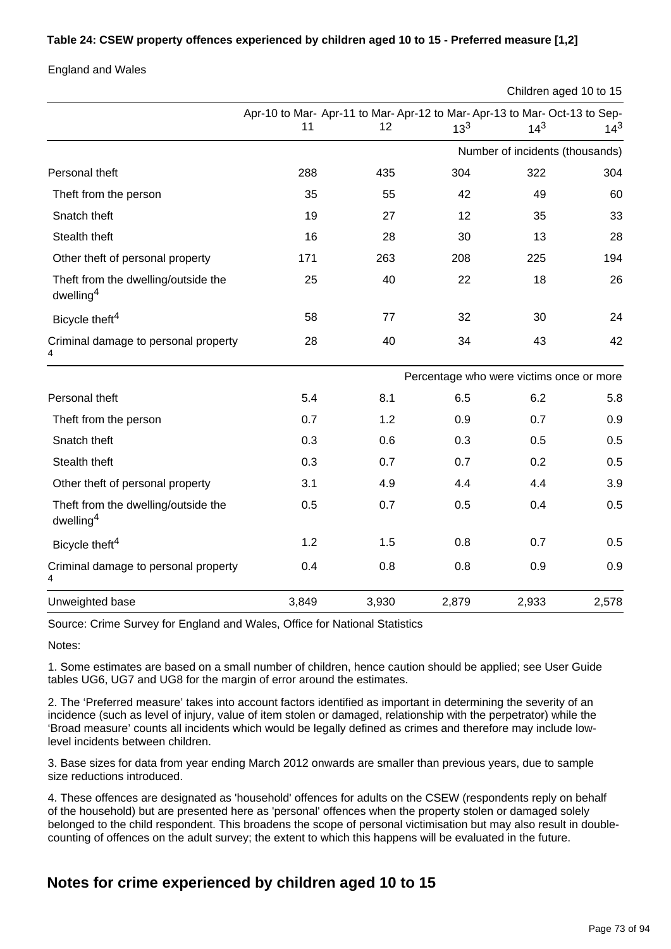### **Table 24: CSEW property offences experienced by children aged 10 to 15 - Preferred measure [1,2]**

England and Wales

Children aged 10 to 15

|                                                              | Apr-10 to Mar- Apr-11 to Mar- Apr-12 to Mar- Apr-13 to Mar- Oct-13 to Sep- |       |          |                                          |          |
|--------------------------------------------------------------|----------------------------------------------------------------------------|-------|----------|------------------------------------------|----------|
|                                                              | 11                                                                         | 12    | $13^{3}$ | $14^{3}$                                 | $14^{3}$ |
|                                                              |                                                                            |       |          | Number of incidents (thousands)          |          |
| Personal theft                                               | 288                                                                        | 435   | 304      | 322                                      | 304      |
| Theft from the person                                        | 35                                                                         | 55    | 42       | 49                                       | 60       |
| Snatch theft                                                 | 19                                                                         | 27    | 12       | 35                                       | 33       |
| Stealth theft                                                | 16                                                                         | 28    | 30       | 13                                       | 28       |
| Other theft of personal property                             | 171                                                                        | 263   | 208      | 225                                      | 194      |
| Theft from the dwelling/outside the<br>dwelling <sup>4</sup> | 25                                                                         | 40    | 22       | 18                                       | 26       |
| Bicycle theft <sup>4</sup>                                   | 58                                                                         | 77    | 32       | 30                                       | 24       |
| Criminal damage to personal property<br>4                    | 28                                                                         | 40    | 34       | 43                                       | 42       |
|                                                              |                                                                            |       |          | Percentage who were victims once or more |          |
| Personal theft                                               | 5.4                                                                        | 8.1   | 6.5      | 6.2                                      | 5.8      |
| Theft from the person                                        | 0.7                                                                        | 1.2   | 0.9      | 0.7                                      | 0.9      |
| Snatch theft                                                 | 0.3                                                                        | 0.6   | 0.3      | 0.5                                      | 0.5      |
| Stealth theft                                                | 0.3                                                                        | 0.7   | 0.7      | 0.2                                      | 0.5      |
| Other theft of personal property                             | 3.1                                                                        | 4.9   | 4.4      | 4.4                                      | 3.9      |
| Theft from the dwelling/outside the<br>dwelling <sup>4</sup> | 0.5                                                                        | 0.7   | 0.5      | 0.4                                      | 0.5      |
| Bicycle theft <sup>4</sup>                                   | 1.2                                                                        | 1.5   | 0.8      | 0.7                                      | 0.5      |
| Criminal damage to personal property<br>4                    | 0.4                                                                        | 0.8   | 0.8      | 0.9                                      | 0.9      |
| Unweighted base                                              | 3,849                                                                      | 3,930 | 2,879    | 2,933                                    | 2,578    |

Source: Crime Survey for England and Wales, Office for National Statistics

Notes:

1. Some estimates are based on a small number of children, hence caution should be applied; see User Guide tables UG6, UG7 and UG8 for the margin of error around the estimates.

2. The 'Preferred measure' takes into account factors identified as important in determining the severity of an incidence (such as level of injury, value of item stolen or damaged, relationship with the perpetrator) while the 'Broad measure' counts all incidents which would be legally defined as crimes and therefore may include lowlevel incidents between children.

3. Base sizes for data from year ending March 2012 onwards are smaller than previous years, due to sample size reductions introduced.

4. These offences are designated as 'household' offences for adults on the CSEW (respondents reply on behalf of the household) but are presented here as 'personal' offences when the property stolen or damaged solely belonged to the child respondent. This broadens the scope of personal victimisation but may also result in doublecounting of offences on the adult survey; the extent to which this happens will be evaluated in the future.

## **Notes for crime experienced by children aged 10 to 15**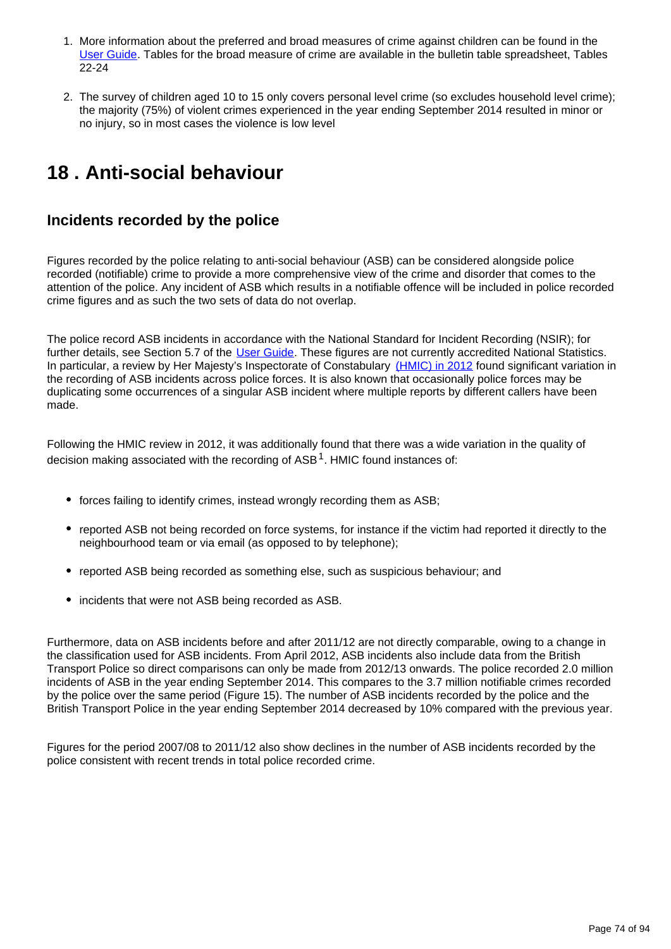- 1. More information about the preferred and broad measures of crime against children can be found in the [User Guide.](http://www.ons.gov.uk/ons/guide-method/method-quality/specific/crime-statistics-methodology/index.html) Tables for the broad measure of crime are available in the bulletin table spreadsheet, Tables 22-24
- 2. The survey of children aged 10 to 15 only covers personal level crime (so excludes household level crime); the majority (75%) of violent crimes experienced in the year ending September 2014 resulted in minor or no injury, so in most cases the violence is low level

# **18 . Anti-social behaviour**

## **Incidents recorded by the police**

Figures recorded by the police relating to anti-social behaviour (ASB) can be considered alongside police recorded (notifiable) crime to provide a more comprehensive view of the crime and disorder that comes to the attention of the police. Any incident of ASB which results in a notifiable offence will be included in police recorded crime figures and as such the two sets of data do not overlap.

The police record ASB incidents in accordance with the National Standard for Incident Recording (NSIR); for further details, see Section 5.7 of the [User Guide](http://www.ons.gov.uk/ons/guide-method/method-quality/specific/crime-statistics-methodology/index.html). These figures are not currently accredited National Statistics. In particular, a review by Her Majesty's Inspectorate of Constabulary [\(HMIC\) in 2012](http://www.hmic.gov.uk/publication/review-police-crime-incident-reports-20120125/) found significant variation in the recording of ASB incidents across police forces. It is also known that occasionally police forces may be duplicating some occurrences of a singular ASB incident where multiple reports by different callers have been made.

Following the HMIC review in 2012, it was additionally found that there was a wide variation in the quality of decision making associated with the recording of  $ASB<sup>1</sup>$ . HMIC found instances of:

- forces failing to identify crimes, instead wrongly recording them as ASB;
- reported ASB not being recorded on force systems, for instance if the victim had reported it directly to the neighbourhood team or via email (as opposed to by telephone);
- reported ASB being recorded as something else, such as suspicious behaviour; and
- incidents that were not ASB being recorded as ASB.

Furthermore, data on ASB incidents before and after 2011/12 are not directly comparable, owing to a change in the classification used for ASB incidents. From April 2012, ASB incidents also include data from the British Transport Police so direct comparisons can only be made from 2012/13 onwards. The police recorded 2.0 million incidents of ASB in the year ending September 2014. This compares to the 3.7 million notifiable crimes recorded by the police over the same period (Figure 15). The number of ASB incidents recorded by the police and the British Transport Police in the year ending September 2014 decreased by 10% compared with the previous year.

Figures for the period 2007/08 to 2011/12 also show declines in the number of ASB incidents recorded by the police consistent with recent trends in total police recorded crime.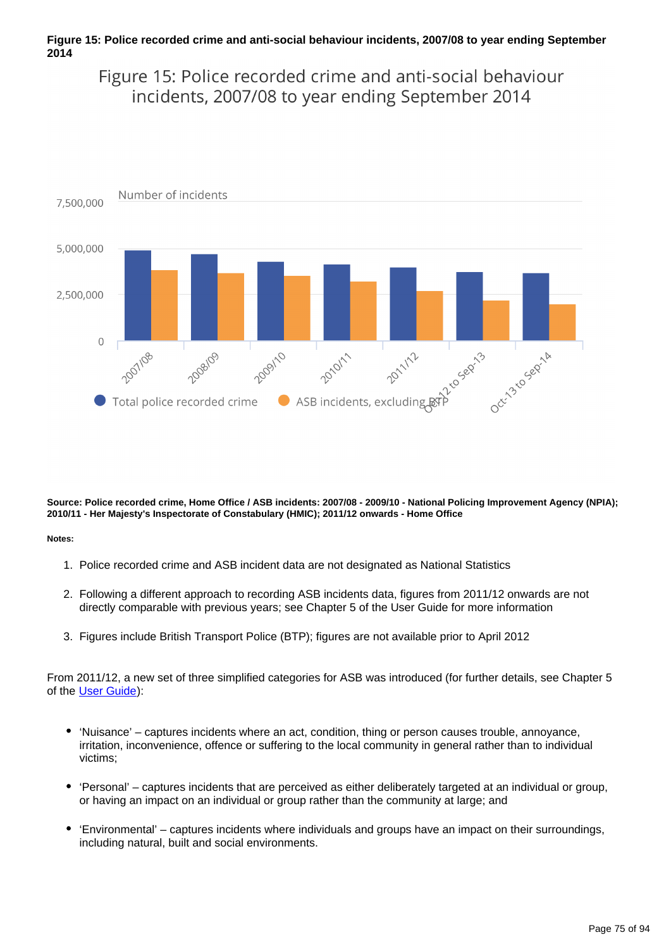### **Figure 15: Police recorded crime and anti-social behaviour incidents, 2007/08 to year ending September 2014**

Figure 15: Police recorded crime and anti-social behaviour incidents, 2007/08 to year ending September 2014



**Source: Police recorded crime, Home Office / ASB incidents: 2007/08 - 2009/10 - National Policing Improvement Agency (NPIA); 2010/11 - Her Majesty's Inspectorate of Constabulary (HMIC); 2011/12 onwards - Home Office**

#### **Notes:**

- 1. Police recorded crime and ASB incident data are not designated as National Statistics
- 2. Following a different approach to recording ASB incidents data, figures from 2011/12 onwards are not directly comparable with previous years; see Chapter 5 of the User Guide for more information
- 3. Figures include British Transport Police (BTP); figures are not available prior to April 2012

From 2011/12, a new set of three simplified categories for ASB was introduced (for further details, see Chapter 5 of the [User Guide](http://www.ons.gov.uk/ons/guide-method/method-quality/specific/crime-statistics-methodology/index.html)):

- 'Nuisance' captures incidents where an act, condition, thing or person causes trouble, annoyance, irritation, inconvenience, offence or suffering to the local community in general rather than to individual victims;
- 'Personal' captures incidents that are perceived as either deliberately targeted at an individual or group, or having an impact on an individual or group rather than the community at large; and
- 'Environmental' captures incidents where individuals and groups have an impact on their surroundings, including natural, built and social environments.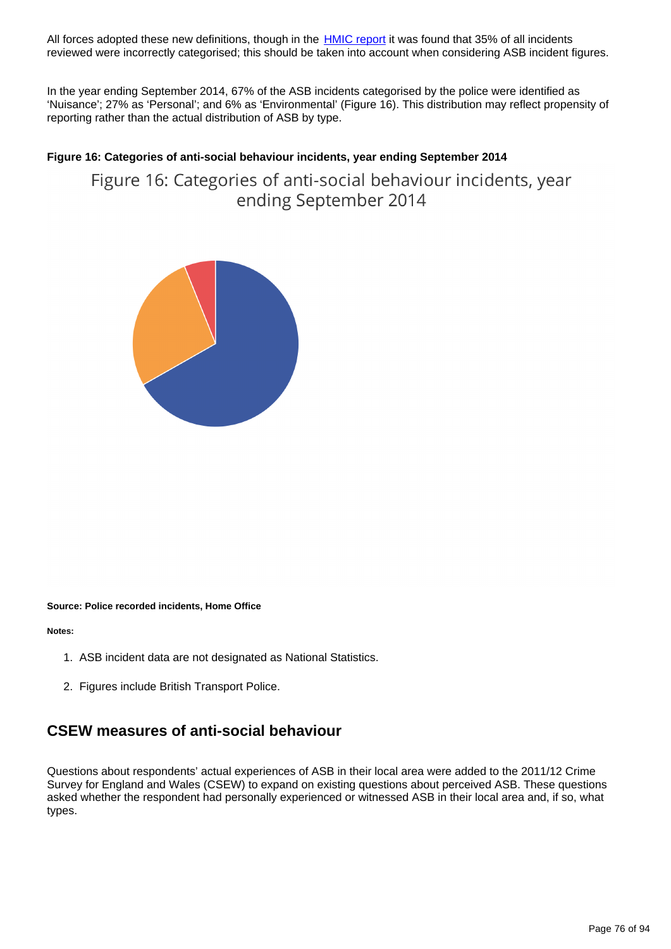All forces adopted these new definitions, though in the **[HMIC report](http://www.hmic.gov.uk/media/a-step-in-the-right-direction-the-policing-of-anti-social-behaviour.pdf)** it was found that 35% of all incidents reviewed were incorrectly categorised; this should be taken into account when considering ASB incident figures.

In the year ending September 2014, 67% of the ASB incidents categorised by the police were identified as 'Nuisance'; 27% as 'Personal'; and 6% as 'Environmental' (Figure 16). This distribution may reflect propensity of reporting rather than the actual distribution of ASB by type.

### **Figure 16: Categories of anti-social behaviour incidents, year ending September 2014**

Figure 16: Categories of anti-social behaviour incidents, year ending September 2014



#### **Source: Police recorded incidents, Home Office**

**Notes:**

- 1. ASB incident data are not designated as National Statistics.
- 2. Figures include British Transport Police.

### **CSEW measures of anti-social behaviour**

Questions about respondents' actual experiences of ASB in their local area were added to the 2011/12 Crime Survey for England and Wales (CSEW) to expand on existing questions about perceived ASB. These questions asked whether the respondent had personally experienced or witnessed ASB in their local area and, if so, what types.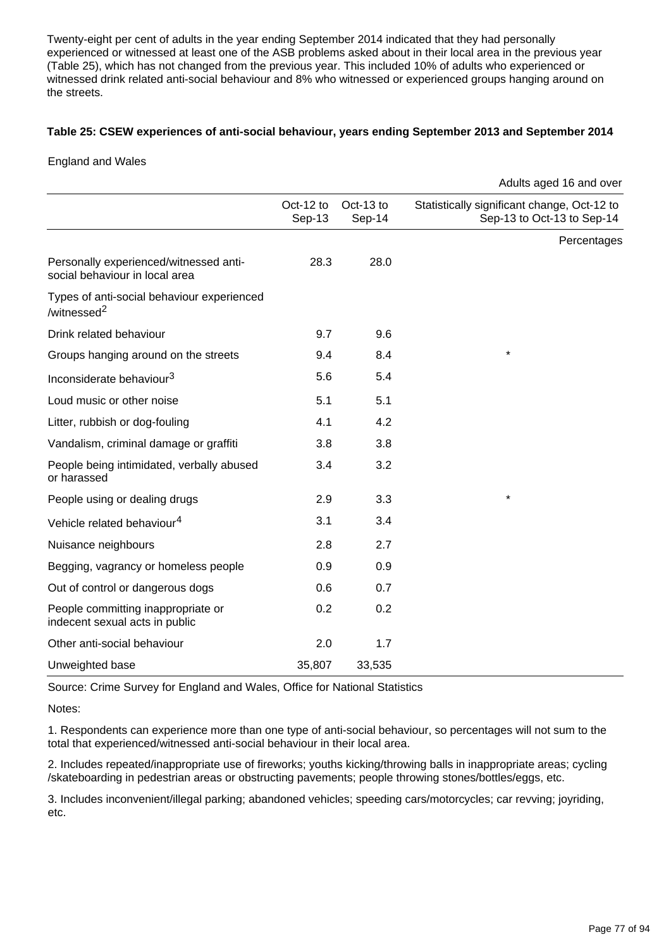Twenty-eight per cent of adults in the year ending September 2014 indicated that they had personally experienced or witnessed at least one of the ASB problems asked about in their local area in the previous year (Table 25), which has not changed from the previous year. This included 10% of adults who experienced or witnessed drink related anti-social behaviour and 8% who witnessed or experienced groups hanging around on the streets.

### **Table 25: CSEW experiences of anti-social behaviour, years ending September 2013 and September 2014**

England and Wales

|                                                                          |                     |                       | Adults aged 16 and over                                                   |
|--------------------------------------------------------------------------|---------------------|-----------------------|---------------------------------------------------------------------------|
|                                                                          | Oct-12 to<br>Sep-13 | Oct-13 to<br>$Sep-14$ | Statistically significant change, Oct-12 to<br>Sep-13 to Oct-13 to Sep-14 |
|                                                                          |                     |                       | Percentages                                                               |
| Personally experienced/witnessed anti-<br>social behaviour in local area | 28.3                | 28.0                  |                                                                           |
| Types of anti-social behaviour experienced<br>/witnessed <sup>2</sup>    |                     |                       |                                                                           |
| Drink related behaviour                                                  | 9.7                 | 9.6                   |                                                                           |
| Groups hanging around on the streets                                     | 9.4                 | 8.4                   | $\star$                                                                   |
| Inconsiderate behaviour <sup>3</sup>                                     | 5.6                 | 5.4                   |                                                                           |
| Loud music or other noise                                                | 5.1                 | 5.1                   |                                                                           |
| Litter, rubbish or dog-fouling                                           | 4.1                 | 4.2                   |                                                                           |
| Vandalism, criminal damage or graffiti                                   | 3.8                 | 3.8                   |                                                                           |
| People being intimidated, verbally abused<br>or harassed                 | 3.4                 | 3.2                   |                                                                           |
| People using or dealing drugs                                            | 2.9                 | 3.3                   | $\star$                                                                   |
| Vehicle related behaviour <sup>4</sup>                                   | 3.1                 | 3.4                   |                                                                           |
| Nuisance neighbours                                                      | 2.8                 | 2.7                   |                                                                           |
| Begging, vagrancy or homeless people                                     | 0.9                 | 0.9                   |                                                                           |
| Out of control or dangerous dogs                                         | 0.6                 | 0.7                   |                                                                           |
| People committing inappropriate or<br>indecent sexual acts in public     | 0.2                 | 0.2                   |                                                                           |
| Other anti-social behaviour                                              | 2.0                 | 1.7                   |                                                                           |
| Unweighted base                                                          | 35,807              | 33,535                |                                                                           |

Source: Crime Survey for England and Wales, Office for National Statistics

Notes:

1. Respondents can experience more than one type of anti-social behaviour, so percentages will not sum to the total that experienced/witnessed anti-social behaviour in their local area.

2. Includes repeated/inappropriate use of fireworks; youths kicking/throwing balls in inappropriate areas; cycling /skateboarding in pedestrian areas or obstructing pavements; people throwing stones/bottles/eggs, etc.

3. Includes inconvenient/illegal parking; abandoned vehicles; speeding cars/motorcycles; car revving; joyriding, etc.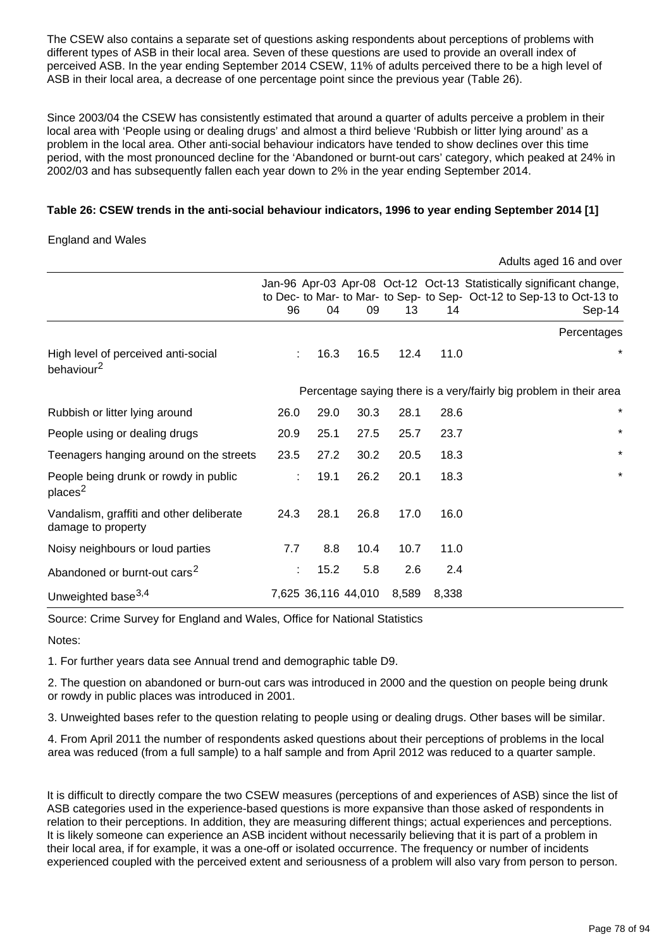The CSEW also contains a separate set of questions asking respondents about perceptions of problems with different types of ASB in their local area. Seven of these questions are used to provide an overall index of perceived ASB. In the year ending September 2014 CSEW, 11% of adults perceived there to be a high level of ASB in their local area, a decrease of one percentage point since the previous year (Table 26).

Since 2003/04 the CSEW has consistently estimated that around a quarter of adults perceive a problem in their local area with 'People using or dealing drugs' and almost a third believe 'Rubbish or litter lying around' as a problem in the local area. Other anti-social behaviour indicators have tended to show declines over this time period, with the most pronounced decline for the 'Abandoned or burnt-out cars' category, which peaked at 24% in 2002/03 and has subsequently fallen each year down to 2% in the year ending September 2014.

### **Table 26: CSEW trends in the anti-social behaviour indicators, 1996 to year ending September 2014 [1]**

### England and Wales

|                                                                |      |                     |      |       |       | Adults aged 16 and over                                                                                                                                 |
|----------------------------------------------------------------|------|---------------------|------|-------|-------|---------------------------------------------------------------------------------------------------------------------------------------------------------|
|                                                                | 96   | 04                  | 09   | 13    | 14    | Jan-96 Apr-03 Apr-08 Oct-12 Oct-13 Statistically significant change,<br>to Dec- to Mar- to Mar- to Sep- to Sep- Oct-12 to Sep-13 to Oct-13 to<br>Sep-14 |
|                                                                |      |                     |      |       |       | Percentages                                                                                                                                             |
| High level of perceived anti-social<br>behaviour <sup>2</sup>  | ÷    | 16.3                | 16.5 | 12.4  | 11.0  | *                                                                                                                                                       |
|                                                                |      |                     |      |       |       | Percentage saying there is a very/fairly big problem in their area                                                                                      |
| Rubbish or litter lying around                                 | 26.0 | 29.0                | 30.3 | 28.1  | 28.6  | $^\star$                                                                                                                                                |
| People using or dealing drugs                                  | 20.9 | 25.1                | 27.5 | 25.7  | 23.7  | $\star$                                                                                                                                                 |
| Teenagers hanging around on the streets                        | 23.5 | 27.2                | 30.2 | 20.5  | 18.3  | $\star$                                                                                                                                                 |
| People being drunk or rowdy in public<br>places <sup>2</sup>   | ÷    | 19.1                | 26.2 | 20.1  | 18.3  | $\star$                                                                                                                                                 |
| Vandalism, graffiti and other deliberate<br>damage to property | 24.3 | 28.1                | 26.8 | 17.0  | 16.0  |                                                                                                                                                         |
| Noisy neighbours or loud parties                               | 7.7  | 8.8                 | 10.4 | 10.7  | 11.0  |                                                                                                                                                         |
| Abandoned or burnt-out cars <sup>2</sup>                       | t.   | 15.2                | 5.8  | 2.6   | 2.4   |                                                                                                                                                         |
| Unweighted base <sup>3,4</sup>                                 |      | 7,625 36,116 44,010 |      | 8,589 | 8,338 |                                                                                                                                                         |

Source: Crime Survey for England and Wales, Office for National Statistics

Notes:

1. For further years data see Annual trend and demographic table D9.

2. The question on abandoned or burn-out cars was introduced in 2000 and the question on people being drunk or rowdy in public places was introduced in 2001.

3. Unweighted bases refer to the question relating to people using or dealing drugs. Other bases will be similar.

4. From April 2011 the number of respondents asked questions about their perceptions of problems in the local area was reduced (from a full sample) to a half sample and from April 2012 was reduced to a quarter sample.

It is difficult to directly compare the two CSEW measures (perceptions of and experiences of ASB) since the list of ASB categories used in the experience-based questions is more expansive than those asked of respondents in relation to their perceptions. In addition, they are measuring different things; actual experiences and perceptions. It is likely someone can experience an ASB incident without necessarily believing that it is part of a problem in their local area, if for example, it was a one-off or isolated occurrence. The frequency or number of incidents experienced coupled with the perceived extent and seriousness of a problem will also vary from person to person.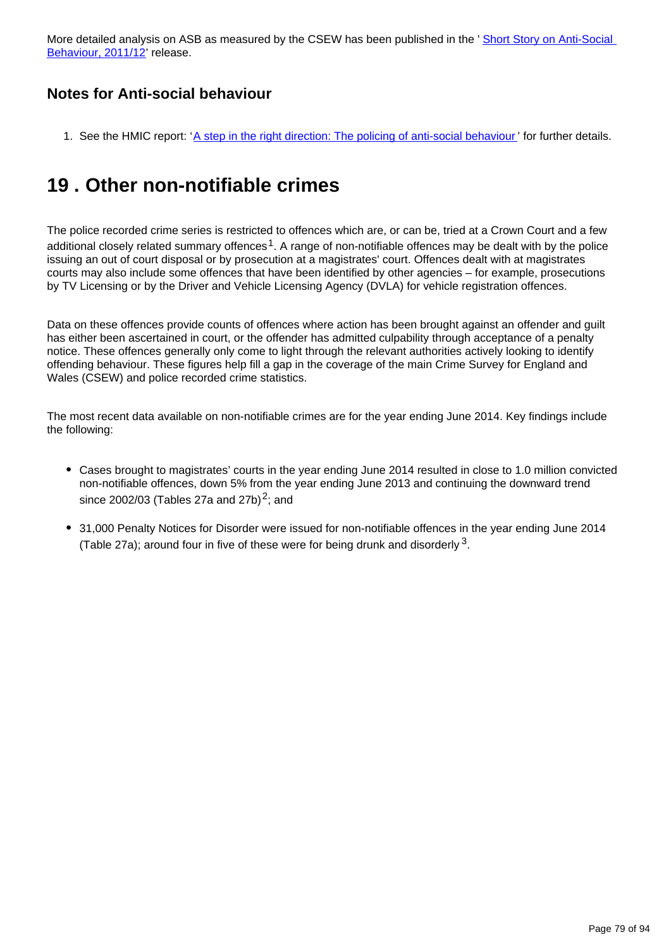More detailed analysis on ASB as measured by the CSEW has been published in the ' Short Story on Anti-Social [Behaviour, 2011/12](http://www.ons.gov.uk/ons/rel/crime-stats/crime-statistics/short-story-on-anti-social-behaviour--2011-12/index.html)' release.

## **Notes for Anti-social behaviour**

1. See the HMIC report: '[A step in the right direction: The policing of anti-social behaviour](http://www.hmic.gov.uk/media/a-step-in-the-right-direction-the-policing-of-anti-social-behaviour.pdf)' for further details.

## **19 . Other non-notifiable crimes**

The police recorded crime series is restricted to offences which are, or can be, tried at a Crown Court and a few additional closely related summary offences<sup>1</sup>. A range of non-notifiable offences may be dealt with by the police issuing an out of court disposal or by prosecution at a magistrates' court. Offences dealt with at magistrates courts may also include some offences that have been identified by other agencies – for example, prosecutions by TV Licensing or by the Driver and Vehicle Licensing Agency (DVLA) for vehicle registration offences.

Data on these offences provide counts of offences where action has been brought against an offender and guilt has either been ascertained in court, or the offender has admitted culpability through acceptance of a penalty notice. These offences generally only come to light through the relevant authorities actively looking to identify offending behaviour. These figures help fill a gap in the coverage of the main Crime Survey for England and Wales (CSEW) and police recorded crime statistics.

The most recent data available on non-notifiable crimes are for the year ending June 2014. Key findings include the following:

- Cases brought to magistrates' courts in the year ending June 2014 resulted in close to 1.0 million convicted non-notifiable offences, down 5% from the year ending June 2013 and continuing the downward trend since 2002/03 (Tables 27a and 27b) $2$ ; and
- 31,000 Penalty Notices for Disorder were issued for non-notifiable offences in the year ending June 2014 (Table 27a); around four in five of these were for being drunk and disorderly  $^3$ .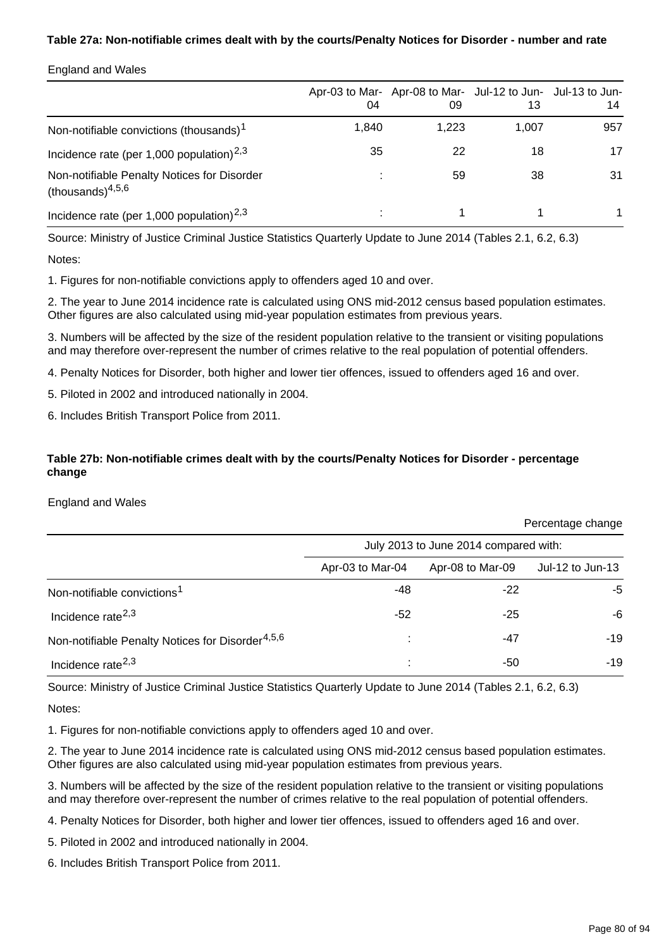### **Table 27a: Non-notifiable crimes dealt with by the courts/Penalty Notices for Disorder - number and rate**

### England and Wales

|                                                                    | 04    | Apr-03 to Mar- Apr-08 to Mar- Jul-12 to Jun- Jul-13 to Jun-<br>09 | 13    | 14  |
|--------------------------------------------------------------------|-------|-------------------------------------------------------------------|-------|-----|
| Non-notifiable convictions (thousands) <sup>1</sup>                | 1,840 | 1,223                                                             | 1,007 | 957 |
| Incidence rate (per 1,000 population) <sup>2,3</sup>               | 35    | 22                                                                | 18    | 17  |
| Non-notifiable Penalty Notices for Disorder<br>(thousands) $4,5,6$ |       | 59                                                                | 38    | 31  |
| Incidence rate (per 1,000 population) <sup>2,3</sup>               |       |                                                                   |       |     |

Source: Ministry of Justice Criminal Justice Statistics Quarterly Update to June 2014 (Tables 2.1, 6.2, 6.3)

Notes:

1. Figures for non-notifiable convictions apply to offenders aged 10 and over.

2. The year to June 2014 incidence rate is calculated using ONS mid-2012 census based population estimates. Other figures are also calculated using mid-year population estimates from previous years.

3. Numbers will be affected by the size of the resident population relative to the transient or visiting populations and may therefore over-represent the number of crimes relative to the real population of potential offenders.

4. Penalty Notices for Disorder, both higher and lower tier offences, issued to offenders aged 16 and over.

5. Piloted in 2002 and introduced nationally in 2004.

6. Includes British Transport Police from 2011.

### **Table 27b: Non-notifiable crimes dealt with by the courts/Penalty Notices for Disorder - percentage change**

#### England and Wales

|                                                              | July 2013 to June 2014 compared with: |                  |                  |  |  |
|--------------------------------------------------------------|---------------------------------------|------------------|------------------|--|--|
|                                                              | Apr-03 to Mar-04                      | Apr-08 to Mar-09 | Jul-12 to Jun-13 |  |  |
| Non-notifiable convictions <sup>1</sup>                      | -48                                   | $-22$            | -5               |  |  |
| Incidence rate <sup>2,3</sup>                                | -52                                   | $-25$            | -6               |  |  |
| Non-notifiable Penalty Notices for Disorder <sup>4,5,6</sup> | ٠                                     | -47              | $-19$            |  |  |
| Incidence rate <sup>2,3</sup>                                |                                       | -50              | $-19$            |  |  |

Source: Ministry of Justice Criminal Justice Statistics Quarterly Update to June 2014 (Tables 2.1, 6.2, 6.3)

Notes:

1. Figures for non-notifiable convictions apply to offenders aged 10 and over.

2. The year to June 2014 incidence rate is calculated using ONS mid-2012 census based population estimates. Other figures are also calculated using mid-year population estimates from previous years.

3. Numbers will be affected by the size of the resident population relative to the transient or visiting populations and may therefore over-represent the number of crimes relative to the real population of potential offenders.

4. Penalty Notices for Disorder, both higher and lower tier offences, issued to offenders aged 16 and over.

5. Piloted in 2002 and introduced nationally in 2004.

6. Includes British Transport Police from 2011.

Percentage change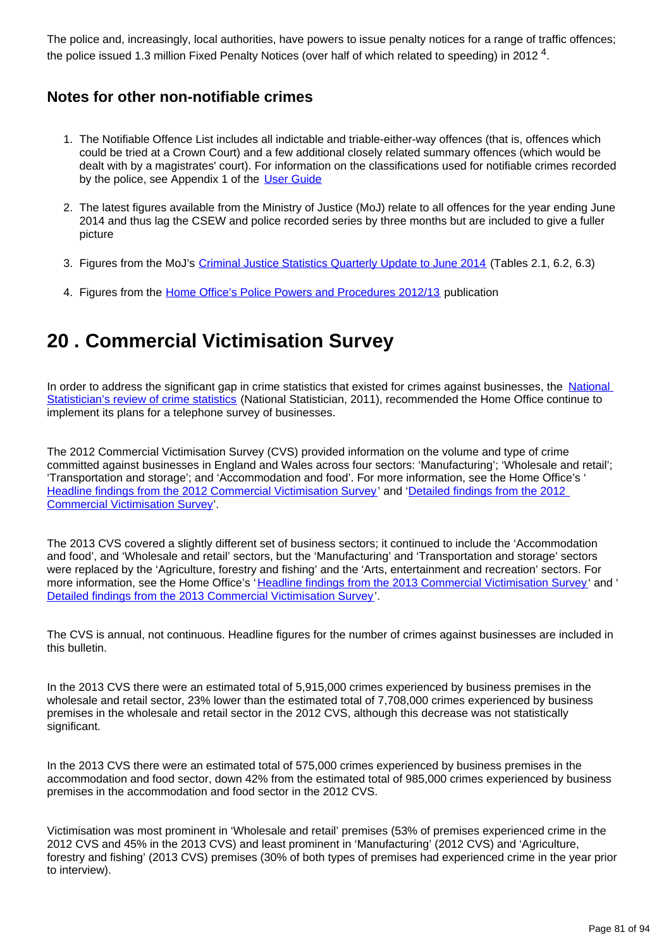The police and, increasingly, local authorities, have powers to issue penalty notices for a range of traffic offences; the police issued 1.3 million Fixed Penalty Notices (over half of which related to speeding) in 2012  $^4$ .

## **Notes for other non-notifiable crimes**

- 1. The Notifiable Offence List includes all indictable and triable-either-way offences (that is, offences which could be tried at a Crown Court) and a few additional closely related summary offences (which would be dealt with by a magistrates' court). For information on the classifications used for notifiable crimes recorded by the police, see Appendix 1 of the [User Guide](http://www.ons.gov.uk/ons/guide-method/method-quality/specific/crime-statistics-methodology/index.html)
- 2. The latest figures available from the Ministry of Justice (MoJ) relate to all offences for the year ending June 2014 and thus lag the CSEW and police recorded series by three months but are included to give a fuller picture
- 3. Figures from the MoJ's [Criminal Justice Statistics Quarterly Update to June 2014](https://www.gov.uk/government/statistics/criminal-justice-system-quarterly-statistics-june-2014) (Tables 2.1, 6.2, 6.3)
- 4. Figures from the [Home Office's Police Powers and Procedures 2012/13](https://www.gov.uk/government/statistics/police-powers-and-procedures-england-and-wales-2012-to-2013) publication

# **20 . Commercial Victimisation Survey**

In order to address the significant gap in crime statistics that existed for crimes against businesses, the National [Statistician's review of crime statistics](http://www.statisticsauthority.gov.uk/national-statistician/ns-reports--reviews-and-guidance/national-statistician-s-reviews/national-statistician-s-review-of-crime-statistics.html) (National Statistician, 2011), recommended the Home Office continue to implement its plans for a telephone survey of businesses.

The 2012 Commercial Victimisation Survey (CVS) provided information on the volume and type of crime committed against businesses in England and Wales across four sectors: 'Manufacturing'; 'Wholesale and retail'; 'Transportation and storage'; and 'Accommodation and food'. For more information, see the Home Office's ' [Headline findings from the 2012 Commercial Victimisation Survey](https://www.gov.uk/government/publications/crime-against-businesses-headline-findings-from-the-2012-commercial-victimisation-survey--2)' and ['Detailed findings from the 2012](https://www.gov.uk/government/publications/crime-against-businesses-detailed-findings-from-the-2012-commercial-victimisation-survey)  [Commercial Victimisation Survey](https://www.gov.uk/government/publications/crime-against-businesses-detailed-findings-from-the-2012-commercial-victimisation-survey)'.

The 2013 CVS covered a slightly different set of business sectors; it continued to include the 'Accommodation and food', and 'Wholesale and retail' sectors, but the 'Manufacturing' and 'Transportation and storage' sectors were replaced by the 'Agriculture, forestry and fishing' and the 'Arts, entertainment and recreation' sectors. For more information, see the Home Office's '[Headline findings from the 2013 Commercial Victimisation Survey](https://www.gov.uk/government/publications/crime-against-businesses-headline-findings-from-the-2013-commercial-victimisation-survey)' and ' [Detailed findings from the 2013 Commercial Victimisation Survey](https://www.gov.uk/government/publications/crime-against-businesses-detailed-findings-from-the-2013-commercial-victimisation-survey)'.

The CVS is annual, not continuous. Headline figures for the number of crimes against businesses are included in this bulletin.

In the 2013 CVS there were an estimated total of 5,915,000 crimes experienced by business premises in the wholesale and retail sector, 23% lower than the estimated total of 7,708,000 crimes experienced by business premises in the wholesale and retail sector in the 2012 CVS, although this decrease was not statistically significant.

In the 2013 CVS there were an estimated total of 575,000 crimes experienced by business premises in the accommodation and food sector, down 42% from the estimated total of 985,000 crimes experienced by business premises in the accommodation and food sector in the 2012 CVS.

Victimisation was most prominent in 'Wholesale and retail' premises (53% of premises experienced crime in the 2012 CVS and 45% in the 2013 CVS) and least prominent in 'Manufacturing' (2012 CVS) and 'Agriculture, forestry and fishing' (2013 CVS) premises (30% of both types of premises had experienced crime in the year prior to interview).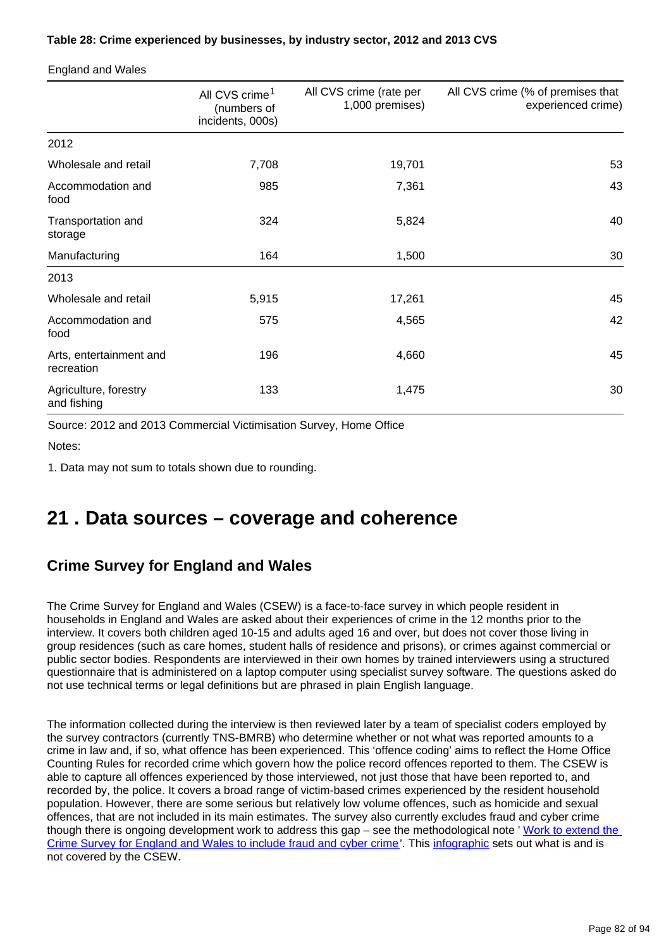### **Table 28: Crime experienced by businesses, by industry sector, 2012 and 2013 CVS**

England and Wales

|                                       | All CVS crime <sup>1</sup><br>(numbers of<br>incidents, 000s) | All CVS crime (rate per<br>1,000 premises) | All CVS crime (% of premises that<br>experienced crime) |
|---------------------------------------|---------------------------------------------------------------|--------------------------------------------|---------------------------------------------------------|
| 2012                                  |                                                               |                                            |                                                         |
| Wholesale and retail                  | 7,708                                                         | 19,701                                     | 53                                                      |
| Accommodation and<br>food             | 985                                                           | 7,361                                      | 43                                                      |
| Transportation and<br>storage         | 324                                                           | 5,824                                      | 40                                                      |
| Manufacturing                         | 164                                                           | 1,500                                      | 30                                                      |
| 2013                                  |                                                               |                                            |                                                         |
| Wholesale and retail                  | 5,915                                                         | 17,261                                     | 45                                                      |
| Accommodation and<br>food             | 575                                                           | 4,565                                      | 42                                                      |
| Arts, entertainment and<br>recreation | 196                                                           | 4,660                                      | 45                                                      |
| Agriculture, forestry<br>and fishing  | 133                                                           | 1,475                                      | 30                                                      |

Source: 2012 and 2013 Commercial Victimisation Survey, Home Office

Notes:

1. Data may not sum to totals shown due to rounding.

## **21 . Data sources – coverage and coherence**

## **Crime Survey for England and Wales**

The Crime Survey for England and Wales (CSEW) is a face-to-face survey in which people resident in households in England and Wales are asked about their experiences of crime in the 12 months prior to the interview. It covers both children aged 10-15 and adults aged 16 and over, but does not cover those living in group residences (such as care homes, student halls of residence and prisons), or crimes against commercial or public sector bodies. Respondents are interviewed in their own homes by trained interviewers using a structured questionnaire that is administered on a laptop computer using specialist survey software. The questions asked do not use technical terms or legal definitions but are phrased in plain English language.

The information collected during the interview is then reviewed later by a team of specialist coders employed by the survey contractors (currently TNS-BMRB) who determine whether or not what was reported amounts to a crime in law and, if so, what offence has been experienced. This 'offence coding' aims to reflect the Home Office Counting Rules for recorded crime which govern how the police record offences reported to them. The CSEW is able to capture all offences experienced by those interviewed, not just those that have been reported to, and recorded by, the police. It covers a broad range of victim-based crimes experienced by the resident household population. However, there are some serious but relatively low volume offences, such as homicide and sexual offences, that are not included in its main estimates. The survey also currently excludes fraud and cyber crime though there is ongoing development work to address this gap - see the methodological note ' Work to extend the [Crime Survey for England and Wales to include fraud and cyber crime](http://www.ons.gov.uk/ons/guide-method/method-quality/specific/crime-statistics-methodology/index.html)'. This [infographic](http://www.ons.gov.uk/ons/rel/crime-stats/crime-statistics/period-ending-june-2014/info-what-does-csew-cover.html) sets out what is and is not covered by the CSEW.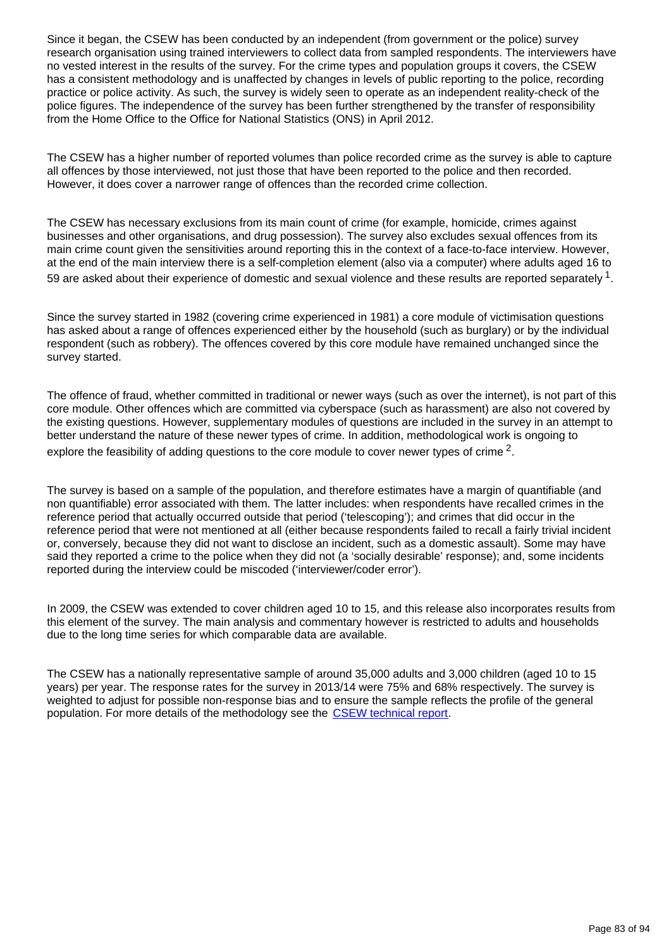Since it began, the CSEW has been conducted by an independent (from government or the police) survey research organisation using trained interviewers to collect data from sampled respondents. The interviewers have no vested interest in the results of the survey. For the crime types and population groups it covers, the CSEW has a consistent methodology and is unaffected by changes in levels of public reporting to the police, recording practice or police activity. As such, the survey is widely seen to operate as an independent reality-check of the police figures. The independence of the survey has been further strengthened by the transfer of responsibility from the Home Office to the Office for National Statistics (ONS) in April 2012.

The CSEW has a higher number of reported volumes than police recorded crime as the survey is able to capture all offences by those interviewed, not just those that have been reported to the police and then recorded. However, it does cover a narrower range of offences than the recorded crime collection.

The CSEW has necessary exclusions from its main count of crime (for example, homicide, crimes against businesses and other organisations, and drug possession). The survey also excludes sexual offences from its main crime count given the sensitivities around reporting this in the context of a face-to-face interview. However, at the end of the main interview there is a self-completion element (also via a computer) where adults aged 16 to 59 are asked about their experience of domestic and sexual violence and these results are reported separately  $^1$ .

Since the survey started in 1982 (covering crime experienced in 1981) a core module of victimisation questions has asked about a range of offences experienced either by the household (such as burglary) or by the individual respondent (such as robbery). The offences covered by this core module have remained unchanged since the survey started.

The offence of fraud, whether committed in traditional or newer ways (such as over the internet), is not part of this core module. Other offences which are committed via cyberspace (such as harassment) are also not covered by the existing questions. However, supplementary modules of questions are included in the survey in an attempt to better understand the nature of these newer types of crime. In addition, methodological work is ongoing to explore the feasibility of adding questions to the core module to cover newer types of crime  $^2$ .

The survey is based on a sample of the population, and therefore estimates have a margin of quantifiable (and non quantifiable) error associated with them. The latter includes: when respondents have recalled crimes in the reference period that actually occurred outside that period ('telescoping'); and crimes that did occur in the reference period that were not mentioned at all (either because respondents failed to recall a fairly trivial incident or, conversely, because they did not want to disclose an incident, such as a domestic assault). Some may have said they reported a crime to the police when they did not (a 'socially desirable' response); and, some incidents reported during the interview could be miscoded ('interviewer/coder error').

In 2009, the CSEW was extended to cover children aged 10 to 15, and this release also incorporates results from this element of the survey. The main analysis and commentary however is restricted to adults and households due to the long time series for which comparable data are available.

The CSEW has a nationally representative sample of around 35,000 adults and 3,000 children (aged 10 to 15 years) per year. The response rates for the survey in 2013/14 were 75% and 68% respectively. The survey is weighted to adjust for possible non-response bias and to ensure the sample reflects the profile of the general population. For more details of the methodology see the [CSEW technical report.](http://www.ons.gov.uk/ons/guide-method/method-quality/specific/crime-statistics-methodology/index.html)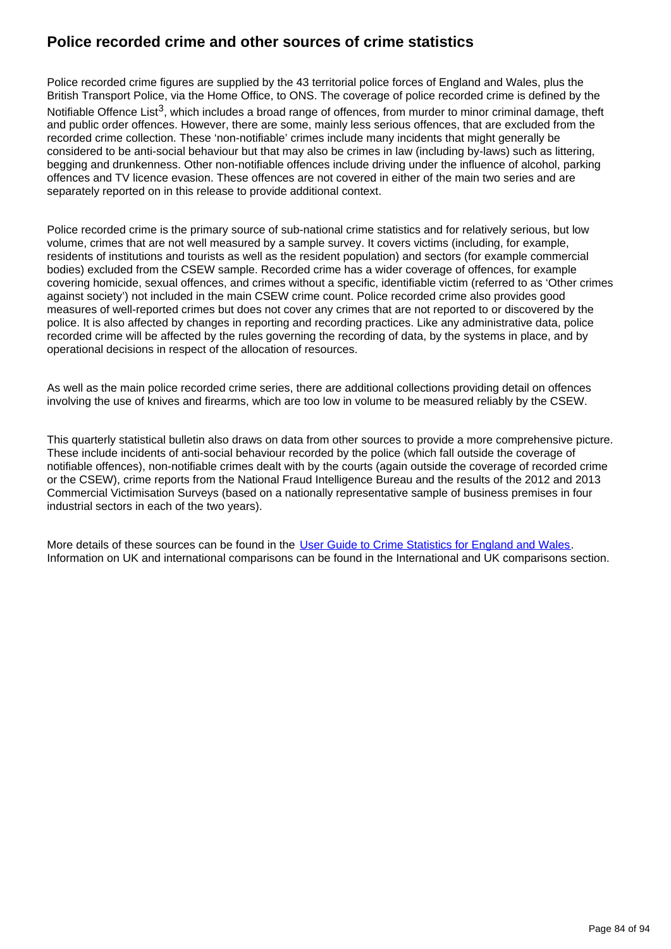## **Police recorded crime and other sources of crime statistics**

Police recorded crime figures are supplied by the 43 territorial police forces of England and Wales, plus the British Transport Police, via the Home Office, to ONS. The coverage of police recorded crime is defined by the Notifiable Offence List<sup>3</sup>, which includes a broad range of offences, from murder to minor criminal damage, theft and public order offences. However, there are some, mainly less serious offences, that are excluded from the recorded crime collection. These 'non-notifiable' crimes include many incidents that might generally be considered to be anti-social behaviour but that may also be crimes in law (including by-laws) such as littering, begging and drunkenness. Other non-notifiable offences include driving under the influence of alcohol, parking offences and TV licence evasion. These offences are not covered in either of the main two series and are separately reported on in this release to provide additional context.

Police recorded crime is the primary source of sub-national crime statistics and for relatively serious, but low volume, crimes that are not well measured by a sample survey. It covers victims (including, for example, residents of institutions and tourists as well as the resident population) and sectors (for example commercial bodies) excluded from the CSEW sample. Recorded crime has a wider coverage of offences, for example covering homicide, sexual offences, and crimes without a specific, identifiable victim (referred to as 'Other crimes against society') not included in the main CSEW crime count. Police recorded crime also provides good measures of well-reported crimes but does not cover any crimes that are not reported to or discovered by the police. It is also affected by changes in reporting and recording practices. Like any administrative data, police recorded crime will be affected by the rules governing the recording of data, by the systems in place, and by operational decisions in respect of the allocation of resources.

As well as the main police recorded crime series, there are additional collections providing detail on offences involving the use of knives and firearms, which are too low in volume to be measured reliably by the CSEW.

This quarterly statistical bulletin also draws on data from other sources to provide a more comprehensive picture. These include incidents of anti-social behaviour recorded by the police (which fall outside the coverage of notifiable offences), non-notifiable crimes dealt with by the courts (again outside the coverage of recorded crime or the CSEW), crime reports from the National Fraud Intelligence Bureau and the results of the 2012 and 2013 Commercial Victimisation Surveys (based on a nationally representative sample of business premises in four industrial sectors in each of the two years).

More details of these sources can be found in the [User Guide to Crime Statistics for England and Wales.](http://www.ons.gov.uk/ons/guide-method/method-quality/specific/crime-statistics-methodology/index.html) Information on UK and international comparisons can be found in the International and UK comparisons section.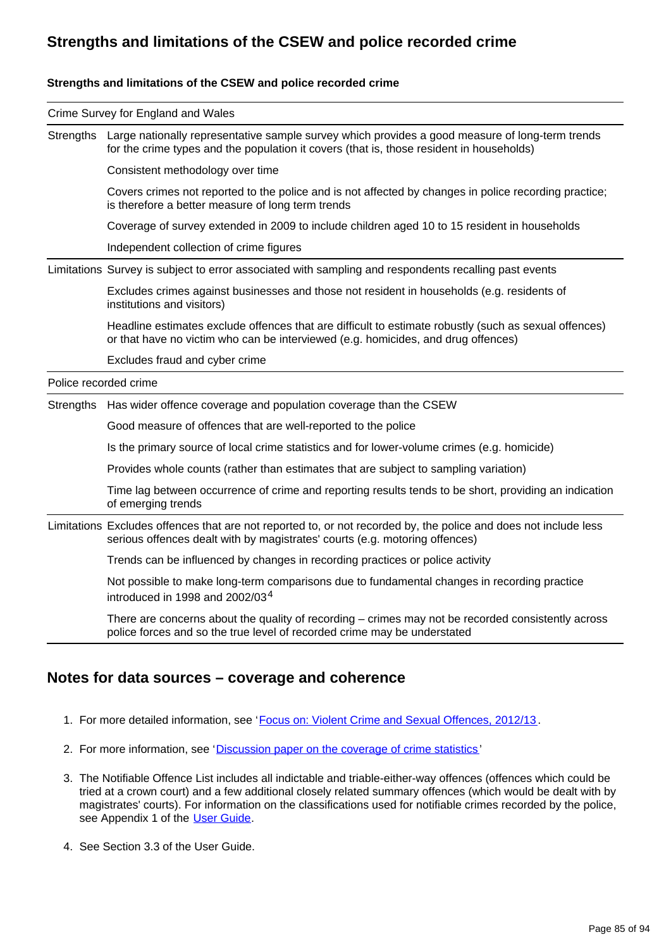## **Strengths and limitations of the CSEW and police recorded crime**

### **Strengths and limitations of the CSEW and police recorded crime**

|                       | Crime Survey for England and Wales                                                                                                                                                              |
|-----------------------|-------------------------------------------------------------------------------------------------------------------------------------------------------------------------------------------------|
| Strengths             | Large nationally representative sample survey which provides a good measure of long-term trends<br>for the crime types and the population it covers (that is, those resident in households)     |
|                       | Consistent methodology over time                                                                                                                                                                |
|                       | Covers crimes not reported to the police and is not affected by changes in police recording practice;<br>is therefore a better measure of long term trends                                      |
|                       | Coverage of survey extended in 2009 to include children aged 10 to 15 resident in households                                                                                                    |
|                       | Independent collection of crime figures                                                                                                                                                         |
|                       | Limitations Survey is subject to error associated with sampling and respondents recalling past events                                                                                           |
|                       | Excludes crimes against businesses and those not resident in households (e.g. residents of<br>institutions and visitors)                                                                        |
|                       | Headline estimates exclude offences that are difficult to estimate robustly (such as sexual offences)<br>or that have no victim who can be interviewed (e.g. homicides, and drug offences)      |
|                       | Excludes fraud and cyber crime                                                                                                                                                                  |
| Police recorded crime |                                                                                                                                                                                                 |
| Strengths             | Has wider offence coverage and population coverage than the CSEW                                                                                                                                |
|                       | Good measure of offences that are well-reported to the police                                                                                                                                   |
|                       | Is the primary source of local crime statistics and for lower-volume crimes (e.g. homicide)                                                                                                     |
|                       | Provides whole counts (rather than estimates that are subject to sampling variation)                                                                                                            |
|                       | Time lag between occurrence of crime and reporting results tends to be short, providing an indication<br>of emerging trends                                                                     |
|                       | Limitations Excludes offences that are not reported to, or not recorded by, the police and does not include less<br>serious offences dealt with by magistrates' courts (e.g. motoring offences) |
|                       | Trends can be influenced by changes in recording practices or police activity                                                                                                                   |
|                       | Not possible to make long-term comparisons due to fundamental changes in recording practice<br>introduced in 1998 and 2002/03 <sup>4</sup>                                                      |
|                       | There are concerns about the quality of recording $-$ crimes may not be recorded consistently across<br>police forces and so the true level of recorded crime may be understated                |

## **Notes for data sources – coverage and coherence**

- 1. For more detailed information, see '[Focus on: Violent Crime and Sexual Offences, 2012/13](http://www.ons.gov.uk/ons/rel/crime-stats/crime-statistics/focus-on-violent-crime-and-sexual-offences--2012-13/index.html).
- 2. For more information, see '[Discussion paper on the coverage of crime statistics](http://www.ons.gov.uk/ons/guide-method/method-quality/specific/crime-statistics-methodology/index.html)'
- 3. The Notifiable Offence List includes all indictable and triable-either-way offences (offences which could be tried at a crown court) and a few additional closely related summary offences (which would be dealt with by magistrates' courts). For information on the classifications used for notifiable crimes recorded by the police, see Appendix 1 of the [User Guide.](http://www.ons.gov.uk/ons/guide-method/method-quality/specific/crime-statistics-methodology/index.html)
- 4. See Section 3.3 of the User Guide.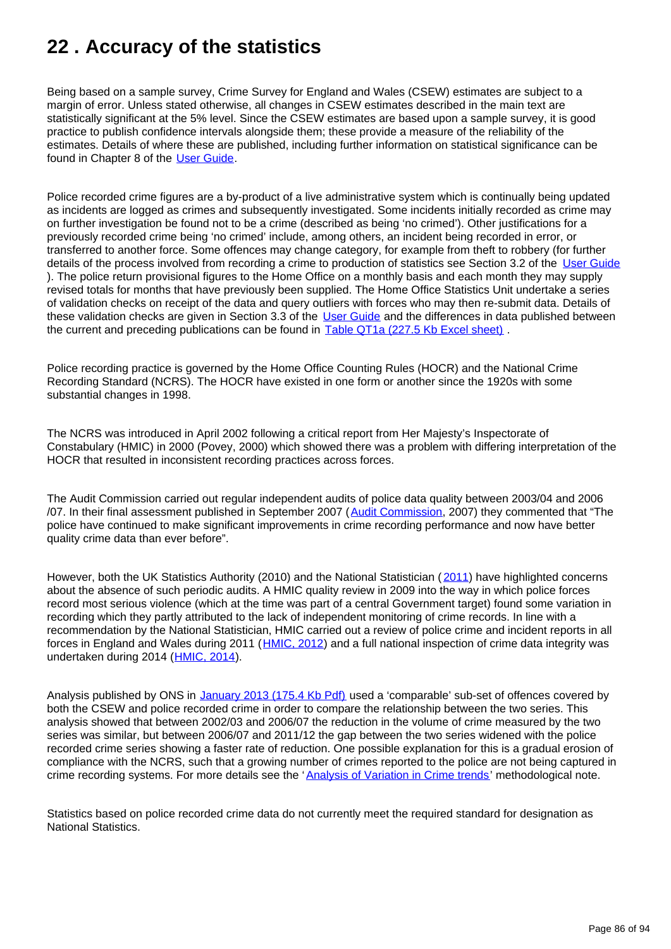# **22 . Accuracy of the statistics**

Being based on a sample survey, Crime Survey for England and Wales (CSEW) estimates are subject to a margin of error. Unless stated otherwise, all changes in CSEW estimates described in the main text are statistically significant at the 5% level. Since the CSEW estimates are based upon a sample survey, it is good practice to publish confidence intervals alongside them; these provide a measure of the reliability of the estimates. Details of where these are published, including further information on statistical significance can be found in Chapter 8 of the [User Guide.](http://www.ons.gov.uk/ons/guide-method/method-quality/specific/crime-statistics-methodology/index.html)

Police recorded crime figures are a by-product of a live administrative system which is continually being updated as incidents are logged as crimes and subsequently investigated. Some incidents initially recorded as crime may on further investigation be found not to be a crime (described as being 'no crimed'). Other justifications for a previously recorded crime being 'no crimed' include, among others, an incident being recorded in error, or transferred to another force. Some offences may change category, for example from theft to robbery (for further details of the process involved from recording a crime to production of statistics see Section 3.2 of the [User Guide](http://www.ons.gov.uk/ons/guide-method/method-quality/specific/crime-statistics-methodology/index.html) ). The police return provisional figures to the Home Office on a monthly basis and each month they may supply revised totals for months that have previously been supplied. The Home Office Statistics Unit undertake a series of validation checks on receipt of the data and query outliers with forces who may then re-submit data. Details of these validation checks are given in Section 3.3 of the [User Guide](http://www.ons.gov.uk/ons/guide-method/method-quality/specific/crime-statistics-methodology/index.html) and the differences in data published between the current and preceding publications can be found in **[Table QT1a \(227.5 Kb Excel sheet\)](http://www.ons.gov.uk/ons/rel/crime-stats/crime-statistics/year-ending-september-2014/rft-03.xls)**.

Police recording practice is governed by the Home Office Counting Rules (HOCR) and the National Crime Recording Standard (NCRS). The HOCR have existed in one form or another since the 1920s with some substantial changes in 1998.

The NCRS was introduced in April 2002 following a critical report from Her Majesty's Inspectorate of Constabulary (HMIC) in 2000 (Povey, 2000) which showed there was a problem with differing interpretation of the HOCR that resulted in inconsistent recording practices across forces.

The Audit Commission carried out regular independent audits of police data quality between 2003/04 and 2006 /07. In their final assessment published in September 2007 ([Audit Commission,](http://archive.audit-commission.gov.uk/auditcommission/nationalstudies/communitysafety/Pages/policedataquality0607.aspx.html) 2007) they commented that "The police have continued to make significant improvements in crime recording performance and now have better quality crime data than ever before".

However, both the UK Statistics Authority (2010) and the National Statistician ([2011](http://www.statisticsauthority.gov.uk/national-statistician/ns-reports--reviews-and-guidance/national-statistician-s-reviews/national-statistician-s-review-of-crime-statistics.html)) have highlighted concerns about the absence of such periodic audits. A HMIC quality review in 2009 into the way in which police forces record most serious violence (which at the time was part of a central Government target) found some variation in recording which they partly attributed to the lack of independent monitoring of crime records. In line with a recommendation by the National Statistician, HMIC carried out a review of police crime and incident reports in all forces in England and Wales during 2011 ([HMIC, 2012](http://www.justiceinspectorates.gov.uk/hmic/publication/review-police-crime-incident-reports-20120125/)) and a full national inspection of crime data integrity was undertaken during 2014 ([HMIC, 2014\)](https://www.justiceinspectorates.gov.uk/hmic/publication/crime-recording-making-the-victim-count/).

Analysis published by ONS in [January 2013 \(175.4 Kb Pdf\)](http://www.ons.gov.uk/ons/guide-method/method-quality/specific/crime-statistics-methodology/methodological-note--analysis-of-variation-in-crime-trends.pdf) used a 'comparable' sub-set of offences covered by both the CSEW and police recorded crime in order to compare the relationship between the two series. This analysis showed that between 2002/03 and 2006/07 the reduction in the volume of crime measured by the two series was similar, but between 2006/07 and 2011/12 the gap between the two series widened with the police recorded crime series showing a faster rate of reduction. One possible explanation for this is a gradual erosion of compliance with the NCRS, such that a growing number of crimes reported to the police are not being captured in crime recording systems. For more details see the '[Analysis of Variation in Crime trends'](http://www.ons.gov.uk/ons/guide-method/method-quality/specific/crime-statistics-methodology/index.html) methodological note.

Statistics based on police recorded crime data do not currently meet the required standard for designation as National Statistics.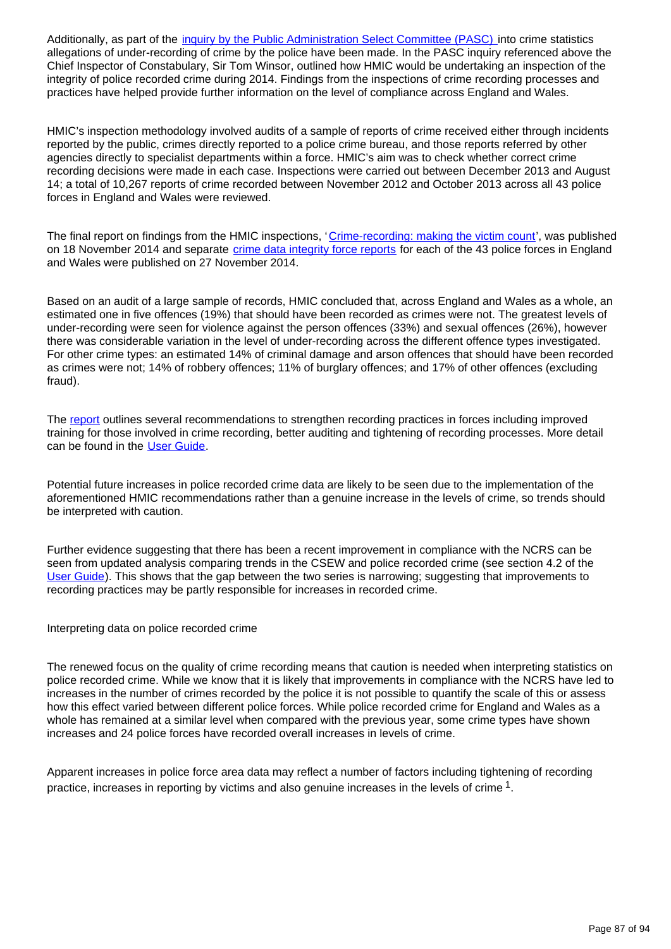Additionally, as part of the *inquiry by the Public Administration Select Committee (PASC)* into crime statistics allegations of under-recording of crime by the police have been made. In the PASC inquiry referenced above the Chief Inspector of Constabulary, Sir Tom Winsor, outlined how HMIC would be undertaking an inspection of the integrity of police recorded crime during 2014. Findings from the inspections of crime recording processes and practices have helped provide further information on the level of compliance across England and Wales.

HMIC's inspection methodology involved audits of a sample of reports of crime received either through incidents reported by the public, crimes directly reported to a police crime bureau, and those reports referred by other agencies directly to specialist departments within a force. HMIC's aim was to check whether correct crime recording decisions were made in each case. Inspections were carried out between December 2013 and August 14; a total of 10,267 reports of crime recorded between November 2012 and October 2013 across all 43 police forces in England and Wales were reviewed.

The final report on findings from the HMIC inspections, '[Crime-recording: making the victim count'](https://www.justiceinspectorates.gov.uk/hmic/publication/crime-recording-making-the-victim-count/), was published on 18 November 2014 and separate [crime data integrity force reports](https://www.justiceinspectorates.gov.uk/hmic/publication/crime-data-integrity-force-reports/) for each of the 43 police forces in England and Wales were published on 27 November 2014.

Based on an audit of a large sample of records, HMIC concluded that, across England and Wales as a whole, an estimated one in five offences (19%) that should have been recorded as crimes were not. The greatest levels of under-recording were seen for violence against the person offences (33%) and sexual offences (26%), however there was considerable variation in the level of under-recording across the different offence types investigated. For other crime types: an estimated 14% of criminal damage and arson offences that should have been recorded as crimes were not; 14% of robbery offences; 11% of burglary offences; and 17% of other offences (excluding fraud).

The [report](https://www.justiceinspectorates.gov.uk/hmic/publication/crime-recording-making-the-victim-count/) outlines several recommendations to strengthen recording practices in forces including improved training for those involved in crime recording, better auditing and tightening of recording processes. More detail can be found in the [User Guide](http://www.ons.gov.uk/ons/guide-method/method-quality/specific/crime-statistics-methodology/index.html).

Potential future increases in police recorded crime data are likely to be seen due to the implementation of the aforementioned HMIC recommendations rather than a genuine increase in the levels of crime, so trends should be interpreted with caution.

Further evidence suggesting that there has been a recent improvement in compliance with the NCRS can be seen from updated analysis comparing trends in the CSEW and police recorded crime (see section 4.2 of the [User Guide](http://www.ons.gov.uk/ons/guide-method/method-quality/specific/crime-statistics-methodology/index.html)). This shows that the gap between the two series is narrowing; suggesting that improvements to recording practices may be partly responsible for increases in recorded crime.

Interpreting data on police recorded crime

The renewed focus on the quality of crime recording means that caution is needed when interpreting statistics on police recorded crime. While we know that it is likely that improvements in compliance with the NCRS have led to increases in the number of crimes recorded by the police it is not possible to quantify the scale of this or assess how this effect varied between different police forces. While police recorded crime for England and Wales as a whole has remained at a similar level when compared with the previous year, some crime types have shown increases and 24 police forces have recorded overall increases in levels of crime.

Apparent increases in police force area data may reflect a number of factors including tightening of recording practice, increases in reporting by victims and also genuine increases in the levels of crime  $^1$ .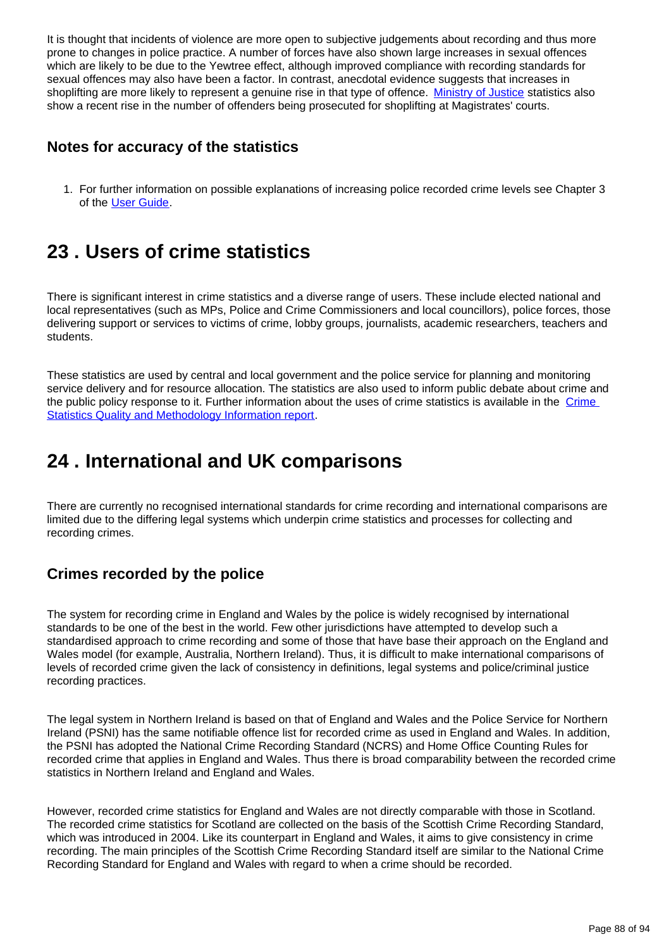It is thought that incidents of violence are more open to subjective judgements about recording and thus more prone to changes in police practice. A number of forces have also shown large increases in sexual offences which are likely to be due to the Yewtree effect, although improved compliance with recording standards for sexual offences may also have been a factor. In contrast, anecdotal evidence suggests that increases in shoplifting are more likely to represent a genuine rise in that type of offence. [Ministry of Justice](https://www.gov.uk/government/statistics/criminal-justice-system-quarterly-statistics-june-2014) statistics also show a recent rise in the number of offenders being prosecuted for shoplifting at Magistrates' courts.

## **Notes for accuracy of the statistics**

1. For further information on possible explanations of increasing police recorded crime levels see Chapter 3 of the [User Guide](http://www.ons.gov.uk/ons/guide-method/method-quality/specific/crime-statistics-methodology/index.html).

# **23 . Users of crime statistics**

There is significant interest in crime statistics and a diverse range of users. These include elected national and local representatives (such as MPs, Police and Crime Commissioners and local councillors), police forces, those delivering support or services to victims of crime, lobby groups, journalists, academic researchers, teachers and students.

These statistics are used by central and local government and the police service for planning and monitoring service delivery and for resource allocation. The statistics are also used to inform public debate about crime and the public policy response to it. Further information about the uses of crime statistics is available in the [Crime](http://www.ons.gov.uk/ons/guide-method/method-quality/quality/quality-information/crime-and-justice/index.html)  [Statistics Quality and Methodology Information report](http://www.ons.gov.uk/ons/guide-method/method-quality/quality/quality-information/crime-and-justice/index.html).

# **24 . International and UK comparisons**

There are currently no recognised international standards for crime recording and international comparisons are limited due to the differing legal systems which underpin crime statistics and processes for collecting and recording crimes.

## **Crimes recorded by the police**

The system for recording crime in England and Wales by the police is widely recognised by international standards to be one of the best in the world. Few other jurisdictions have attempted to develop such a standardised approach to crime recording and some of those that have base their approach on the England and Wales model (for example, Australia, Northern Ireland). Thus, it is difficult to make international comparisons of levels of recorded crime given the lack of consistency in definitions, legal systems and police/criminal justice recording practices.

The legal system in Northern Ireland is based on that of England and Wales and the Police Service for Northern Ireland (PSNI) has the same notifiable offence list for recorded crime as used in England and Wales. In addition, the PSNI has adopted the National Crime Recording Standard (NCRS) and Home Office Counting Rules for recorded crime that applies in England and Wales. Thus there is broad comparability between the recorded crime statistics in Northern Ireland and England and Wales.

However, recorded crime statistics for England and Wales are not directly comparable with those in Scotland. The recorded crime statistics for Scotland are collected on the basis of the Scottish Crime Recording Standard, which was introduced in 2004. Like its counterpart in England and Wales, it aims to give consistency in crime recording. The main principles of the Scottish Crime Recording Standard itself are similar to the National Crime Recording Standard for England and Wales with regard to when a crime should be recorded.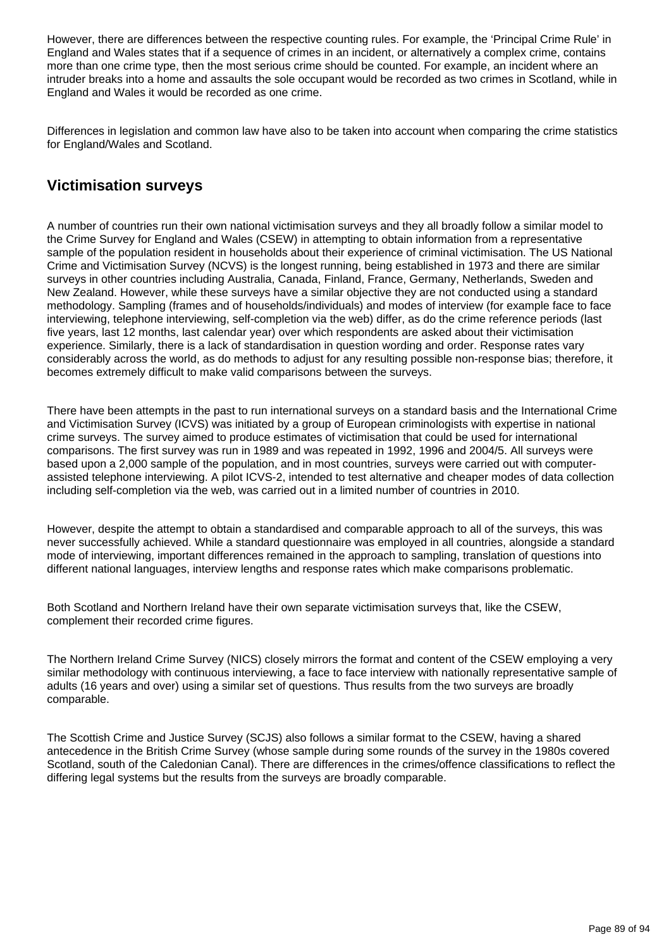However, there are differences between the respective counting rules. For example, the 'Principal Crime Rule' in England and Wales states that if a sequence of crimes in an incident, or alternatively a complex crime, contains more than one crime type, then the most serious crime should be counted. For example, an incident where an intruder breaks into a home and assaults the sole occupant would be recorded as two crimes in Scotland, while in England and Wales it would be recorded as one crime.

Differences in legislation and common law have also to be taken into account when comparing the crime statistics for England/Wales and Scotland.

## **Victimisation surveys**

A number of countries run their own national victimisation surveys and they all broadly follow a similar model to the Crime Survey for England and Wales (CSEW) in attempting to obtain information from a representative sample of the population resident in households about their experience of criminal victimisation. The US National Crime and Victimisation Survey (NCVS) is the longest running, being established in 1973 and there are similar surveys in other countries including Australia, Canada, Finland, France, Germany, Netherlands, Sweden and New Zealand. However, while these surveys have a similar objective they are not conducted using a standard methodology. Sampling (frames and of households/individuals) and modes of interview (for example face to face interviewing, telephone interviewing, self-completion via the web) differ, as do the crime reference periods (last five years, last 12 months, last calendar year) over which respondents are asked about their victimisation experience. Similarly, there is a lack of standardisation in question wording and order. Response rates vary considerably across the world, as do methods to adjust for any resulting possible non-response bias; therefore, it becomes extremely difficult to make valid comparisons between the surveys.

There have been attempts in the past to run international surveys on a standard basis and the International Crime and Victimisation Survey (ICVS) was initiated by a group of European criminologists with expertise in national crime surveys. The survey aimed to produce estimates of victimisation that could be used for international comparisons. The first survey was run in 1989 and was repeated in 1992, 1996 and 2004/5. All surveys were based upon a 2,000 sample of the population, and in most countries, surveys were carried out with computerassisted telephone interviewing. A pilot ICVS-2, intended to test alternative and cheaper modes of data collection including self-completion via the web, was carried out in a limited number of countries in 2010.

However, despite the attempt to obtain a standardised and comparable approach to all of the surveys, this was never successfully achieved. While a standard questionnaire was employed in all countries, alongside a standard mode of interviewing, important differences remained in the approach to sampling, translation of questions into different national languages, interview lengths and response rates which make comparisons problematic.

Both Scotland and Northern Ireland have their own separate victimisation surveys that, like the CSEW, complement their recorded crime figures.

The Northern Ireland Crime Survey (NICS) closely mirrors the format and content of the CSEW employing a very similar methodology with continuous interviewing, a face to face interview with nationally representative sample of adults (16 years and over) using a similar set of questions. Thus results from the two surveys are broadly comparable.

The Scottish Crime and Justice Survey (SCJS) also follows a similar format to the CSEW, having a shared antecedence in the British Crime Survey (whose sample during some rounds of the survey in the 1980s covered Scotland, south of the Caledonian Canal). There are differences in the crimes/offence classifications to reflect the differing legal systems but the results from the surveys are broadly comparable.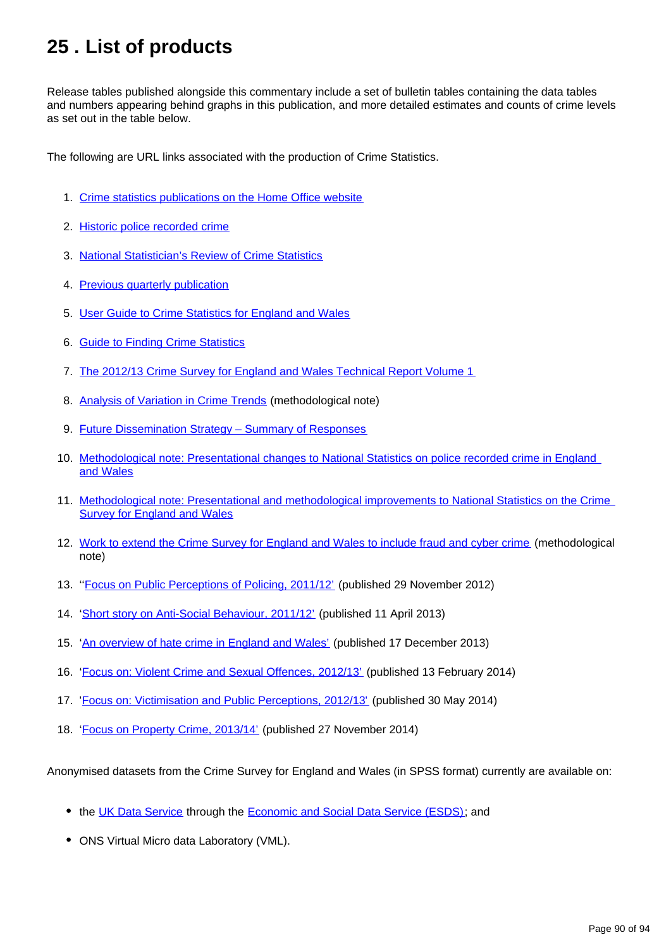# **25 . List of products**

Release tables published alongside this commentary include a set of bulletin tables containing the data tables and numbers appearing behind graphs in this publication, and more detailed estimates and counts of crime levels as set out in the table below.

The following are URL links associated with the production of Crime Statistics.

- 1. [Crime statistics publications on the Home Office website](https://www.gov.uk/government/organisations/home-office/series/crime-statistics)
- 2. [Historic police recorded crime](https://www.gov.uk/government/publications/historical-crime-data)
- 3. [National Statistician's Review of Crime Statistics](http://www.statisticsauthority.gov.uk/national-statistician/ns-reports--reviews-and-guidance/national-statistician-s-reviews/national-statistician-s-review-of-crime-statistics.html)
- 4. [Previous quarterly publication](http://www.ons.gov.uk/ons/rel/crime-stats/crime-statistics/period-ending-june-2014/index.html)
- 5. [User Guide to Crime Statistics for England and Wales](http://www.ons.gov.uk/ons/guide-method/method-quality/specific/crime-statistics-methodology/index.html)
- 6. **[Guide to Finding Crime Statistics](http://www.ons.gov.uk/ons/guide-method/method-quality/specific/crime-statistics-methodology/guide-to-finding-crime-statistics/index.html)**
- 7. [The 2012/13 Crime Survey for England and Wales Technical Report Volume 1](http://www.ons.gov.uk/ons/guide-method/method-quality/specific/crime-statistics-methodology/index.html)
- 8. [Analysis of Variation in Crime Trends](http://www.ons.gov.uk/ons/guide-method/method-quality/specific/crime-statistics-methodology/index.html) (methodological note)
- 9. **Future Dissemination Strategy Summary of Responses**
- 10. Methodological note: Presentational changes to National Statistics on police recorded crime in England [and Wales](http://www.ons.gov.uk/ons/guide-method/method-quality/specific/crime-statistics-methodology/index.html)
- 11. Methodological note: Presentational and methodological improvements to National Statistics on the Crime [Survey for England and Wales](http://www.ons.gov.uk/ons/guide-method/method-quality/specific/crime-statistics-methodology/index.html)
- 12. [Work to extend the Crime Survey for England and Wales to include fraud and cyber crime](http://www.ons.gov.uk/ons/guide-method/method-quality/specific/crime-statistics-methodology/index.html) (methodological note)
- 13. "Focus on Public Perceptions of Policing, 2011/12' (published 29 November 2012)
- 14. '[Short story on Anti-Social Behaviour, 2011/12'](http://www.ons.gov.uk/ons/rel/crime-stats/crime-statistics/short-story-on-anti-social-behaviour--2011-12/index.html) (published 11 April 2013)
- 15. '[An overview of hate crime in England and Wales'](https://www.gov.uk/government/publications/an-overview-of-hate-crime-in-england-and-wales) (published 17 December 2013)
- 16. '[Focus on: Violent Crime and Sexual Offences, 2012/13'](http://www.ons.gov.uk/ons/rel/crime-stats/crime-statistics/focus-on-violent-crime-and-sexual-offences--2012-13/index.html) (published 13 February 2014)
- 17. '[Focus on: Victimisation and Public Perceptions, 2012/13'](http://www.ons.gov.uk/ons/rel/crime-stats/crime-statistics/focus-on-victimisation-and-public-perceptions--2012-13/index.html) (published 30 May 2014)
- 18. '[Focus on Property Crime, 2013/14'](http://www.ons.gov.uk/ons/rel/crime-stats/crime-statistics/focus-on-property-crime--2013-14/index.html) (published 27 November 2014)

Anonymised datasets from the Crime Survey for England and Wales (in SPSS format) currently are available on:

- the [UK Data Service](http://ukdataservice.ac.uk/) through the [Economic and Social Data Service \(ESDS\)](http://www.esds.ac.uk/); and
- ONS Virtual Micro data Laboratory (VML).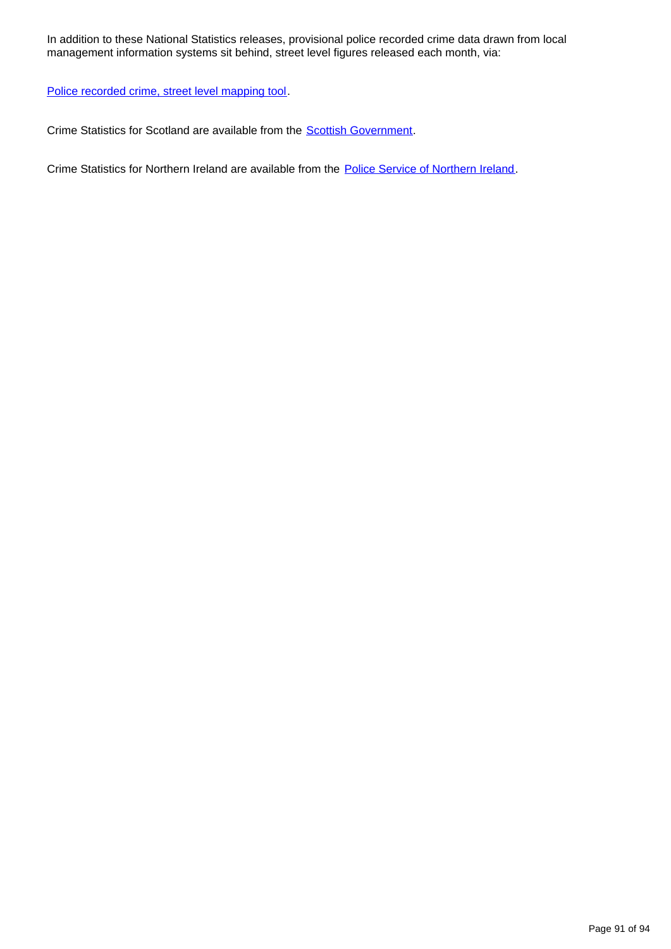In addition to these National Statistics releases, provisional police recorded crime data drawn from local management information systems sit behind, street level figures released each month, via:

[Police recorded crime, street level mapping tool.](http://www.police.uk/)

Crime Statistics for Scotland are available from the [Scottish Government](http://www.scotland.gov.uk/Topics/Statistics/Browse/Crime-Justice/PubRecordedCrime).

Crime Statistics for Northern Ireland are available from the **[Police Service of Northern Ireland](http://www.psni.police.uk/directory/updates/updates_statistics/update_crime_statistics.htm)**.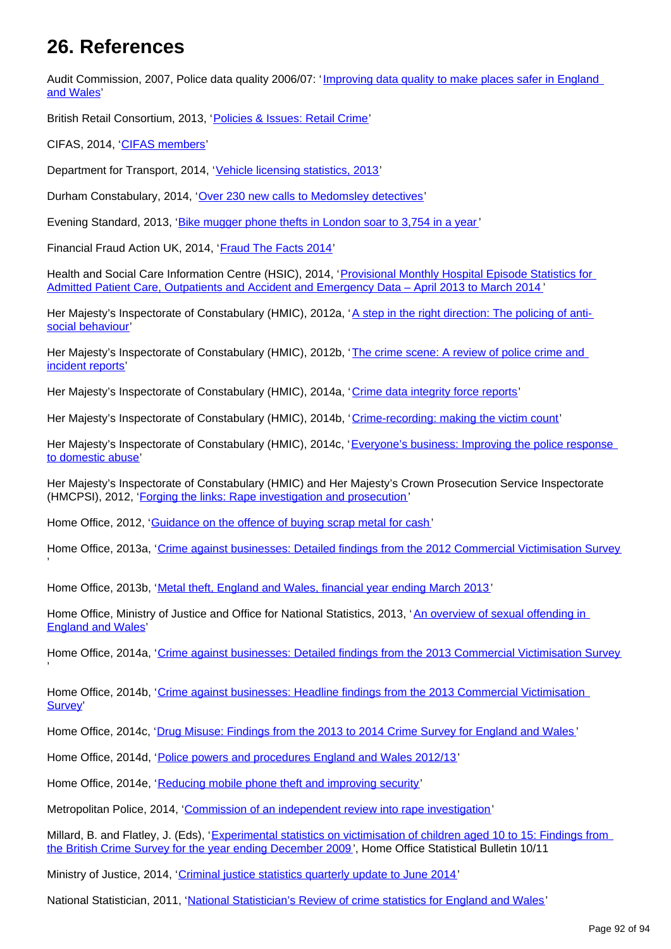## **26. References**

Audit Commission, 2007, Police data quality 2006/07: 'Improving data quality to make places safer in England [and Wales'](http://archive.audit-commission.gov.uk/auditcommission/nationalstudies/communitysafety/Pages/policedataquality0607.aspx.html)

British Retail Consortium, 2013, '[Policies & Issues: Retail Crime](http://www.brc.org.uk/brc_policy_content.asp?id=263&iCat=48&iSubCat=646&sPolicy=Retail%20Crime&sSubPolicy=BRC%20Retail%20Crime%20Survey)'

CIFAS, 2014, '[CIFAS members'](http://www.cifas.org.uk/cifas_members)

'

'

Department for Transport, 2014, '[Vehicle licensing statistics, 2013'](https://www.gov.uk/government/publications/vehicle-licensing-statistics-2013)

Durham Constabulary, 2014, '[Over 230 new calls to Medomsley detectives](https://www.durham.police.uk/news-and-events/Pages/News%20Articles/More-than-200-new-victims-contact-Medomsley-detectives.aspx)'

Evening Standard, 2013, '[Bike mugger phone thefts in London soar to 3,754 in a year'](http://www.standard.co.uk/news/crime/bike-mugger-phone-thefts-in-london-soar-to-3754-in-a-year-8559784.html)

Financial Fraud Action UK, 2014, '[Fraud The Facts 2014](http://www.financialfraudaction.org.uk/downloads.asp?genre=consumer)'

Health and Social Care Information Centre (HSIC), 2014, '[Provisional Monthly Hospital Episode Statistics for](http://www.hscic.gov.uk/article/2021/Website-Search?productid=14896&q=Provisional+Monthly+Hospital+Episode+Statistics+for+Admitted+Patient+Care%2c+Outpatients+and+Accident+and+Emergency+Data+&sort=Relevance&size=10&page=1&area=both#top)  [Admitted Patient Care, Outpatients and Accident and Emergency Data – April 2013 to March 2014](http://www.hscic.gov.uk/article/2021/Website-Search?productid=14896&q=Provisional+Monthly+Hospital+Episode+Statistics+for+Admitted+Patient+Care%2c+Outpatients+and+Accident+and+Emergency+Data+&sort=Relevance&size=10&page=1&area=both#top) '

Her Majesty's Inspectorate of Constabulary (HMIC), 2012a, '[A step in the right direction: The policing of anti](http://www.hmic.gov.uk/publication/a-step-in-the-right-direction-the-policing-of-anti-social-behaviour/)[social behaviour'](http://www.hmic.gov.uk/publication/a-step-in-the-right-direction-the-policing-of-anti-social-behaviour/)

Her Majesty's Inspectorate of Constabulary (HMIC), 2012b, 'The crime scene: A review of police crime and [incident reports'](http://www.hmic.gov.uk/publication/review-police-crime-incident-reports-20120125/)

Her Majesty's Inspectorate of Constabulary (HMIC), 2014a, '[Crime data integrity force reports'](https://www.justiceinspectorates.gov.uk/hmic/publication/crime-data-integrity-force-reports/)

Her Majesty's Inspectorate of Constabulary (HMIC), 2014b, '[Crime-recording: making the victim count](https://www.justiceinspectorates.gov.uk/hmic/publication/crime-recording-making-the-victim-count/)'

Her Majesty's Inspectorate of Constabulary (HMIC), 2014c, 'Everyone's business: Improving the police response [to domestic abuse'](http://www.hmic.gov.uk/publication/improving-the-police-response-to-domestic-abuse/)

Her Majesty's Inspectorate of Constabulary (HMIC) and Her Majesty's Crown Prosecution Service Inspectorate (HMCPSI), 2012, '[Forging the links: Rape investigation and prosecution](http://www.hmic.gov.uk/publication/forging-the-links-rape-investigation-and-prosecution/)'

Home Office, 2012, '[Guidance on the offence of buying scrap metal for cash'](https://www.gov.uk/government/publications/guidance-on-the-offence-of-buying-scrap-metal-for-cash)

Home Office, 2013a, '[Crime against businesses: Detailed findings from the 2012 Commercial Victimisation Survey](https://www.gov.uk/government/publications/crime-against-businesses-detailed-findings-from-the-2012-commercial-victimisation-survey)

Home Office, 2013b, '[Metal theft, England and Wales, financial year ending March 2013](https://www.gov.uk/government/publications/metal-theft-england-and-wales-financial-year-ending-march-2013)'

Home Office, Ministry of Justice and Office for National Statistics, 2013, '[An overview of sexual offending in](https://www.gov.uk/government/publications/an-overview-of-sexual-offending-in-england-and-wales)  [England and Wales](https://www.gov.uk/government/publications/an-overview-of-sexual-offending-in-england-and-wales)'

Home Office, 2014a, '[Crime against businesses: Detailed findings from the 2013 Commercial Victimisation Survey](https://www.gov.uk/government/publications/crime-against-businesses-detailed-findings-from-the-2013-commercial-victimisation-survey)

Home Office, 2014b, '[Crime against businesses: Headline findings from the 2013 Commercial Victimisation](https://www.gov.uk/government/publications/crime-against-businesses-headline-findings-from-the-2013-commercial-victimisation-survey)  [Survey](https://www.gov.uk/government/publications/crime-against-businesses-headline-findings-from-the-2013-commercial-victimisation-survey)'

Home Office, 2014c, '[Drug Misuse: Findings from the 2013 to 2014 Crime Survey for England and Wales](https://www.gov.uk/government/statistics/drug-misuse-findings-from-the-2013-to-2014-csew) '

Home Office, 2014d, '[Police powers and procedures England and Wales 2012/13](https://www.gov.uk/government/publications/police-powers-and-procedures-england-and-wales-2012-to-2013)'

Home Office, 2014e, '[Reducing mobile phone theft and improving security'](https://www.gov.uk/government/publications/reducing-mobile-phone-theft-and-improving-security)

Metropolitan Police, 2014, '[Commission of an independent review into rape investigation](http://content.met.police.uk/News/Commission-of-an-independent-review-into-rape-investigation/1400024447530/1257246745756)'

Millard, B. and Flatley, J. (Eds), '[Experimental statistics on victimisation of children aged 10 to 15: Findings from](https://www.gov.uk/government/publications/experimental-statistics-on-victimisation-of-children-aged-10-to-15-british-crime-survey-year-ending-december-2009)  [the British Crime Survey for the year ending December 2009](https://www.gov.uk/government/publications/experimental-statistics-on-victimisation-of-children-aged-10-to-15-british-crime-survey-year-ending-december-2009)', Home Office Statistical Bulletin 10/11

Ministry of Justice, 2014, '[Criminal justice statistics quarterly update to June 2014'](https://www.gov.uk/government/statistics/criminal-justice-system-quarterly-statistics-june-2014)

National Statistician, 2011, '[National Statistician's Review of crime statistics for England and Wales](http://www.statisticsauthority.gov.uk/national-statistician/ns-reports--reviews-and-guidance/national-statistician-s-reviews/national-statistician-s-review-of-crime-statistics.html)'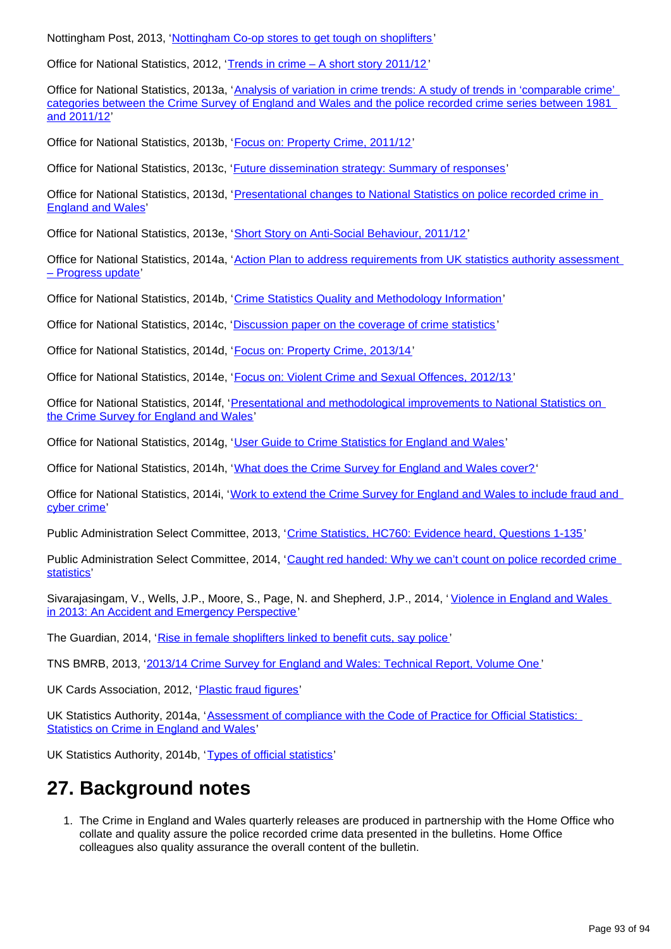Nottingham Post, 2013, '[Nottingham Co-op stores to get tough on shoplifters'](http://www.nottinghampost.com/Nottingham-op-stores-tough-shoplifters/story-20335256-detail/story.html)

Office for National Statistics, 2012, '[Trends in crime – A short story 2011/12'](http://www.ons.gov.uk/ons/rel/crime-stats/crime-statistics/period-ending-march-2012/trends-in-crime--a-short-story.html#tab-What-is-happening-to-overall-levels-of-acquisitive-crime-)

Office for National Statistics, 2013a, '[Analysis of variation in crime trends: A study of trends in 'comparable crime'](http://www.ons.gov.uk/ons/guide-method/method-quality/specific/crime-statistics-methodology/index.html)  [categories between the Crime Survey of England and Wales and the police recorded crime series between 1981](http://www.ons.gov.uk/ons/guide-method/method-quality/specific/crime-statistics-methodology/index.html)  [and 2011/12](http://www.ons.gov.uk/ons/guide-method/method-quality/specific/crime-statistics-methodology/index.html)'

Office for National Statistics, 2013b, '[Focus on: Property Crime, 2011/12'](http://www.ons.gov.uk/ons/rel/crime-stats/crime-statistics/focus-on-property-crime--2011-12/index.html)

Office for National Statistics, 2013c, '[Future dissemination strategy: Summary of responses](http://webarchive.nationalarchives.gov.uk/20160105160709/http://www.ons.gov.uk/ons/about-ons/get-involved/consultations-and-user-surveys/consultations/future-dissemination-strategy-for-opss-results/opss-consultation-response.doc)'

Office for National Statistics, 2013d, '[Presentational changes to National Statistics on police recorded crime in](http://www.ons.gov.uk/ons/guide-method/method-quality/specific/crime-statistics-methodology/index.html)  [England and Wales](http://www.ons.gov.uk/ons/guide-method/method-quality/specific/crime-statistics-methodology/index.html)'

Office for National Statistics, 2013e, '[Short Story on Anti-Social Behaviour, 2011/12'](http://www.ons.gov.uk/ons/rel/crime-stats/crime-statistics/short-story-on-anti-social-behaviour--2011-12/index.html)

Office for National Statistics, 2014a, '[Action Plan to address requirements from UK statistics authority assessment](http://www.ons.gov.uk/ons/guide-method/method-quality/specific/crime-statistics-methodology/uk-statistics-authority-assessment/index.html)  [– Progress update'](http://www.ons.gov.uk/ons/guide-method/method-quality/specific/crime-statistics-methodology/uk-statistics-authority-assessment/index.html)

Office for National Statistics, 2014b, '[Crime Statistics Quality and Methodology Information](http://www.ons.gov.uk/ons/guide-method/method-quality/quality/quality-information/crime-and-justice/index.html)'

Office for National Statistics, 2014c, '[Discussion paper on the coverage of crime statistics](http://www.ons.gov.uk/ons/guide-method/method-quality/specific/crime-statistics-methodology/index.html) '

Office for National Statistics, 2014d, '[Focus on: Property Crime, 2013/14'](http://www.ons.gov.uk/ons/rel/crime-stats/crime-statistics/focus-on-property-crime--2013-14/index.html)

Office for National Statistics, 2014e, '[Focus on: Violent Crime and Sexual Offences, 2012/13](http://www.ons.gov.uk/ons/rel/crime-stats/crime-statistics/focus-on-violent-crime-and-sexual-offences--2012-13/index.html) '

Office for National Statistics, 2014f, '[Presentational and methodological improvements to National Statistics on](http://www.ons.gov.uk/ons/guide-method/method-quality/specific/crime-statistics-methodology/index.html)  [the Crime Survey for England and Wales](http://www.ons.gov.uk/ons/guide-method/method-quality/specific/crime-statistics-methodology/index.html)'

Office for National Statistics, 2014g, '[User Guide to Crime Statistics for England and Wales](http://www.ons.gov.uk/ons/guide-method/method-quality/specific/crime-statistics-methodology/index.html)'

Office for National Statistics, 2014h, '[What does the Crime Survey for England and Wales cover?'](http://www.ons.gov.uk/ons/rel/crime-stats/crime-statistics/period-ending-june-2014/info-what-does-csew-cover.html)

Office for National Statistics, 2014i, '[Work to extend the Crime Survey for England and Wales to include fraud and](http://www.ons.gov.uk/ons/guide-method/method-quality/specific/crime-statistics-methodology/index.html)  [cyber crime](http://www.ons.gov.uk/ons/guide-method/method-quality/specific/crime-statistics-methodology/index.html)'

Public Administration Select Committee, 2013, '[Crime Statistics, HC760: Evidence heard, Questions 1-135](http://data.parliament.uk/writtenevidence/WrittenEvidence.svc/EvidenceHtml/4041)'

Public Administration Select Committee, 2014, 'Caught red handed: Why we can't count on police recorded crime [statistics'](http://www.publications.parliament.uk/pa/cm201314/cmselect/cmpubadm/760/760.pdf)

Sivarajasingam, V., Wells, J.P., Moore, S., Page, N. and Shepherd, J.P., 2014, ' [Violence in England and Wales](http://www.crimeandjustice.org.uk/sites/crimeandjustice.org.uk/files/Violence%20in%20England%20and%20Wales%202013%20%20NVSN%20Annual%20Report.pdf)  [in 2013: An Accident and Emergency Perspective](http://www.crimeandjustice.org.uk/sites/crimeandjustice.org.uk/files/Violence%20in%20England%20and%20Wales%202013%20%20NVSN%20Annual%20Report.pdf)'

The Guardian, 2014, '[Rise in female shoplifters linked to benefit cuts, say police'](http://www.theguardian.com/uk-news/2014/jan/23/rise-female-shoplifters-benefit-cuts-police)

TNS BMRB, 2013, '[2013/14 Crime Survey for England and Wales: Technical Report, Volume One](http://www.ons.gov.uk/ons/guide-method/method-quality/specific/crime-statistics-methodology/index.html) '

UK Cards Association, 2012, '[Plastic fraud figures](http://www.theukcardsassociation.org.uk/plastic_fraud_figures/index.asp)'

UK Statistics Authority, 2014a, 'Assessment of compliance with the Code of Practice for Official Statistics: [Statistics on Crime in England and Wales](http://www.statisticsauthority.gov.uk/assessment/assessment/assessment-reports/assessment-report-268---statistics-on-crime-in-england-and-wales.pdf)'

UK Statistics Authority, 2014b, '[Types of official statistics'](http://www.statisticsauthority.gov.uk/national-statistician/types-of-official-statistics/index.html)

# **27. Background notes**

1. The Crime in England and Wales quarterly releases are produced in partnership with the Home Office who collate and quality assure the police recorded crime data presented in the bulletins. Home Office colleagues also quality assurance the overall content of the bulletin.